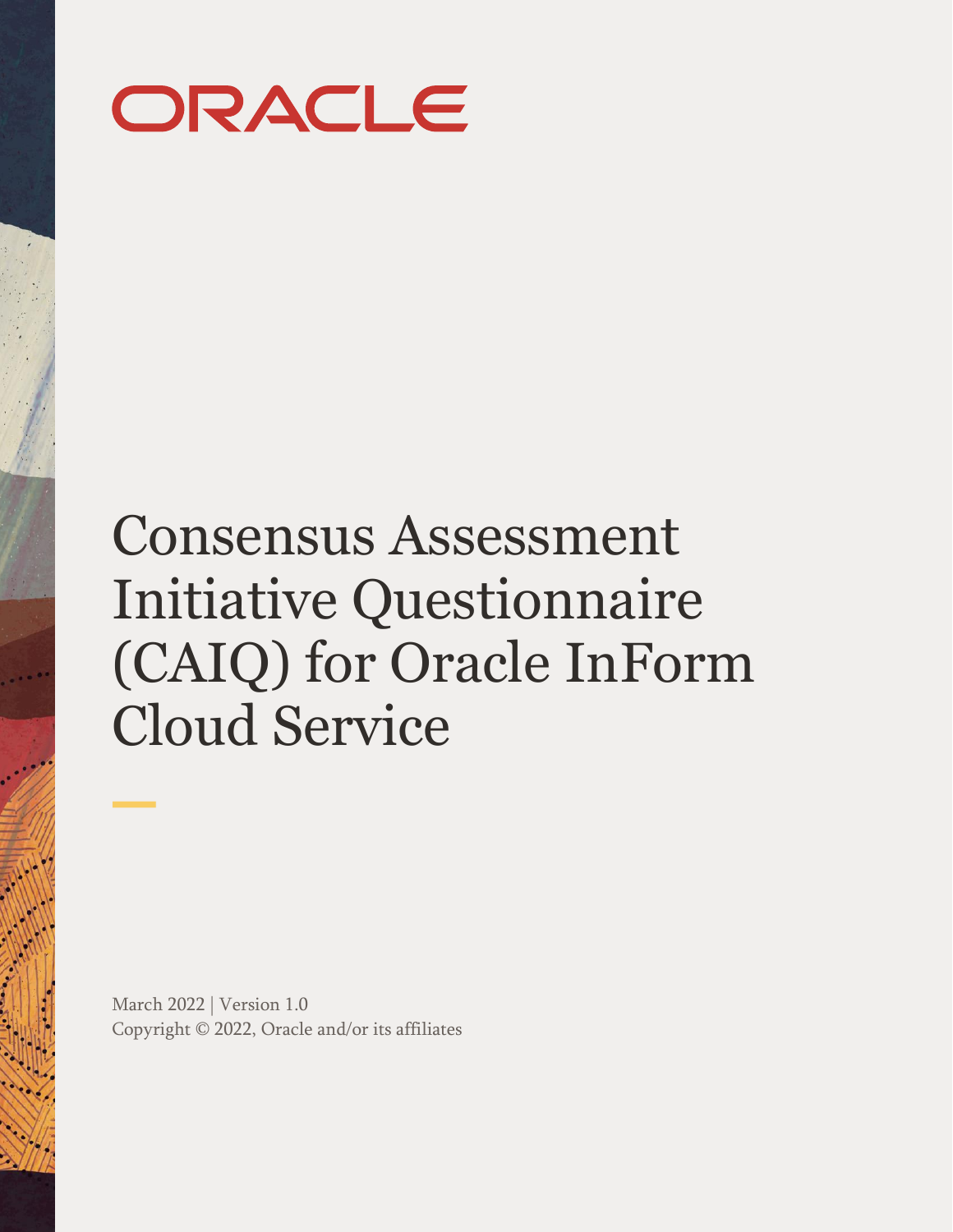

# Consensus Assessment Initiative Questionnaire (CAIQ) for Oracle InForm Cloud Service

March 2022 | Version 1.0 Copyright © 2022, Oracle and/or its affiliates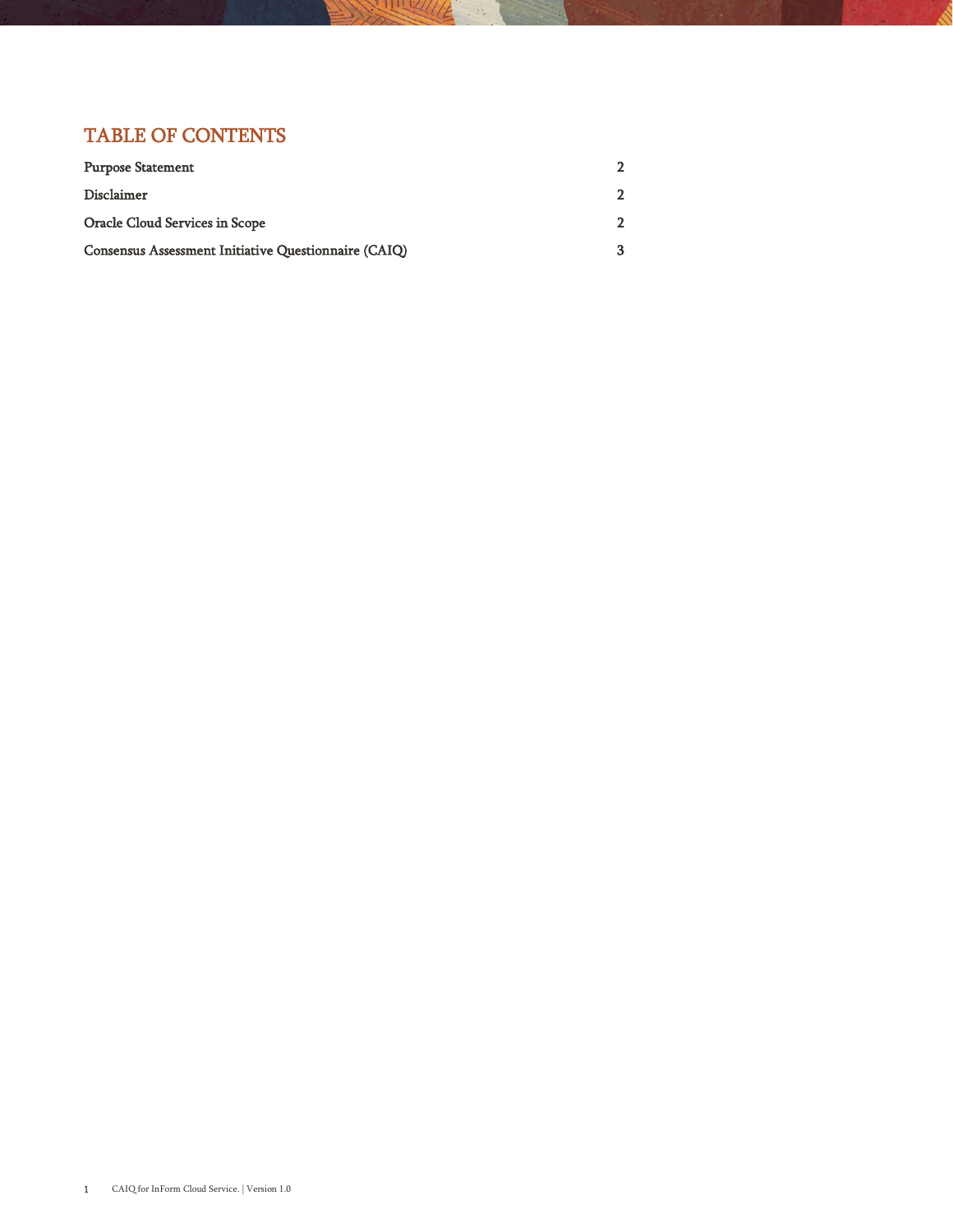### TABLE OF CONTENTS

| <b>Purpose Statement</b>                             |  |
|------------------------------------------------------|--|
| Disclaimer                                           |  |
| Oracle Cloud Services in Scope                       |  |
| Consensus Assessment Initiative Questionnaire (CAIQ) |  |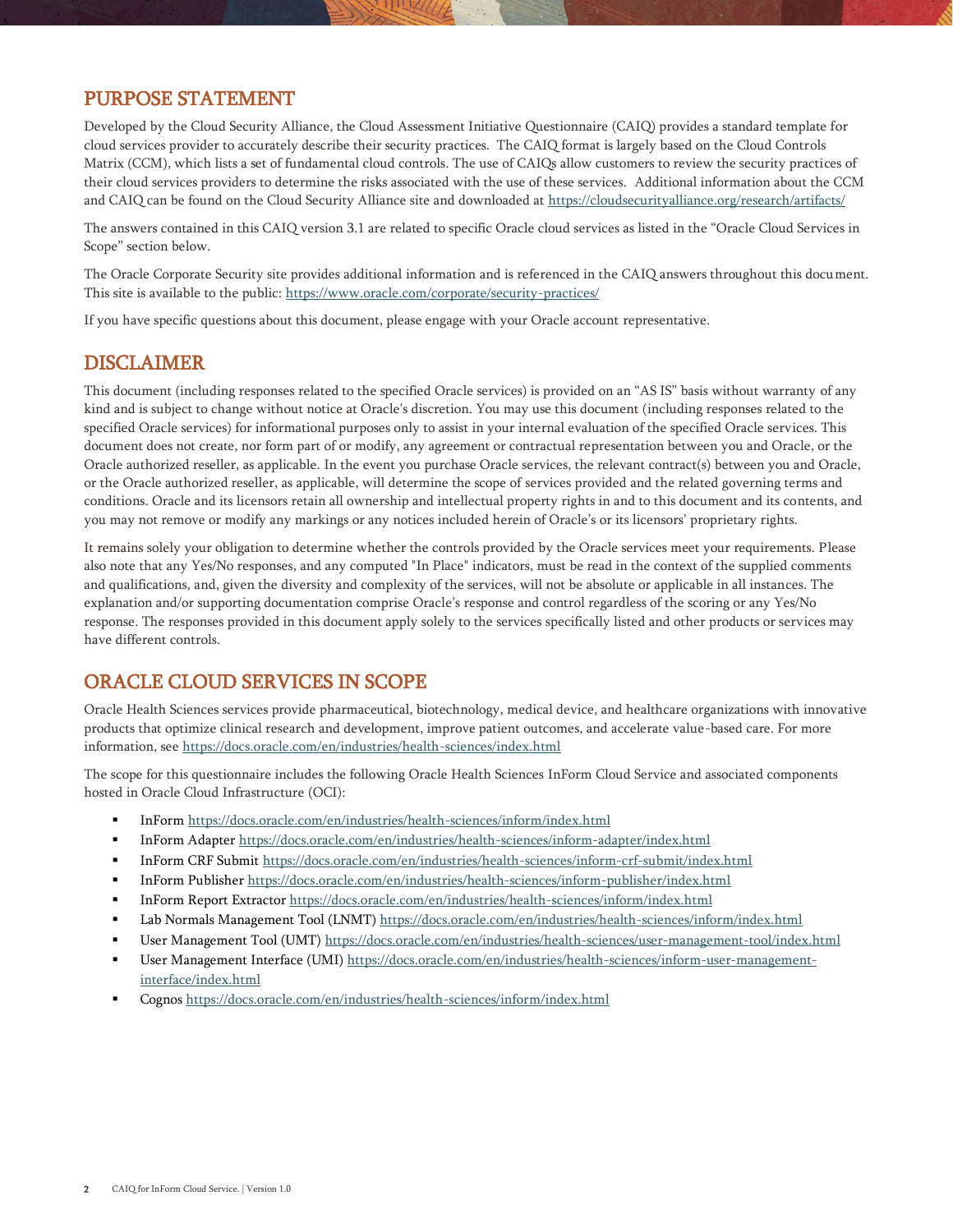#### PURPOSE STATEMENT

Developed by the Cloud Security Alliance, the Cloud Assessment Initiative Questionnaire (CAIQ) provides a standard template for cloud services provider to accurately describe their security practices. The CAIQ format is largely based on the Cloud Controls Matrix (CCM), which lists a set of fundamental cloud controls. The use of CAIQs allow customers to review the security practices of their cloud services providers to determine the risks associated with the use of these services. Additional information about the CCM and CAIQ can be found on the Cloud Security Alliance site and downloaded at<https://cloudsecurityalliance.org/research/artifacts/>

The answers contained in this CAIQ version 3.1 are related to specific Oracle cloud services as listed in the "Oracle Cloud Services in Scope" section below.

The Oracle Corporate Security site provides additional information and is referenced in the CAIQ answers throughout this document. This site is available to the public[: https://www.oracle.com/corporate/security-practices/](https://www.oracle.com/corporate/security-practices/)

If you have specific questions about this document, please engage with your Oracle account representative.

#### DISCLAIMER

This document (including responses related to the specified Oracle services) is provided on an "AS IS" basis without warranty of any kind and is subject to change without notice at Oracle's discretion. You may use this document (including responses related to the specified Oracle services) for informational purposes only to assist in your internal evaluation of the specified Oracle services. This document does not create, nor form part of or modify, any agreement or contractual representation between you and Oracle, or the Oracle authorized reseller, as applicable. In the event you purchase Oracle services, the relevant contract(s) between you and Oracle, or the Oracle authorized reseller, as applicable, will determine the scope of services provided and the related governing terms and conditions. Oracle and its licensors retain all ownership and intellectual property rights in and to this document and its contents, and you may not remove or modify any markings or any notices included herein of Oracle's or its licensors' proprietary rights.

It remains solely your obligation to determine whether the controls provided by the Oracle services meet your requirements. Please also note that any Yes/No responses, and any computed "In Place" indicators, must be read in the context of the supplied comments and qualifications, and, given the diversity and complexity of the services, will not be absolute or applicable in all instances. The explanation and/or supporting documentation comprise Oracle's response and control regardless of the scoring or any Yes/No response. The responses provided in this document apply solely to the services specifically listed and other products or services may have different controls.

#### ORACLE CLOUD SERVICES IN SCOPE

Oracle Health Sciences services provide pharmaceutical, biotechnology, medical device, and healthcare organizations with innovative products that optimize clinical research and development, improve patient outcomes, and accelerate value-based care. For more information, see<https://docs.oracle.com/en/industries/health-sciences/index.html>

The scope for this questionnaire includes the following Oracle Health Sciences InForm Cloud Service and associated components hosted in Oracle Cloud Infrastructure (OCI):

- InForm <https://docs.oracle.com/en/industries/health-sciences/inform/index.html>
- InForm Adapter <https://docs.oracle.com/en/industries/health-sciences/inform-adapter/index.html>
- InForm CRF Submit <https://docs.oracle.com/en/industries/health-sciences/inform-crf-submit/index.html>
- InForm Publisher <https://docs.oracle.com/en/industries/health-sciences/inform-publisher/index.html>
- InForm Report Extractor <https://docs.oracle.com/en/industries/health-sciences/inform/index.html>
- Lab Normals Management Tool (LNMT) <https://docs.oracle.com/en/industries/health-sciences/inform/index.html>
- User Management Tool (UMT) <https://docs.oracle.com/en/industries/health-sciences/user-management-tool/index.html>
- User Management Interface (UMI) [https://docs.oracle.com/en/industries/health-sciences/inform-user-management](https://docs.oracle.com/en/industries/health-sciences/inform-user-management-interface/index.html)[interface/index.html](https://docs.oracle.com/en/industries/health-sciences/inform-user-management-interface/index.html)
- Cognos <https://docs.oracle.com/en/industries/health-sciences/inform/index.html>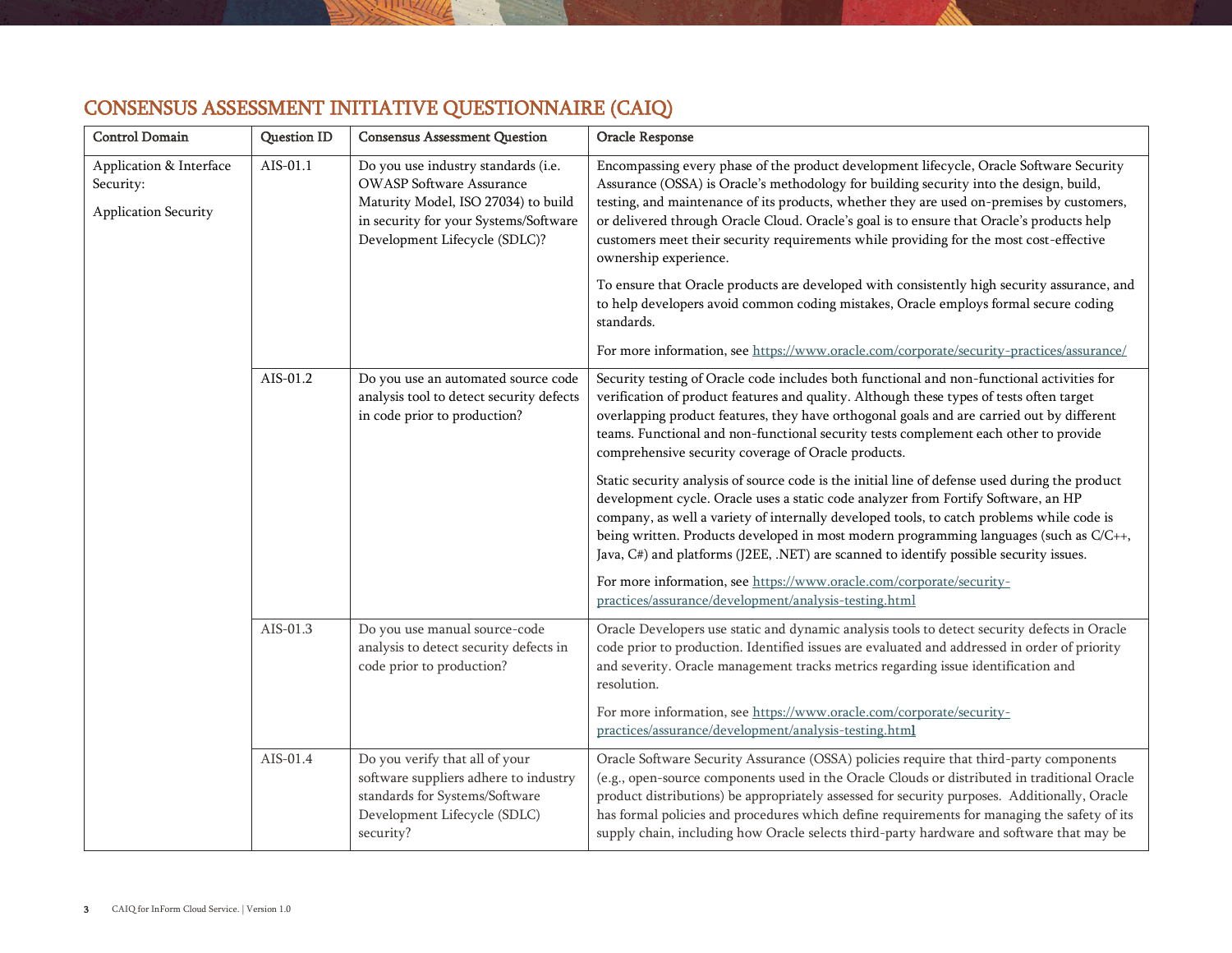| <b>Control Domain</b>                                        | <b>Question ID</b> | <b>Consensus Assessment Question</b>                                                                                                                                                    | Oracle Response                                                                                                                                                                                                                                                                                                                                                                                                                                                                                |
|--------------------------------------------------------------|--------------------|-----------------------------------------------------------------------------------------------------------------------------------------------------------------------------------------|------------------------------------------------------------------------------------------------------------------------------------------------------------------------------------------------------------------------------------------------------------------------------------------------------------------------------------------------------------------------------------------------------------------------------------------------------------------------------------------------|
| Application & Interface<br>Security:<br>Application Security | AIS-01.1           | Do you use industry standards (i.e.<br><b>OWASP Software Assurance</b><br>Maturity Model, ISO 27034) to build<br>in security for your Systems/Software<br>Development Lifecycle (SDLC)? | Encompassing every phase of the product development lifecycle, Oracle Software Security<br>Assurance (OSSA) is Oracle's methodology for building security into the design, build,<br>testing, and maintenance of its products, whether they are used on-premises by customers,<br>or delivered through Oracle Cloud. Oracle's goal is to ensure that Oracle's products help<br>customers meet their security requirements while providing for the most cost-effective<br>ownership experience. |
|                                                              |                    |                                                                                                                                                                                         | To ensure that Oracle products are developed with consistently high security assurance, and<br>to help developers avoid common coding mistakes, Oracle employs formal secure coding<br>standards.                                                                                                                                                                                                                                                                                              |
|                                                              |                    |                                                                                                                                                                                         | For more information, see https://www.oracle.com/corporate/security-practices/assurance/                                                                                                                                                                                                                                                                                                                                                                                                       |
|                                                              | AIS-01.2           | Do you use an automated source code<br>analysis tool to detect security defects<br>in code prior to production?                                                                         | Security testing of Oracle code includes both functional and non-functional activities for<br>verification of product features and quality. Although these types of tests often target<br>overlapping product features, they have orthogonal goals and are carried out by different<br>teams. Functional and non-functional security tests complement each other to provide<br>comprehensive security coverage of Oracle products.                                                             |
|                                                              |                    |                                                                                                                                                                                         | Static security analysis of source code is the initial line of defense used during the product<br>development cycle. Oracle uses a static code analyzer from Fortify Software, an HP<br>company, as well a variety of internally developed tools, to catch problems while code is<br>being written. Products developed in most modern programming languages (such as C/C++,<br>Java, C#) and platforms (J2EE, .NET) are scanned to identify possible security issues.                          |
|                                                              |                    |                                                                                                                                                                                         | For more information, see https://www.oracle.com/corporate/security-<br>practices/assurance/development/analysis-testing.html                                                                                                                                                                                                                                                                                                                                                                  |
|                                                              | AIS-01.3           | Do you use manual source-code<br>analysis to detect security defects in<br>code prior to production?                                                                                    | Oracle Developers use static and dynamic analysis tools to detect security defects in Oracle<br>code prior to production. Identified issues are evaluated and addressed in order of priority<br>and severity. Oracle management tracks metrics regarding issue identification and<br>resolution.                                                                                                                                                                                               |
|                                                              |                    |                                                                                                                                                                                         | For more information, see https://www.oracle.com/corporate/security-<br>practices/assurance/development/analysis-testing.html                                                                                                                                                                                                                                                                                                                                                                  |
|                                                              | AIS-01.4           | Do you verify that all of your<br>software suppliers adhere to industry<br>standards for Systems/Software<br>Development Lifecycle (SDLC)<br>security?                                  | Oracle Software Security Assurance (OSSA) policies require that third-party components<br>(e.g., open-source components used in the Oracle Clouds or distributed in traditional Oracle<br>product distributions) be appropriately assessed for security purposes. Additionally, Oracle<br>has formal policies and procedures which define requirements for managing the safety of its<br>supply chain, including how Oracle selects third-party hardware and software that may be              |

## CONSENSUS ASSESSMENT INITIATIVE QUESTIONNAIRE (CAIQ)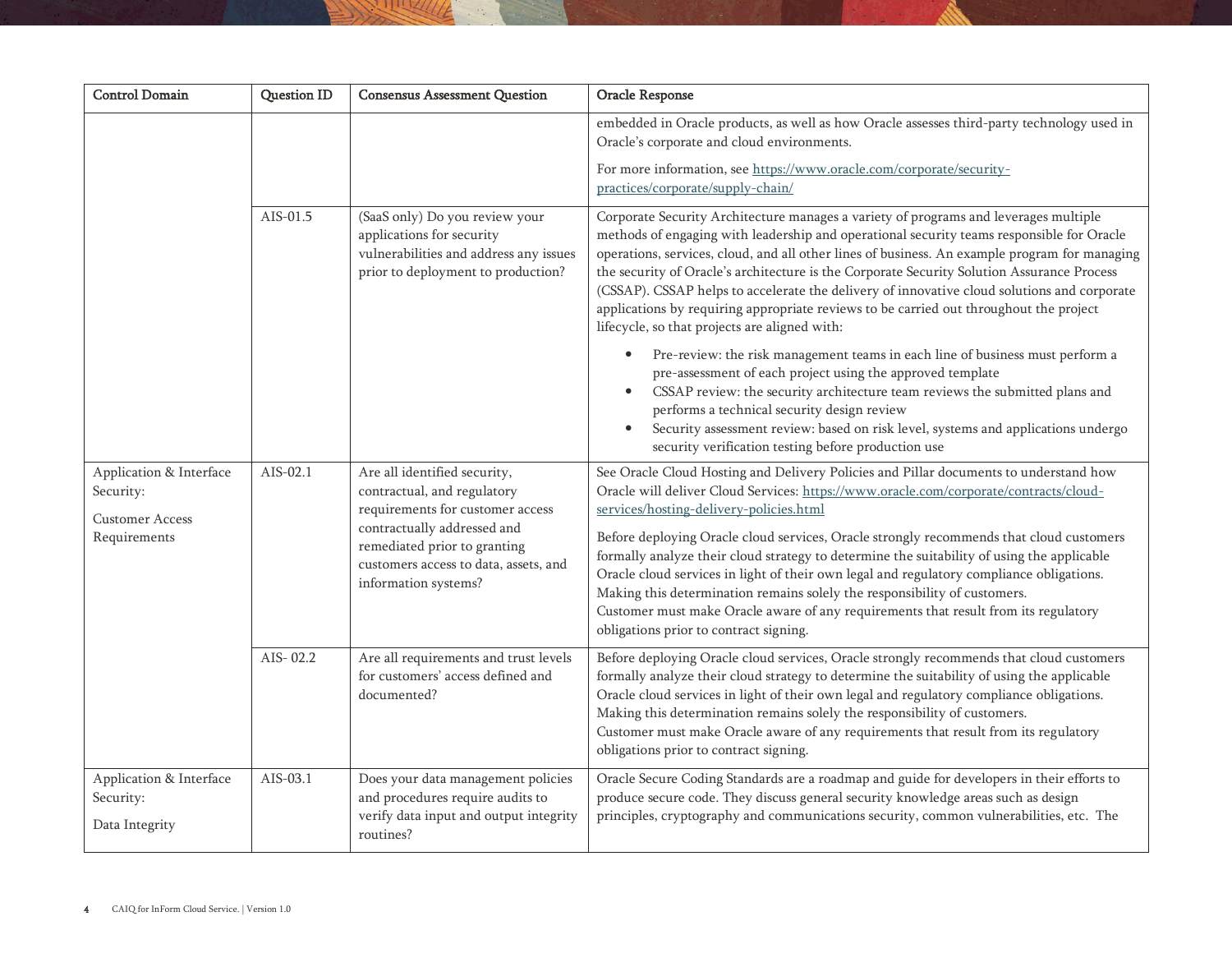| <b>Control Domain</b>                                          | <b>Question ID</b> | <b>Consensus Assessment Question</b>                                                                                                        | Oracle Response                                                                                                                                                                                                                                                                                                                                                                                                                                                                                                                                                                                                            |
|----------------------------------------------------------------|--------------------|---------------------------------------------------------------------------------------------------------------------------------------------|----------------------------------------------------------------------------------------------------------------------------------------------------------------------------------------------------------------------------------------------------------------------------------------------------------------------------------------------------------------------------------------------------------------------------------------------------------------------------------------------------------------------------------------------------------------------------------------------------------------------------|
|                                                                |                    |                                                                                                                                             | embedded in Oracle products, as well as how Oracle assesses third-party technology used in<br>Oracle's corporate and cloud environments.                                                                                                                                                                                                                                                                                                                                                                                                                                                                                   |
|                                                                |                    |                                                                                                                                             | For more information, see https://www.oracle.com/corporate/security-<br>practices/corporate/supply-chain/                                                                                                                                                                                                                                                                                                                                                                                                                                                                                                                  |
|                                                                | AIS-01.5           | (SaaS only) Do you review your<br>applications for security<br>vulnerabilities and address any issues<br>prior to deployment to production? | Corporate Security Architecture manages a variety of programs and leverages multiple<br>methods of engaging with leadership and operational security teams responsible for Oracle<br>operations, services, cloud, and all other lines of business. An example program for managing<br>the security of Oracle's architecture is the Corporate Security Solution Assurance Process<br>(CSSAP). CSSAP helps to accelerate the delivery of innovative cloud solutions and corporate<br>applications by requiring appropriate reviews to be carried out throughout the project<br>lifecycle, so that projects are aligned with: |
|                                                                |                    |                                                                                                                                             | Pre-review: the risk management teams in each line of business must perform a<br>$\bullet$<br>pre-assessment of each project using the approved template<br>CSSAP review: the security architecture team reviews the submitted plans and<br>performs a technical security design review<br>Security assessment review: based on risk level, systems and applications undergo<br>$\bullet$<br>security verification testing before production use                                                                                                                                                                           |
| Application & Interface<br>Security:<br><b>Customer Access</b> | AIS-02.1           | Are all identified security,<br>contractual, and regulatory<br>requirements for customer access                                             | See Oracle Cloud Hosting and Delivery Policies and Pillar documents to understand how<br>Oracle will deliver Cloud Services: https://www.oracle.com/corporate/contracts/cloud-<br>services/hosting-delivery-policies.html                                                                                                                                                                                                                                                                                                                                                                                                  |
| Requirements                                                   |                    | contractually addressed and<br>remediated prior to granting<br>customers access to data, assets, and<br>information systems?                | Before deploying Oracle cloud services, Oracle strongly recommends that cloud customers<br>formally analyze their cloud strategy to determine the suitability of using the applicable<br>Oracle cloud services in light of their own legal and regulatory compliance obligations.<br>Making this determination remains solely the responsibility of customers.<br>Customer must make Oracle aware of any requirements that result from its regulatory<br>obligations prior to contract signing.                                                                                                                            |
|                                                                | AIS-02.2           | Are all requirements and trust levels<br>for customers' access defined and<br>documented?                                                   | Before deploying Oracle cloud services, Oracle strongly recommends that cloud customers<br>formally analyze their cloud strategy to determine the suitability of using the applicable<br>Oracle cloud services in light of their own legal and regulatory compliance obligations.<br>Making this determination remains solely the responsibility of customers.<br>Customer must make Oracle aware of any requirements that result from its regulatory<br>obligations prior to contract signing.                                                                                                                            |
| Application & Interface<br>Security:<br>Data Integrity         | AIS-03.1           | Does your data management policies<br>and procedures require audits to<br>verify data input and output integrity<br>routines?               | Oracle Secure Coding Standards are a roadmap and guide for developers in their efforts to<br>produce secure code. They discuss general security knowledge areas such as design<br>principles, cryptography and communications security, common vulnerabilities, etc. The                                                                                                                                                                                                                                                                                                                                                   |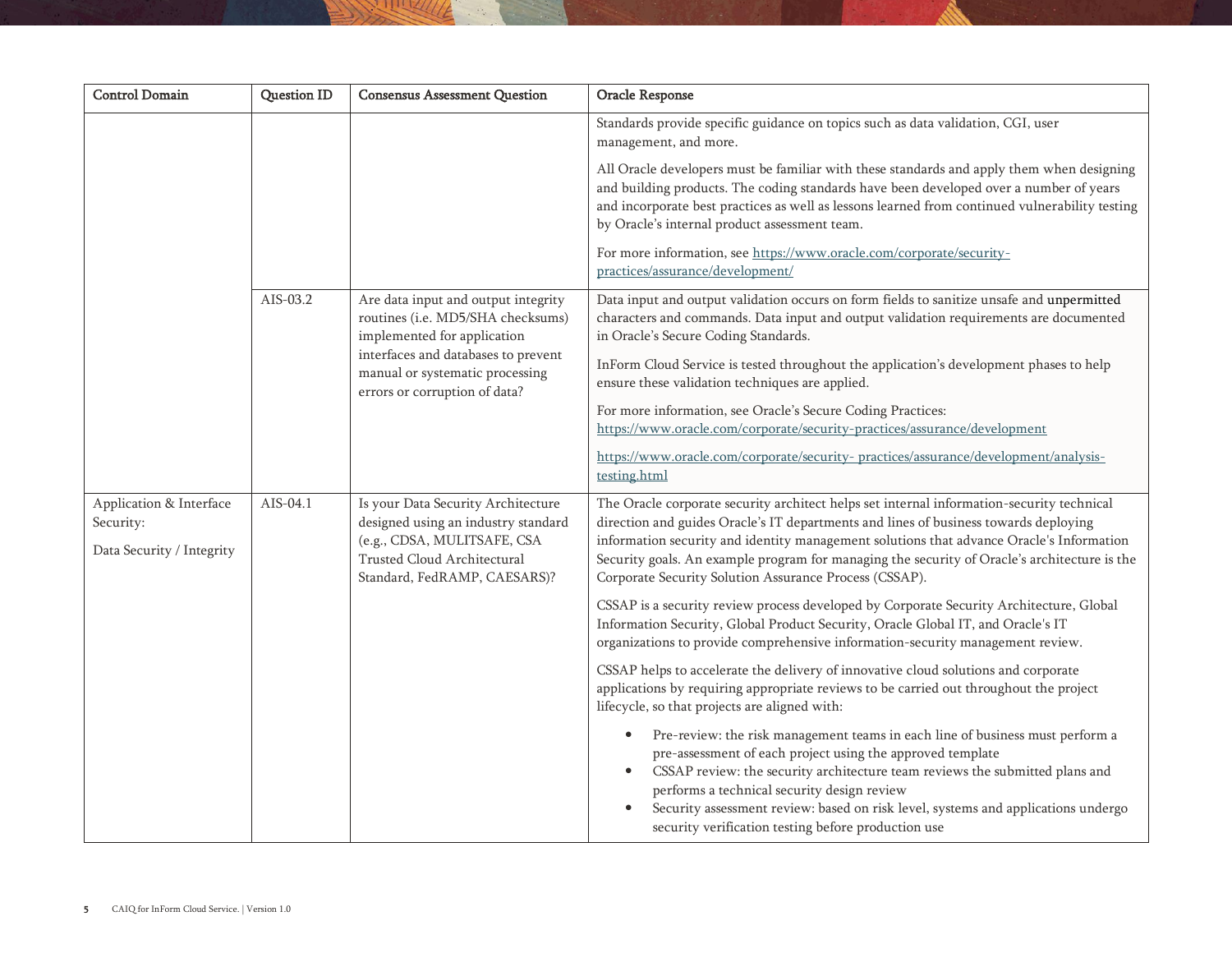| <b>Control Domain</b>                                             | Question ID | <b>Consensus Assessment Question</b>                                                                                                                                           | Oracle Response                                                                                                                                                                                                                                                                                                                                                                                                                         |
|-------------------------------------------------------------------|-------------|--------------------------------------------------------------------------------------------------------------------------------------------------------------------------------|-----------------------------------------------------------------------------------------------------------------------------------------------------------------------------------------------------------------------------------------------------------------------------------------------------------------------------------------------------------------------------------------------------------------------------------------|
|                                                                   |             |                                                                                                                                                                                | Standards provide specific guidance on topics such as data validation, CGI, user<br>management, and more.                                                                                                                                                                                                                                                                                                                               |
|                                                                   |             |                                                                                                                                                                                | All Oracle developers must be familiar with these standards and apply them when designing<br>and building products. The coding standards have been developed over a number of years<br>and incorporate best practices as well as lessons learned from continued vulnerability testing<br>by Oracle's internal product assessment team.                                                                                                  |
|                                                                   |             |                                                                                                                                                                                | For more information, see https://www.oracle.com/corporate/security-<br>practices/assurance/development/                                                                                                                                                                                                                                                                                                                                |
|                                                                   | AIS-03.2    | Are data input and output integrity<br>routines (i.e. MD5/SHA checksums)<br>implemented for application                                                                        | Data input and output validation occurs on form fields to sanitize unsafe and unpermitted<br>characters and commands. Data input and output validation requirements are documented<br>in Oracle's Secure Coding Standards.                                                                                                                                                                                                              |
|                                                                   |             | interfaces and databases to prevent<br>manual or systematic processing<br>errors or corruption of data?                                                                        | InForm Cloud Service is tested throughout the application's development phases to help<br>ensure these validation techniques are applied.                                                                                                                                                                                                                                                                                               |
|                                                                   |             |                                                                                                                                                                                | For more information, see Oracle's Secure Coding Practices:<br>https://www.oracle.com/corporate/security-practices/assurance/development                                                                                                                                                                                                                                                                                                |
|                                                                   |             |                                                                                                                                                                                | https://www.oracle.com/corporate/security-practices/assurance/development/analysis-<br>testing.html                                                                                                                                                                                                                                                                                                                                     |
| Application & Interface<br>Security:<br>Data Security / Integrity | AIS-04.1    | Is your Data Security Architecture<br>designed using an industry standard<br>(e.g., CDSA, MULITSAFE, CSA<br><b>Trusted Cloud Architectural</b><br>Standard, FedRAMP, CAESARS)? | The Oracle corporate security architect helps set internal information-security technical<br>direction and guides Oracle's IT departments and lines of business towards deploying<br>information security and identity management solutions that advance Oracle's Information<br>Security goals. An example program for managing the security of Oracle's architecture is the<br>Corporate Security Solution Assurance Process (CSSAP). |
|                                                                   |             |                                                                                                                                                                                | CSSAP is a security review process developed by Corporate Security Architecture, Global<br>Information Security, Global Product Security, Oracle Global IT, and Oracle's IT<br>organizations to provide comprehensive information-security management review.                                                                                                                                                                           |
|                                                                   |             |                                                                                                                                                                                | CSSAP helps to accelerate the delivery of innovative cloud solutions and corporate<br>applications by requiring appropriate reviews to be carried out throughout the project<br>lifecycle, so that projects are aligned with:                                                                                                                                                                                                           |
|                                                                   |             |                                                                                                                                                                                | Pre-review: the risk management teams in each line of business must perform a<br>pre-assessment of each project using the approved template<br>CSSAP review: the security architecture team reviews the submitted plans and<br>performs a technical security design review<br>Security assessment review: based on risk level, systems and applications undergo<br>security verification testing before production use                  |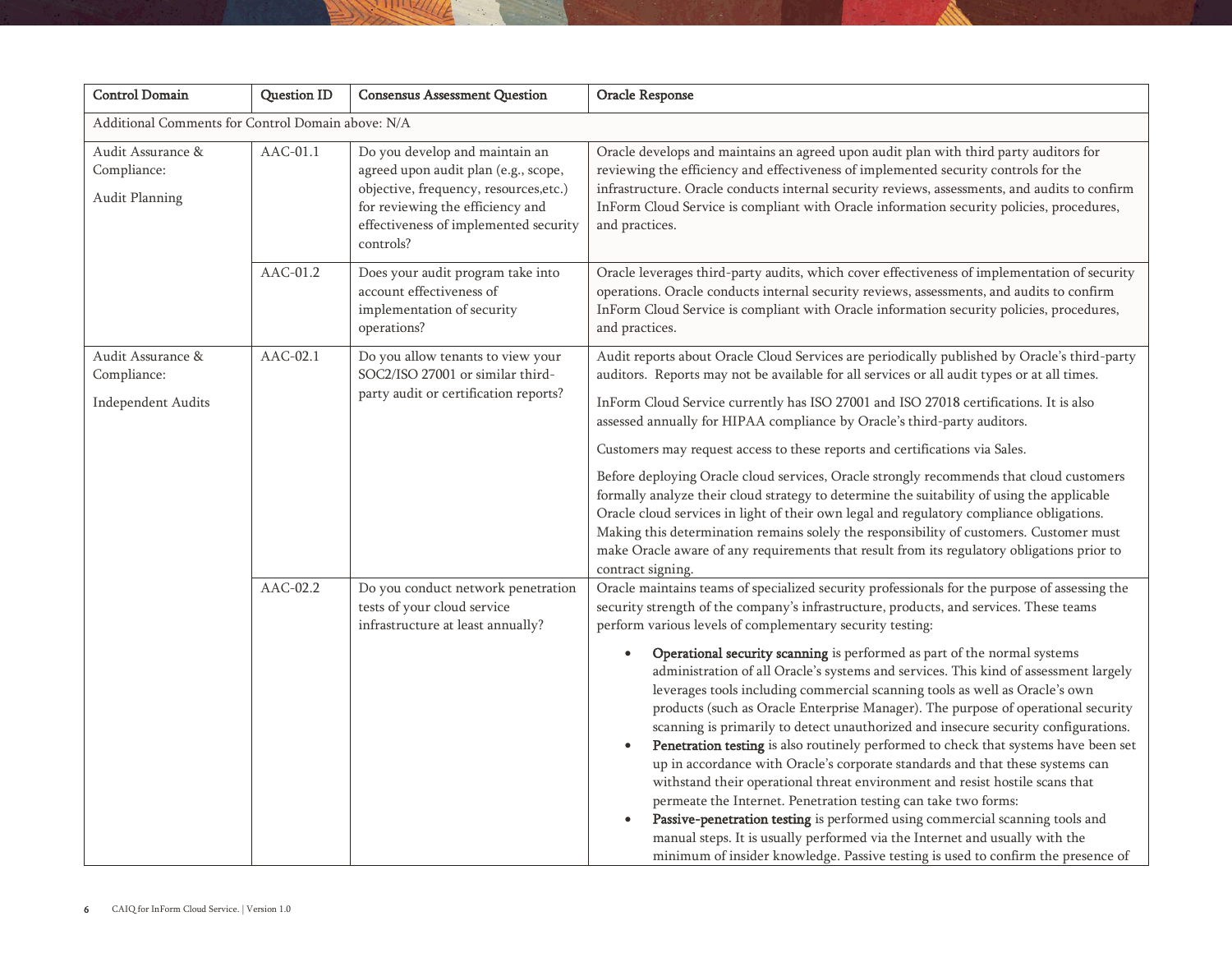| <b>Control Domain</b>                                         | Question ID | <b>Consensus Assessment Question</b>                                                                                                                                                                       | Oracle Response                                                                                                                                                                                                                                                                                                                                                                                                                                                                                                                                                                                                                                                                                                                                                                                                                                                                                                                                                                                                                                                                                                                                                                                                                                                                                        |
|---------------------------------------------------------------|-------------|------------------------------------------------------------------------------------------------------------------------------------------------------------------------------------------------------------|--------------------------------------------------------------------------------------------------------------------------------------------------------------------------------------------------------------------------------------------------------------------------------------------------------------------------------------------------------------------------------------------------------------------------------------------------------------------------------------------------------------------------------------------------------------------------------------------------------------------------------------------------------------------------------------------------------------------------------------------------------------------------------------------------------------------------------------------------------------------------------------------------------------------------------------------------------------------------------------------------------------------------------------------------------------------------------------------------------------------------------------------------------------------------------------------------------------------------------------------------------------------------------------------------------|
| Additional Comments for Control Domain above: N/A             |             |                                                                                                                                                                                                            |                                                                                                                                                                                                                                                                                                                                                                                                                                                                                                                                                                                                                                                                                                                                                                                                                                                                                                                                                                                                                                                                                                                                                                                                                                                                                                        |
| Audit Assurance &<br>Compliance:<br>Audit Planning            | $AAC-01.1$  | Do you develop and maintain an<br>agreed upon audit plan (e.g., scope,<br>objective, frequency, resources, etc.)<br>for reviewing the efficiency and<br>effectiveness of implemented security<br>controls? | Oracle develops and maintains an agreed upon audit plan with third party auditors for<br>reviewing the efficiency and effectiveness of implemented security controls for the<br>infrastructure. Oracle conducts internal security reviews, assessments, and audits to confirm<br>InForm Cloud Service is compliant with Oracle information security policies, procedures,<br>and practices.                                                                                                                                                                                                                                                                                                                                                                                                                                                                                                                                                                                                                                                                                                                                                                                                                                                                                                            |
|                                                               | AAC-01.2    | Does your audit program take into<br>account effectiveness of<br>implementation of security<br>operations?                                                                                                 | Oracle leverages third-party audits, which cover effectiveness of implementation of security<br>operations. Oracle conducts internal security reviews, assessments, and audits to confirm<br>InForm Cloud Service is compliant with Oracle information security policies, procedures,<br>and practices.                                                                                                                                                                                                                                                                                                                                                                                                                                                                                                                                                                                                                                                                                                                                                                                                                                                                                                                                                                                                |
| Audit Assurance &<br>Compliance:<br><b>Independent Audits</b> | $AAC-02.1$  | Do you allow tenants to view your<br>SOC2/ISO 27001 or similar third-<br>party audit or certification reports?                                                                                             | Audit reports about Oracle Cloud Services are periodically published by Oracle's third-party<br>auditors. Reports may not be available for all services or all audit types or at all times.<br>InForm Cloud Service currently has ISO 27001 and ISO 27018 certifications. It is also<br>assessed annually for HIPAA compliance by Oracle's third-party auditors.<br>Customers may request access to these reports and certifications via Sales.<br>Before deploying Oracle cloud services, Oracle strongly recommends that cloud customers<br>formally analyze their cloud strategy to determine the suitability of using the applicable<br>Oracle cloud services in light of their own legal and regulatory compliance obligations.<br>Making this determination remains solely the responsibility of customers. Customer must<br>make Oracle aware of any requirements that result from its regulatory obligations prior to<br>contract signing.                                                                                                                                                                                                                                                                                                                                                     |
|                                                               | AAC-02.2    | Do you conduct network penetration<br>tests of your cloud service<br>infrastructure at least annually?                                                                                                     | Oracle maintains teams of specialized security professionals for the purpose of assessing the<br>security strength of the company's infrastructure, products, and services. These teams<br>perform various levels of complementary security testing:<br>Operational security scanning is performed as part of the normal systems<br>$\bullet$<br>administration of all Oracle's systems and services. This kind of assessment largely<br>leverages tools including commercial scanning tools as well as Oracle's own<br>products (such as Oracle Enterprise Manager). The purpose of operational security<br>scanning is primarily to detect unauthorized and insecure security configurations.<br>Penetration testing is also routinely performed to check that systems have been set<br>$\bullet$<br>up in accordance with Oracle's corporate standards and that these systems can<br>withstand their operational threat environment and resist hostile scans that<br>permeate the Internet. Penetration testing can take two forms:<br>Passive-penetration testing is performed using commercial scanning tools and<br>$\bullet$<br>manual steps. It is usually performed via the Internet and usually with the<br>minimum of insider knowledge. Passive testing is used to confirm the presence of |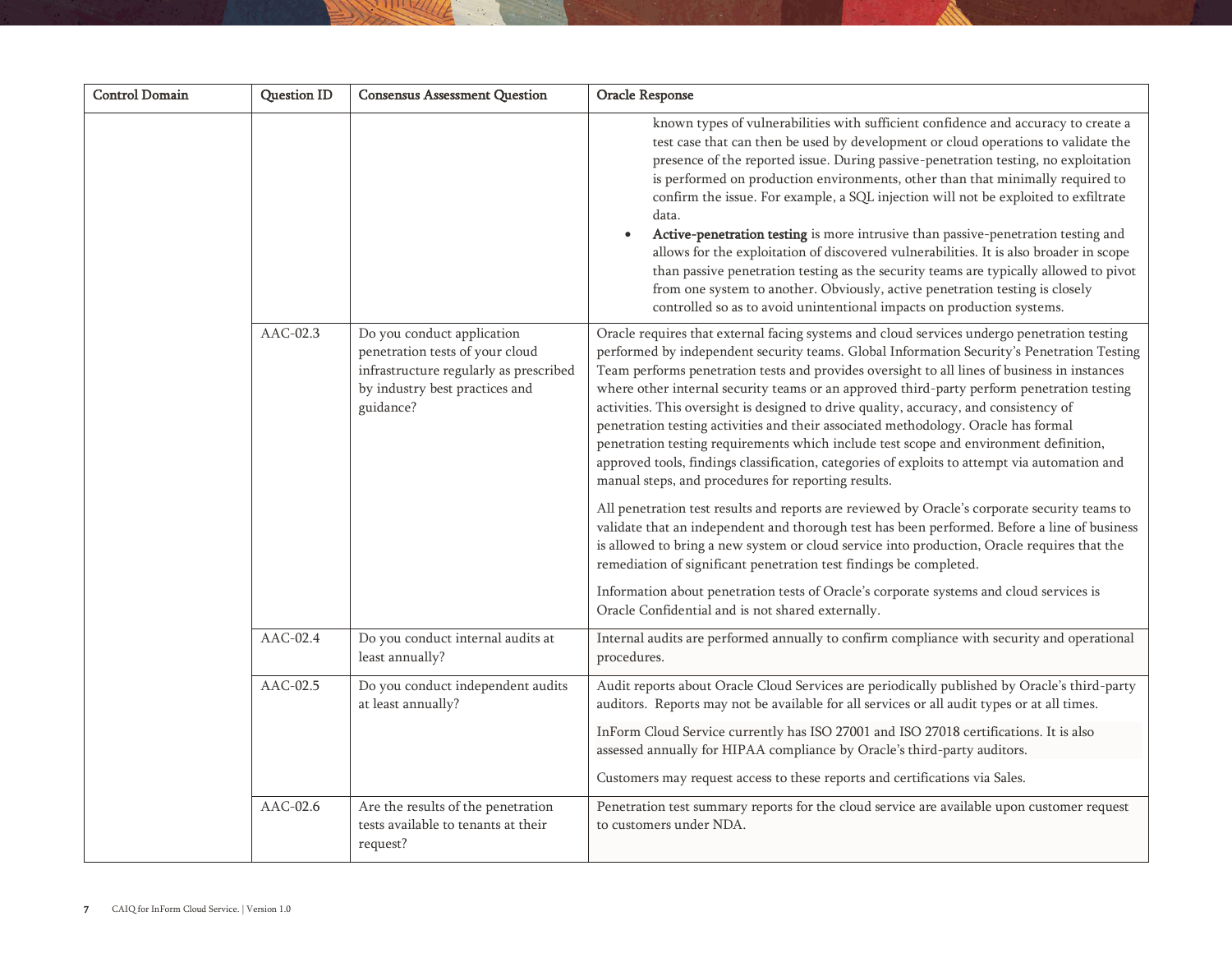| <b>Control Domain</b> | <b>Question ID</b> | <b>Consensus Assessment Question</b>                                                                                                                   | Oracle Response                                                                                                                                                                                                                                                                                                                                                                                                                                                                                                                                                                                                                                                                                                                                                                                                                                                                                                                                                                                                                                                                                                                                                                                                                                                                                                                               |
|-----------------------|--------------------|--------------------------------------------------------------------------------------------------------------------------------------------------------|-----------------------------------------------------------------------------------------------------------------------------------------------------------------------------------------------------------------------------------------------------------------------------------------------------------------------------------------------------------------------------------------------------------------------------------------------------------------------------------------------------------------------------------------------------------------------------------------------------------------------------------------------------------------------------------------------------------------------------------------------------------------------------------------------------------------------------------------------------------------------------------------------------------------------------------------------------------------------------------------------------------------------------------------------------------------------------------------------------------------------------------------------------------------------------------------------------------------------------------------------------------------------------------------------------------------------------------------------|
|                       |                    |                                                                                                                                                        | known types of vulnerabilities with sufficient confidence and accuracy to create a<br>test case that can then be used by development or cloud operations to validate the<br>presence of the reported issue. During passive-penetration testing, no exploitation<br>is performed on production environments, other than that minimally required to<br>confirm the issue. For example, a SQL injection will not be exploited to exfiltrate<br>data.<br>Active-penetration testing is more intrusive than passive-penetration testing and<br>allows for the exploitation of discovered vulnerabilities. It is also broader in scope<br>than passive penetration testing as the security teams are typically allowed to pivot<br>from one system to another. Obviously, active penetration testing is closely<br>controlled so as to avoid unintentional impacts on production systems.                                                                                                                                                                                                                                                                                                                                                                                                                                                           |
|                       | AAC-02.3           | Do you conduct application<br>penetration tests of your cloud<br>infrastructure regularly as prescribed<br>by industry best practices and<br>guidance? | Oracle requires that external facing systems and cloud services undergo penetration testing<br>performed by independent security teams. Global Information Security's Penetration Testing<br>Team performs penetration tests and provides oversight to all lines of business in instances<br>where other internal security teams or an approved third-party perform penetration testing<br>activities. This oversight is designed to drive quality, accuracy, and consistency of<br>penetration testing activities and their associated methodology. Oracle has formal<br>penetration testing requirements which include test scope and environment definition,<br>approved tools, findings classification, categories of exploits to attempt via automation and<br>manual steps, and procedures for reporting results.<br>All penetration test results and reports are reviewed by Oracle's corporate security teams to<br>validate that an independent and thorough test has been performed. Before a line of business<br>is allowed to bring a new system or cloud service into production, Oracle requires that the<br>remediation of significant penetration test findings be completed.<br>Information about penetration tests of Oracle's corporate systems and cloud services is<br>Oracle Confidential and is not shared externally. |
|                       | $AAC-02.4$         | Do you conduct internal audits at<br>least annually?                                                                                                   | Internal audits are performed annually to confirm compliance with security and operational<br>procedures.                                                                                                                                                                                                                                                                                                                                                                                                                                                                                                                                                                                                                                                                                                                                                                                                                                                                                                                                                                                                                                                                                                                                                                                                                                     |
|                       | AAC-02.5           | Do you conduct independent audits<br>at least annually?                                                                                                | Audit reports about Oracle Cloud Services are periodically published by Oracle's third-party<br>auditors. Reports may not be available for all services or all audit types or at all times.<br>InForm Cloud Service currently has ISO 27001 and ISO 27018 certifications. It is also<br>assessed annually for HIPAA compliance by Oracle's third-party auditors.<br>Customers may request access to these reports and certifications via Sales.                                                                                                                                                                                                                                                                                                                                                                                                                                                                                                                                                                                                                                                                                                                                                                                                                                                                                               |
|                       | $AAC-02.6$         | Are the results of the penetration<br>tests available to tenants at their<br>request?                                                                  | Penetration test summary reports for the cloud service are available upon customer request<br>to customers under NDA.                                                                                                                                                                                                                                                                                                                                                                                                                                                                                                                                                                                                                                                                                                                                                                                                                                                                                                                                                                                                                                                                                                                                                                                                                         |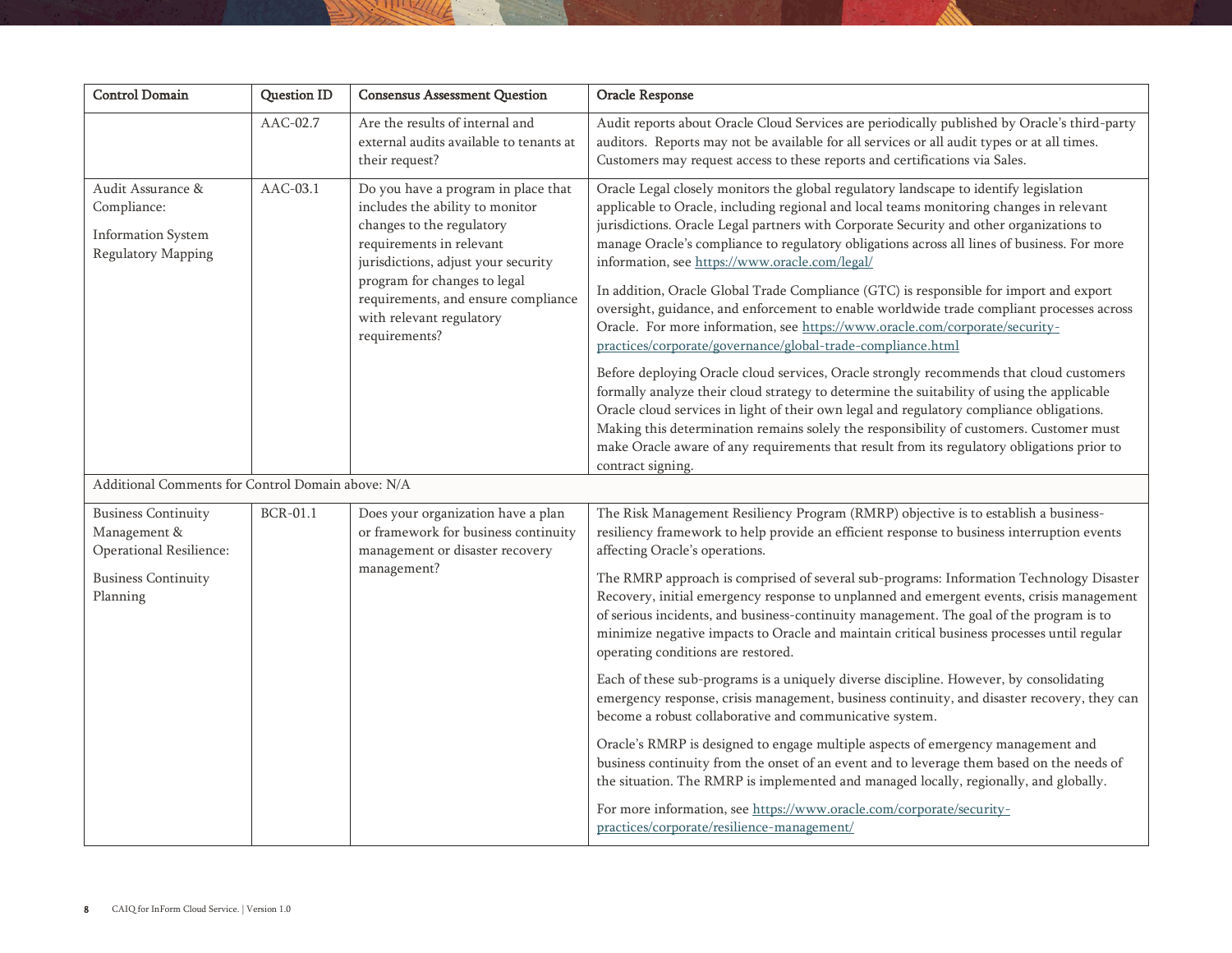| <b>Control Domain</b>                                                                                           | <b>Question ID</b> | <b>Consensus Assessment Question</b>                                                                                                                                                                                                                                                       | Oracle Response                                                                                                                                                                                                                                                                                                                                                                                                                                                                                                                                                                                                                                                                                                                                                                                                                                                                                                                                                                                                                                                                                                                                                                                                                                                                               |
|-----------------------------------------------------------------------------------------------------------------|--------------------|--------------------------------------------------------------------------------------------------------------------------------------------------------------------------------------------------------------------------------------------------------------------------------------------|-----------------------------------------------------------------------------------------------------------------------------------------------------------------------------------------------------------------------------------------------------------------------------------------------------------------------------------------------------------------------------------------------------------------------------------------------------------------------------------------------------------------------------------------------------------------------------------------------------------------------------------------------------------------------------------------------------------------------------------------------------------------------------------------------------------------------------------------------------------------------------------------------------------------------------------------------------------------------------------------------------------------------------------------------------------------------------------------------------------------------------------------------------------------------------------------------------------------------------------------------------------------------------------------------|
|                                                                                                                 | AAC-02.7           | Are the results of internal and<br>external audits available to tenants at<br>their request?                                                                                                                                                                                               | Audit reports about Oracle Cloud Services are periodically published by Oracle's third-party<br>auditors. Reports may not be available for all services or all audit types or at all times.<br>Customers may request access to these reports and certifications via Sales.                                                                                                                                                                                                                                                                                                                                                                                                                                                                                                                                                                                                                                                                                                                                                                                                                                                                                                                                                                                                                    |
| Audit Assurance &<br>Compliance:<br><b>Information System</b><br>Regulatory Mapping                             | $AAC-03.1$         | Do you have a program in place that<br>includes the ability to monitor<br>changes to the regulatory<br>requirements in relevant<br>jurisdictions, adjust your security<br>program for changes to legal<br>requirements, and ensure compliance<br>with relevant regulatory<br>requirements? | Oracle Legal closely monitors the global regulatory landscape to identify legislation<br>applicable to Oracle, including regional and local teams monitoring changes in relevant<br>jurisdictions. Oracle Legal partners with Corporate Security and other organizations to<br>manage Oracle's compliance to regulatory obligations across all lines of business. For more<br>information, see https://www.oracle.com/legal/<br>In addition, Oracle Global Trade Compliance (GTC) is responsible for import and export<br>oversight, guidance, and enforcement to enable worldwide trade compliant processes across<br>Oracle. For more information, see https://www.oracle.com/corporate/security-<br>practices/corporate/governance/global-trade-compliance.html<br>Before deploying Oracle cloud services, Oracle strongly recommends that cloud customers<br>formally analyze their cloud strategy to determine the suitability of using the applicable<br>Oracle cloud services in light of their own legal and regulatory compliance obligations.<br>Making this determination remains solely the responsibility of customers. Customer must<br>make Oracle aware of any requirements that result from its regulatory obligations prior to<br>contract signing.                         |
| Additional Comments for Control Domain above: N/A                                                               |                    |                                                                                                                                                                                                                                                                                            |                                                                                                                                                                                                                                                                                                                                                                                                                                                                                                                                                                                                                                                                                                                                                                                                                                                                                                                                                                                                                                                                                                                                                                                                                                                                                               |
| <b>Business Continuity</b><br>Management &<br>Operational Resilience:<br><b>Business Continuity</b><br>Planning | <b>BCR-01.1</b>    | Does your organization have a plan<br>or framework for business continuity<br>management or disaster recovery<br>management?                                                                                                                                                               | The Risk Management Resiliency Program (RMRP) objective is to establish a business-<br>resiliency framework to help provide an efficient response to business interruption events<br>affecting Oracle's operations.<br>The RMRP approach is comprised of several sub-programs: Information Technology Disaster<br>Recovery, initial emergency response to unplanned and emergent events, crisis management<br>of serious incidents, and business-continuity management. The goal of the program is to<br>minimize negative impacts to Oracle and maintain critical business processes until regular<br>operating conditions are restored.<br>Each of these sub-programs is a uniquely diverse discipline. However, by consolidating<br>emergency response, crisis management, business continuity, and disaster recovery, they can<br>become a robust collaborative and communicative system.<br>Oracle's RMRP is designed to engage multiple aspects of emergency management and<br>business continuity from the onset of an event and to leverage them based on the needs of<br>the situation. The RMRP is implemented and managed locally, regionally, and globally.<br>For more information, see https://www.oracle.com/corporate/security-<br>practices/corporate/resilience-management/ |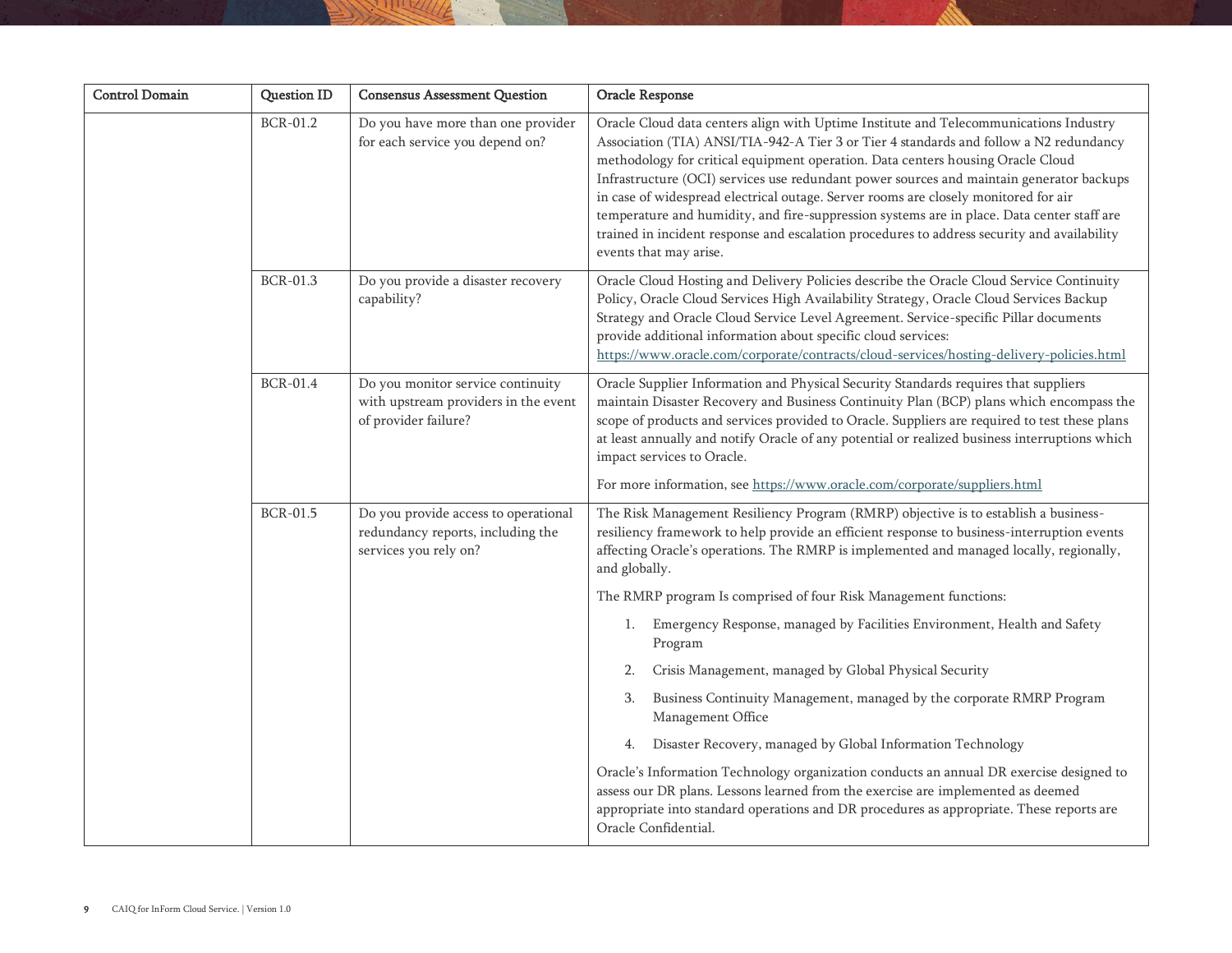| Do you have more than one provider                                                                 |                                                                                                                                                                                                                                                                                                                                                                                                                                                                                                                                                                                                                                                                                                                                                                                                                                                                                                                                                                                    |
|----------------------------------------------------------------------------------------------------|------------------------------------------------------------------------------------------------------------------------------------------------------------------------------------------------------------------------------------------------------------------------------------------------------------------------------------------------------------------------------------------------------------------------------------------------------------------------------------------------------------------------------------------------------------------------------------------------------------------------------------------------------------------------------------------------------------------------------------------------------------------------------------------------------------------------------------------------------------------------------------------------------------------------------------------------------------------------------------|
| for each service you depend on?                                                                    | Oracle Cloud data centers align with Uptime Institute and Telecommunications Industry<br>Association (TIA) ANSI/TIA-942-A Tier 3 or Tier 4 standards and follow a N2 redundancy<br>methodology for critical equipment operation. Data centers housing Oracle Cloud<br>Infrastructure (OCI) services use redundant power sources and maintain generator backups<br>in case of widespread electrical outage. Server rooms are closely monitored for air<br>temperature and humidity, and fire-suppression systems are in place. Data center staff are<br>trained in incident response and escalation procedures to address security and availability<br>events that may arise.                                                                                                                                                                                                                                                                                                       |
| Do you provide a disaster recovery<br>capability?                                                  | Oracle Cloud Hosting and Delivery Policies describe the Oracle Cloud Service Continuity<br>Policy, Oracle Cloud Services High Availability Strategy, Oracle Cloud Services Backup<br>Strategy and Oracle Cloud Service Level Agreement. Service-specific Pillar documents<br>provide additional information about specific cloud services:<br>https://www.oracle.com/corporate/contracts/cloud-services/hosting-delivery-policies.html                                                                                                                                                                                                                                                                                                                                                                                                                                                                                                                                             |
| Do you monitor service continuity<br>with upstream providers in the event<br>of provider failure?  | Oracle Supplier Information and Physical Security Standards requires that suppliers<br>maintain Disaster Recovery and Business Continuity Plan (BCP) plans which encompass the<br>scope of products and services provided to Oracle. Suppliers are required to test these plans<br>at least annually and notify Oracle of any potential or realized business interruptions which<br>impact services to Oracle.<br>For more information, see https://www.oracle.com/corporate/suppliers.html                                                                                                                                                                                                                                                                                                                                                                                                                                                                                        |
| Do you provide access to operational<br>redundancy reports, including the<br>services you rely on? | The Risk Management Resiliency Program (RMRP) objective is to establish a business-<br>resiliency framework to help provide an efficient response to business-interruption events<br>affecting Oracle's operations. The RMRP is implemented and managed locally, regionally,<br>and globally.<br>The RMRP program Is comprised of four Risk Management functions:<br>Emergency Response, managed by Facilities Environment, Health and Safety<br>1.<br>Program<br>Crisis Management, managed by Global Physical Security<br>2.<br>Business Continuity Management, managed by the corporate RMRP Program<br>3.<br>Management Office<br>Disaster Recovery, managed by Global Information Technology<br>4.<br>Oracle's Information Technology organization conducts an annual DR exercise designed to<br>assess our DR plans. Lessons learned from the exercise are implemented as deemed<br>appropriate into standard operations and DR procedures as appropriate. These reports are |
|                                                                                                    |                                                                                                                                                                                                                                                                                                                                                                                                                                                                                                                                                                                                                                                                                                                                                                                                                                                                                                                                                                                    |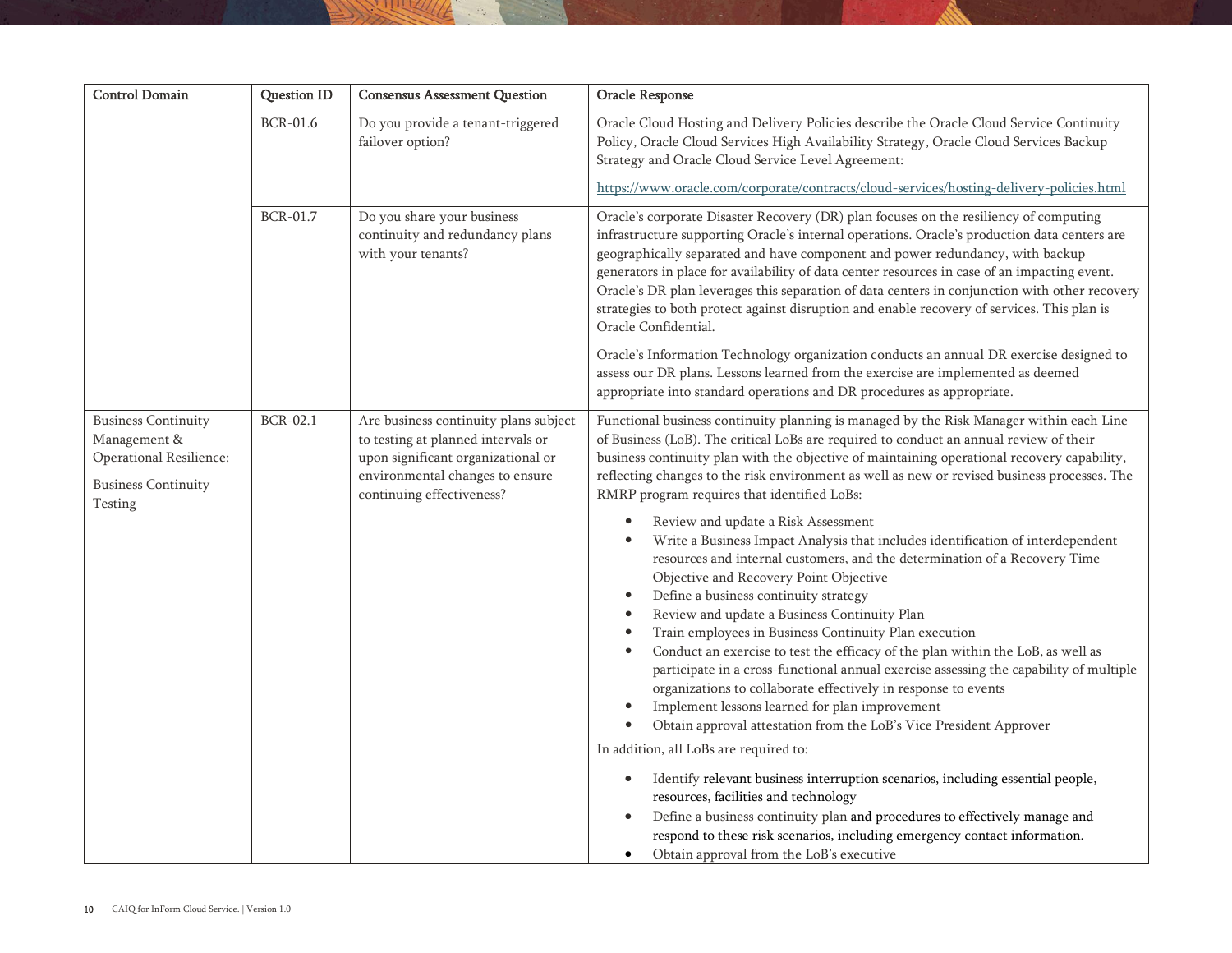| <b>Control Domain</b>                                                                                          | <b>Question ID</b> | <b>Consensus Assessment Question</b>                                                                                                                                              | Oracle Response                                                                                                                                                                                                                                                                                                                                                                                                                                                                                                                                                                                                                                                                                                                                                                                                                                                                                                                                                                                                                                                                                                                                                                                                     |
|----------------------------------------------------------------------------------------------------------------|--------------------|-----------------------------------------------------------------------------------------------------------------------------------------------------------------------------------|---------------------------------------------------------------------------------------------------------------------------------------------------------------------------------------------------------------------------------------------------------------------------------------------------------------------------------------------------------------------------------------------------------------------------------------------------------------------------------------------------------------------------------------------------------------------------------------------------------------------------------------------------------------------------------------------------------------------------------------------------------------------------------------------------------------------------------------------------------------------------------------------------------------------------------------------------------------------------------------------------------------------------------------------------------------------------------------------------------------------------------------------------------------------------------------------------------------------|
|                                                                                                                | <b>BCR-01.6</b>    | Do you provide a tenant-triggered<br>failover option?                                                                                                                             | Oracle Cloud Hosting and Delivery Policies describe the Oracle Cloud Service Continuity<br>Policy, Oracle Cloud Services High Availability Strategy, Oracle Cloud Services Backup<br>Strategy and Oracle Cloud Service Level Agreement:                                                                                                                                                                                                                                                                                                                                                                                                                                                                                                                                                                                                                                                                                                                                                                                                                                                                                                                                                                             |
|                                                                                                                |                    |                                                                                                                                                                                   | https://www.oracle.com/corporate/contracts/cloud-services/hosting-delivery-policies.html                                                                                                                                                                                                                                                                                                                                                                                                                                                                                                                                                                                                                                                                                                                                                                                                                                                                                                                                                                                                                                                                                                                            |
|                                                                                                                | <b>BCR-01.7</b>    | Do you share your business<br>continuity and redundancy plans<br>with your tenants?                                                                                               | Oracle's corporate Disaster Recovery (DR) plan focuses on the resiliency of computing<br>infrastructure supporting Oracle's internal operations. Oracle's production data centers are<br>geographically separated and have component and power redundancy, with backup<br>generators in place for availability of data center resources in case of an impacting event.<br>Oracle's DR plan leverages this separation of data centers in conjunction with other recovery<br>strategies to both protect against disruption and enable recovery of services. This plan is<br>Oracle Confidential.                                                                                                                                                                                                                                                                                                                                                                                                                                                                                                                                                                                                                      |
|                                                                                                                |                    |                                                                                                                                                                                   | Oracle's Information Technology organization conducts an annual DR exercise designed to<br>assess our DR plans. Lessons learned from the exercise are implemented as deemed<br>appropriate into standard operations and DR procedures as appropriate.                                                                                                                                                                                                                                                                                                                                                                                                                                                                                                                                                                                                                                                                                                                                                                                                                                                                                                                                                               |
| <b>Business Continuity</b><br>Management &<br>Operational Resilience:<br><b>Business Continuity</b><br>Testing | <b>BCR-02.1</b>    | Are business continuity plans subject<br>to testing at planned intervals or<br>upon significant organizational or<br>environmental changes to ensure<br>continuing effectiveness? | Functional business continuity planning is managed by the Risk Manager within each Line<br>of Business (LoB). The critical LoBs are required to conduct an annual review of their<br>business continuity plan with the objective of maintaining operational recovery capability,<br>reflecting changes to the risk environment as well as new or revised business processes. The<br>RMRP program requires that identified LoBs:                                                                                                                                                                                                                                                                                                                                                                                                                                                                                                                                                                                                                                                                                                                                                                                     |
|                                                                                                                |                    |                                                                                                                                                                                   | Review and update a Risk Assessment<br>$\bullet$<br>Write a Business Impact Analysis that includes identification of interdependent<br>resources and internal customers, and the determination of a Recovery Time<br>Objective and Recovery Point Objective<br>Define a business continuity strategy<br>$\bullet$<br>Review and update a Business Continuity Plan<br>Train employees in Business Continuity Plan execution<br>Conduct an exercise to test the efficacy of the plan within the LoB, as well as<br>participate in a cross-functional annual exercise assessing the capability of multiple<br>organizations to collaborate effectively in response to events<br>Implement lessons learned for plan improvement<br>$\bullet$<br>Obtain approval attestation from the LoB's Vice President Approver<br>$\bullet$<br>In addition, all LoBs are required to:<br>Identify relevant business interruption scenarios, including essential people,<br>$\bullet$<br>resources, facilities and technology<br>Define a business continuity plan and procedures to effectively manage and<br>respond to these risk scenarios, including emergency contact information.<br>Obtain approval from the LoB's executive |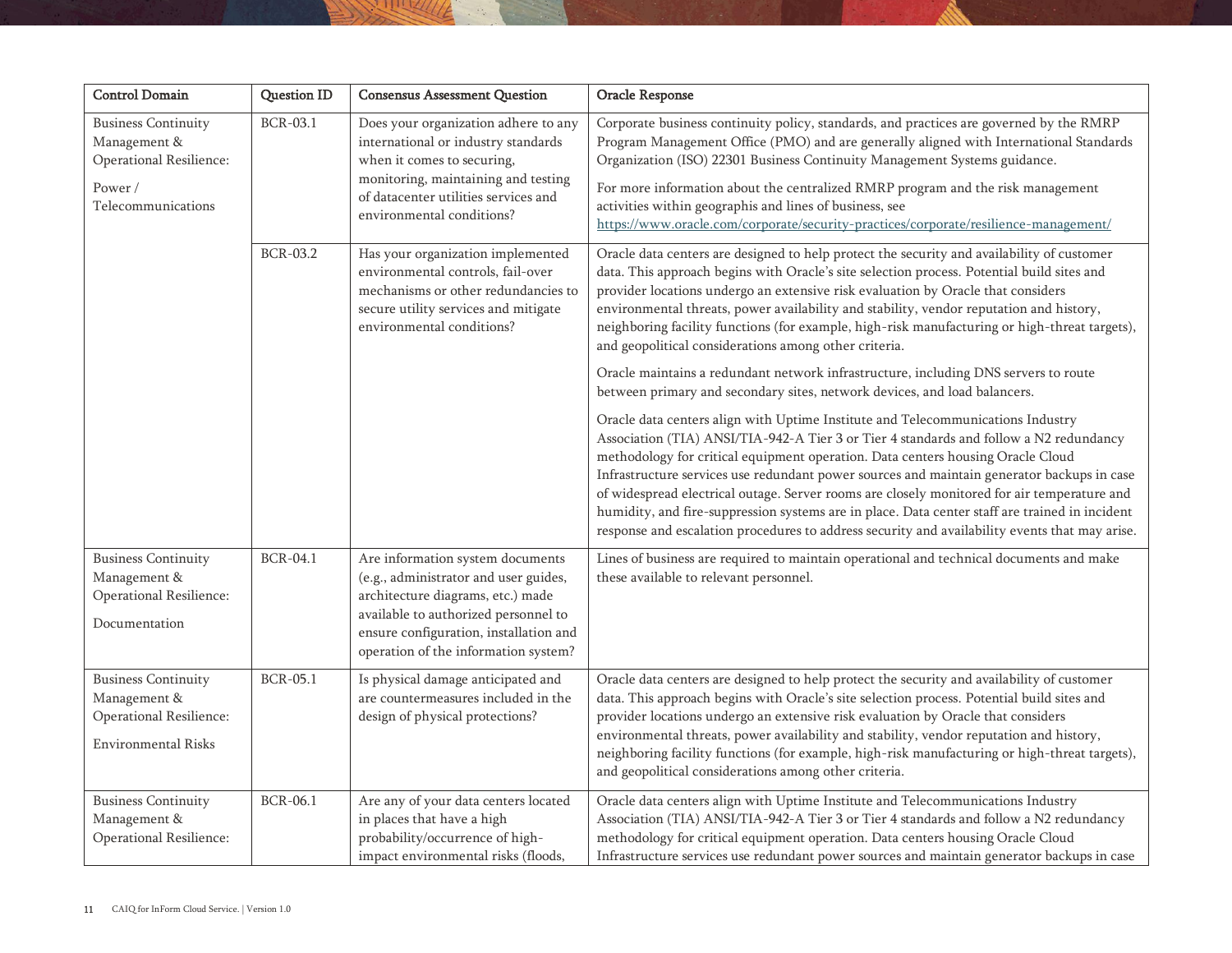| <b>Control Domain</b>                                                                               | Question ID     | <b>Consensus Assessment Question</b>                                                                                                                                                                                                     | Oracle Response                                                                                                                                                                                                                                                                                                                                                                                                                                                                                                                                                                                                                                               |
|-----------------------------------------------------------------------------------------------------|-----------------|------------------------------------------------------------------------------------------------------------------------------------------------------------------------------------------------------------------------------------------|---------------------------------------------------------------------------------------------------------------------------------------------------------------------------------------------------------------------------------------------------------------------------------------------------------------------------------------------------------------------------------------------------------------------------------------------------------------------------------------------------------------------------------------------------------------------------------------------------------------------------------------------------------------|
| <b>Business Continuity</b><br>Management &<br>Operational Resilience:                               | <b>BCR-03.1</b> | Does your organization adhere to any<br>international or industry standards<br>when it comes to securing,<br>monitoring, maintaining and testing                                                                                         | Corporate business continuity policy, standards, and practices are governed by the RMRP<br>Program Management Office (PMO) and are generally aligned with International Standards<br>Organization (ISO) 22301 Business Continuity Management Systems guidance.                                                                                                                                                                                                                                                                                                                                                                                                |
| Power /<br>Telecommunications                                                                       |                 | of datacenter utilities services and<br>environmental conditions?                                                                                                                                                                        | For more information about the centralized RMRP program and the risk management<br>activities within geographis and lines of business, see<br>https://www.oracle.com/corporate/security-practices/corporate/resilience-management/                                                                                                                                                                                                                                                                                                                                                                                                                            |
|                                                                                                     | <b>BCR-03.2</b> | Has your organization implemented<br>environmental controls, fail-over<br>mechanisms or other redundancies to<br>secure utility services and mitigate<br>environmental conditions?                                                       | Oracle data centers are designed to help protect the security and availability of customer<br>data. This approach begins with Oracle's site selection process. Potential build sites and<br>provider locations undergo an extensive risk evaluation by Oracle that considers<br>environmental threats, power availability and stability, vendor reputation and history,<br>neighboring facility functions (for example, high-risk manufacturing or high-threat targets),<br>and geopolitical considerations among other criteria.                                                                                                                             |
|                                                                                                     |                 |                                                                                                                                                                                                                                          | Oracle maintains a redundant network infrastructure, including DNS servers to route<br>between primary and secondary sites, network devices, and load balancers.                                                                                                                                                                                                                                                                                                                                                                                                                                                                                              |
|                                                                                                     |                 |                                                                                                                                                                                                                                          | Oracle data centers align with Uptime Institute and Telecommunications Industry<br>Association (TIA) ANSI/TIA-942-A Tier 3 or Tier 4 standards and follow a N2 redundancy<br>methodology for critical equipment operation. Data centers housing Oracle Cloud<br>Infrastructure services use redundant power sources and maintain generator backups in case<br>of widespread electrical outage. Server rooms are closely monitored for air temperature and<br>humidity, and fire-suppression systems are in place. Data center staff are trained in incident<br>response and escalation procedures to address security and availability events that may arise. |
| <b>Business Continuity</b><br>Management &<br>Operational Resilience:<br>Documentation              | <b>BCR-04.1</b> | Are information system documents<br>(e.g., administrator and user guides,<br>architecture diagrams, etc.) made<br>available to authorized personnel to<br>ensure configuration, installation and<br>operation of the information system? | Lines of business are required to maintain operational and technical documents and make<br>these available to relevant personnel.                                                                                                                                                                                                                                                                                                                                                                                                                                                                                                                             |
| <b>Business Continuity</b><br>Management &<br>Operational Resilience:<br><b>Environmental Risks</b> | <b>BCR-05.1</b> | Is physical damage anticipated and<br>are countermeasures included in the<br>design of physical protections?                                                                                                                             | Oracle data centers are designed to help protect the security and availability of customer<br>data. This approach begins with Oracle's site selection process. Potential build sites and<br>provider locations undergo an extensive risk evaluation by Oracle that considers<br>environmental threats, power availability and stability, vendor reputation and history,<br>neighboring facility functions (for example, high-risk manufacturing or high-threat targets),<br>and geopolitical considerations among other criteria.                                                                                                                             |
| <b>Business Continuity</b><br>Management &<br>Operational Resilience:                               | <b>BCR-06.1</b> | Are any of your data centers located<br>in places that have a high<br>probability/occurrence of high-<br>impact environmental risks (floods,                                                                                             | Oracle data centers align with Uptime Institute and Telecommunications Industry<br>Association (TIA) ANSI/TIA-942-A Tier 3 or Tier 4 standards and follow a N2 redundancy<br>methodology for critical equipment operation. Data centers housing Oracle Cloud<br>Infrastructure services use redundant power sources and maintain generator backups in case                                                                                                                                                                                                                                                                                                    |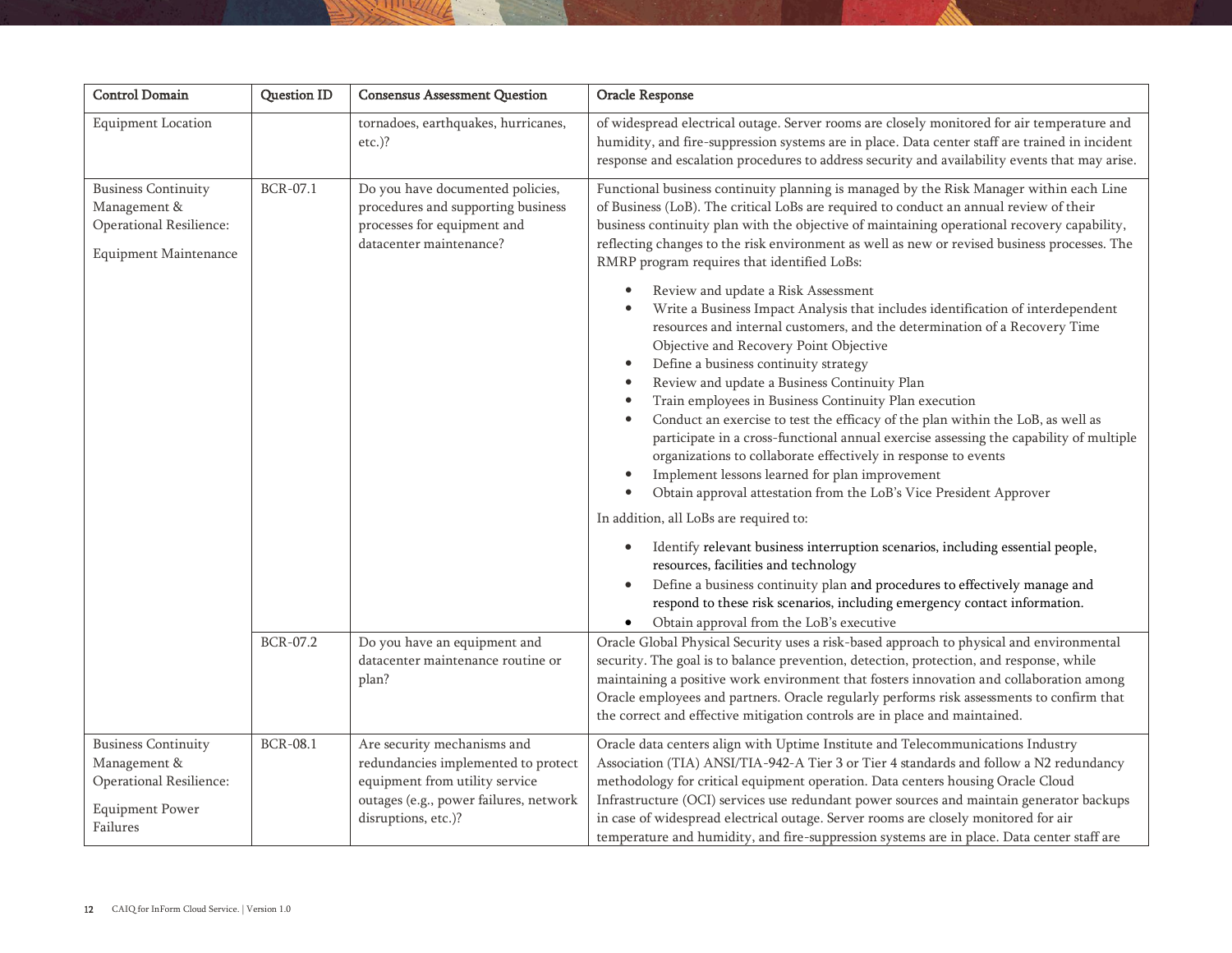| <b>Control Domain</b>                                                                                       | <b>Question ID</b> | <b>Consensus Assessment Question</b>                                                                                                                                  | Oracle Response                                                                                                                                                                                                                                                                                                                                                                                                                                                                                                                                                                                                                                                                                                                                                                                                                                                                                                                                                                                                                                                                                                                                                                                                                                                                                                                                                                                                                                                                                                                                                                                                                   |
|-------------------------------------------------------------------------------------------------------------|--------------------|-----------------------------------------------------------------------------------------------------------------------------------------------------------------------|-----------------------------------------------------------------------------------------------------------------------------------------------------------------------------------------------------------------------------------------------------------------------------------------------------------------------------------------------------------------------------------------------------------------------------------------------------------------------------------------------------------------------------------------------------------------------------------------------------------------------------------------------------------------------------------------------------------------------------------------------------------------------------------------------------------------------------------------------------------------------------------------------------------------------------------------------------------------------------------------------------------------------------------------------------------------------------------------------------------------------------------------------------------------------------------------------------------------------------------------------------------------------------------------------------------------------------------------------------------------------------------------------------------------------------------------------------------------------------------------------------------------------------------------------------------------------------------------------------------------------------------|
| <b>Equipment Location</b>                                                                                   |                    | tornadoes, earthquakes, hurricanes,<br>$etc.$ )?                                                                                                                      | of widespread electrical outage. Server rooms are closely monitored for air temperature and<br>humidity, and fire-suppression systems are in place. Data center staff are trained in incident<br>response and escalation procedures to address security and availability events that may arise.                                                                                                                                                                                                                                                                                                                                                                                                                                                                                                                                                                                                                                                                                                                                                                                                                                                                                                                                                                                                                                                                                                                                                                                                                                                                                                                                   |
| <b>Business Continuity</b><br>Management &<br>Operational Resilience:<br><b>Equipment Maintenance</b>       | BCR-07.1           | Do you have documented policies,<br>procedures and supporting business<br>processes for equipment and<br>datacenter maintenance?                                      | Functional business continuity planning is managed by the Risk Manager within each Line<br>of Business (LoB). The critical LoBs are required to conduct an annual review of their<br>business continuity plan with the objective of maintaining operational recovery capability,<br>reflecting changes to the risk environment as well as new or revised business processes. The<br>RMRP program requires that identified LoBs:<br>Review and update a Risk Assessment<br>Write a Business Impact Analysis that includes identification of interdependent<br>resources and internal customers, and the determination of a Recovery Time<br>Objective and Recovery Point Objective<br>Define a business continuity strategy<br>$\bullet$<br>Review and update a Business Continuity Plan<br>Train employees in Business Continuity Plan execution<br>Conduct an exercise to test the efficacy of the plan within the LoB, as well as<br>participate in a cross-functional annual exercise assessing the capability of multiple<br>organizations to collaborate effectively in response to events<br>Implement lessons learned for plan improvement<br>Obtain approval attestation from the LoB's Vice President Approver<br>In addition, all LoBs are required to:<br>Identify relevant business interruption scenarios, including essential people,<br>$\bullet$<br>resources, facilities and technology<br>Define a business continuity plan and procedures to effectively manage and<br>٠<br>respond to these risk scenarios, including emergency contact information.<br>Obtain approval from the LoB's executive<br>$\bullet$ |
|                                                                                                             | <b>BCR-07.2</b>    | Do you have an equipment and<br>datacenter maintenance routine or<br>plan?                                                                                            | Oracle Global Physical Security uses a risk-based approach to physical and environmental<br>security. The goal is to balance prevention, detection, protection, and response, while<br>maintaining a positive work environment that fosters innovation and collaboration among<br>Oracle employees and partners. Oracle regularly performs risk assessments to confirm that<br>the correct and effective mitigation controls are in place and maintained.                                                                                                                                                                                                                                                                                                                                                                                                                                                                                                                                                                                                                                                                                                                                                                                                                                                                                                                                                                                                                                                                                                                                                                         |
| <b>Business Continuity</b><br>Management &<br>Operational Resilience:<br><b>Equipment Power</b><br>Failures | <b>BCR-08.1</b>    | Are security mechanisms and<br>redundancies implemented to protect<br>equipment from utility service<br>outages (e.g., power failures, network<br>disruptions, etc.)? | Oracle data centers align with Uptime Institute and Telecommunications Industry<br>Association (TIA) ANSI/TIA-942-A Tier 3 or Tier 4 standards and follow a N2 redundancy<br>methodology for critical equipment operation. Data centers housing Oracle Cloud<br>Infrastructure (OCI) services use redundant power sources and maintain generator backups<br>in case of widespread electrical outage. Server rooms are closely monitored for air<br>temperature and humidity, and fire-suppression systems are in place. Data center staff are                                                                                                                                                                                                                                                                                                                                                                                                                                                                                                                                                                                                                                                                                                                                                                                                                                                                                                                                                                                                                                                                                     |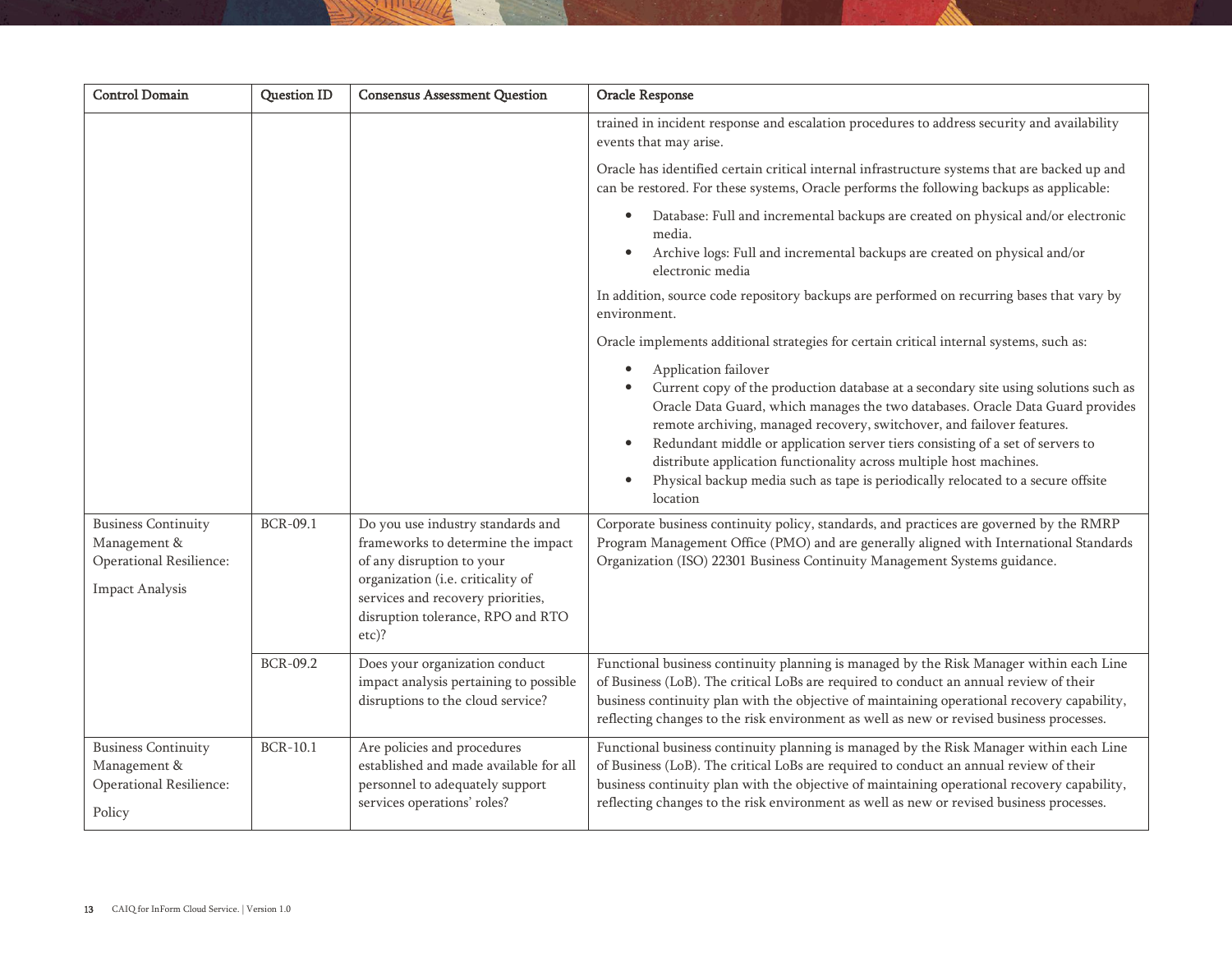| <b>Control Domain</b>                                                                           | <b>Question ID</b> | <b>Consensus Assessment Question</b>                                                                                                                                                                                            | Oracle Response                                                                                                                                                                                                                                                                                                                                                                                                                                                                                                                                            |
|-------------------------------------------------------------------------------------------------|--------------------|---------------------------------------------------------------------------------------------------------------------------------------------------------------------------------------------------------------------------------|------------------------------------------------------------------------------------------------------------------------------------------------------------------------------------------------------------------------------------------------------------------------------------------------------------------------------------------------------------------------------------------------------------------------------------------------------------------------------------------------------------------------------------------------------------|
|                                                                                                 |                    |                                                                                                                                                                                                                                 | trained in incident response and escalation procedures to address security and availability<br>events that may arise.                                                                                                                                                                                                                                                                                                                                                                                                                                      |
|                                                                                                 |                    |                                                                                                                                                                                                                                 | Oracle has identified certain critical internal infrastructure systems that are backed up and<br>can be restored. For these systems, Oracle performs the following backups as applicable:                                                                                                                                                                                                                                                                                                                                                                  |
|                                                                                                 |                    |                                                                                                                                                                                                                                 | Database: Full and incremental backups are created on physical and/or electronic<br>media.<br>Archive logs: Full and incremental backups are created on physical and/or<br>$\bullet$<br>electronic media                                                                                                                                                                                                                                                                                                                                                   |
|                                                                                                 |                    |                                                                                                                                                                                                                                 | In addition, source code repository backups are performed on recurring bases that vary by<br>environment.                                                                                                                                                                                                                                                                                                                                                                                                                                                  |
|                                                                                                 |                    |                                                                                                                                                                                                                                 | Oracle implements additional strategies for certain critical internal systems, such as:                                                                                                                                                                                                                                                                                                                                                                                                                                                                    |
|                                                                                                 |                    |                                                                                                                                                                                                                                 | Application failover<br>Current copy of the production database at a secondary site using solutions such as<br>Oracle Data Guard, which manages the two databases. Oracle Data Guard provides<br>remote archiving, managed recovery, switchover, and failover features.<br>Redundant middle or application server tiers consisting of a set of servers to<br>$\bullet$<br>distribute application functionality across multiple host machines.<br>Physical backup media such as tape is periodically relocated to a secure offsite<br>$\bullet$<br>location |
| <b>Business Continuity</b><br>Management &<br>Operational Resilience:<br><b>Impact Analysis</b> | <b>BCR-09.1</b>    | Do you use industry standards and<br>frameworks to determine the impact<br>of any disruption to your<br>organization (i.e. criticality of<br>services and recovery priorities,<br>disruption tolerance, RPO and RTO<br>$etc$ )? | Corporate business continuity policy, standards, and practices are governed by the RMRP<br>Program Management Office (PMO) and are generally aligned with International Standards<br>Organization (ISO) 22301 Business Continuity Management Systems guidance.                                                                                                                                                                                                                                                                                             |
|                                                                                                 | <b>BCR-09.2</b>    | Does your organization conduct<br>impact analysis pertaining to possible<br>disruptions to the cloud service?                                                                                                                   | Functional business continuity planning is managed by the Risk Manager within each Line<br>of Business (LoB). The critical LoBs are required to conduct an annual review of their<br>business continuity plan with the objective of maintaining operational recovery capability,<br>reflecting changes to the risk environment as well as new or revised business processes.                                                                                                                                                                               |
| <b>Business Continuity</b><br>Management &<br>Operational Resilience:<br>Policy                 | <b>BCR-10.1</b>    | Are policies and procedures<br>established and made available for all<br>personnel to adequately support<br>services operations' roles?                                                                                         | Functional business continuity planning is managed by the Risk Manager within each Line<br>of Business (LoB). The critical LoBs are required to conduct an annual review of their<br>business continuity plan with the objective of maintaining operational recovery capability,<br>reflecting changes to the risk environment as well as new or revised business processes.                                                                                                                                                                               |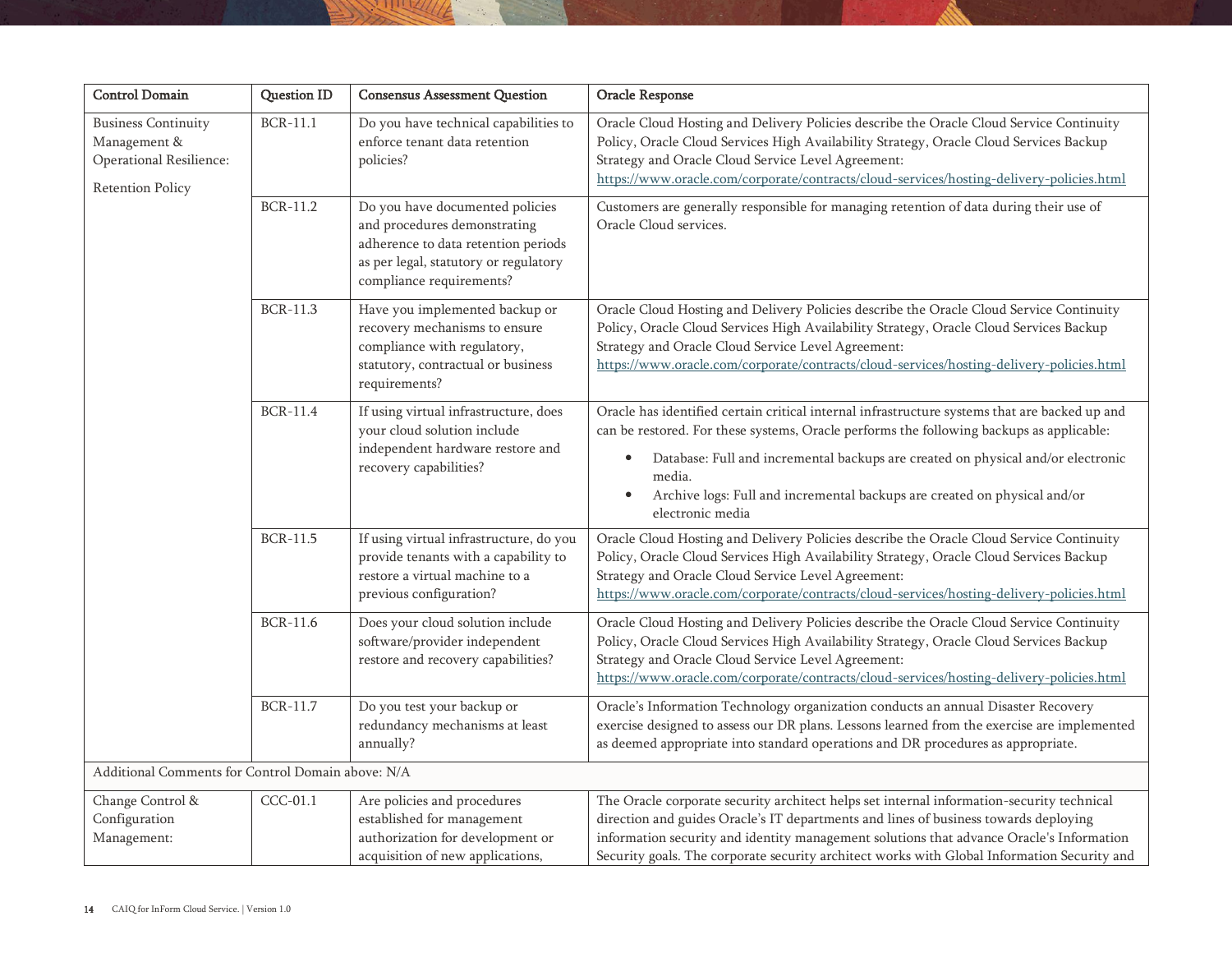| <b>Control Domain</b>                                                                            | Question ID     | <b>Consensus Assessment Question</b>                                                                                                                                        | Oracle Response                                                                                                                                                                                                                                                                                                                                                                                            |
|--------------------------------------------------------------------------------------------------|-----------------|-----------------------------------------------------------------------------------------------------------------------------------------------------------------------------|------------------------------------------------------------------------------------------------------------------------------------------------------------------------------------------------------------------------------------------------------------------------------------------------------------------------------------------------------------------------------------------------------------|
| <b>Business Continuity</b><br>Management &<br>Operational Resilience:<br><b>Retention Policy</b> | <b>BCR-11.1</b> | Do you have technical capabilities to<br>enforce tenant data retention<br>policies?                                                                                         | Oracle Cloud Hosting and Delivery Policies describe the Oracle Cloud Service Continuity<br>Policy, Oracle Cloud Services High Availability Strategy, Oracle Cloud Services Backup<br>Strategy and Oracle Cloud Service Level Agreement:<br>https://www.oracle.com/corporate/contracts/cloud-services/hosting-delivery-policies.html                                                                        |
|                                                                                                  | <b>BCR-11.2</b> | Do you have documented policies<br>and procedures demonstrating<br>adherence to data retention periods<br>as per legal, statutory or regulatory<br>compliance requirements? | Customers are generally responsible for managing retention of data during their use of<br>Oracle Cloud services.                                                                                                                                                                                                                                                                                           |
|                                                                                                  | <b>BCR-11.3</b> | Have you implemented backup or<br>recovery mechanisms to ensure<br>compliance with regulatory,<br>statutory, contractual or business<br>requirements?                       | Oracle Cloud Hosting and Delivery Policies describe the Oracle Cloud Service Continuity<br>Policy, Oracle Cloud Services High Availability Strategy, Oracle Cloud Services Backup<br>Strategy and Oracle Cloud Service Level Agreement:<br>https://www.oracle.com/corporate/contracts/cloud-services/hosting-delivery-policies.html                                                                        |
|                                                                                                  | <b>BCR-11.4</b> | If using virtual infrastructure, does<br>your cloud solution include<br>independent hardware restore and<br>recovery capabilities?                                          | Oracle has identified certain critical internal infrastructure systems that are backed up and<br>can be restored. For these systems, Oracle performs the following backups as applicable:<br>Database: Full and incremental backups are created on physical and/or electronic<br>٠<br>media.<br>Archive logs: Full and incremental backups are created on physical and/or<br>$\bullet$<br>electronic media |
|                                                                                                  | <b>BCR-11.5</b> | If using virtual infrastructure, do you<br>provide tenants with a capability to<br>restore a virtual machine to a<br>previous configuration?                                | Oracle Cloud Hosting and Delivery Policies describe the Oracle Cloud Service Continuity<br>Policy, Oracle Cloud Services High Availability Strategy, Oracle Cloud Services Backup<br>Strategy and Oracle Cloud Service Level Agreement:<br>https://www.oracle.com/corporate/contracts/cloud-services/hosting-delivery-policies.html                                                                        |
|                                                                                                  | <b>BCR-11.6</b> | Does your cloud solution include<br>software/provider independent<br>restore and recovery capabilities?                                                                     | Oracle Cloud Hosting and Delivery Policies describe the Oracle Cloud Service Continuity<br>Policy, Oracle Cloud Services High Availability Strategy, Oracle Cloud Services Backup<br>Strategy and Oracle Cloud Service Level Agreement:<br>https://www.oracle.com/corporate/contracts/cloud-services/hosting-delivery-policies.html                                                                        |
|                                                                                                  | <b>BCR-11.7</b> | Do you test your backup or<br>redundancy mechanisms at least<br>annually?                                                                                                   | Oracle's Information Technology organization conducts an annual Disaster Recovery<br>exercise designed to assess our DR plans. Lessons learned from the exercise are implemented<br>as deemed appropriate into standard operations and DR procedures as appropriate.                                                                                                                                       |
| Additional Comments for Control Domain above: N/A                                                |                 |                                                                                                                                                                             |                                                                                                                                                                                                                                                                                                                                                                                                            |
| Change Control &<br>Configuration<br>Management:                                                 | $CCC-01.1$      | Are policies and procedures<br>established for management<br>authorization for development or<br>acquisition of new applications,                                           | The Oracle corporate security architect helps set internal information-security technical<br>direction and guides Oracle's IT departments and lines of business towards deploying<br>information security and identity management solutions that advance Oracle's Information<br>Security goals. The corporate security architect works with Global Information Security and                               |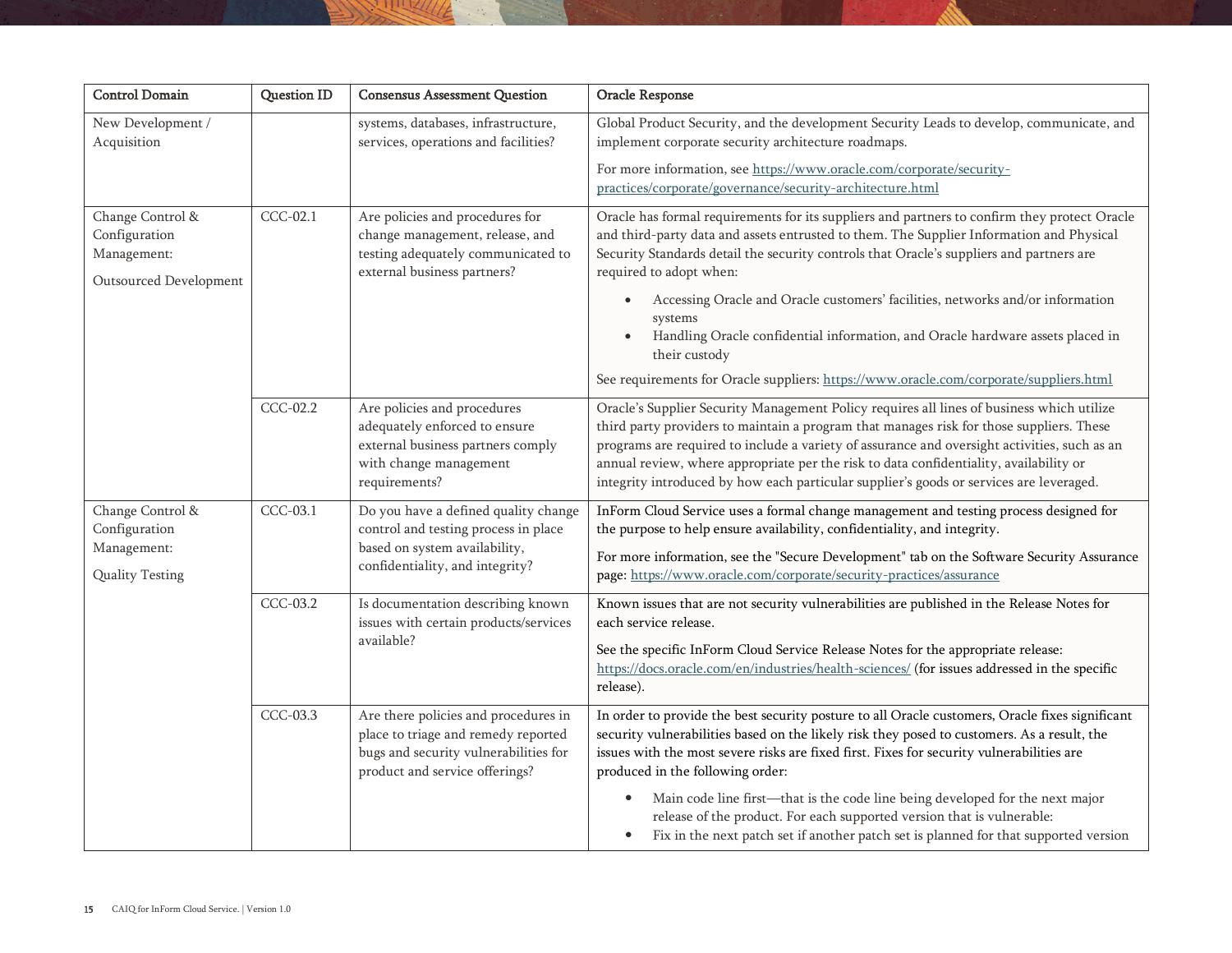| <b>Control Domain</b>                                                      | <b>Question ID</b> | <b>Consensus Assessment Question</b>                                                                                                                   | Oracle Response                                                                                                                                                                                                                                                                                                                                                                                                                                                                                                                                                                                           |
|----------------------------------------------------------------------------|--------------------|--------------------------------------------------------------------------------------------------------------------------------------------------------|-----------------------------------------------------------------------------------------------------------------------------------------------------------------------------------------------------------------------------------------------------------------------------------------------------------------------------------------------------------------------------------------------------------------------------------------------------------------------------------------------------------------------------------------------------------------------------------------------------------|
| New Development /<br>Acquisition                                           |                    | systems, databases, infrastructure,<br>services, operations and facilities?                                                                            | Global Product Security, and the development Security Leads to develop, communicate, and<br>implement corporate security architecture roadmaps.                                                                                                                                                                                                                                                                                                                                                                                                                                                           |
|                                                                            |                    |                                                                                                                                                        | For more information, see https://www.oracle.com/corporate/security-<br>practices/corporate/governance/security-architecture.html                                                                                                                                                                                                                                                                                                                                                                                                                                                                         |
| Change Control &<br>Configuration<br>Management:<br>Outsourced Development | CCC-02.1           | Are policies and procedures for<br>change management, release, and<br>testing adequately communicated to<br>external business partners?                | Oracle has formal requirements for its suppliers and partners to confirm they protect Oracle<br>and third-party data and assets entrusted to them. The Supplier Information and Physical<br>Security Standards detail the security controls that Oracle's suppliers and partners are<br>required to adopt when:<br>Accessing Oracle and Oracle customers' facilities, networks and/or information<br>systems<br>Handling Oracle confidential information, and Oracle hardware assets placed in<br>their custody<br>See requirements for Oracle suppliers: https://www.oracle.com/corporate/suppliers.html |
|                                                                            | CCC-02.2           | Are policies and procedures<br>adequately enforced to ensure<br>external business partners comply<br>with change management<br>requirements?           | Oracle's Supplier Security Management Policy requires all lines of business which utilize<br>third party providers to maintain a program that manages risk for those suppliers. These<br>programs are required to include a variety of assurance and oversight activities, such as an<br>annual review, where appropriate per the risk to data confidentiality, availability or<br>integrity introduced by how each particular supplier's goods or services are leveraged.                                                                                                                                |
| Change Control &<br>Configuration<br>Management:<br>Quality Testing        | CCC-03.1           | Do you have a defined quality change<br>control and testing process in place<br>based on system availability,<br>confidentiality, and integrity?       | InForm Cloud Service uses a formal change management and testing process designed for<br>the purpose to help ensure availability, confidentiality, and integrity.<br>For more information, see the "Secure Development" tab on the Software Security Assurance<br>page: https://www.oracle.com/corporate/security-practices/assurance                                                                                                                                                                                                                                                                     |
|                                                                            | CCC-03.2           | Is documentation describing known<br>issues with certain products/services<br>available?                                                               | Known issues that are not security vulnerabilities are published in the Release Notes for<br>each service release.<br>See the specific InForm Cloud Service Release Notes for the appropriate release:<br>https://docs.oracle.com/en/industries/health-sciences/ (for issues addressed in the specific<br>release).                                                                                                                                                                                                                                                                                       |
|                                                                            | CCC-03.3           | Are there policies and procedures in<br>place to triage and remedy reported<br>bugs and security vulnerabilities for<br>product and service offerings? | In order to provide the best security posture to all Oracle customers, Oracle fixes significant<br>security vulnerabilities based on the likely risk they posed to customers. As a result, the<br>issues with the most severe risks are fixed first. Fixes for security vulnerabilities are<br>produced in the following order:                                                                                                                                                                                                                                                                           |
|                                                                            |                    |                                                                                                                                                        | Main code line first-that is the code line being developed for the next major<br>$\bullet$<br>release of the product. For each supported version that is vulnerable:<br>Fix in the next patch set if another patch set is planned for that supported version<br>$\bullet$                                                                                                                                                                                                                                                                                                                                 |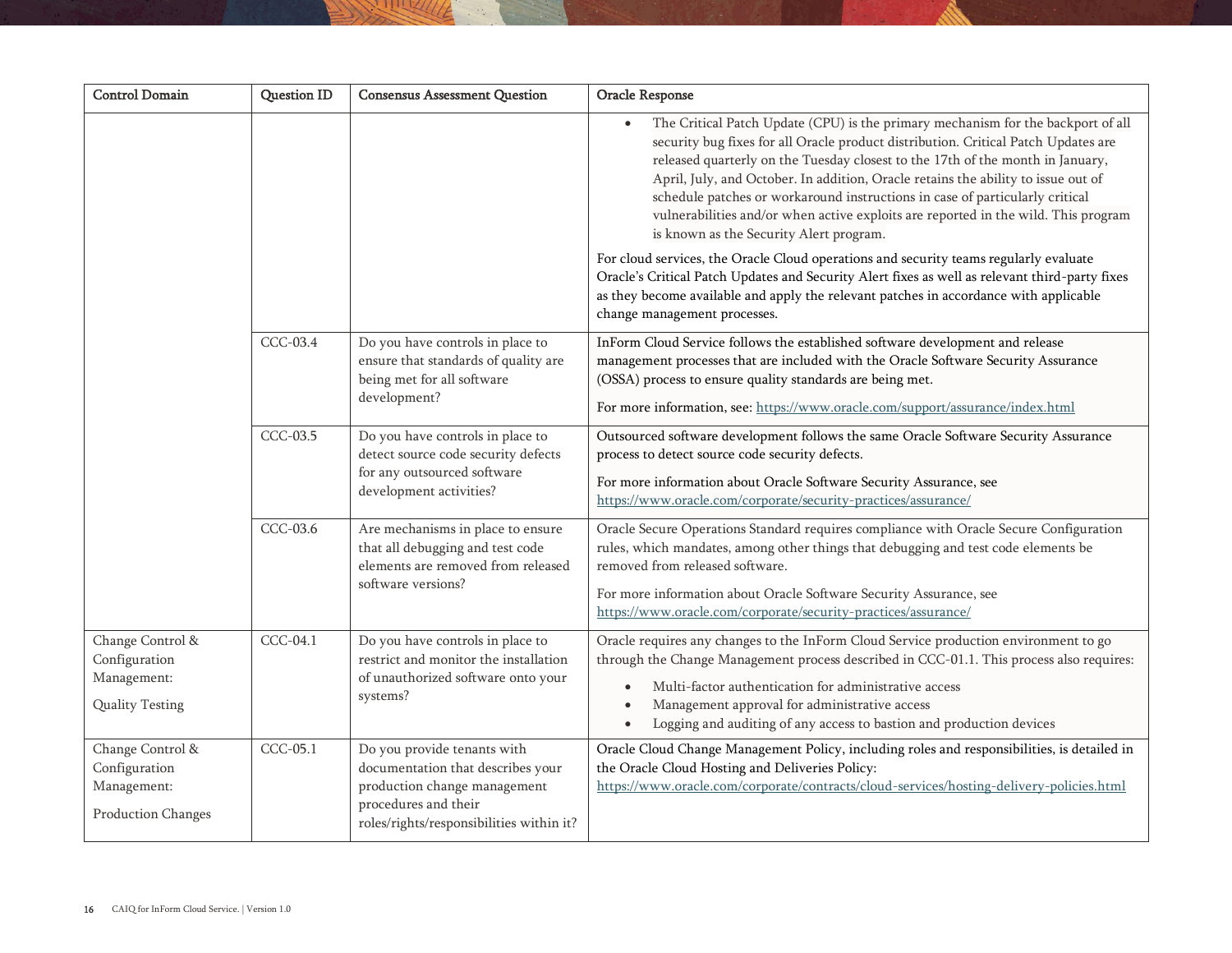| <b>Control Domain</b>                                                  | <b>Question ID</b> | <b>Consensus Assessment Question</b>                                                                                                                                 | Oracle Response                                                                                                                                                                                                                                                                                                                                                                                                                                                                                                                                                             |
|------------------------------------------------------------------------|--------------------|----------------------------------------------------------------------------------------------------------------------------------------------------------------------|-----------------------------------------------------------------------------------------------------------------------------------------------------------------------------------------------------------------------------------------------------------------------------------------------------------------------------------------------------------------------------------------------------------------------------------------------------------------------------------------------------------------------------------------------------------------------------|
|                                                                        |                    |                                                                                                                                                                      | The Critical Patch Update (CPU) is the primary mechanism for the backport of all<br>$\bullet$<br>security bug fixes for all Oracle product distribution. Critical Patch Updates are<br>released quarterly on the Tuesday closest to the 17th of the month in January,<br>April, July, and October. In addition, Oracle retains the ability to issue out of<br>schedule patches or workaround instructions in case of particularly critical<br>vulnerabilities and/or when active exploits are reported in the wild. This program<br>is known as the Security Alert program. |
|                                                                        |                    |                                                                                                                                                                      | For cloud services, the Oracle Cloud operations and security teams regularly evaluate<br>Oracle's Critical Patch Updates and Security Alert fixes as well as relevant third-party fixes<br>as they become available and apply the relevant patches in accordance with applicable<br>change management processes.                                                                                                                                                                                                                                                            |
|                                                                        | <b>CCC-03.4</b>    | Do you have controls in place to<br>ensure that standards of quality are<br>being met for all software<br>development?                                               | InForm Cloud Service follows the established software development and release<br>management processes that are included with the Oracle Software Security Assurance<br>(OSSA) process to ensure quality standards are being met.<br>For more information, see: https://www.oracle.com/support/assurance/index.html                                                                                                                                                                                                                                                          |
|                                                                        | CCC-03.5           | Do you have controls in place to<br>detect source code security defects<br>for any outsourced software<br>development activities?                                    | Outsourced software development follows the same Oracle Software Security Assurance<br>process to detect source code security defects.<br>For more information about Oracle Software Security Assurance, see<br>https://www.oracle.com/corporate/security-practices/assurance/                                                                                                                                                                                                                                                                                              |
|                                                                        | CCC-03.6           | Are mechanisms in place to ensure<br>that all debugging and test code<br>elements are removed from released<br>software versions?                                    | Oracle Secure Operations Standard requires compliance with Oracle Secure Configuration<br>rules, which mandates, among other things that debugging and test code elements be<br>removed from released software.<br>For more information about Oracle Software Security Assurance, see<br>https://www.oracle.com/corporate/security-practices/assurance/                                                                                                                                                                                                                     |
| Change Control &<br>Configuration<br>Management:<br>Quality Testing    | CCC-04.1           | Do you have controls in place to<br>restrict and monitor the installation<br>of unauthorized software onto your<br>systems?                                          | Oracle requires any changes to the InForm Cloud Service production environment to go<br>through the Change Management process described in CCC-01.1. This process also requires:<br>Multi-factor authentication for administrative access<br>$\bullet$<br>Management approval for administrative access<br>$\bullet$<br>Logging and auditing of any access to bastion and production devices<br>$\bullet$                                                                                                                                                                   |
| Change Control &<br>Configuration<br>Management:<br>Production Changes | CCC-05.1           | Do you provide tenants with<br>documentation that describes your<br>production change management<br>procedures and their<br>roles/rights/responsibilities within it? | Oracle Cloud Change Management Policy, including roles and responsibilities, is detailed in<br>the Oracle Cloud Hosting and Deliveries Policy:<br>https://www.oracle.com/corporate/contracts/cloud-services/hosting-delivery-policies.html                                                                                                                                                                                                                                                                                                                                  |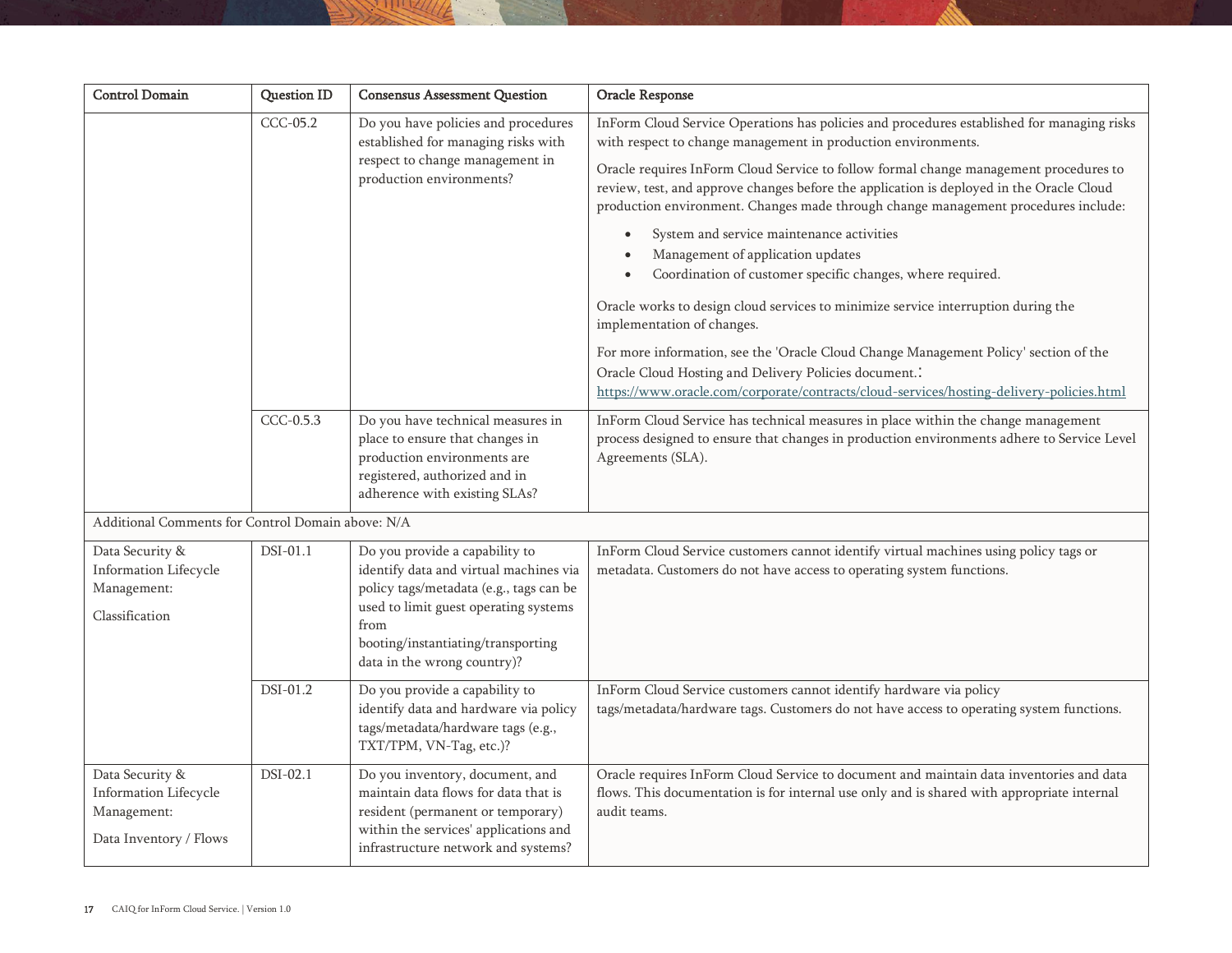| <b>Control Domain</b>                                                             | <b>Question ID</b> | <b>Consensus Assessment Question</b>                                                                                                                                                                                                      | Oracle Response                                                                                                                                                                                                                                                                                                                                                                                                                                                                                                                                                                                                                                                                                                                                                                                                                                                                                                                                                   |
|-----------------------------------------------------------------------------------|--------------------|-------------------------------------------------------------------------------------------------------------------------------------------------------------------------------------------------------------------------------------------|-------------------------------------------------------------------------------------------------------------------------------------------------------------------------------------------------------------------------------------------------------------------------------------------------------------------------------------------------------------------------------------------------------------------------------------------------------------------------------------------------------------------------------------------------------------------------------------------------------------------------------------------------------------------------------------------------------------------------------------------------------------------------------------------------------------------------------------------------------------------------------------------------------------------------------------------------------------------|
|                                                                                   | CCC-05.2           | Do you have policies and procedures<br>established for managing risks with<br>respect to change management in<br>production environments?                                                                                                 | InForm Cloud Service Operations has policies and procedures established for managing risks<br>with respect to change management in production environments.<br>Oracle requires InForm Cloud Service to follow formal change management procedures to<br>review, test, and approve changes before the application is deployed in the Oracle Cloud<br>production environment. Changes made through change management procedures include:<br>System and service maintenance activities<br>$\bullet$<br>Management of application updates<br>Coordination of customer specific changes, where required.<br>Oracle works to design cloud services to minimize service interruption during the<br>implementation of changes.<br>For more information, see the 'Oracle Cloud Change Management Policy' section of the<br>Oracle Cloud Hosting and Delivery Policies document<br>https://www.oracle.com/corporate/contracts/cloud-services/hosting-delivery-policies.html |
|                                                                                   | CCC-0.5.3          | Do you have technical measures in<br>place to ensure that changes in<br>production environments are<br>registered, authorized and in<br>adherence with existing SLAs?                                                                     | InForm Cloud Service has technical measures in place within the change management<br>process designed to ensure that changes in production environments adhere to Service Level<br>Agreements (SLA).                                                                                                                                                                                                                                                                                                                                                                                                                                                                                                                                                                                                                                                                                                                                                              |
| Additional Comments for Control Domain above: N/A                                 |                    |                                                                                                                                                                                                                                           |                                                                                                                                                                                                                                                                                                                                                                                                                                                                                                                                                                                                                                                                                                                                                                                                                                                                                                                                                                   |
| Data Security &<br>Information Lifecycle<br>Management:<br>Classification         | DSI-01.1           | Do you provide a capability to<br>identify data and virtual machines via<br>policy tags/metadata (e.g., tags can be<br>used to limit guest operating systems<br>from<br>booting/instantiating/transporting<br>data in the wrong country)? | InForm Cloud Service customers cannot identify virtual machines using policy tags or<br>metadata. Customers do not have access to operating system functions.                                                                                                                                                                                                                                                                                                                                                                                                                                                                                                                                                                                                                                                                                                                                                                                                     |
|                                                                                   | DSI-01.2           | Do you provide a capability to<br>identify data and hardware via policy<br>tags/metadata/hardware tags (e.g.,<br>TXT/TPM, VN-Tag, etc.)?                                                                                                  | InForm Cloud Service customers cannot identify hardware via policy<br>tags/metadata/hardware tags. Customers do not have access to operating system functions.                                                                                                                                                                                                                                                                                                                                                                                                                                                                                                                                                                                                                                                                                                                                                                                                    |
| Data Security &<br>Information Lifecycle<br>Management:<br>Data Inventory / Flows | DSI-02.1           | Do you inventory, document, and<br>maintain data flows for data that is<br>resident (permanent or temporary)<br>within the services' applications and<br>infrastructure network and systems?                                              | Oracle requires InForm Cloud Service to document and maintain data inventories and data<br>flows. This documentation is for internal use only and is shared with appropriate internal<br>audit teams.                                                                                                                                                                                                                                                                                                                                                                                                                                                                                                                                                                                                                                                                                                                                                             |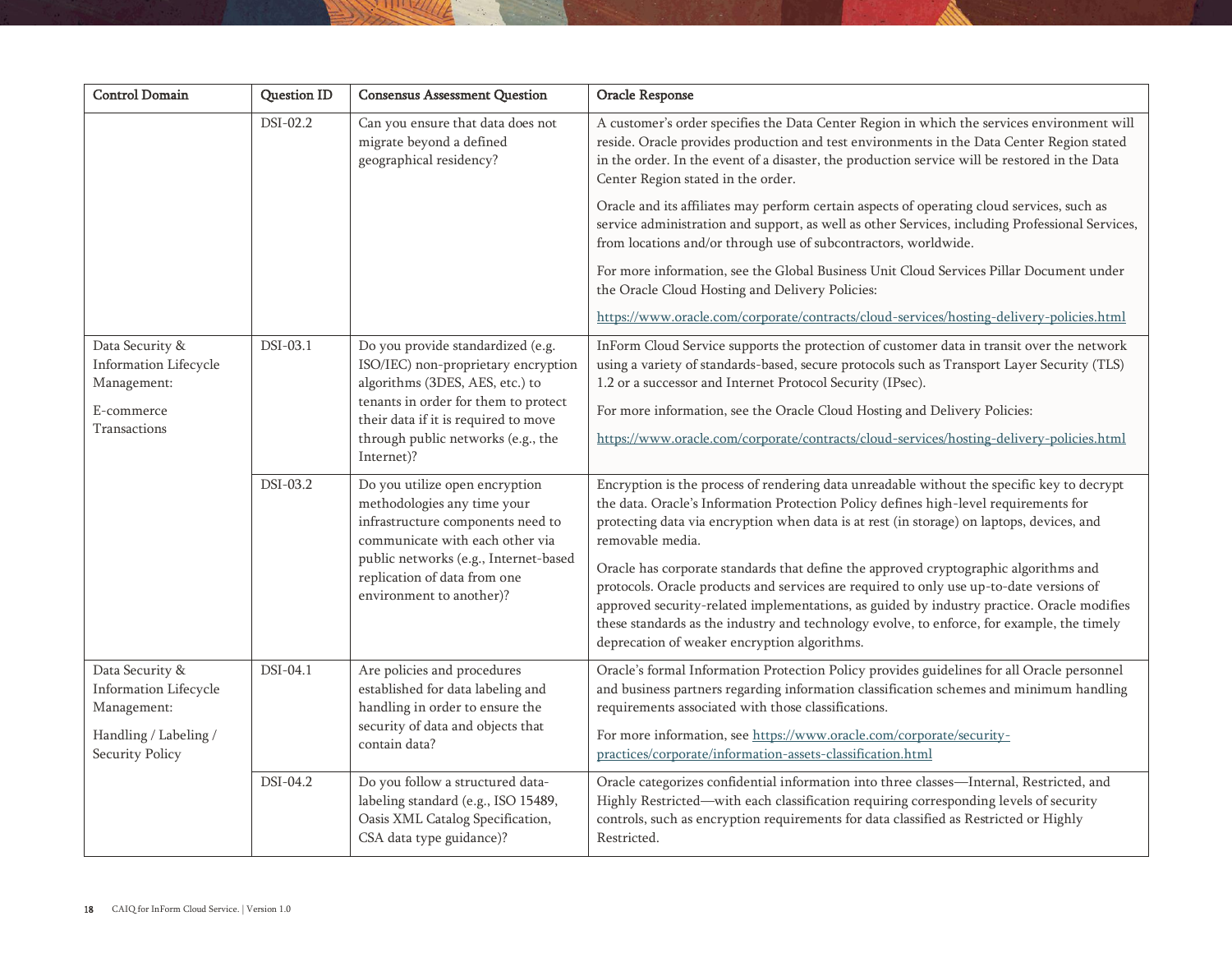| <b>Control Domain</b>                                                                               | <b>Question ID</b> | <b>Consensus Assessment Question</b>                                                                                                                                                                                                            | Oracle Response                                                                                                                                                                                                                                                                                                                                                                                                                                                                                                                                                                                                                                                                                                                    |
|-----------------------------------------------------------------------------------------------------|--------------------|-------------------------------------------------------------------------------------------------------------------------------------------------------------------------------------------------------------------------------------------------|------------------------------------------------------------------------------------------------------------------------------------------------------------------------------------------------------------------------------------------------------------------------------------------------------------------------------------------------------------------------------------------------------------------------------------------------------------------------------------------------------------------------------------------------------------------------------------------------------------------------------------------------------------------------------------------------------------------------------------|
|                                                                                                     | DSI-02.2           | Can you ensure that data does not<br>migrate beyond a defined<br>geographical residency?                                                                                                                                                        | A customer's order specifies the Data Center Region in which the services environment will<br>reside. Oracle provides production and test environments in the Data Center Region stated<br>in the order. In the event of a disaster, the production service will be restored in the Data<br>Center Region stated in the order.                                                                                                                                                                                                                                                                                                                                                                                                     |
|                                                                                                     |                    |                                                                                                                                                                                                                                                 | Oracle and its affiliates may perform certain aspects of operating cloud services, such as<br>service administration and support, as well as other Services, including Professional Services,<br>from locations and/or through use of subcontractors, worldwide.                                                                                                                                                                                                                                                                                                                                                                                                                                                                   |
|                                                                                                     |                    |                                                                                                                                                                                                                                                 | For more information, see the Global Business Unit Cloud Services Pillar Document under<br>the Oracle Cloud Hosting and Delivery Policies:                                                                                                                                                                                                                                                                                                                                                                                                                                                                                                                                                                                         |
|                                                                                                     |                    |                                                                                                                                                                                                                                                 | https://www.oracle.com/corporate/contracts/cloud-services/hosting-delivery-policies.html                                                                                                                                                                                                                                                                                                                                                                                                                                                                                                                                                                                                                                           |
| Data Security &<br>Information Lifecycle<br>Management:<br>E-commerce<br>Transactions               | DSI-03.1           | Do you provide standardized (e.g.<br>ISO/IEC) non-proprietary encryption<br>algorithms (3DES, AES, etc.) to<br>tenants in order for them to protect<br>their data if it is required to move<br>through public networks (e.g., the<br>Internet)? | InForm Cloud Service supports the protection of customer data in transit over the network<br>using a variety of standards-based, secure protocols such as Transport Layer Security (TLS)<br>1.2 or a successor and Internet Protocol Security (IPsec).<br>For more information, see the Oracle Cloud Hosting and Delivery Policies:<br>https://www.oracle.com/corporate/contracts/cloud-services/hosting-delivery-policies.html                                                                                                                                                                                                                                                                                                    |
|                                                                                                     | DSI-03.2           | Do you utilize open encryption<br>methodologies any time your<br>infrastructure components need to<br>communicate with each other via<br>public networks (e.g., Internet-based<br>replication of data from one<br>environment to another)?      | Encryption is the process of rendering data unreadable without the specific key to decrypt<br>the data. Oracle's Information Protection Policy defines high-level requirements for<br>protecting data via encryption when data is at rest (in storage) on laptops, devices, and<br>removable media.<br>Oracle has corporate standards that define the approved cryptographic algorithms and<br>protocols. Oracle products and services are required to only use up-to-date versions of<br>approved security-related implementations, as guided by industry practice. Oracle modifies<br>these standards as the industry and technology evolve, to enforce, for example, the timely<br>deprecation of weaker encryption algorithms. |
| Data Security &<br>Information Lifecycle<br>Management:<br>Handling / Labeling /<br>Security Policy | DSI-04.1           | Are policies and procedures<br>established for data labeling and<br>handling in order to ensure the<br>security of data and objects that<br>contain data?                                                                                       | Oracle's formal Information Protection Policy provides guidelines for all Oracle personnel<br>and business partners regarding information classification schemes and minimum handling<br>requirements associated with those classifications.<br>For more information, see https://www.oracle.com/corporate/security-<br>practices/corporate/information-assets-classification.html                                                                                                                                                                                                                                                                                                                                                 |
|                                                                                                     | DSI-04.2           | Do you follow a structured data-<br>labeling standard (e.g., ISO 15489,<br>Oasis XML Catalog Specification,<br>CSA data type guidance)?                                                                                                         | Oracle categorizes confidential information into three classes-Internal, Restricted, and<br>Highly Restricted—with each classification requiring corresponding levels of security<br>controls, such as encryption requirements for data classified as Restricted or Highly<br>Restricted.                                                                                                                                                                                                                                                                                                                                                                                                                                          |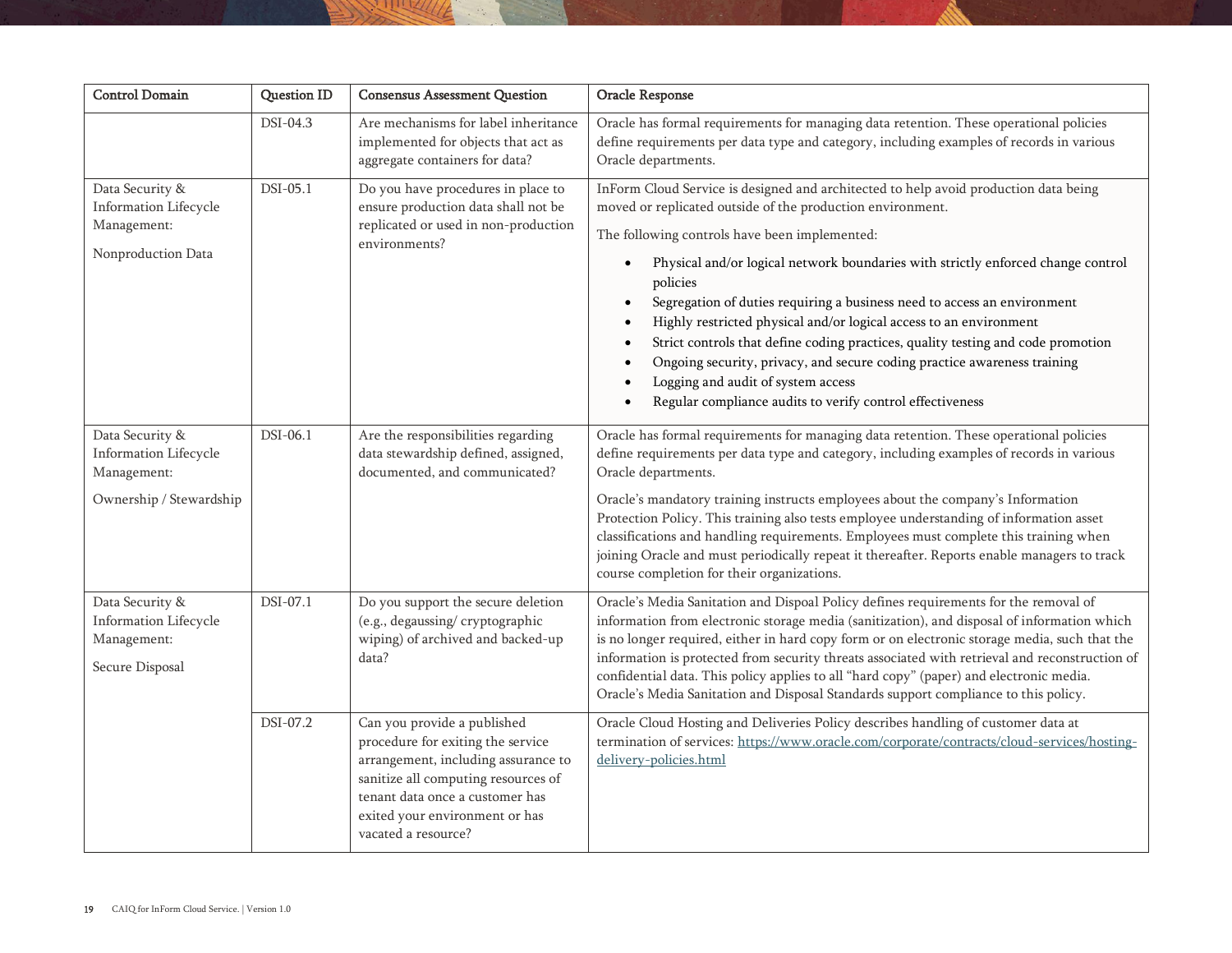| <b>Control Domain</b>                                                              | <b>Question ID</b> | <b>Consensus Assessment Question</b>                                                                                                                                                                                                       | Oracle Response                                                                                                                                                                                                                                                                                                                                                                                                                                                                                                                                                                                                                                                                                                          |
|------------------------------------------------------------------------------------|--------------------|--------------------------------------------------------------------------------------------------------------------------------------------------------------------------------------------------------------------------------------------|--------------------------------------------------------------------------------------------------------------------------------------------------------------------------------------------------------------------------------------------------------------------------------------------------------------------------------------------------------------------------------------------------------------------------------------------------------------------------------------------------------------------------------------------------------------------------------------------------------------------------------------------------------------------------------------------------------------------------|
|                                                                                    | $DSI-04.3$         | Are mechanisms for label inheritance<br>implemented for objects that act as<br>aggregate containers for data?                                                                                                                              | Oracle has formal requirements for managing data retention. These operational policies<br>define requirements per data type and category, including examples of records in various<br>Oracle departments.                                                                                                                                                                                                                                                                                                                                                                                                                                                                                                                |
| Data Security &<br>Information Lifecycle<br>Management:<br>Nonproduction Data      | DSI-05.1           | Do you have procedures in place to<br>ensure production data shall not be<br>replicated or used in non-production<br>environments?                                                                                                         | InForm Cloud Service is designed and architected to help avoid production data being<br>moved or replicated outside of the production environment.<br>The following controls have been implemented:<br>Physical and/or logical network boundaries with strictly enforced change control<br>policies<br>Segregation of duties requiring a business need to access an environment<br>Highly restricted physical and/or logical access to an environment<br>Strict controls that define coding practices, quality testing and code promotion<br>Ongoing security, privacy, and secure coding practice awareness training<br>Logging and audit of system access<br>Regular compliance audits to verify control effectiveness |
| Data Security &<br>Information Lifecycle<br>Management:<br>Ownership / Stewardship | DSI-06.1           | Are the responsibilities regarding<br>data stewardship defined, assigned,<br>documented, and communicated?                                                                                                                                 | Oracle has formal requirements for managing data retention. These operational policies<br>define requirements per data type and category, including examples of records in various<br>Oracle departments.<br>Oracle's mandatory training instructs employees about the company's Information<br>Protection Policy. This training also tests employee understanding of information asset<br>classifications and handling requirements. Employees must complete this training when<br>joining Oracle and must periodically repeat it thereafter. Reports enable managers to track<br>course completion for their organizations.                                                                                            |
| Data Security &<br>Information Lifecycle<br>Management:<br>Secure Disposal         | DSI-07.1           | Do you support the secure deletion<br>(e.g., degaussing/cryptographic<br>wiping) of archived and backed-up<br>data?                                                                                                                        | Oracle's Media Sanitation and Dispoal Policy defines requirements for the removal of<br>information from electronic storage media (sanitization), and disposal of information which<br>is no longer required, either in hard copy form or on electronic storage media, such that the<br>information is protected from security threats associated with retrieval and reconstruction of<br>confidential data. This policy applies to all "hard copy" (paper) and electronic media.<br>Oracle's Media Sanitation and Disposal Standards support compliance to this policy.                                                                                                                                                 |
|                                                                                    | DSI-07.2           | Can you provide a published<br>procedure for exiting the service<br>arrangement, including assurance to<br>sanitize all computing resources of<br>tenant data once a customer has<br>exited your environment or has<br>vacated a resource? | Oracle Cloud Hosting and Deliveries Policy describes handling of customer data at<br>termination of services: https://www.oracle.com/corporate/contracts/cloud-services/hosting-<br>delivery-policies.html                                                                                                                                                                                                                                                                                                                                                                                                                                                                                                               |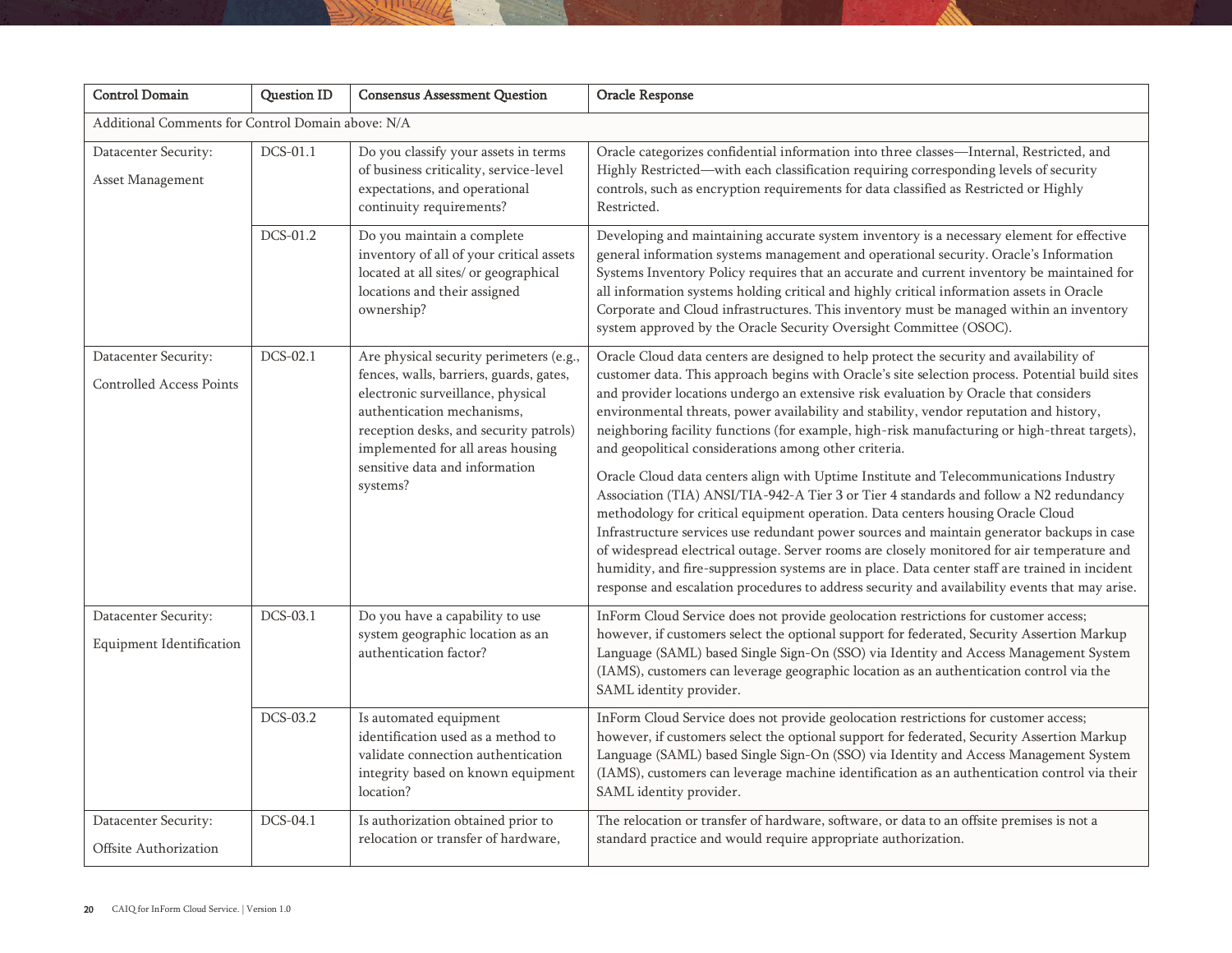| <b>Control Domain</b>                                   | <b>Question ID</b> | <b>Consensus Assessment Question</b>                                                                                                                                                                                                                                               | Oracle Response                                                                                                                                                                                                                                                                                                                                                                                                                                                                                                                                                                                                                                                                                                                                                                                                                                                                                                                                                                                                                                                                                                                                                                                                |  |
|---------------------------------------------------------|--------------------|------------------------------------------------------------------------------------------------------------------------------------------------------------------------------------------------------------------------------------------------------------------------------------|----------------------------------------------------------------------------------------------------------------------------------------------------------------------------------------------------------------------------------------------------------------------------------------------------------------------------------------------------------------------------------------------------------------------------------------------------------------------------------------------------------------------------------------------------------------------------------------------------------------------------------------------------------------------------------------------------------------------------------------------------------------------------------------------------------------------------------------------------------------------------------------------------------------------------------------------------------------------------------------------------------------------------------------------------------------------------------------------------------------------------------------------------------------------------------------------------------------|--|
| Additional Comments for Control Domain above: N/A       |                    |                                                                                                                                                                                                                                                                                    |                                                                                                                                                                                                                                                                                                                                                                                                                                                                                                                                                                                                                                                                                                                                                                                                                                                                                                                                                                                                                                                                                                                                                                                                                |  |
| Datacenter Security:<br>Asset Management                | DCS-01.1           | Do you classify your assets in terms<br>of business criticality, service-level<br>expectations, and operational<br>continuity requirements?                                                                                                                                        | Oracle categorizes confidential information into three classes-Internal, Restricted, and<br>Highly Restricted—with each classification requiring corresponding levels of security<br>controls, such as encryption requirements for data classified as Restricted or Highly<br>Restricted.                                                                                                                                                                                                                                                                                                                                                                                                                                                                                                                                                                                                                                                                                                                                                                                                                                                                                                                      |  |
|                                                         | DCS-01.2           | Do you maintain a complete<br>inventory of all of your critical assets<br>located at all sites/ or geographical<br>locations and their assigned<br>ownership?                                                                                                                      | Developing and maintaining accurate system inventory is a necessary element for effective<br>general information systems management and operational security. Oracle's Information<br>Systems Inventory Policy requires that an accurate and current inventory be maintained for<br>all information systems holding critical and highly critical information assets in Oracle<br>Corporate and Cloud infrastructures. This inventory must be managed within an inventory<br>system approved by the Oracle Security Oversight Committee (OSOC).                                                                                                                                                                                                                                                                                                                                                                                                                                                                                                                                                                                                                                                                 |  |
| Datacenter Security:<br><b>Controlled Access Points</b> | DCS-02.1           | Are physical security perimeters (e.g.,<br>fences, walls, barriers, guards, gates,<br>electronic surveillance, physical<br>authentication mechanisms,<br>reception desks, and security patrols)<br>implemented for all areas housing<br>sensitive data and information<br>systems? | Oracle Cloud data centers are designed to help protect the security and availability of<br>customer data. This approach begins with Oracle's site selection process. Potential build sites<br>and provider locations undergo an extensive risk evaluation by Oracle that considers<br>environmental threats, power availability and stability, vendor reputation and history,<br>neighboring facility functions (for example, high-risk manufacturing or high-threat targets),<br>and geopolitical considerations among other criteria.<br>Oracle Cloud data centers align with Uptime Institute and Telecommunications Industry<br>Association (TIA) ANSI/TIA-942-A Tier 3 or Tier 4 standards and follow a N2 redundancy<br>methodology for critical equipment operation. Data centers housing Oracle Cloud<br>Infrastructure services use redundant power sources and maintain generator backups in case<br>of widespread electrical outage. Server rooms are closely monitored for air temperature and<br>humidity, and fire-suppression systems are in place. Data center staff are trained in incident<br>response and escalation procedures to address security and availability events that may arise. |  |
| Datacenter Security:<br>Equipment Identification        | DCS-03.1           | Do you have a capability to use<br>system geographic location as an<br>authentication factor?                                                                                                                                                                                      | InForm Cloud Service does not provide geolocation restrictions for customer access;<br>however, if customers select the optional support for federated, Security Assertion Markup<br>Language (SAML) based Single Sign-On (SSO) via Identity and Access Management System<br>(IAMS), customers can leverage geographic location as an authentication control via the<br>SAML identity provider.                                                                                                                                                                                                                                                                                                                                                                                                                                                                                                                                                                                                                                                                                                                                                                                                                |  |
|                                                         | DCS-03.2           | Is automated equipment<br>identification used as a method to<br>validate connection authentication<br>integrity based on known equipment<br>location?                                                                                                                              | InForm Cloud Service does not provide geolocation restrictions for customer access;<br>however, if customers select the optional support for federated, Security Assertion Markup<br>Language (SAML) based Single Sign-On (SSO) via Identity and Access Management System<br>(IAMS), customers can leverage machine identification as an authentication control via their<br>SAML identity provider.                                                                                                                                                                                                                                                                                                                                                                                                                                                                                                                                                                                                                                                                                                                                                                                                           |  |
| Datacenter Security:<br>Offsite Authorization           | DCS-04.1           | Is authorization obtained prior to<br>relocation or transfer of hardware,                                                                                                                                                                                                          | The relocation or transfer of hardware, software, or data to an offsite premises is not a<br>standard practice and would require appropriate authorization.                                                                                                                                                                                                                                                                                                                                                                                                                                                                                                                                                                                                                                                                                                                                                                                                                                                                                                                                                                                                                                                    |  |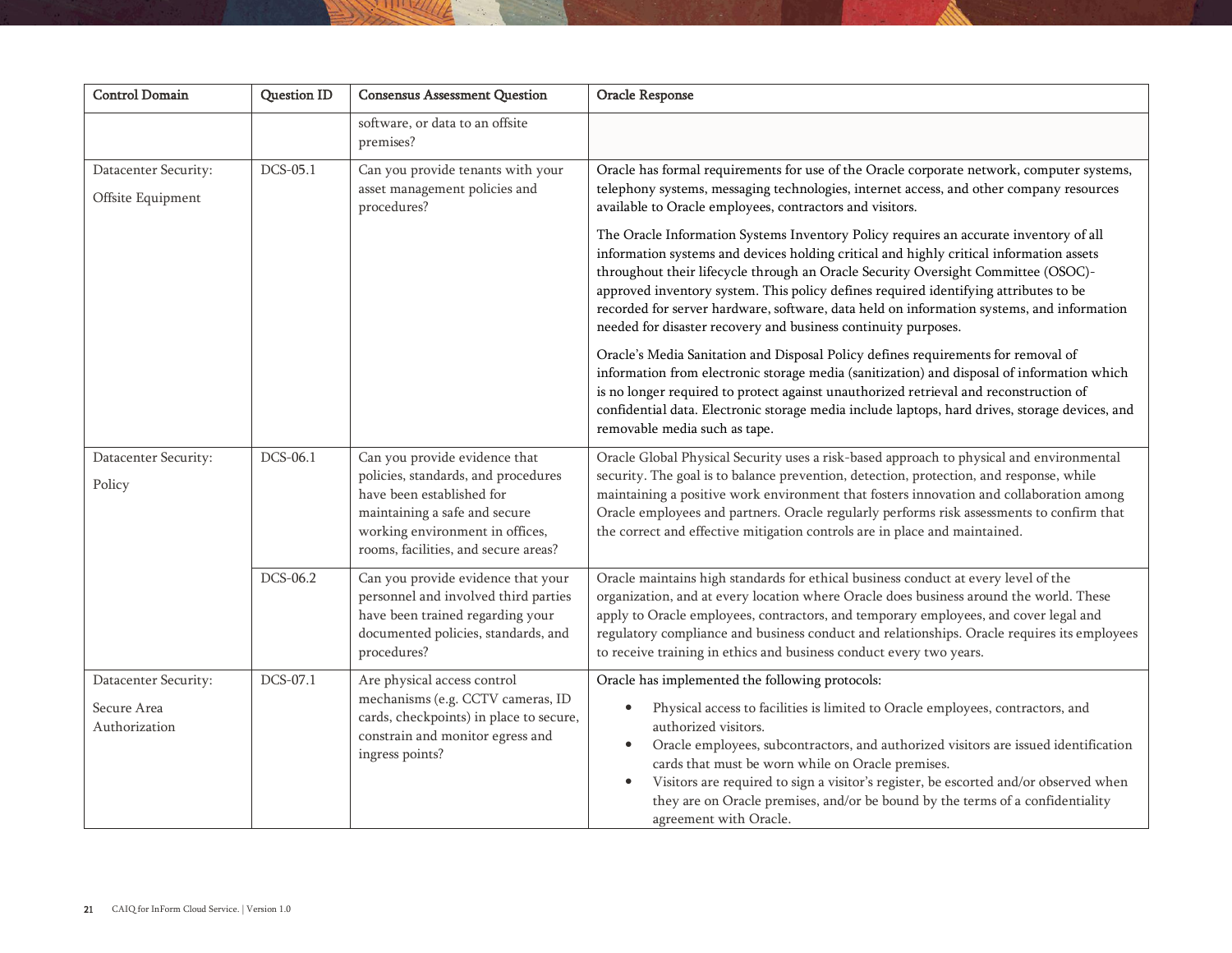| <b>Control Domain</b>                                | Question ID | <b>Consensus Assessment Question</b>                                                                                                                                                                          | Oracle Response                                                                                                                                                                                                                                                                                                                                                                                                                                                                                                                                                                                                                                                                                                                                                                                                                                                                                                                                                                                                                                                                                                                                                |
|------------------------------------------------------|-------------|---------------------------------------------------------------------------------------------------------------------------------------------------------------------------------------------------------------|----------------------------------------------------------------------------------------------------------------------------------------------------------------------------------------------------------------------------------------------------------------------------------------------------------------------------------------------------------------------------------------------------------------------------------------------------------------------------------------------------------------------------------------------------------------------------------------------------------------------------------------------------------------------------------------------------------------------------------------------------------------------------------------------------------------------------------------------------------------------------------------------------------------------------------------------------------------------------------------------------------------------------------------------------------------------------------------------------------------------------------------------------------------|
|                                                      |             | software, or data to an offsite<br>premises?                                                                                                                                                                  |                                                                                                                                                                                                                                                                                                                                                                                                                                                                                                                                                                                                                                                                                                                                                                                                                                                                                                                                                                                                                                                                                                                                                                |
| Datacenter Security:<br>Offsite Equipment            | DCS-05.1    | Can you provide tenants with your<br>asset management policies and<br>procedures?                                                                                                                             | Oracle has formal requirements for use of the Oracle corporate network, computer systems,<br>telephony systems, messaging technologies, internet access, and other company resources<br>available to Oracle employees, contractors and visitors.<br>The Oracle Information Systems Inventory Policy requires an accurate inventory of all<br>information systems and devices holding critical and highly critical information assets<br>throughout their lifecycle through an Oracle Security Oversight Committee (OSOC)-<br>approved inventory system. This policy defines required identifying attributes to be<br>recorded for server hardware, software, data held on information systems, and information<br>needed for disaster recovery and business continuity purposes.<br>Oracle's Media Sanitation and Disposal Policy defines requirements for removal of<br>information from electronic storage media (sanitization) and disposal of information which<br>is no longer required to protect against unauthorized retrieval and reconstruction of<br>confidential data. Electronic storage media include laptops, hard drives, storage devices, and |
| Datacenter Security:<br>Policy                       | DCS-06.1    | Can you provide evidence that<br>policies, standards, and procedures<br>have been established for<br>maintaining a safe and secure<br>working environment in offices,<br>rooms, facilities, and secure areas? | removable media such as tape.<br>Oracle Global Physical Security uses a risk-based approach to physical and environmental<br>security. The goal is to balance prevention, detection, protection, and response, while<br>maintaining a positive work environment that fosters innovation and collaboration among<br>Oracle employees and partners. Oracle regularly performs risk assessments to confirm that<br>the correct and effective mitigation controls are in place and maintained.                                                                                                                                                                                                                                                                                                                                                                                                                                                                                                                                                                                                                                                                     |
|                                                      | DCS-06.2    | Can you provide evidence that your<br>personnel and involved third parties<br>have been trained regarding your<br>documented policies, standards, and<br>procedures?                                          | Oracle maintains high standards for ethical business conduct at every level of the<br>organization, and at every location where Oracle does business around the world. These<br>apply to Oracle employees, contractors, and temporary employees, and cover legal and<br>regulatory compliance and business conduct and relationships. Oracle requires its employees<br>to receive training in ethics and business conduct every two years.                                                                                                                                                                                                                                                                                                                                                                                                                                                                                                                                                                                                                                                                                                                     |
| Datacenter Security:<br>Secure Area<br>Authorization | DCS-07.1    | Are physical access control<br>mechanisms (e.g. CCTV cameras, ID<br>cards, checkpoints) in place to secure,<br>constrain and monitor egress and<br>ingress points?                                            | Oracle has implemented the following protocols:<br>Physical access to facilities is limited to Oracle employees, contractors, and<br>authorized visitors.<br>Oracle employees, subcontractors, and authorized visitors are issued identification<br>$\bullet$<br>cards that must be worn while on Oracle premises.<br>Visitors are required to sign a visitor's register, be escorted and/or observed when<br>$\bullet$<br>they are on Oracle premises, and/or be bound by the terms of a confidentiality<br>agreement with Oracle.                                                                                                                                                                                                                                                                                                                                                                                                                                                                                                                                                                                                                            |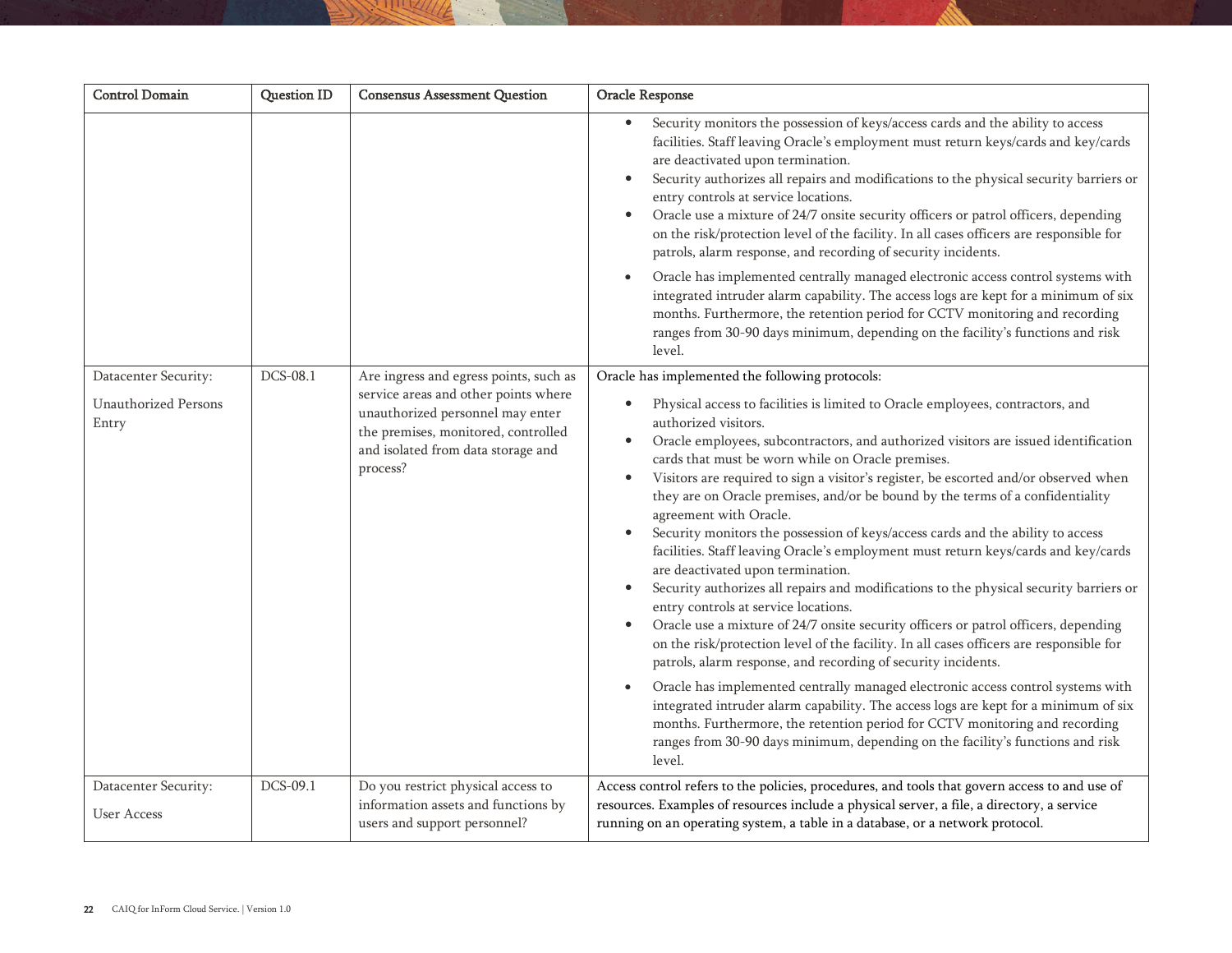| <b>Control Domain</b>                                        | Question ID | <b>Consensus Assessment Question</b>                                                                                                                                                                        | Oracle Response                                                                                                                                                                                                                                                                                                                                                                                                                                                                                                                                                                                                                                                                                                                                                                                                                                                                                                                                                                                                                                                                                                                                                                                                                                                                                                                                                                                                                                                                                          |
|--------------------------------------------------------------|-------------|-------------------------------------------------------------------------------------------------------------------------------------------------------------------------------------------------------------|----------------------------------------------------------------------------------------------------------------------------------------------------------------------------------------------------------------------------------------------------------------------------------------------------------------------------------------------------------------------------------------------------------------------------------------------------------------------------------------------------------------------------------------------------------------------------------------------------------------------------------------------------------------------------------------------------------------------------------------------------------------------------------------------------------------------------------------------------------------------------------------------------------------------------------------------------------------------------------------------------------------------------------------------------------------------------------------------------------------------------------------------------------------------------------------------------------------------------------------------------------------------------------------------------------------------------------------------------------------------------------------------------------------------------------------------------------------------------------------------------------|
|                                                              |             |                                                                                                                                                                                                             | Security monitors the possession of keys/access cards and the ability to access<br>$\bullet$<br>facilities. Staff leaving Oracle's employment must return keys/cards and key/cards<br>are deactivated upon termination.<br>Security authorizes all repairs and modifications to the physical security barriers or<br>entry controls at service locations.<br>Oracle use a mixture of 24/7 onsite security officers or patrol officers, depending<br>$\bullet$<br>on the risk/protection level of the facility. In all cases officers are responsible for<br>patrols, alarm response, and recording of security incidents.<br>Oracle has implemented centrally managed electronic access control systems with<br>$\bullet$<br>integrated intruder alarm capability. The access logs are kept for a minimum of six<br>months. Furthermore, the retention period for CCTV monitoring and recording<br>ranges from 30-90 days minimum, depending on the facility's functions and risk<br>level.                                                                                                                                                                                                                                                                                                                                                                                                                                                                                                              |
| Datacenter Security:<br><b>Unauthorized Persons</b><br>Entry | DCS-08.1    | Are ingress and egress points, such as<br>service areas and other points where<br>unauthorized personnel may enter<br>the premises, monitored, controlled<br>and isolated from data storage and<br>process? | Oracle has implemented the following protocols:<br>Physical access to facilities is limited to Oracle employees, contractors, and<br>authorized visitors.<br>Oracle employees, subcontractors, and authorized visitors are issued identification<br>cards that must be worn while on Oracle premises.<br>Visitors are required to sign a visitor's register, be escorted and/or observed when<br>$\bullet$<br>they are on Oracle premises, and/or be bound by the terms of a confidentiality<br>agreement with Oracle.<br>Security monitors the possession of keys/access cards and the ability to access<br>facilities. Staff leaving Oracle's employment must return keys/cards and key/cards<br>are deactivated upon termination.<br>Security authorizes all repairs and modifications to the physical security barriers or<br>entry controls at service locations.<br>Oracle use a mixture of 24/7 onsite security officers or patrol officers, depending<br>$\bullet$<br>on the risk/protection level of the facility. In all cases officers are responsible for<br>patrols, alarm response, and recording of security incidents.<br>Oracle has implemented centrally managed electronic access control systems with<br>$\bullet$<br>integrated intruder alarm capability. The access logs are kept for a minimum of six<br>months. Furthermore, the retention period for CCTV monitoring and recording<br>ranges from 30-90 days minimum, depending on the facility's functions and risk<br>level. |
| Datacenter Security:<br><b>User Access</b>                   | DCS-09.1    | Do you restrict physical access to<br>information assets and functions by<br>users and support personnel?                                                                                                   | Access control refers to the policies, procedures, and tools that govern access to and use of<br>resources. Examples of resources include a physical server, a file, a directory, a service<br>running on an operating system, a table in a database, or a network protocol.                                                                                                                                                                                                                                                                                                                                                                                                                                                                                                                                                                                                                                                                                                                                                                                                                                                                                                                                                                                                                                                                                                                                                                                                                             |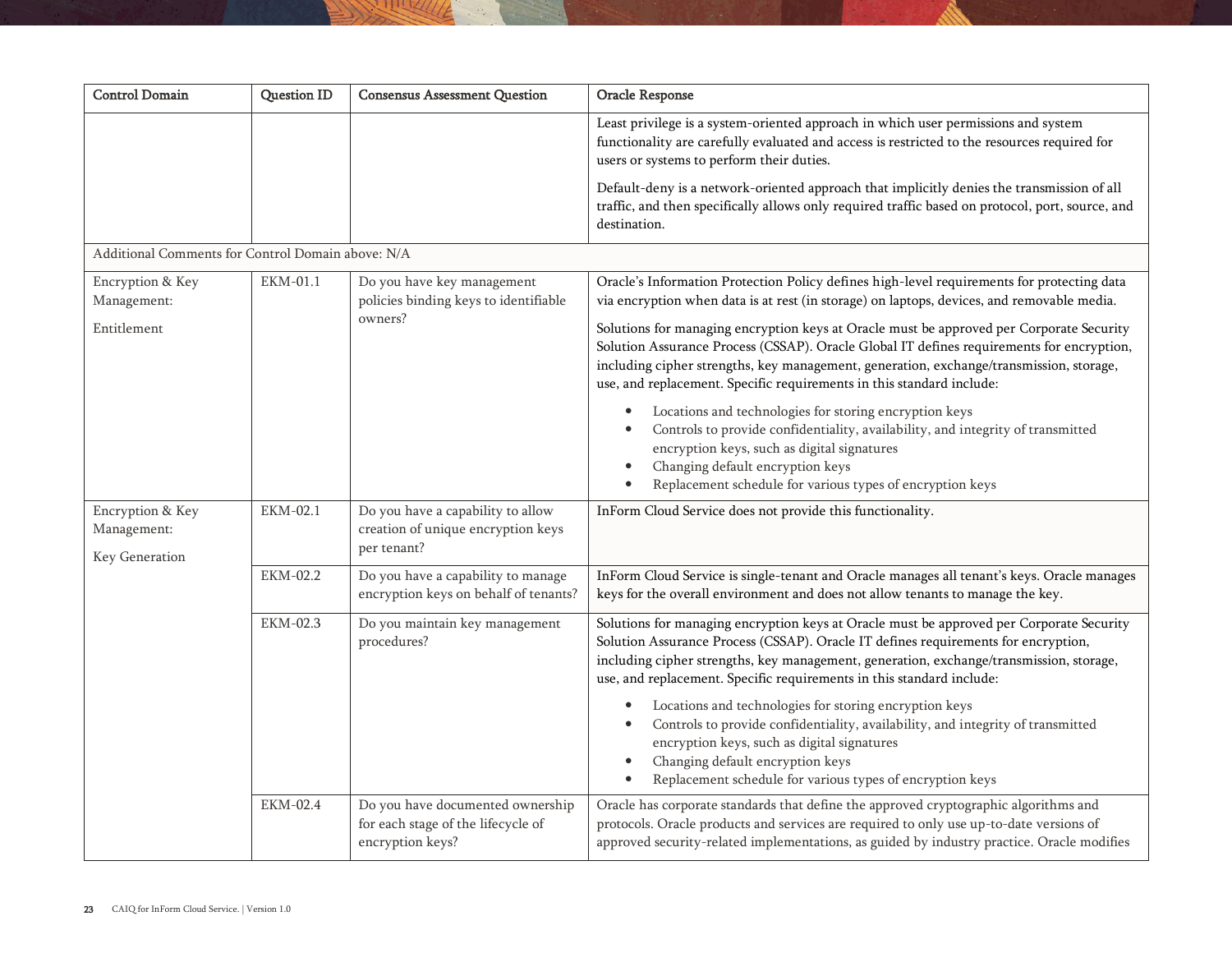| <b>Control Domain</b>                             | Question ID     | <b>Consensus Assessment Question</b>                                                       | Oracle Response                                                                                                                                                                                                                                                                                                                                    |
|---------------------------------------------------|-----------------|--------------------------------------------------------------------------------------------|----------------------------------------------------------------------------------------------------------------------------------------------------------------------------------------------------------------------------------------------------------------------------------------------------------------------------------------------------|
|                                                   |                 |                                                                                            | Least privilege is a system-oriented approach in which user permissions and system<br>functionality are carefully evaluated and access is restricted to the resources required for<br>users or systems to perform their duties.                                                                                                                    |
|                                                   |                 |                                                                                            | Default-deny is a network-oriented approach that implicitly denies the transmission of all<br>traffic, and then specifically allows only required traffic based on protocol, port, source, and<br>destination.                                                                                                                                     |
| Additional Comments for Control Domain above: N/A |                 |                                                                                            |                                                                                                                                                                                                                                                                                                                                                    |
| Encryption & Key<br>Management:<br>Entitlement    | EKM-01.1        | Do you have key management<br>policies binding keys to identifiable<br>owners?             | Oracle's Information Protection Policy defines high-level requirements for protecting data<br>via encryption when data is at rest (in storage) on laptops, devices, and removable media.<br>Solutions for managing encryption keys at Oracle must be approved per Corporate Security                                                               |
|                                                   |                 |                                                                                            | Solution Assurance Process (CSSAP). Oracle Global IT defines requirements for encryption,<br>including cipher strengths, key management, generation, exchange/transmission, storage,<br>use, and replacement. Specific requirements in this standard include:                                                                                      |
|                                                   |                 |                                                                                            | Locations and technologies for storing encryption keys<br>Controls to provide confidentiality, availability, and integrity of transmitted<br>encryption keys, such as digital signatures<br>Changing default encryption keys<br>Replacement schedule for various types of encryption keys                                                          |
| Encryption & Key<br>Management:<br>Key Generation | EKM-02.1        | Do you have a capability to allow<br>creation of unique encryption keys<br>per tenant?     | InForm Cloud Service does not provide this functionality.                                                                                                                                                                                                                                                                                          |
|                                                   | EKM-02.2        | Do you have a capability to manage<br>encryption keys on behalf of tenants?                | InForm Cloud Service is single-tenant and Oracle manages all tenant's keys. Oracle manages<br>keys for the overall environment and does not allow tenants to manage the key.                                                                                                                                                                       |
|                                                   | <b>EKM-02.3</b> | Do you maintain key management<br>procedures?                                              | Solutions for managing encryption keys at Oracle must be approved per Corporate Security<br>Solution Assurance Process (CSSAP). Oracle IT defines requirements for encryption,<br>including cipher strengths, key management, generation, exchange/transmission, storage,<br>use, and replacement. Specific requirements in this standard include: |
|                                                   |                 |                                                                                            | Locations and technologies for storing encryption keys<br>Controls to provide confidentiality, availability, and integrity of transmitted<br>encryption keys, such as digital signatures<br>Changing default encryption keys<br>Replacement schedule for various types of encryption keys                                                          |
|                                                   | EKM-02.4        | Do you have documented ownership<br>for each stage of the lifecycle of<br>encryption keys? | Oracle has corporate standards that define the approved cryptographic algorithms and<br>protocols. Oracle products and services are required to only use up-to-date versions of<br>approved security-related implementations, as guided by industry practice. Oracle modifies                                                                      |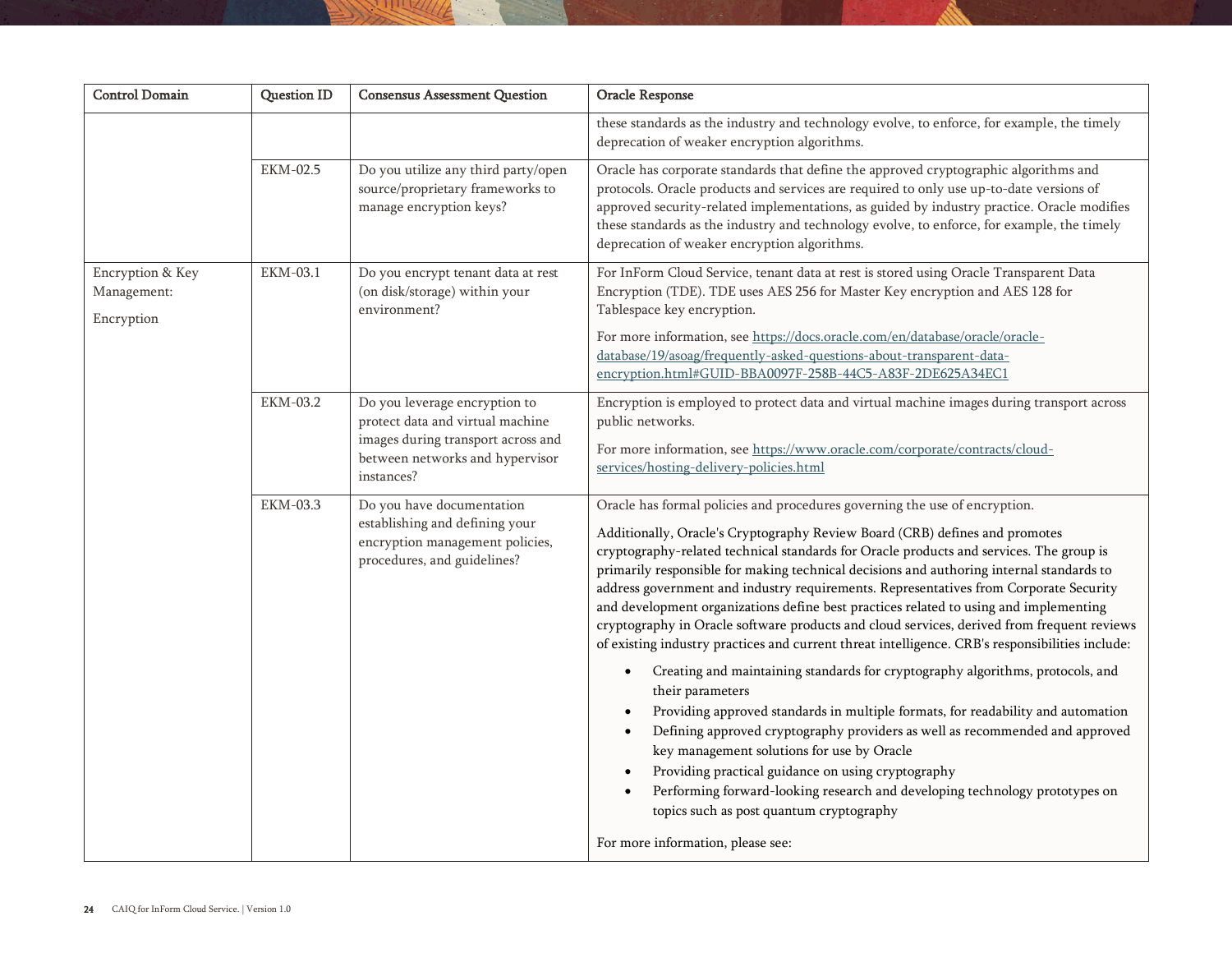| <b>Control Domain</b>                         | Question ID     | <b>Consensus Assessment Question</b>                                                                                                                     | Oracle Response                                                                                                                                                                                                                                                                                                                                                                                                                                                                                                                                                                                                                                                                                                                                                                                                                                                                                                                                                                                                                                                                                                                                                                                                                                                                                |
|-----------------------------------------------|-----------------|----------------------------------------------------------------------------------------------------------------------------------------------------------|------------------------------------------------------------------------------------------------------------------------------------------------------------------------------------------------------------------------------------------------------------------------------------------------------------------------------------------------------------------------------------------------------------------------------------------------------------------------------------------------------------------------------------------------------------------------------------------------------------------------------------------------------------------------------------------------------------------------------------------------------------------------------------------------------------------------------------------------------------------------------------------------------------------------------------------------------------------------------------------------------------------------------------------------------------------------------------------------------------------------------------------------------------------------------------------------------------------------------------------------------------------------------------------------|
|                                               |                 |                                                                                                                                                          | these standards as the industry and technology evolve, to enforce, for example, the timely<br>deprecation of weaker encryption algorithms.                                                                                                                                                                                                                                                                                                                                                                                                                                                                                                                                                                                                                                                                                                                                                                                                                                                                                                                                                                                                                                                                                                                                                     |
|                                               | EKM-02.5        | Do you utilize any third party/open<br>source/proprietary frameworks to<br>manage encryption keys?                                                       | Oracle has corporate standards that define the approved cryptographic algorithms and<br>protocols. Oracle products and services are required to only use up-to-date versions of<br>approved security-related implementations, as guided by industry practice. Oracle modifies<br>these standards as the industry and technology evolve, to enforce, for example, the timely<br>deprecation of weaker encryption algorithms.                                                                                                                                                                                                                                                                                                                                                                                                                                                                                                                                                                                                                                                                                                                                                                                                                                                                    |
| Encryption & Key<br>Management:<br>Encryption | EKM-03.1        | Do you encrypt tenant data at rest<br>(on disk/storage) within your<br>environment?                                                                      | For InForm Cloud Service, tenant data at rest is stored using Oracle Transparent Data<br>Encryption (TDE). TDE uses AES 256 for Master Key encryption and AES 128 for<br>Tablespace key encryption.                                                                                                                                                                                                                                                                                                                                                                                                                                                                                                                                                                                                                                                                                                                                                                                                                                                                                                                                                                                                                                                                                            |
|                                               |                 |                                                                                                                                                          | For more information, see https://docs.oracle.com/en/database/oracle/oracle-<br>database/19/asoag/frequently-asked-questions-about-transparent-data-<br>encryption.html#GUID-BBA0097F-258B-44C5-A83F-2DE625A34EC1                                                                                                                                                                                                                                                                                                                                                                                                                                                                                                                                                                                                                                                                                                                                                                                                                                                                                                                                                                                                                                                                              |
|                                               | EKM-03.2        | Do you leverage encryption to<br>protect data and virtual machine<br>images during transport across and<br>between networks and hypervisor<br>instances? | Encryption is employed to protect data and virtual machine images during transport across<br>public networks.<br>For more information, see https://www.oracle.com/corporate/contracts/cloud-<br>services/hosting-delivery-policies.html                                                                                                                                                                                                                                                                                                                                                                                                                                                                                                                                                                                                                                                                                                                                                                                                                                                                                                                                                                                                                                                        |
|                                               | <b>EKM-03.3</b> | Do you have documentation<br>establishing and defining your<br>encryption management policies,<br>procedures, and guidelines?                            | Oracle has formal policies and procedures governing the use of encryption.<br>Additionally, Oracle's Cryptography Review Board (CRB) defines and promotes<br>cryptography-related technical standards for Oracle products and services. The group is<br>primarily responsible for making technical decisions and authoring internal standards to<br>address government and industry requirements. Representatives from Corporate Security<br>and development organizations define best practices related to using and implementing<br>cryptography in Oracle software products and cloud services, derived from frequent reviews<br>of existing industry practices and current threat intelligence. CRB's responsibilities include:<br>Creating and maintaining standards for cryptography algorithms, protocols, and<br>$\bullet$<br>their parameters<br>Providing approved standards in multiple formats, for readability and automation<br>Defining approved cryptography providers as well as recommended and approved<br>key management solutions for use by Oracle<br>Providing practical guidance on using cryptography<br>Performing forward-looking research and developing technology prototypes on<br>topics such as post quantum cryptography<br>For more information, please see: |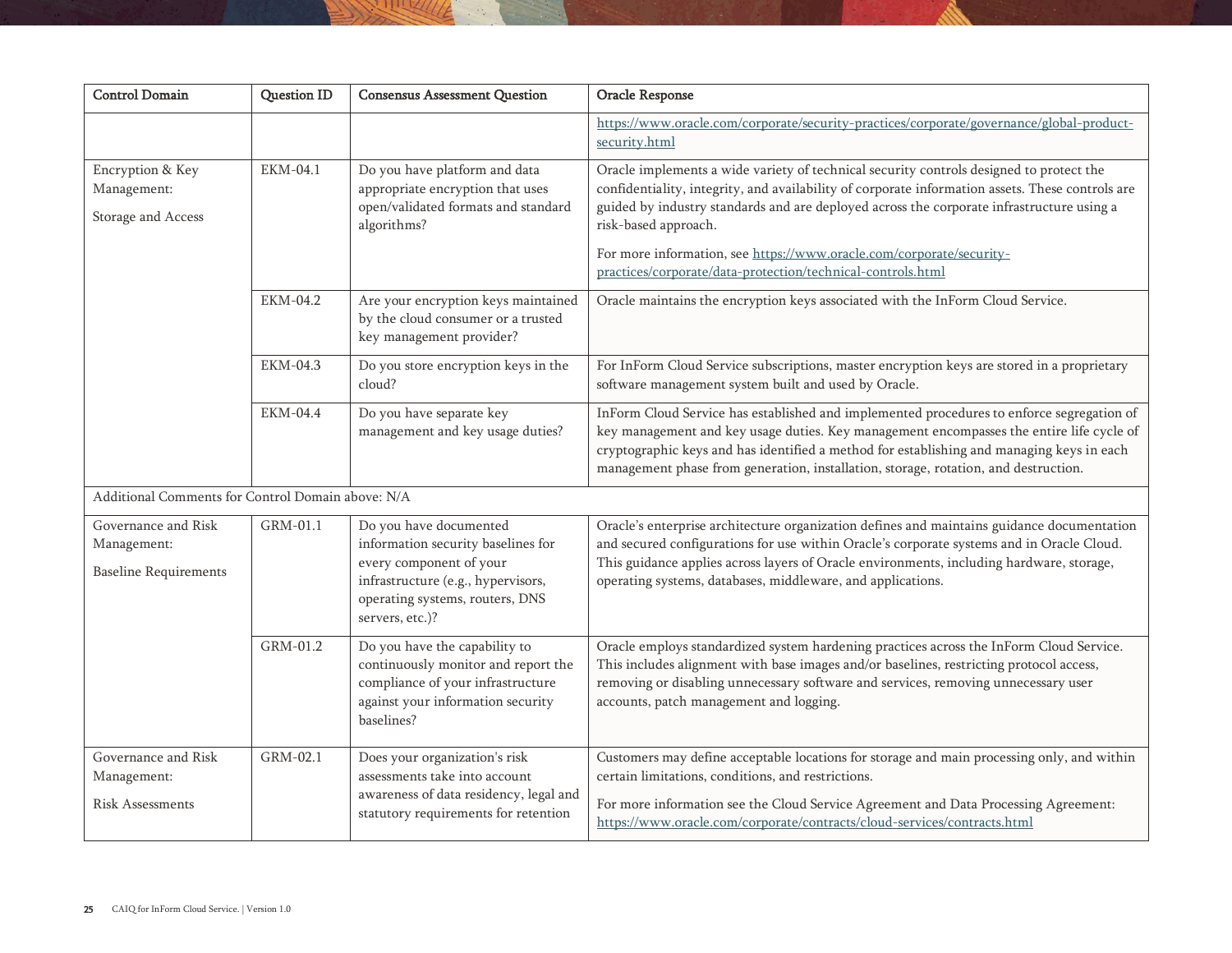| <b>Control Domain</b>                                              | <b>Question ID</b> | <b>Consensus Assessment Question</b>                                                                                                                                                | Oracle Response                                                                                                                                                                                                                                                                                                                                                                                                                                         |
|--------------------------------------------------------------------|--------------------|-------------------------------------------------------------------------------------------------------------------------------------------------------------------------------------|---------------------------------------------------------------------------------------------------------------------------------------------------------------------------------------------------------------------------------------------------------------------------------------------------------------------------------------------------------------------------------------------------------------------------------------------------------|
|                                                                    |                    |                                                                                                                                                                                     | https://www.oracle.com/corporate/security-practices/corporate/governance/global-product-<br>security.html                                                                                                                                                                                                                                                                                                                                               |
| Encryption & Key<br>Management:<br>Storage and Access              | EKM-04.1           | Do you have platform and data<br>appropriate encryption that uses<br>open/validated formats and standard<br>algorithms?                                                             | Oracle implements a wide variety of technical security controls designed to protect the<br>confidentiality, integrity, and availability of corporate information assets. These controls are<br>guided by industry standards and are deployed across the corporate infrastructure using a<br>risk-based approach.<br>For more information, see https://www.oracle.com/corporate/security-<br>practices/corporate/data-protection/technical-controls.html |
|                                                                    | EKM-04.2           | Are your encryption keys maintained<br>by the cloud consumer or a trusted<br>key management provider?                                                                               | Oracle maintains the encryption keys associated with the InForm Cloud Service.                                                                                                                                                                                                                                                                                                                                                                          |
|                                                                    | <b>EKM-04.3</b>    | Do you store encryption keys in the<br>cloud?                                                                                                                                       | For InForm Cloud Service subscriptions, master encryption keys are stored in a proprietary<br>software management system built and used by Oracle.                                                                                                                                                                                                                                                                                                      |
|                                                                    | EKM-04.4           | Do you have separate key<br>management and key usage duties?                                                                                                                        | InForm Cloud Service has established and implemented procedures to enforce segregation of<br>key management and key usage duties. Key management encompasses the entire life cycle of<br>cryptographic keys and has identified a method for establishing and managing keys in each<br>management phase from generation, installation, storage, rotation, and destruction.                                                                               |
| Additional Comments for Control Domain above: N/A                  |                    |                                                                                                                                                                                     |                                                                                                                                                                                                                                                                                                                                                                                                                                                         |
| Governance and Risk<br>Management:<br><b>Baseline Requirements</b> | GRM-01.1           | Do you have documented<br>information security baselines for<br>every component of your<br>infrastructure (e.g., hypervisors,<br>operating systems, routers, DNS<br>servers, etc.)? | Oracle's enterprise architecture organization defines and maintains guidance documentation<br>and secured configurations for use within Oracle's corporate systems and in Oracle Cloud.<br>This guidance applies across layers of Oracle environments, including hardware, storage,<br>operating systems, databases, middleware, and applications.                                                                                                      |
|                                                                    | GRM-01.2           | Do you have the capability to<br>continuously monitor and report the<br>compliance of your infrastructure<br>against your information security<br>baselines?                        | Oracle employs standardized system hardening practices across the InForm Cloud Service.<br>This includes alignment with base images and/or baselines, restricting protocol access,<br>removing or disabling unnecessary software and services, removing unnecessary user<br>accounts, patch management and logging.                                                                                                                                     |
| Governance and Risk<br>Management:<br><b>Risk Assessments</b>      | GRM-02.1           | Does your organization's risk<br>assessments take into account<br>awareness of data residency, legal and<br>statutory requirements for retention                                    | Customers may define acceptable locations for storage and main processing only, and within<br>certain limitations, conditions, and restrictions.<br>For more information see the Cloud Service Agreement and Data Processing Agreement:<br>https://www.oracle.com/corporate/contracts/cloud-services/contracts.html                                                                                                                                     |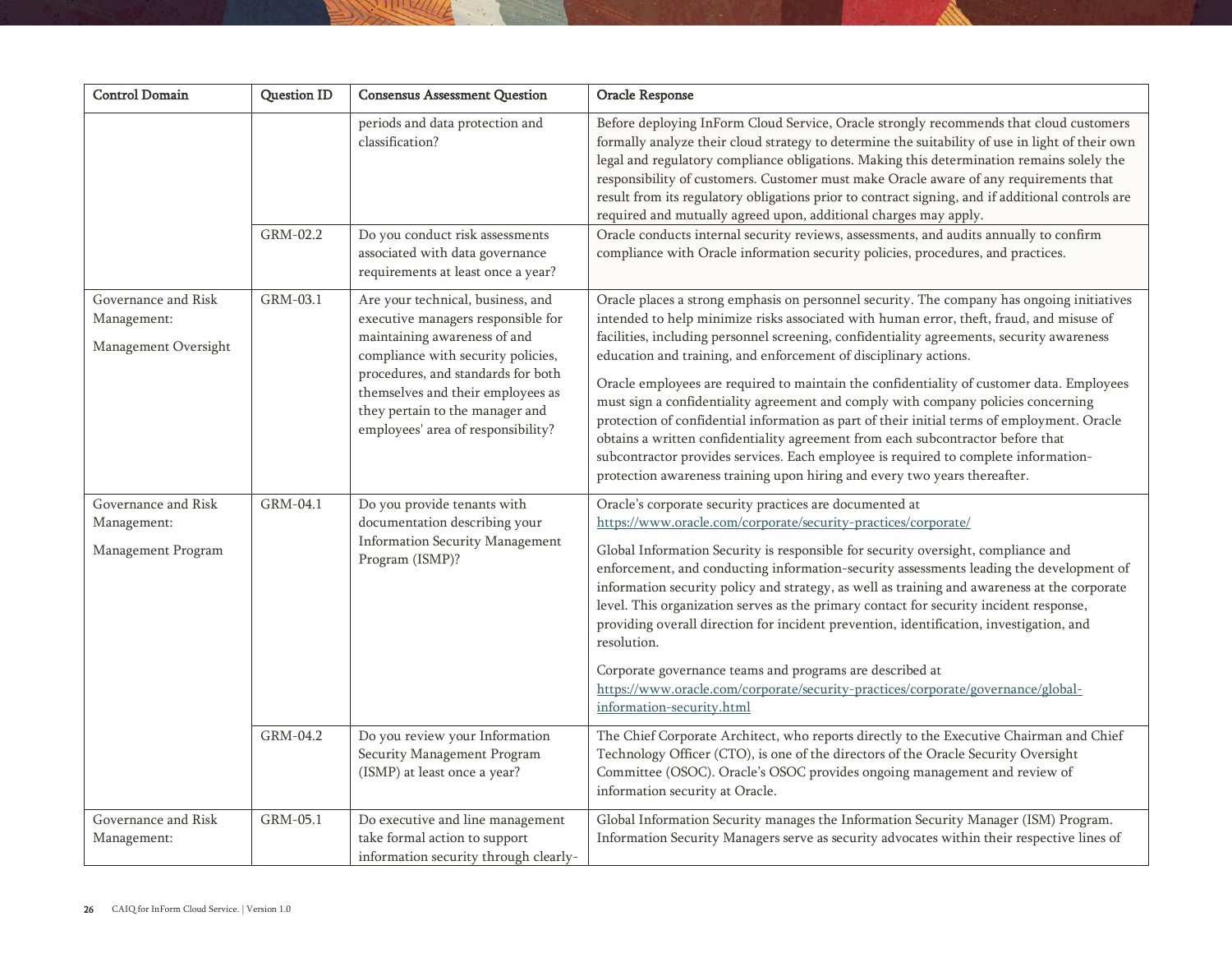| <b>Control Domain</b>                                      | <b>Question ID</b> | <b>Consensus Assessment Question</b>                                                                                                                                                                                                                                                              | Oracle Response                                                                                                                                                                                                                                                                                                                                                                                                                                                                                                                                                                                                                                                                                                                                                                                                                                                                                 |
|------------------------------------------------------------|--------------------|---------------------------------------------------------------------------------------------------------------------------------------------------------------------------------------------------------------------------------------------------------------------------------------------------|-------------------------------------------------------------------------------------------------------------------------------------------------------------------------------------------------------------------------------------------------------------------------------------------------------------------------------------------------------------------------------------------------------------------------------------------------------------------------------------------------------------------------------------------------------------------------------------------------------------------------------------------------------------------------------------------------------------------------------------------------------------------------------------------------------------------------------------------------------------------------------------------------|
|                                                            |                    | periods and data protection and<br>classification?                                                                                                                                                                                                                                                | Before deploying InForm Cloud Service, Oracle strongly recommends that cloud customers<br>formally analyze their cloud strategy to determine the suitability of use in light of their own<br>legal and regulatory compliance obligations. Making this determination remains solely the<br>responsibility of customers. Customer must make Oracle aware of any requirements that<br>result from its regulatory obligations prior to contract signing, and if additional controls are<br>required and mutually agreed upon, additional charges may apply.                                                                                                                                                                                                                                                                                                                                         |
|                                                            | GRM-02.2           | Do you conduct risk assessments<br>associated with data governance<br>requirements at least once a year?                                                                                                                                                                                          | Oracle conducts internal security reviews, assessments, and audits annually to confirm<br>compliance with Oracle information security policies, procedures, and practices.                                                                                                                                                                                                                                                                                                                                                                                                                                                                                                                                                                                                                                                                                                                      |
| Governance and Risk<br>Management:<br>Management Oversight | GRM-03.1           | Are your technical, business, and<br>executive managers responsible for<br>maintaining awareness of and<br>compliance with security policies,<br>procedures, and standards for both<br>themselves and their employees as<br>they pertain to the manager and<br>employees' area of responsibility? | Oracle places a strong emphasis on personnel security. The company has ongoing initiatives<br>intended to help minimize risks associated with human error, theft, fraud, and misuse of<br>facilities, including personnel screening, confidentiality agreements, security awareness<br>education and training, and enforcement of disciplinary actions.<br>Oracle employees are required to maintain the confidentiality of customer data. Employees<br>must sign a confidentiality agreement and comply with company policies concerning<br>protection of confidential information as part of their initial terms of employment. Oracle<br>obtains a written confidentiality agreement from each subcontractor before that<br>subcontractor provides services. Each employee is required to complete information-<br>protection awareness training upon hiring and every two years thereafter. |
| Governance and Risk<br>Management:<br>Management Program   | GRM-04.1           | Do you provide tenants with<br>documentation describing your<br><b>Information Security Management</b><br>Program (ISMP)?                                                                                                                                                                         | Oracle's corporate security practices are documented at<br>https://www.oracle.com/corporate/security-practices/corporate/<br>Global Information Security is responsible for security oversight, compliance and<br>enforcement, and conducting information-security assessments leading the development of<br>information security policy and strategy, as well as training and awareness at the corporate<br>level. This organization serves as the primary contact for security incident response,<br>providing overall direction for incident prevention, identification, investigation, and<br>resolution.<br>Corporate governance teams and programs are described at<br>https://www.oracle.com/corporate/security-practices/corporate/governance/global-<br>information-security.html                                                                                                      |
|                                                            | GRM-04.2           | Do you review your Information<br>Security Management Program<br>(ISMP) at least once a year?                                                                                                                                                                                                     | The Chief Corporate Architect, who reports directly to the Executive Chairman and Chief<br>Technology Officer (CTO), is one of the directors of the Oracle Security Oversight<br>Committee (OSOC). Oracle's OSOC provides ongoing management and review of<br>information security at Oracle.                                                                                                                                                                                                                                                                                                                                                                                                                                                                                                                                                                                                   |
| Governance and Risk<br>Management:                         | GRM-05.1           | Do executive and line management<br>take formal action to support<br>information security through clearly-                                                                                                                                                                                        | Global Information Security manages the Information Security Manager (ISM) Program.<br>Information Security Managers serve as security advocates within their respective lines of                                                                                                                                                                                                                                                                                                                                                                                                                                                                                                                                                                                                                                                                                                               |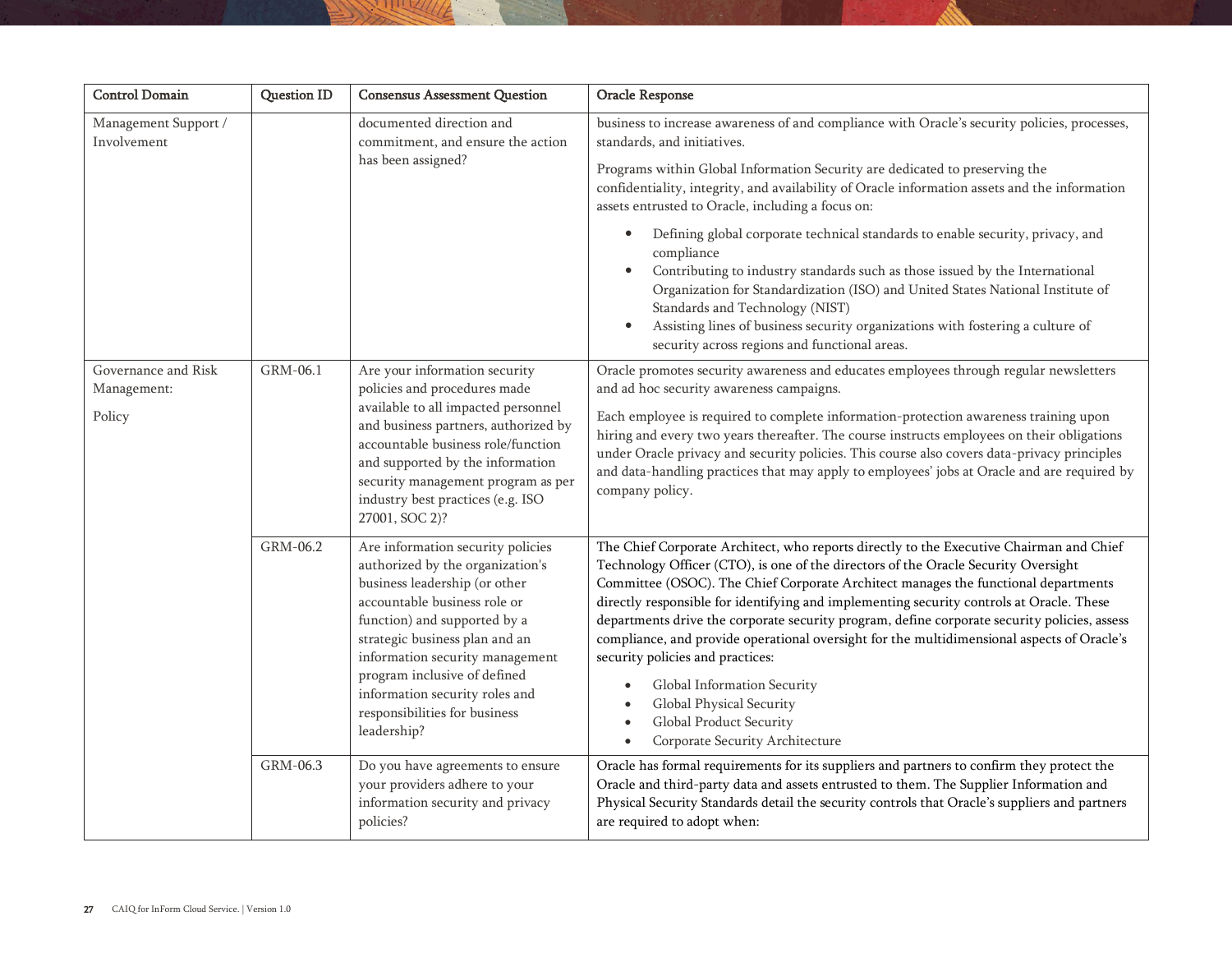| <b>Control Domain</b>                        | Question ID | <b>Consensus Assessment Question</b>                                                                                                                                                                                                                                                                                                                          | Oracle Response                                                                                                                                                                                                                                                                                                                                                                                                                                                                                                                                                                                                                                                                                                            |
|----------------------------------------------|-------------|---------------------------------------------------------------------------------------------------------------------------------------------------------------------------------------------------------------------------------------------------------------------------------------------------------------------------------------------------------------|----------------------------------------------------------------------------------------------------------------------------------------------------------------------------------------------------------------------------------------------------------------------------------------------------------------------------------------------------------------------------------------------------------------------------------------------------------------------------------------------------------------------------------------------------------------------------------------------------------------------------------------------------------------------------------------------------------------------------|
| Management Support /<br>Involvement          |             | documented direction and<br>commitment, and ensure the action<br>has been assigned?                                                                                                                                                                                                                                                                           | business to increase awareness of and compliance with Oracle's security policies, processes,<br>standards, and initiatives.                                                                                                                                                                                                                                                                                                                                                                                                                                                                                                                                                                                                |
|                                              |             |                                                                                                                                                                                                                                                                                                                                                               | Programs within Global Information Security are dedicated to preserving the<br>confidentiality, integrity, and availability of Oracle information assets and the information<br>assets entrusted to Oracle, including a focus on:                                                                                                                                                                                                                                                                                                                                                                                                                                                                                          |
|                                              |             |                                                                                                                                                                                                                                                                                                                                                               | Defining global corporate technical standards to enable security, privacy, and<br>compliance<br>Contributing to industry standards such as those issued by the International<br>Organization for Standardization (ISO) and United States National Institute of<br>Standards and Technology (NIST)<br>Assisting lines of business security organizations with fostering a culture of<br>security across regions and functional areas.                                                                                                                                                                                                                                                                                       |
| Governance and Risk<br>Management:<br>Policy | GRM-06.1    | Are your information security<br>policies and procedures made<br>available to all impacted personnel<br>and business partners, authorized by<br>accountable business role/function<br>and supported by the information<br>security management program as per<br>industry best practices (e.g. ISO<br>27001, SOC 2)?                                           | Oracle promotes security awareness and educates employees through regular newsletters<br>and ad hoc security awareness campaigns.<br>Each employee is required to complete information-protection awareness training upon<br>hiring and every two years thereafter. The course instructs employees on their obligations<br>under Oracle privacy and security policies. This course also covers data-privacy principles<br>and data-handling practices that may apply to employees' jobs at Oracle and are required by<br>company policy.                                                                                                                                                                                   |
|                                              | GRM-06.2    | Are information security policies<br>authorized by the organization's<br>business leadership (or other<br>accountable business role or<br>function) and supported by a<br>strategic business plan and an<br>information security management<br>program inclusive of defined<br>information security roles and<br>responsibilities for business<br>leadership? | The Chief Corporate Architect, who reports directly to the Executive Chairman and Chief<br>Technology Officer (CTO), is one of the directors of the Oracle Security Oversight<br>Committee (OSOC). The Chief Corporate Architect manages the functional departments<br>directly responsible for identifying and implementing security controls at Oracle. These<br>departments drive the corporate security program, define corporate security policies, assess<br>compliance, and provide operational oversight for the multidimensional aspects of Oracle's<br>security policies and practices:<br>Global Information Security<br>Global Physical Security<br>Global Product Security<br>Corporate Security Architecture |
|                                              | GRM-06.3    | Do you have agreements to ensure<br>your providers adhere to your<br>information security and privacy<br>policies?                                                                                                                                                                                                                                            | Oracle has formal requirements for its suppliers and partners to confirm they protect the<br>Oracle and third-party data and assets entrusted to them. The Supplier Information and<br>Physical Security Standards detail the security controls that Oracle's suppliers and partners<br>are required to adopt when:                                                                                                                                                                                                                                                                                                                                                                                                        |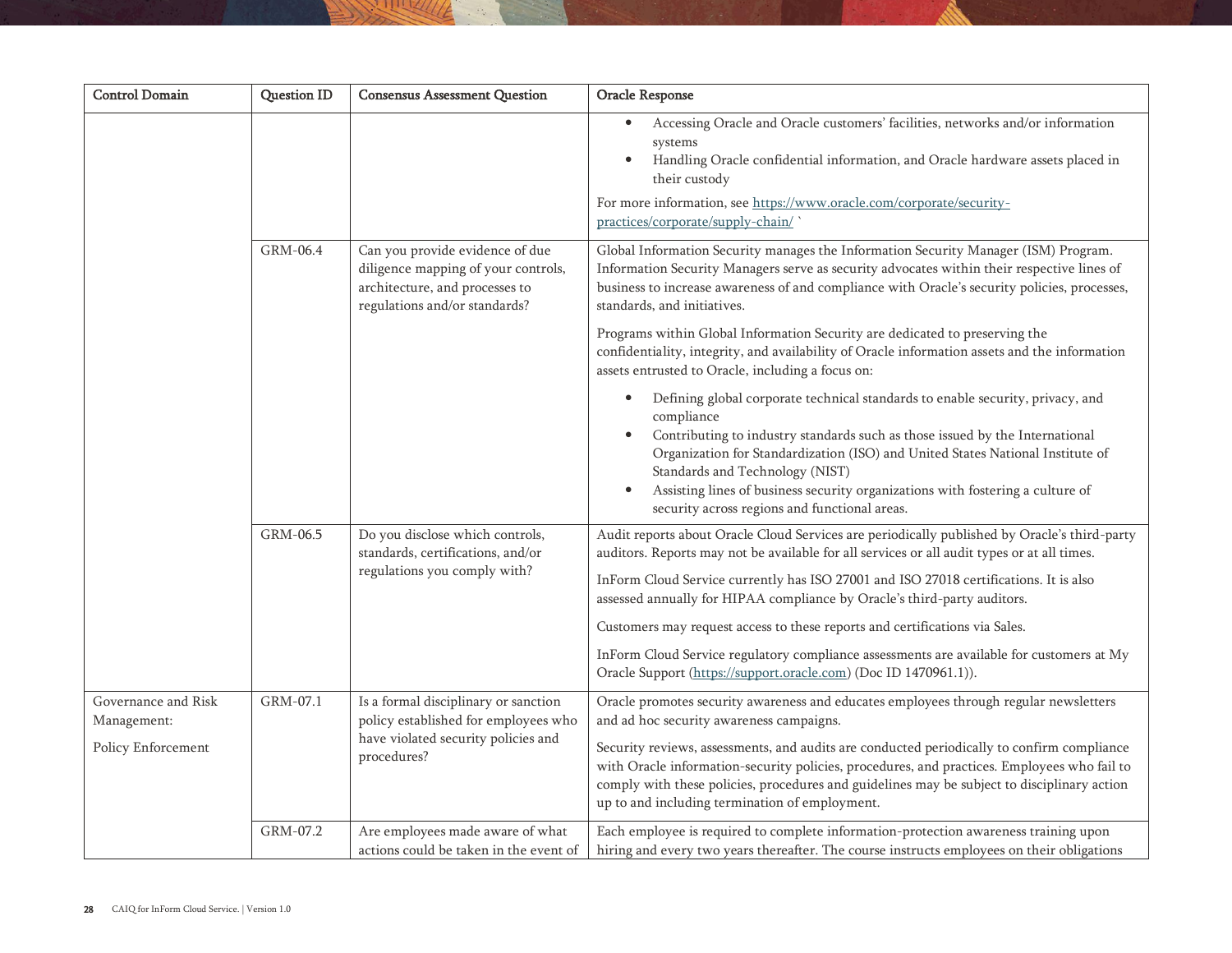| <b>Control Domain</b>                                    | <b>Question ID</b> | <b>Consensus Assessment Question</b>                                                                                                      | Oracle Response                                                                                                                                                                                                                                                                                                                                                                                                                                                                                                                                                                                                 |
|----------------------------------------------------------|--------------------|-------------------------------------------------------------------------------------------------------------------------------------------|-----------------------------------------------------------------------------------------------------------------------------------------------------------------------------------------------------------------------------------------------------------------------------------------------------------------------------------------------------------------------------------------------------------------------------------------------------------------------------------------------------------------------------------------------------------------------------------------------------------------|
|                                                          |                    |                                                                                                                                           | Accessing Oracle and Oracle customers' facilities, networks and/or information<br>systems<br>Handling Oracle confidential information, and Oracle hardware assets placed in<br>$\bullet$<br>their custody<br>For more information, see https://www.oracle.com/corporate/security-<br>practices/corporate/supply-chain/                                                                                                                                                                                                                                                                                          |
|                                                          | GRM-06.4           | Can you provide evidence of due<br>diligence mapping of your controls,<br>architecture, and processes to<br>regulations and/or standards? | Global Information Security manages the Information Security Manager (ISM) Program.<br>Information Security Managers serve as security advocates within their respective lines of<br>business to increase awareness of and compliance with Oracle's security policies, processes,<br>standards, and initiatives.<br>Programs within Global Information Security are dedicated to preserving the<br>confidentiality, integrity, and availability of Oracle information assets and the information                                                                                                                |
|                                                          |                    |                                                                                                                                           | assets entrusted to Oracle, including a focus on:<br>Defining global corporate technical standards to enable security, privacy, and<br>compliance<br>Contributing to industry standards such as those issued by the International<br>Organization for Standardization (ISO) and United States National Institute of<br>Standards and Technology (NIST)<br>Assisting lines of business security organizations with fostering a culture of<br>$\bullet$<br>security across regions and functional areas.                                                                                                          |
|                                                          | GRM-06.5           | Do you disclose which controls,<br>standards, certifications, and/or<br>regulations you comply with?                                      | Audit reports about Oracle Cloud Services are periodically published by Oracle's third-party<br>auditors. Reports may not be available for all services or all audit types or at all times.<br>InForm Cloud Service currently has ISO 27001 and ISO 27018 certifications. It is also<br>assessed annually for HIPAA compliance by Oracle's third-party auditors.<br>Customers may request access to these reports and certifications via Sales.<br>InForm Cloud Service regulatory compliance assessments are available for customers at My<br>Oracle Support (https://support.oracle.com) (Doc ID 1470961.1)). |
| Governance and Risk<br>Management:<br>Policy Enforcement | GRM-07.1           | Is a formal disciplinary or sanction<br>policy established for employees who<br>have violated security policies and<br>procedures?        | Oracle promotes security awareness and educates employees through regular newsletters<br>and ad hoc security awareness campaigns.<br>Security reviews, assessments, and audits are conducted periodically to confirm compliance<br>with Oracle information-security policies, procedures, and practices. Employees who fail to<br>comply with these policies, procedures and guidelines may be subject to disciplinary action<br>up to and including termination of employment.                                                                                                                                 |
|                                                          | GRM-07.2           | Are employees made aware of what<br>actions could be taken in the event of                                                                | Each employee is required to complete information-protection awareness training upon<br>hiring and every two years thereafter. The course instructs employees on their obligations                                                                                                                                                                                                                                                                                                                                                                                                                              |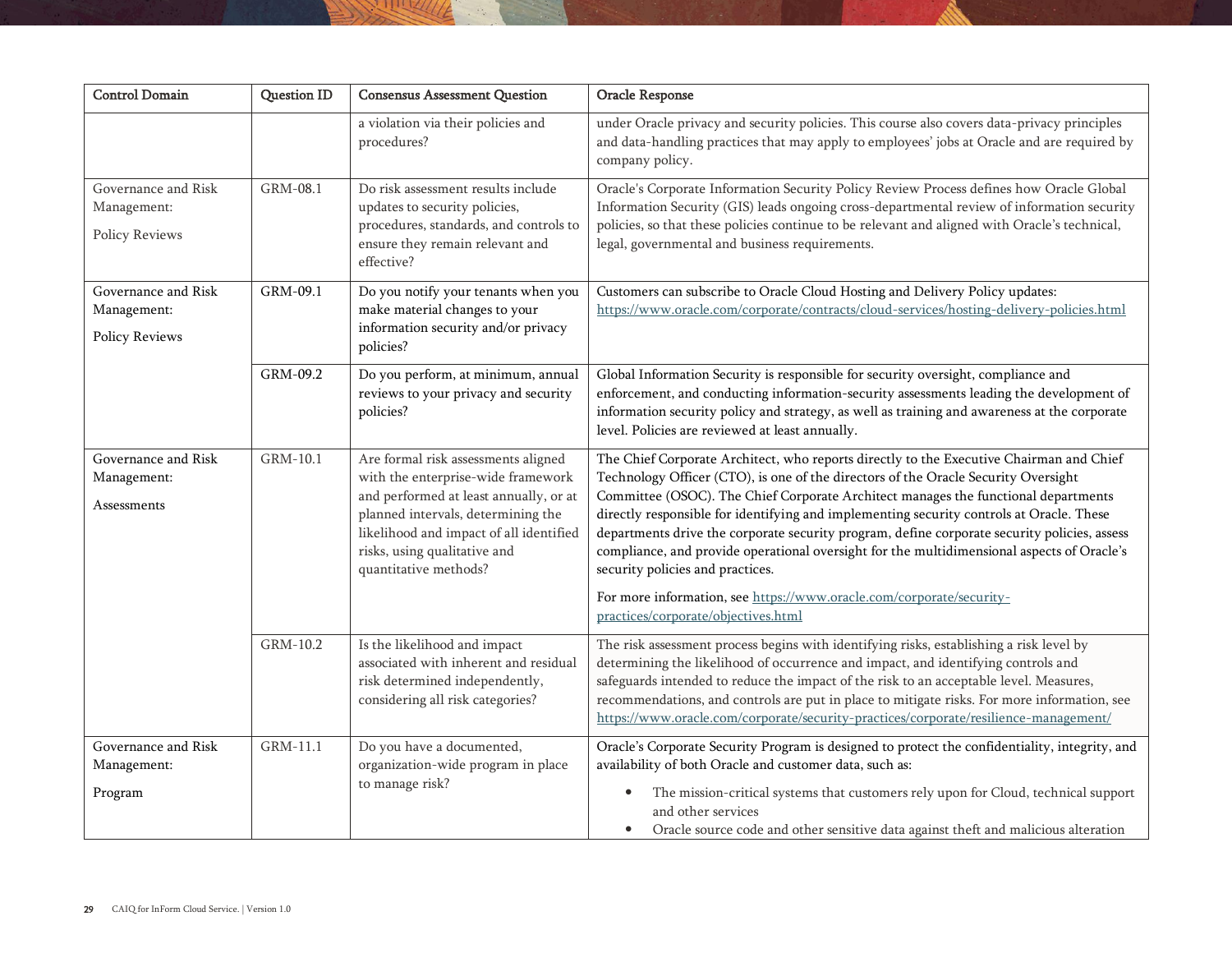| <b>Control Domain</b>                                | <b>Question ID</b> | <b>Consensus Assessment Question</b>                                                                                                                                                                                                                          | Oracle Response                                                                                                                                                                                                                                                                                                                                                                                                                                                                                                                                                                                                                                                                                                  |
|------------------------------------------------------|--------------------|---------------------------------------------------------------------------------------------------------------------------------------------------------------------------------------------------------------------------------------------------------------|------------------------------------------------------------------------------------------------------------------------------------------------------------------------------------------------------------------------------------------------------------------------------------------------------------------------------------------------------------------------------------------------------------------------------------------------------------------------------------------------------------------------------------------------------------------------------------------------------------------------------------------------------------------------------------------------------------------|
|                                                      |                    | a violation via their policies and<br>procedures?                                                                                                                                                                                                             | under Oracle privacy and security policies. This course also covers data-privacy principles<br>and data-handling practices that may apply to employees' jobs at Oracle and are required by<br>company policy.                                                                                                                                                                                                                                                                                                                                                                                                                                                                                                    |
| Governance and Risk<br>Management:<br>Policy Reviews | GRM-08.1           | Do risk assessment results include<br>updates to security policies,<br>procedures, standards, and controls to<br>ensure they remain relevant and<br>effective?                                                                                                | Oracle's Corporate Information Security Policy Review Process defines how Oracle Global<br>Information Security (GIS) leads ongoing cross-departmental review of information security<br>policies, so that these policies continue to be relevant and aligned with Oracle's technical,<br>legal, governmental and business requirements.                                                                                                                                                                                                                                                                                                                                                                         |
| Governance and Risk<br>Management:<br>Policy Reviews | GRM-09.1           | Do you notify your tenants when you<br>make material changes to your<br>information security and/or privacy<br>policies?                                                                                                                                      | Customers can subscribe to Oracle Cloud Hosting and Delivery Policy updates:<br>https://www.oracle.com/corporate/contracts/cloud-services/hosting-delivery-policies.html                                                                                                                                                                                                                                                                                                                                                                                                                                                                                                                                         |
|                                                      | GRM-09.2           | Do you perform, at minimum, annual<br>reviews to your privacy and security<br>policies?                                                                                                                                                                       | Global Information Security is responsible for security oversight, compliance and<br>enforcement, and conducting information-security assessments leading the development of<br>information security policy and strategy, as well as training and awareness at the corporate<br>level. Policies are reviewed at least annually.                                                                                                                                                                                                                                                                                                                                                                                  |
| Governance and Risk<br>Management:<br>Assessments    | GRM-10.1           | Are formal risk assessments aligned<br>with the enterprise-wide framework<br>and performed at least annually, or at<br>planned intervals, determining the<br>likelihood and impact of all identified<br>risks, using qualitative and<br>quantitative methods? | The Chief Corporate Architect, who reports directly to the Executive Chairman and Chief<br>Technology Officer (CTO), is one of the directors of the Oracle Security Oversight<br>Committee (OSOC). The Chief Corporate Architect manages the functional departments<br>directly responsible for identifying and implementing security controls at Oracle. These<br>departments drive the corporate security program, define corporate security policies, assess<br>compliance, and provide operational oversight for the multidimensional aspects of Oracle's<br>security policies and practices.<br>For more information, see https://www.oracle.com/corporate/security-<br>practices/corporate/objectives.html |
|                                                      | GRM-10.2           | Is the likelihood and impact<br>associated with inherent and residual<br>risk determined independently,<br>considering all risk categories?                                                                                                                   | The risk assessment process begins with identifying risks, establishing a risk level by<br>determining the likelihood of occurrence and impact, and identifying controls and<br>safeguards intended to reduce the impact of the risk to an acceptable level. Measures,<br>recommendations, and controls are put in place to mitigate risks. For more information, see<br>https://www.oracle.com/corporate/security-practices/corporate/resilience-management/                                                                                                                                                                                                                                                    |
| Governance and Risk<br>Management:<br>Program        | GRM-11.1           | Do you have a documented,<br>organization-wide program in place<br>to manage risk?                                                                                                                                                                            | Oracle's Corporate Security Program is designed to protect the confidentiality, integrity, and<br>availability of both Oracle and customer data, such as:<br>The mission-critical systems that customers rely upon for Cloud, technical support<br>and other services<br>Oracle source code and other sensitive data against theft and malicious alteration                                                                                                                                                                                                                                                                                                                                                      |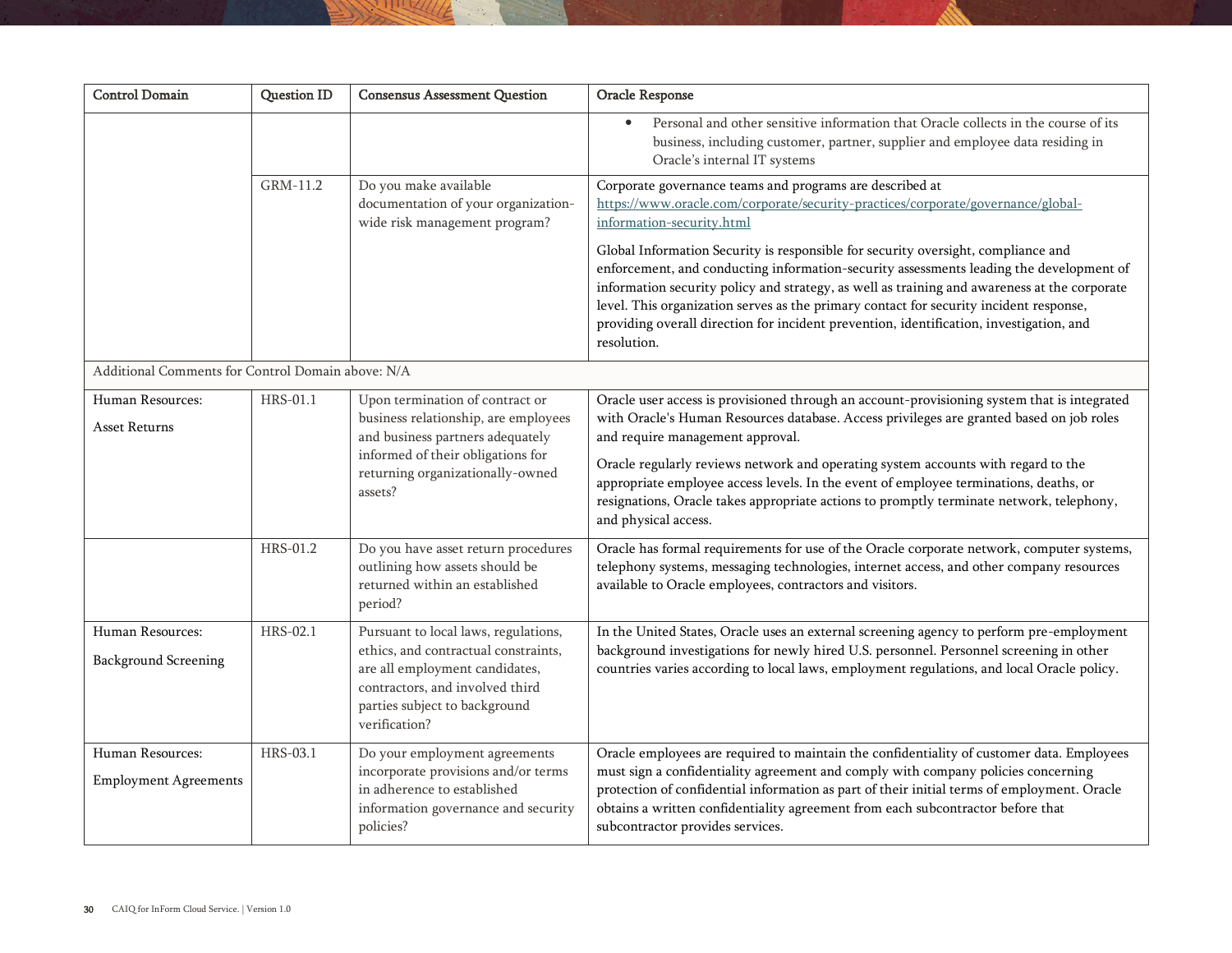| <b>Control Domain</b>                             | <b>Question ID</b> | <b>Consensus Assessment Question</b>                                                                                                                                                                | Oracle Response                                                                                                                                                                                                                                                                                                                                                                                                                                                                                                               |
|---------------------------------------------------|--------------------|-----------------------------------------------------------------------------------------------------------------------------------------------------------------------------------------------------|-------------------------------------------------------------------------------------------------------------------------------------------------------------------------------------------------------------------------------------------------------------------------------------------------------------------------------------------------------------------------------------------------------------------------------------------------------------------------------------------------------------------------------|
|                                                   |                    |                                                                                                                                                                                                     | Personal and other sensitive information that Oracle collects in the course of its<br>$\bullet$<br>business, including customer, partner, supplier and employee data residing in<br>Oracle's internal IT systems                                                                                                                                                                                                                                                                                                              |
|                                                   | GRM-11.2           | Do you make available<br>documentation of your organization-<br>wide risk management program?                                                                                                       | Corporate governance teams and programs are described at<br>https://www.oracle.com/corporate/security-practices/corporate/governance/global-<br>information-security.html                                                                                                                                                                                                                                                                                                                                                     |
|                                                   |                    |                                                                                                                                                                                                     | Global Information Security is responsible for security oversight, compliance and<br>enforcement, and conducting information-security assessments leading the development of<br>information security policy and strategy, as well as training and awareness at the corporate<br>level. This organization serves as the primary contact for security incident response,<br>providing overall direction for incident prevention, identification, investigation, and<br>resolution.                                              |
| Additional Comments for Control Domain above: N/A |                    |                                                                                                                                                                                                     |                                                                                                                                                                                                                                                                                                                                                                                                                                                                                                                               |
| Human Resources:<br>Asset Returns                 | HRS-01.1           | Upon termination of contract or<br>business relationship, are employees<br>and business partners adequately<br>informed of their obligations for<br>returning organizationally-owned<br>assets?     | Oracle user access is provisioned through an account-provisioning system that is integrated<br>with Oracle's Human Resources database. Access privileges are granted based on job roles<br>and require management approval.<br>Oracle regularly reviews network and operating system accounts with regard to the<br>appropriate employee access levels. In the event of employee terminations, deaths, or<br>resignations, Oracle takes appropriate actions to promptly terminate network, telephony,<br>and physical access. |
|                                                   | HRS-01.2           | Do you have asset return procedures<br>outlining how assets should be<br>returned within an established<br>period?                                                                                  | Oracle has formal requirements for use of the Oracle corporate network, computer systems,<br>telephony systems, messaging technologies, internet access, and other company resources<br>available to Oracle employees, contractors and visitors.                                                                                                                                                                                                                                                                              |
| Human Resources:<br><b>Background Screening</b>   | HRS-02.1           | Pursuant to local laws, regulations,<br>ethics, and contractual constraints,<br>are all employment candidates,<br>contractors, and involved third<br>parties subject to background<br>verification? | In the United States, Oracle uses an external screening agency to perform pre-employment<br>background investigations for newly hired U.S. personnel. Personnel screening in other<br>countries varies according to local laws, employment regulations, and local Oracle policy.                                                                                                                                                                                                                                              |
| Human Resources:<br><b>Employment Agreements</b>  | HRS-03.1           | Do your employment agreements<br>incorporate provisions and/or terms<br>in adherence to established<br>information governance and security<br>policies?                                             | Oracle employees are required to maintain the confidentiality of customer data. Employees<br>must sign a confidentiality agreement and comply with company policies concerning<br>protection of confidential information as part of their initial terms of employment. Oracle<br>obtains a written confidentiality agreement from each subcontractor before that<br>subcontractor provides services.                                                                                                                          |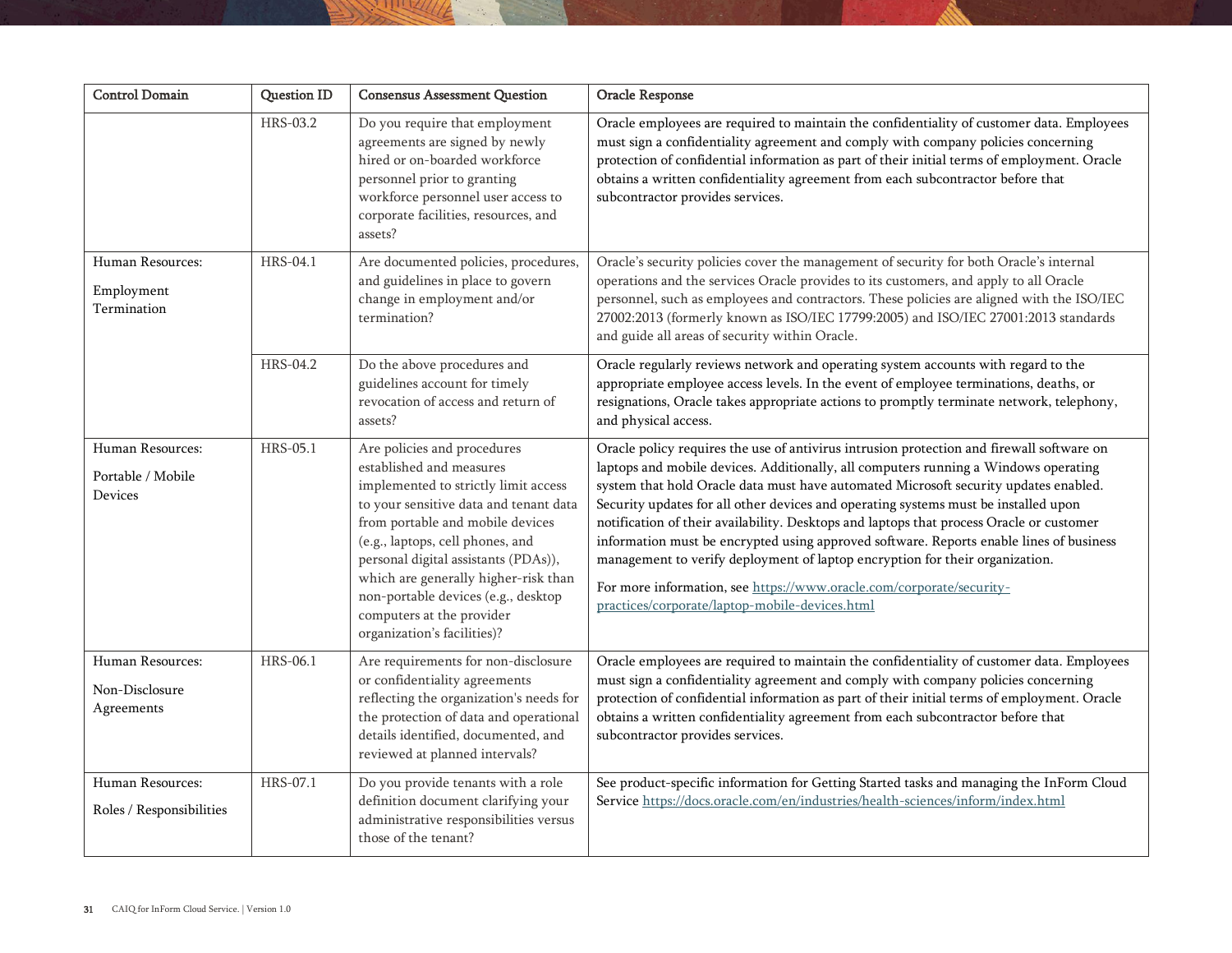| <b>Control Domain</b>                            | <b>Question ID</b> | <b>Consensus Assessment Question</b>                                                                                                                                                                                                                                                                                                                                                                 | Oracle Response                                                                                                                                                                                                                                                                                                                                                                                                                                                                                                                                                                                                                                                                                                                                                  |
|--------------------------------------------------|--------------------|------------------------------------------------------------------------------------------------------------------------------------------------------------------------------------------------------------------------------------------------------------------------------------------------------------------------------------------------------------------------------------------------------|------------------------------------------------------------------------------------------------------------------------------------------------------------------------------------------------------------------------------------------------------------------------------------------------------------------------------------------------------------------------------------------------------------------------------------------------------------------------------------------------------------------------------------------------------------------------------------------------------------------------------------------------------------------------------------------------------------------------------------------------------------------|
|                                                  | HRS-03.2           | Do you require that employment<br>agreements are signed by newly<br>hired or on-boarded workforce<br>personnel prior to granting<br>workforce personnel user access to<br>corporate facilities, resources, and<br>assets?                                                                                                                                                                            | Oracle employees are required to maintain the confidentiality of customer data. Employees<br>must sign a confidentiality agreement and comply with company policies concerning<br>protection of confidential information as part of their initial terms of employment. Oracle<br>obtains a written confidentiality agreement from each subcontractor before that<br>subcontractor provides services.                                                                                                                                                                                                                                                                                                                                                             |
| Human Resources:<br>Employment<br>Termination    | <b>HRS-04.1</b>    | Are documented policies, procedures,<br>and guidelines in place to govern<br>change in employment and/or<br>termination?                                                                                                                                                                                                                                                                             | Oracle's security policies cover the management of security for both Oracle's internal<br>operations and the services Oracle provides to its customers, and apply to all Oracle<br>personnel, such as employees and contractors. These policies are aligned with the ISO/IEC<br>27002:2013 (formerly known as ISO/IEC 17799:2005) and ISO/IEC 27001:2013 standards<br>and guide all areas of security within Oracle.                                                                                                                                                                                                                                                                                                                                             |
|                                                  | HRS-04.2           | Do the above procedures and<br>guidelines account for timely<br>revocation of access and return of<br>assets?                                                                                                                                                                                                                                                                                        | Oracle regularly reviews network and operating system accounts with regard to the<br>appropriate employee access levels. In the event of employee terminations, deaths, or<br>resignations, Oracle takes appropriate actions to promptly terminate network, telephony,<br>and physical access.                                                                                                                                                                                                                                                                                                                                                                                                                                                                   |
| Human Resources:<br>Portable / Mobile<br>Devices | HRS-05.1           | Are policies and procedures<br>established and measures<br>implemented to strictly limit access<br>to your sensitive data and tenant data<br>from portable and mobile devices<br>(e.g., laptops, cell phones, and<br>personal digital assistants (PDAs)),<br>which are generally higher-risk than<br>non-portable devices (e.g., desktop<br>computers at the provider<br>organization's facilities)? | Oracle policy requires the use of antivirus intrusion protection and firewall software on<br>laptops and mobile devices. Additionally, all computers running a Windows operating<br>system that hold Oracle data must have automated Microsoft security updates enabled.<br>Security updates for all other devices and operating systems must be installed upon<br>notification of their availability. Desktops and laptops that process Oracle or customer<br>information must be encrypted using approved software. Reports enable lines of business<br>management to verify deployment of laptop encryption for their organization.<br>For more information, see https://www.oracle.com/corporate/security-<br>practices/corporate/laptop-mobile-devices.html |
| Human Resources:<br>Non-Disclosure<br>Agreements | HRS-06.1           | Are requirements for non-disclosure<br>or confidentiality agreements<br>reflecting the organization's needs for<br>the protection of data and operational<br>details identified, documented, and<br>reviewed at planned intervals?                                                                                                                                                                   | Oracle employees are required to maintain the confidentiality of customer data. Employees<br>must sign a confidentiality agreement and comply with company policies concerning<br>protection of confidential information as part of their initial terms of employment. Oracle<br>obtains a written confidentiality agreement from each subcontractor before that<br>subcontractor provides services.                                                                                                                                                                                                                                                                                                                                                             |
| Human Resources:<br>Roles / Responsibilities     | HRS-07.1           | Do you provide tenants with a role<br>definition document clarifying your<br>administrative responsibilities versus<br>those of the tenant?                                                                                                                                                                                                                                                          | See product-specific information for Getting Started tasks and managing the InForm Cloud<br>Service https://docs.oracle.com/en/industries/health-sciences/inform/index.html                                                                                                                                                                                                                                                                                                                                                                                                                                                                                                                                                                                      |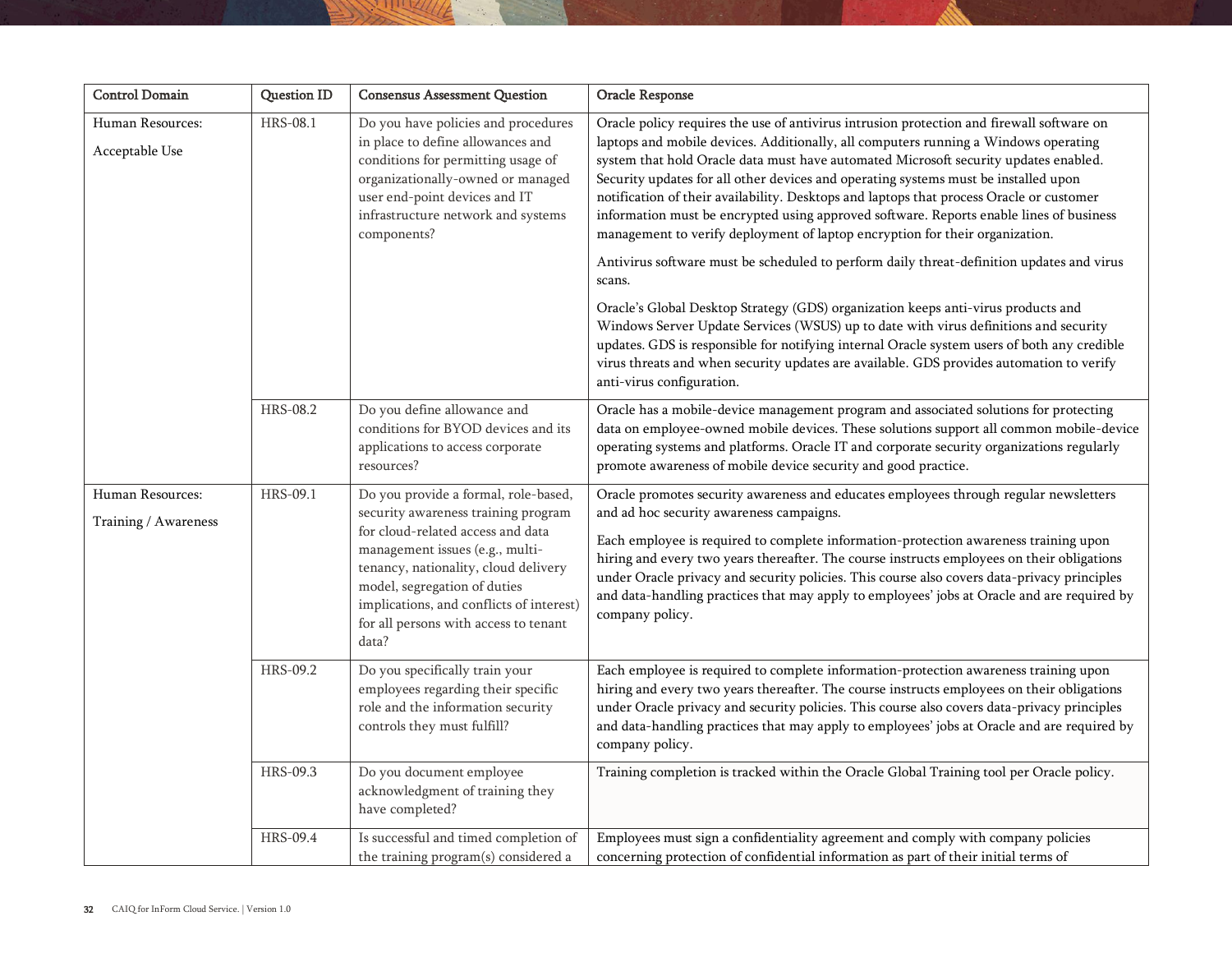| Control Domain                     | Question ID     | <b>Consensus Assessment Question</b>                                                                                                                                                                                                       | <b>Oracle Response</b>                                                                                                                                                                                                                                                                                                                                                                                                                                                                                                                                                                                                                 |
|------------------------------------|-----------------|--------------------------------------------------------------------------------------------------------------------------------------------------------------------------------------------------------------------------------------------|----------------------------------------------------------------------------------------------------------------------------------------------------------------------------------------------------------------------------------------------------------------------------------------------------------------------------------------------------------------------------------------------------------------------------------------------------------------------------------------------------------------------------------------------------------------------------------------------------------------------------------------|
| Human Resources:<br>Acceptable Use | <b>HRS-08.1</b> | Do you have policies and procedures<br>in place to define allowances and<br>conditions for permitting usage of<br>organizationally-owned or managed<br>user end-point devices and IT<br>infrastructure network and systems<br>components?  | Oracle policy requires the use of antivirus intrusion protection and firewall software on<br>laptops and mobile devices. Additionally, all computers running a Windows operating<br>system that hold Oracle data must have automated Microsoft security updates enabled.<br>Security updates for all other devices and operating systems must be installed upon<br>notification of their availability. Desktops and laptops that process Oracle or customer<br>information must be encrypted using approved software. Reports enable lines of business<br>management to verify deployment of laptop encryption for their organization. |
|                                    |                 |                                                                                                                                                                                                                                            | Antivirus software must be scheduled to perform daily threat-definition updates and virus<br>scans.                                                                                                                                                                                                                                                                                                                                                                                                                                                                                                                                    |
|                                    |                 |                                                                                                                                                                                                                                            | Oracle's Global Desktop Strategy (GDS) organization keeps anti-virus products and<br>Windows Server Update Services (WSUS) up to date with virus definitions and security<br>updates. GDS is responsible for notifying internal Oracle system users of both any credible<br>virus threats and when security updates are available. GDS provides automation to verify<br>anti-virus configuration.                                                                                                                                                                                                                                      |
|                                    | <b>HRS-08.2</b> | Do you define allowance and<br>conditions for BYOD devices and its<br>applications to access corporate<br>resources?                                                                                                                       | Oracle has a mobile-device management program and associated solutions for protecting<br>data on employee-owned mobile devices. These solutions support all common mobile-device<br>operating systems and platforms. Oracle IT and corporate security organizations regularly<br>promote awareness of mobile device security and good practice.                                                                                                                                                                                                                                                                                        |
| Human Resources:                   | HRS-09.1        | Do you provide a formal, role-based,<br>security awareness training program                                                                                                                                                                | Oracle promotes security awareness and educates employees through regular newsletters<br>and ad hoc security awareness campaigns.                                                                                                                                                                                                                                                                                                                                                                                                                                                                                                      |
| Training / Awareness               |                 | for cloud-related access and data<br>management issues (e.g., multi-<br>tenancy, nationality, cloud delivery<br>model, segregation of duties<br>implications, and conflicts of interest)<br>for all persons with access to tenant<br>data? | Each employee is required to complete information-protection awareness training upon<br>hiring and every two years thereafter. The course instructs employees on their obligations<br>under Oracle privacy and security policies. This course also covers data-privacy principles<br>and data-handling practices that may apply to employees' jobs at Oracle and are required by<br>company policy.                                                                                                                                                                                                                                    |
|                                    | HRS-09.2        | Do you specifically train your<br>employees regarding their specific<br>role and the information security<br>controls they must fulfill?                                                                                                   | Each employee is required to complete information-protection awareness training upon<br>hiring and every two years thereafter. The course instructs employees on their obligations<br>under Oracle privacy and security policies. This course also covers data-privacy principles<br>and data-handling practices that may apply to employees' jobs at Oracle and are required by<br>company policy.                                                                                                                                                                                                                                    |
|                                    | HRS-09.3        | Do you document employee<br>acknowledgment of training they<br>have completed?                                                                                                                                                             | Training completion is tracked within the Oracle Global Training tool per Oracle policy.                                                                                                                                                                                                                                                                                                                                                                                                                                                                                                                                               |
|                                    | HRS-09.4        | Is successful and timed completion of<br>the training program(s) considered a                                                                                                                                                              | Employees must sign a confidentiality agreement and comply with company policies<br>concerning protection of confidential information as part of their initial terms of                                                                                                                                                                                                                                                                                                                                                                                                                                                                |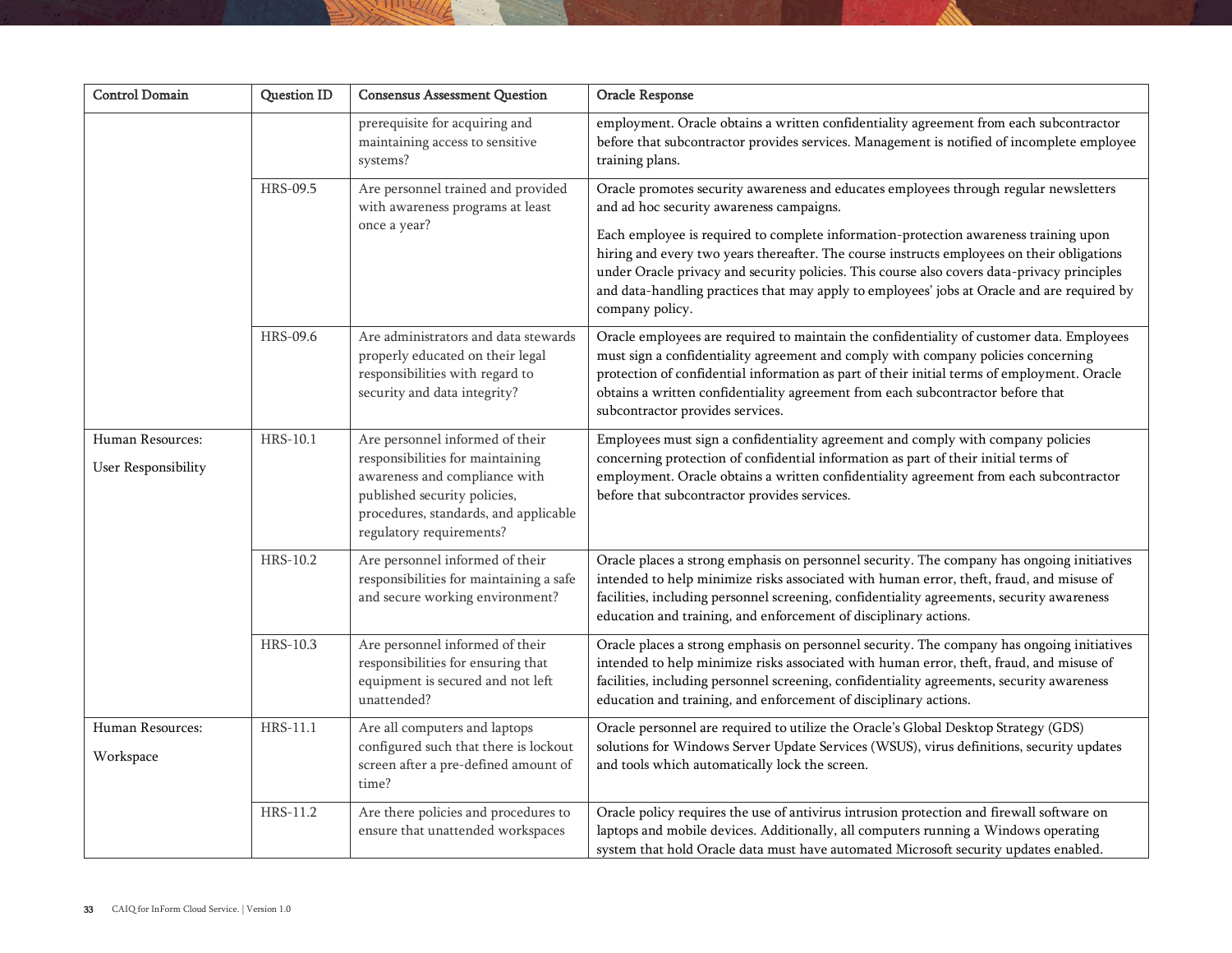| <b>Control Domain</b>                   | <b>Question ID</b> | <b>Consensus Assessment Question</b>                                                                                                                                                                      | Oracle Response                                                                                                                                                                                                                                                                                                                                                                                                                                                                                                                          |
|-----------------------------------------|--------------------|-----------------------------------------------------------------------------------------------------------------------------------------------------------------------------------------------------------|------------------------------------------------------------------------------------------------------------------------------------------------------------------------------------------------------------------------------------------------------------------------------------------------------------------------------------------------------------------------------------------------------------------------------------------------------------------------------------------------------------------------------------------|
|                                         |                    | prerequisite for acquiring and<br>maintaining access to sensitive<br>systems?                                                                                                                             | employment. Oracle obtains a written confidentiality agreement from each subcontractor<br>before that subcontractor provides services. Management is notified of incomplete employee<br>training plans.                                                                                                                                                                                                                                                                                                                                  |
|                                         | HRS-09.5           | Are personnel trained and provided<br>with awareness programs at least<br>once a year?                                                                                                                    | Oracle promotes security awareness and educates employees through regular newsletters<br>and ad hoc security awareness campaigns.<br>Each employee is required to complete information-protection awareness training upon<br>hiring and every two years thereafter. The course instructs employees on their obligations<br>under Oracle privacy and security policies. This course also covers data-privacy principles<br>and data-handling practices that may apply to employees' jobs at Oracle and are required by<br>company policy. |
|                                         | HRS-09.6           | Are administrators and data stewards<br>properly educated on their legal<br>responsibilities with regard to<br>security and data integrity?                                                               | Oracle employees are required to maintain the confidentiality of customer data. Employees<br>must sign a confidentiality agreement and comply with company policies concerning<br>protection of confidential information as part of their initial terms of employment. Oracle<br>obtains a written confidentiality agreement from each subcontractor before that<br>subcontractor provides services.                                                                                                                                     |
| Human Resources:<br>User Responsibility | HRS-10.1           | Are personnel informed of their<br>responsibilities for maintaining<br>awareness and compliance with<br>published security policies,<br>procedures, standards, and applicable<br>regulatory requirements? | Employees must sign a confidentiality agreement and comply with company policies<br>concerning protection of confidential information as part of their initial terms of<br>employment. Oracle obtains a written confidentiality agreement from each subcontractor<br>before that subcontractor provides services.                                                                                                                                                                                                                        |
|                                         | HRS-10.2           | Are personnel informed of their<br>responsibilities for maintaining a safe<br>and secure working environment?                                                                                             | Oracle places a strong emphasis on personnel security. The company has ongoing initiatives<br>intended to help minimize risks associated with human error, theft, fraud, and misuse of<br>facilities, including personnel screening, confidentiality agreements, security awareness<br>education and training, and enforcement of disciplinary actions.                                                                                                                                                                                  |
|                                         | HRS-10.3           | Are personnel informed of their<br>responsibilities for ensuring that<br>equipment is secured and not left<br>unattended?                                                                                 | Oracle places a strong emphasis on personnel security. The company has ongoing initiatives<br>intended to help minimize risks associated with human error, theft, fraud, and misuse of<br>facilities, including personnel screening, confidentiality agreements, security awareness<br>education and training, and enforcement of disciplinary actions.                                                                                                                                                                                  |
| Human Resources:<br>Workspace           | HRS-11.1           | Are all computers and laptops<br>configured such that there is lockout<br>screen after a pre-defined amount of<br>time?                                                                                   | Oracle personnel are required to utilize the Oracle's Global Desktop Strategy (GDS)<br>solutions for Windows Server Update Services (WSUS), virus definitions, security updates<br>and tools which automatically lock the screen.                                                                                                                                                                                                                                                                                                        |
|                                         | HRS-11.2           | Are there policies and procedures to<br>ensure that unattended workspaces                                                                                                                                 | Oracle policy requires the use of antivirus intrusion protection and firewall software on<br>laptops and mobile devices. Additionally, all computers running a Windows operating<br>system that hold Oracle data must have automated Microsoft security updates enabled.                                                                                                                                                                                                                                                                 |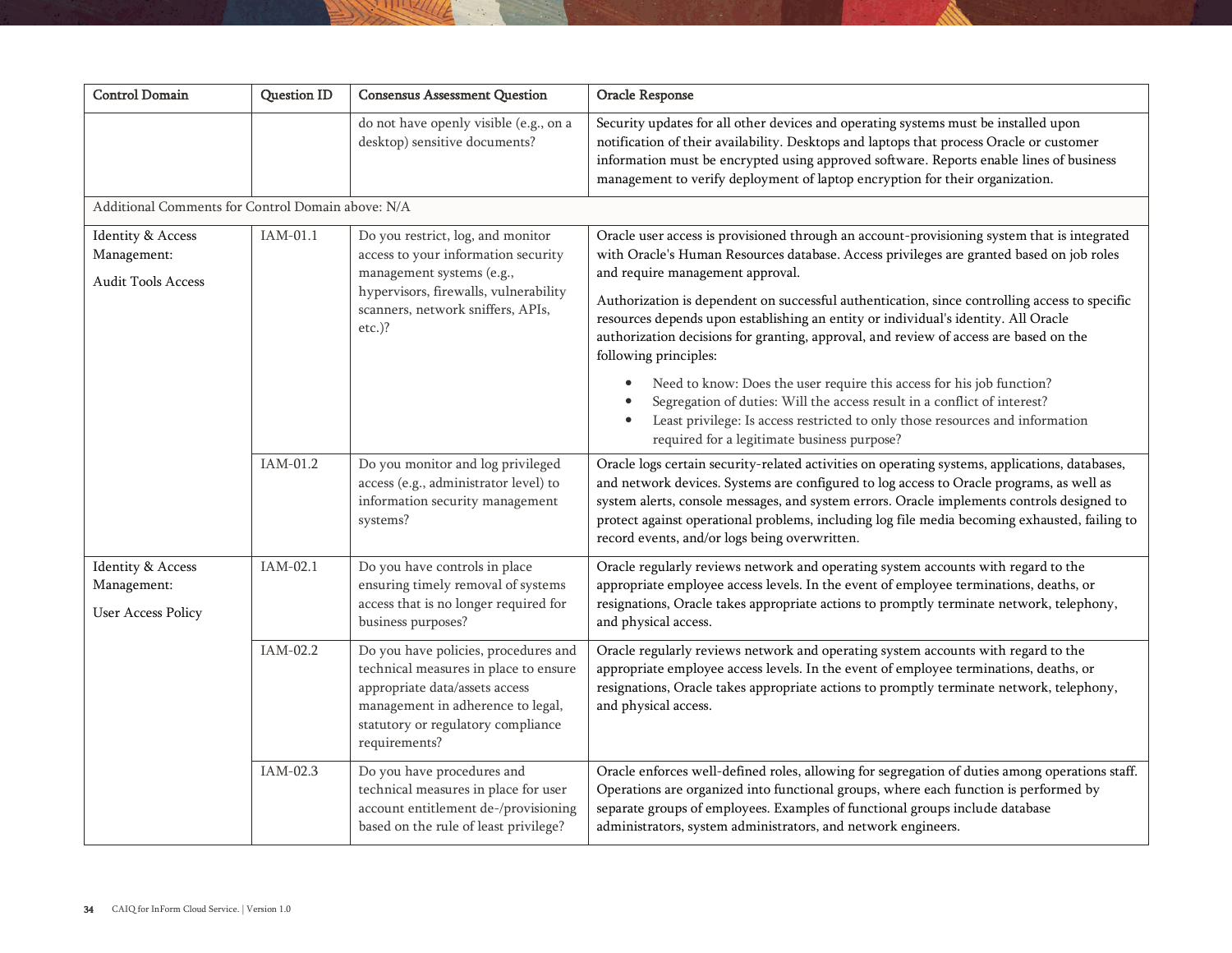| <b>Control Domain</b>                                             | <b>Question ID</b> | <b>Consensus Assessment Question</b>                                                                                                                                                                        | Oracle Response                                                                                                                                                                                                                                                                                                                                                                                                                                                                                                                      |
|-------------------------------------------------------------------|--------------------|-------------------------------------------------------------------------------------------------------------------------------------------------------------------------------------------------------------|--------------------------------------------------------------------------------------------------------------------------------------------------------------------------------------------------------------------------------------------------------------------------------------------------------------------------------------------------------------------------------------------------------------------------------------------------------------------------------------------------------------------------------------|
|                                                                   |                    | do not have openly visible (e.g., on a<br>desktop) sensitive documents?                                                                                                                                     | Security updates for all other devices and operating systems must be installed upon<br>notification of their availability. Desktops and laptops that process Oracle or customer<br>information must be encrypted using approved software. Reports enable lines of business<br>management to verify deployment of laptop encryption for their organization.                                                                                                                                                                           |
| Additional Comments for Control Domain above: N/A                 |                    |                                                                                                                                                                                                             |                                                                                                                                                                                                                                                                                                                                                                                                                                                                                                                                      |
| <b>Identity &amp; Access</b><br>Management:<br>Audit Tools Access | IAM-01.1           | Do you restrict, log, and monitor<br>access to your information security<br>management systems (e.g.,<br>hypervisors, firewalls, vulnerability<br>scanners, network sniffers, APIs,<br>$etc.$ )?            | Oracle user access is provisioned through an account-provisioning system that is integrated<br>with Oracle's Human Resources database. Access privileges are granted based on job roles<br>and require management approval.<br>Authorization is dependent on successful authentication, since controlling access to specific<br>resources depends upon establishing an entity or individual's identity. All Oracle<br>authorization decisions for granting, approval, and review of access are based on the<br>following principles: |
|                                                                   |                    |                                                                                                                                                                                                             | Need to know: Does the user require this access for his job function?<br>$\bullet$<br>Segregation of duties: Will the access result in a conflict of interest?<br>Least privilege: Is access restricted to only those resources and information<br>required for a legitimate business purpose?                                                                                                                                                                                                                                       |
|                                                                   | IAM-01.2           | Do you monitor and log privileged<br>access (e.g., administrator level) to<br>information security management<br>systems?                                                                                   | Oracle logs certain security-related activities on operating systems, applications, databases,<br>and network devices. Systems are configured to log access to Oracle programs, as well as<br>system alerts, console messages, and system errors. Oracle implements controls designed to<br>protect against operational problems, including log file media becoming exhausted, failing to<br>record events, and/or logs being overwritten.                                                                                           |
| Identity & Access<br>Management:<br><b>User Access Policy</b>     | IAM-02.1           | Do you have controls in place<br>ensuring timely removal of systems<br>access that is no longer required for<br>business purposes?                                                                          | Oracle regularly reviews network and operating system accounts with regard to the<br>appropriate employee access levels. In the event of employee terminations, deaths, or<br>resignations, Oracle takes appropriate actions to promptly terminate network, telephony,<br>and physical access.                                                                                                                                                                                                                                       |
|                                                                   | IAM-02.2           | Do you have policies, procedures and<br>technical measures in place to ensure<br>appropriate data/assets access<br>management in adherence to legal,<br>statutory or regulatory compliance<br>requirements? | Oracle regularly reviews network and operating system accounts with regard to the<br>appropriate employee access levels. In the event of employee terminations, deaths, or<br>resignations, Oracle takes appropriate actions to promptly terminate network, telephony,<br>and physical access.                                                                                                                                                                                                                                       |
|                                                                   | IAM-02.3           | Do you have procedures and<br>technical measures in place for user<br>account entitlement de-/provisioning<br>based on the rule of least privilege?                                                         | Oracle enforces well-defined roles, allowing for segregation of duties among operations staff.<br>Operations are organized into functional groups, where each function is performed by<br>separate groups of employees. Examples of functional groups include database<br>administrators, system administrators, and network engineers.                                                                                                                                                                                              |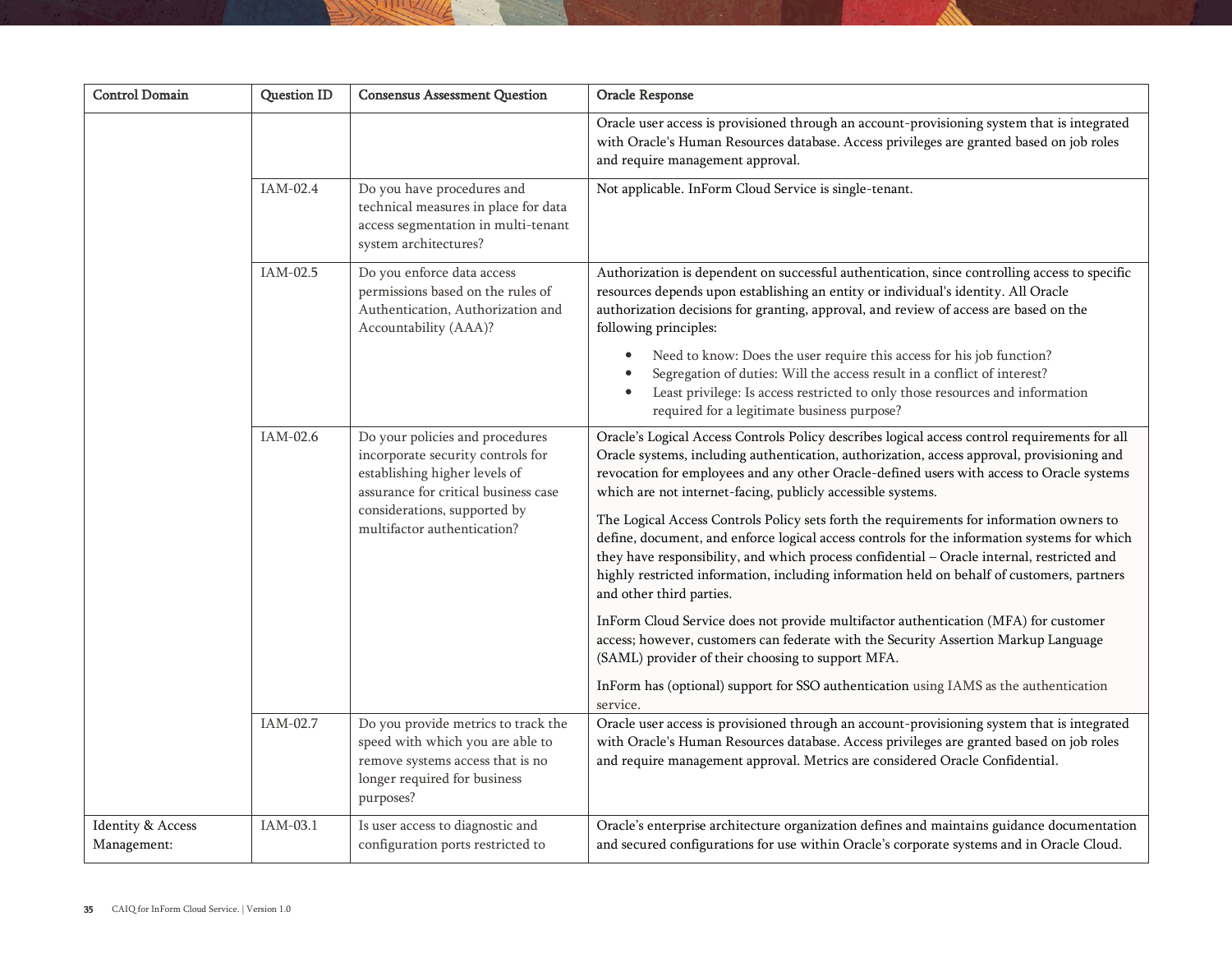| <b>Control Domain</b>            | <b>Question ID</b> | <b>Consensus Assessment Question</b>                                                                                                                     | Oracle Response                                                                                                                                                                                                                                                                                                                                                                                                 |
|----------------------------------|--------------------|----------------------------------------------------------------------------------------------------------------------------------------------------------|-----------------------------------------------------------------------------------------------------------------------------------------------------------------------------------------------------------------------------------------------------------------------------------------------------------------------------------------------------------------------------------------------------------------|
|                                  |                    |                                                                                                                                                          | Oracle user access is provisioned through an account-provisioning system that is integrated<br>with Oracle's Human Resources database. Access privileges are granted based on job roles<br>and require management approval.                                                                                                                                                                                     |
|                                  | IAM-02.4           | Do you have procedures and<br>technical measures in place for data<br>access segmentation in multi-tenant<br>system architectures?                       | Not applicable. InForm Cloud Service is single-tenant.                                                                                                                                                                                                                                                                                                                                                          |
|                                  | IAM-02.5           | Do you enforce data access<br>permissions based on the rules of<br>Authentication, Authorization and<br>Accountability (AAA)?                            | Authorization is dependent on successful authentication, since controlling access to specific<br>resources depends upon establishing an entity or individual's identity. All Oracle<br>authorization decisions for granting, approval, and review of access are based on the<br>following principles:                                                                                                           |
|                                  |                    |                                                                                                                                                          | Need to know: Does the user require this access for his job function?<br>$\bullet$<br>Segregation of duties: Will the access result in a conflict of interest?<br>Least privilege: Is access restricted to only those resources and information<br>required for a legitimate business purpose?                                                                                                                  |
|                                  | IAM-02.6           | Do your policies and procedures<br>incorporate security controls for<br>establishing higher levels of<br>assurance for critical business case            | Oracle's Logical Access Controls Policy describes logical access control requirements for all<br>Oracle systems, including authentication, authorization, access approval, provisioning and<br>revocation for employees and any other Oracle-defined users with access to Oracle systems<br>which are not internet-facing, publicly accessible systems.                                                         |
|                                  |                    | considerations, supported by<br>multifactor authentication?                                                                                              | The Logical Access Controls Policy sets forth the requirements for information owners to<br>define, document, and enforce logical access controls for the information systems for which<br>they have responsibility, and which process confidential - Oracle internal, restricted and<br>highly restricted information, including information held on behalf of customers, partners<br>and other third parties. |
|                                  |                    |                                                                                                                                                          | InForm Cloud Service does not provide multifactor authentication (MFA) for customer<br>access; however, customers can federate with the Security Assertion Markup Language<br>(SAML) provider of their choosing to support MFA.                                                                                                                                                                                 |
|                                  |                    |                                                                                                                                                          | InForm has (optional) support for SSO authentication using IAMS as the authentication<br>service.                                                                                                                                                                                                                                                                                                               |
|                                  | IAM-02.7           | Do you provide metrics to track the<br>speed with which you are able to<br>remove systems access that is no<br>longer required for business<br>purposes? | Oracle user access is provisioned through an account-provisioning system that is integrated<br>with Oracle's Human Resources database. Access privileges are granted based on job roles<br>and require management approval. Metrics are considered Oracle Confidential.                                                                                                                                         |
| Identity & Access<br>Management: | IAM-03.1           | Is user access to diagnostic and<br>configuration ports restricted to                                                                                    | Oracle's enterprise architecture organization defines and maintains guidance documentation<br>and secured configurations for use within Oracle's corporate systems and in Oracle Cloud.                                                                                                                                                                                                                         |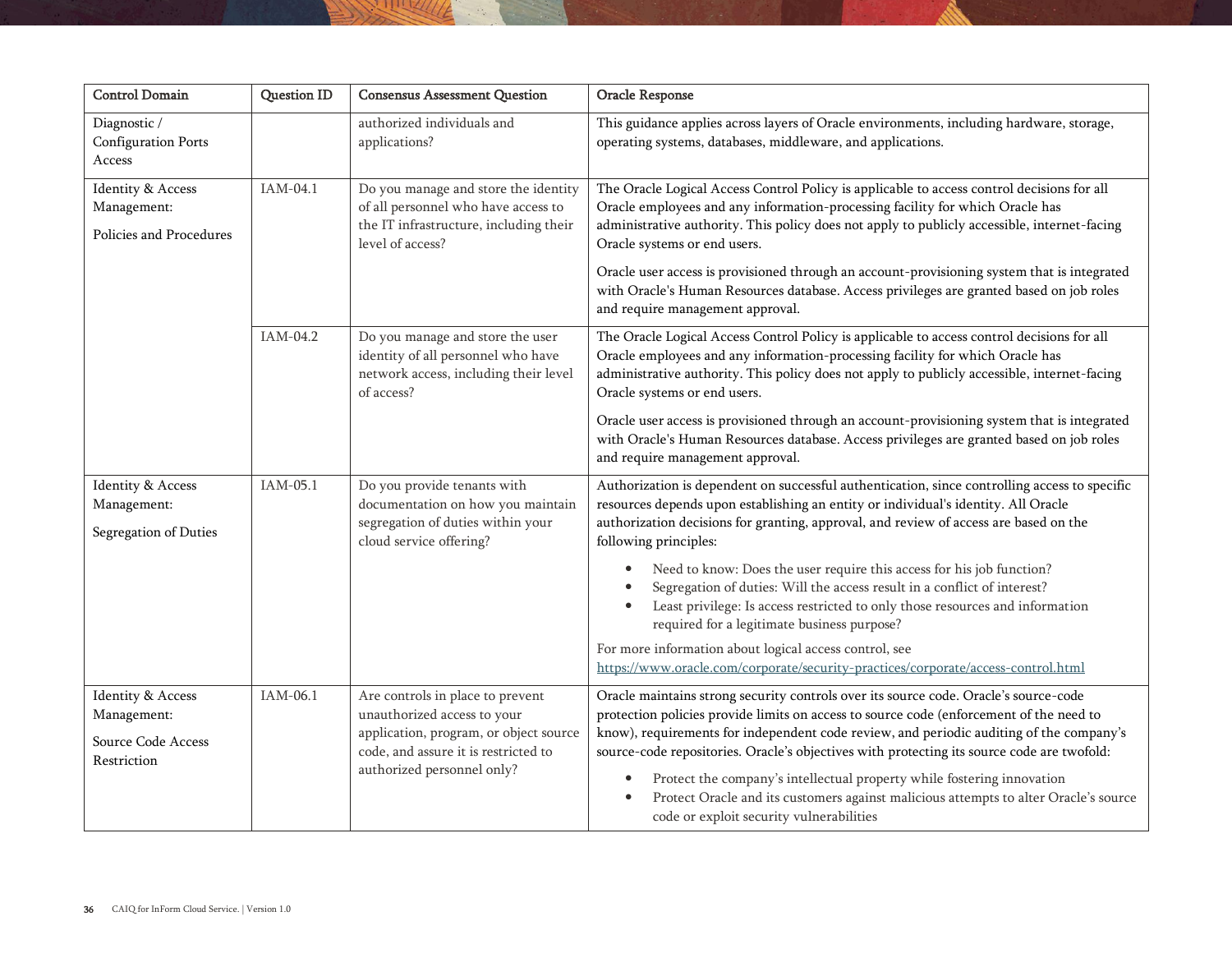| <b>Control Domain</b>                                                  | <b>Question ID</b> | <b>Consensus Assessment Question</b>                                                                                                                                            | Oracle Response                                                                                                                                                                                                                                                                                                                                                                                                                                                                                                                            |
|------------------------------------------------------------------------|--------------------|---------------------------------------------------------------------------------------------------------------------------------------------------------------------------------|--------------------------------------------------------------------------------------------------------------------------------------------------------------------------------------------------------------------------------------------------------------------------------------------------------------------------------------------------------------------------------------------------------------------------------------------------------------------------------------------------------------------------------------------|
| Diagnostic /<br><b>Configuration Ports</b><br>Access                   |                    | authorized individuals and<br>applications?                                                                                                                                     | This guidance applies across layers of Oracle environments, including hardware, storage,<br>operating systems, databases, middleware, and applications.                                                                                                                                                                                                                                                                                                                                                                                    |
| <b>Identity &amp; Access</b><br>Management:<br>Policies and Procedures | IAM-04.1           | Do you manage and store the identity<br>of all personnel who have access to<br>the IT infrastructure, including their<br>level of access?                                       | The Oracle Logical Access Control Policy is applicable to access control decisions for all<br>Oracle employees and any information-processing facility for which Oracle has<br>administrative authority. This policy does not apply to publicly accessible, internet-facing<br>Oracle systems or end users.<br>Oracle user access is provisioned through an account-provisioning system that is integrated<br>with Oracle's Human Resources database. Access privileges are granted based on job roles<br>and require management approval. |
|                                                                        | IAM-04.2           | Do you manage and store the user<br>identity of all personnel who have<br>network access, including their level<br>of access?                                                   | The Oracle Logical Access Control Policy is applicable to access control decisions for all<br>Oracle employees and any information-processing facility for which Oracle has<br>administrative authority. This policy does not apply to publicly accessible, internet-facing<br>Oracle systems or end users.<br>Oracle user access is provisioned through an account-provisioning system that is integrated                                                                                                                                 |
|                                                                        |                    |                                                                                                                                                                                 | with Oracle's Human Resources database. Access privileges are granted based on job roles<br>and require management approval.                                                                                                                                                                                                                                                                                                                                                                                                               |
| <b>Identity &amp; Access</b><br>Management:<br>Segregation of Duties   | IAM-05.1           | Do you provide tenants with<br>documentation on how you maintain<br>segregation of duties within your<br>cloud service offering?                                                | Authorization is dependent on successful authentication, since controlling access to specific<br>resources depends upon establishing an entity or individual's identity. All Oracle<br>authorization decisions for granting, approval, and review of access are based on the<br>following principles:                                                                                                                                                                                                                                      |
|                                                                        |                    |                                                                                                                                                                                 | Need to know: Does the user require this access for his job function?<br>$\bullet$<br>Segregation of duties: Will the access result in a conflict of interest?<br>Least privilege: Is access restricted to only those resources and information<br>required for a legitimate business purpose?                                                                                                                                                                                                                                             |
|                                                                        |                    |                                                                                                                                                                                 | For more information about logical access control, see<br>https://www.oracle.com/corporate/security-practices/corporate/access-control.html                                                                                                                                                                                                                                                                                                                                                                                                |
| Identity & Access<br>Management:<br>Source Code Access<br>Restriction  | IAM-06.1           | Are controls in place to prevent<br>unauthorized access to your<br>application, program, or object source<br>code, and assure it is restricted to<br>authorized personnel only? | Oracle maintains strong security controls over its source code. Oracle's source-code<br>protection policies provide limits on access to source code (enforcement of the need to<br>know), requirements for independent code review, and periodic auditing of the company's<br>source-code repositories. Oracle's objectives with protecting its source code are twofold:<br>Protect the company's intellectual property while fostering innovation<br>Protect Oracle and its customers against malicious attempts to alter Oracle's source |
|                                                                        |                    |                                                                                                                                                                                 | code or exploit security vulnerabilities                                                                                                                                                                                                                                                                                                                                                                                                                                                                                                   |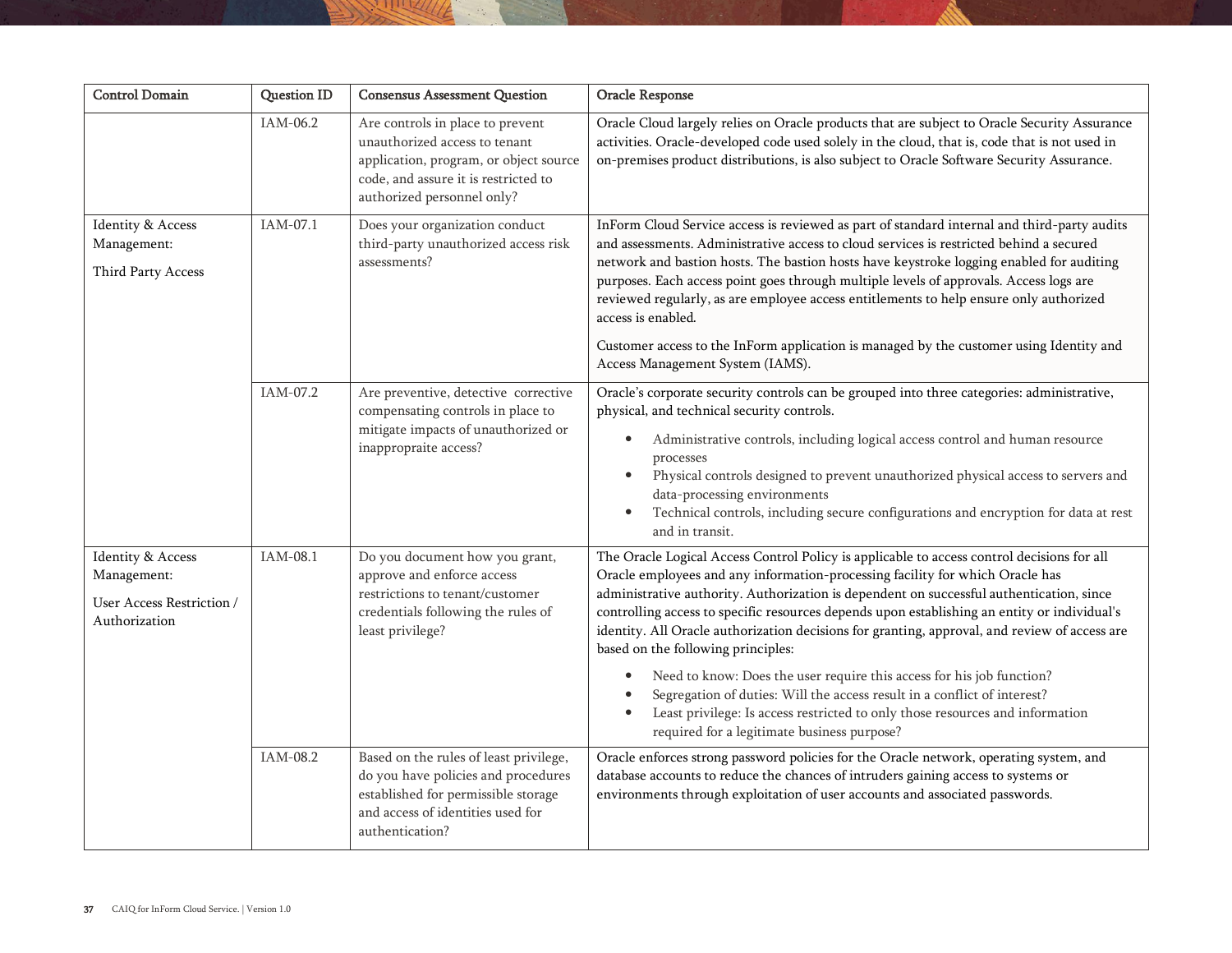| <b>Control Domain</b>                                                                     | <b>Question ID</b> | <b>Consensus Assessment Question</b>                                                                                                                                              | Oracle Response                                                                                                                                                                                                                                                                                                                                                                                                                                                                                                                                                                                                                                                                                                                                                                                     |
|-------------------------------------------------------------------------------------------|--------------------|-----------------------------------------------------------------------------------------------------------------------------------------------------------------------------------|-----------------------------------------------------------------------------------------------------------------------------------------------------------------------------------------------------------------------------------------------------------------------------------------------------------------------------------------------------------------------------------------------------------------------------------------------------------------------------------------------------------------------------------------------------------------------------------------------------------------------------------------------------------------------------------------------------------------------------------------------------------------------------------------------------|
|                                                                                           | IAM-06.2           | Are controls in place to prevent<br>unauthorized access to tenant<br>application, program, or object source<br>code, and assure it is restricted to<br>authorized personnel only? | Oracle Cloud largely relies on Oracle products that are subject to Oracle Security Assurance<br>activities. Oracle-developed code used solely in the cloud, that is, code that is not used in<br>on-premises product distributions, is also subject to Oracle Software Security Assurance.                                                                                                                                                                                                                                                                                                                                                                                                                                                                                                          |
| Identity & Access<br>Management:<br>Third Party Access                                    | IAM-07.1           | Does your organization conduct<br>third-party unauthorized access risk<br>assessments?                                                                                            | InForm Cloud Service access is reviewed as part of standard internal and third-party audits<br>and assessments. Administrative access to cloud services is restricted behind a secured<br>network and bastion hosts. The bastion hosts have keystroke logging enabled for auditing<br>purposes. Each access point goes through multiple levels of approvals. Access logs are<br>reviewed regularly, as are employee access entitlements to help ensure only authorized<br>access is enabled.<br>Customer access to the InForm application is managed by the customer using Identity and<br>Access Management System (IAMS).                                                                                                                                                                         |
|                                                                                           | IAM-07.2           | Are preventive, detective corrective<br>compensating controls in place to<br>mitigate impacts of unauthorized or<br>inappropraite access?                                         | Oracle's corporate security controls can be grouped into three categories: administrative,<br>physical, and technical security controls.<br>Administrative controls, including logical access control and human resource<br>$\bullet$<br>processes<br>Physical controls designed to prevent unauthorized physical access to servers and<br>$\bullet$<br>data-processing environments<br>Technical controls, including secure configurations and encryption for data at rest<br>and in transit.                                                                                                                                                                                                                                                                                                      |
| <b>Identity &amp; Access</b><br>Management:<br>User Access Restriction /<br>Authorization | IAM-08.1           | Do you document how you grant,<br>approve and enforce access<br>restrictions to tenant/customer<br>credentials following the rules of<br>least privilege?                         | The Oracle Logical Access Control Policy is applicable to access control decisions for all<br>Oracle employees and any information-processing facility for which Oracle has<br>administrative authority. Authorization is dependent on successful authentication, since<br>controlling access to specific resources depends upon establishing an entity or individual's<br>identity. All Oracle authorization decisions for granting, approval, and review of access are<br>based on the following principles:<br>Need to know: Does the user require this access for his job function?<br>Segregation of duties: Will the access result in a conflict of interest?<br>Least privilege: Is access restricted to only those resources and information<br>required for a legitimate business purpose? |
|                                                                                           | IAM-08.2           | Based on the rules of least privilege,<br>do you have policies and procedures<br>established for permissible storage<br>and access of identities used for<br>authentication?      | Oracle enforces strong password policies for the Oracle network, operating system, and<br>database accounts to reduce the chances of intruders gaining access to systems or<br>environments through exploitation of user accounts and associated passwords.                                                                                                                                                                                                                                                                                                                                                                                                                                                                                                                                         |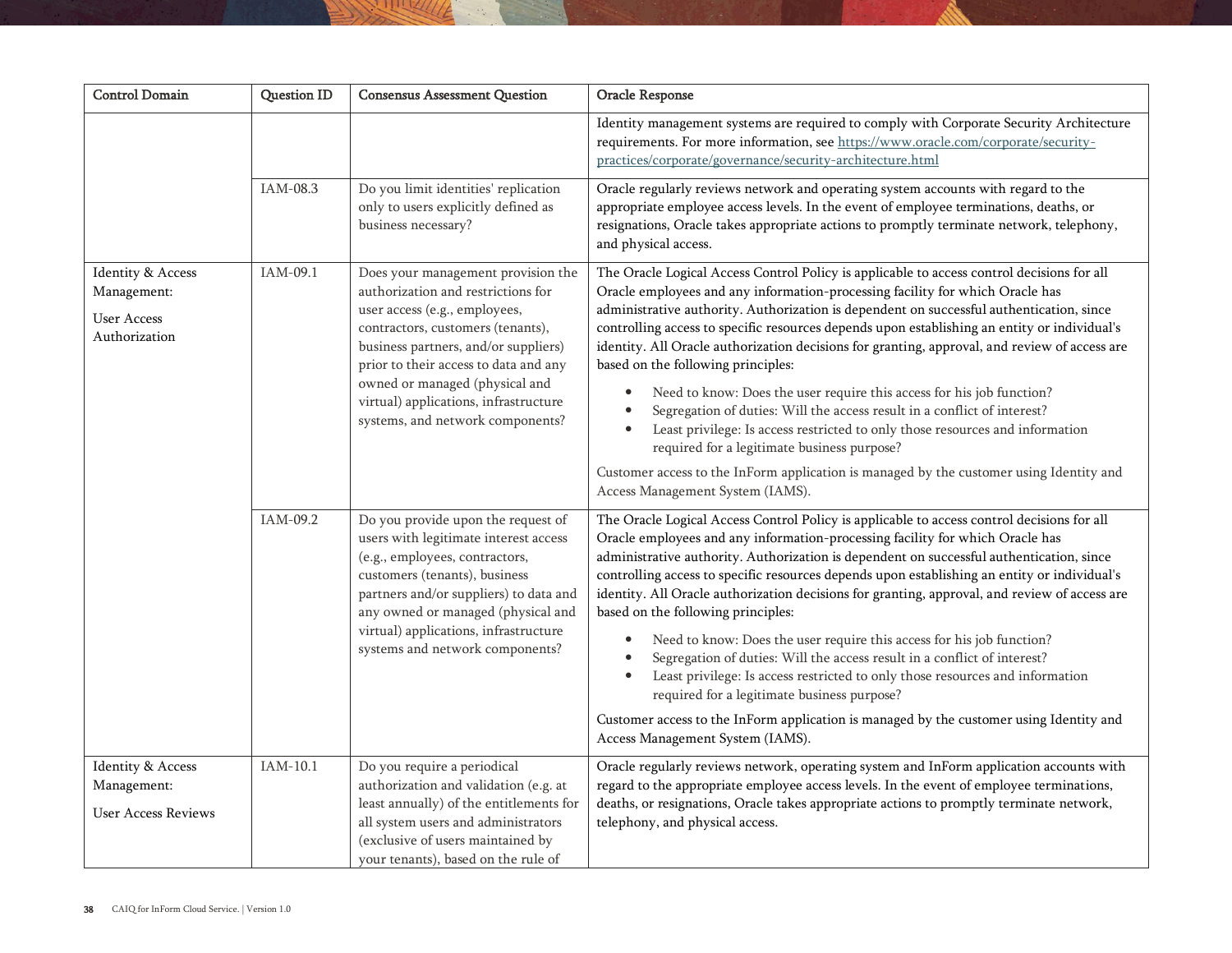| <b>Control Domain</b>                                                   | Question ID | <b>Consensus Assessment Question</b>                                                                                                                                                                                                                                                                                                           | Oracle Response                                                                                                                                                                                                                                                                                                                                                                                                                                                                                                                                                                                                                                                                                                                                                                                                                                                                                                                                 |
|-------------------------------------------------------------------------|-------------|------------------------------------------------------------------------------------------------------------------------------------------------------------------------------------------------------------------------------------------------------------------------------------------------------------------------------------------------|-------------------------------------------------------------------------------------------------------------------------------------------------------------------------------------------------------------------------------------------------------------------------------------------------------------------------------------------------------------------------------------------------------------------------------------------------------------------------------------------------------------------------------------------------------------------------------------------------------------------------------------------------------------------------------------------------------------------------------------------------------------------------------------------------------------------------------------------------------------------------------------------------------------------------------------------------|
|                                                                         |             |                                                                                                                                                                                                                                                                                                                                                | Identity management systems are required to comply with Corporate Security Architecture<br>requirements. For more information, see https://www.oracle.com/corporate/security-<br>practices/corporate/governance/security-architecture.html                                                                                                                                                                                                                                                                                                                                                                                                                                                                                                                                                                                                                                                                                                      |
|                                                                         | IAM-08.3    | Do you limit identities' replication<br>only to users explicitly defined as<br>business necessary?                                                                                                                                                                                                                                             | Oracle regularly reviews network and operating system accounts with regard to the<br>appropriate employee access levels. In the event of employee terminations, deaths, or<br>resignations, Oracle takes appropriate actions to promptly terminate network, telephony,<br>and physical access.                                                                                                                                                                                                                                                                                                                                                                                                                                                                                                                                                                                                                                                  |
| Identity & Access<br>Management:<br><b>User Access</b><br>Authorization | IAM-09.1    | Does your management provision the<br>authorization and restrictions for<br>user access (e.g., employees,<br>contractors, customers (tenants),<br>business partners, and/or suppliers)<br>prior to their access to data and any<br>owned or managed (physical and<br>virtual) applications, infrastructure<br>systems, and network components? | The Oracle Logical Access Control Policy is applicable to access control decisions for all<br>Oracle employees and any information-processing facility for which Oracle has<br>administrative authority. Authorization is dependent on successful authentication, since<br>controlling access to specific resources depends upon establishing an entity or individual's<br>identity. All Oracle authorization decisions for granting, approval, and review of access are<br>based on the following principles:<br>Need to know: Does the user require this access for his job function?<br>$\bullet$<br>Segregation of duties: Will the access result in a conflict of interest?<br>Least privilege: Is access restricted to only those resources and information<br>required for a legitimate business purpose?<br>Customer access to the InForm application is managed by the customer using Identity and<br>Access Management System (IAMS). |
|                                                                         | IAM-09.2    | Do you provide upon the request of<br>users with legitimate interest access<br>(e.g., employees, contractors,<br>customers (tenants), business<br>partners and/or suppliers) to data and<br>any owned or managed (physical and<br>virtual) applications, infrastructure<br>systems and network components?                                     | The Oracle Logical Access Control Policy is applicable to access control decisions for all<br>Oracle employees and any information-processing facility for which Oracle has<br>administrative authority. Authorization is dependent on successful authentication, since<br>controlling access to specific resources depends upon establishing an entity or individual's<br>identity. All Oracle authorization decisions for granting, approval, and review of access are<br>based on the following principles:<br>Need to know: Does the user require this access for his job function?<br>Segregation of duties: Will the access result in a conflict of interest?<br>Least privilege: Is access restricted to only those resources and information<br>required for a legitimate business purpose?<br>Customer access to the InForm application is managed by the customer using Identity and<br>Access Management System (IAMS).              |
| Identity & Access<br>Management:<br><b>User Access Reviews</b>          | IAM-10.1    | Do you require a periodical<br>authorization and validation (e.g. at<br>least annually) of the entitlements for<br>all system users and administrators<br>(exclusive of users maintained by<br>your tenants), based on the rule of                                                                                                             | Oracle regularly reviews network, operating system and InForm application accounts with<br>regard to the appropriate employee access levels. In the event of employee terminations,<br>deaths, or resignations, Oracle takes appropriate actions to promptly terminate network,<br>telephony, and physical access.                                                                                                                                                                                                                                                                                                                                                                                                                                                                                                                                                                                                                              |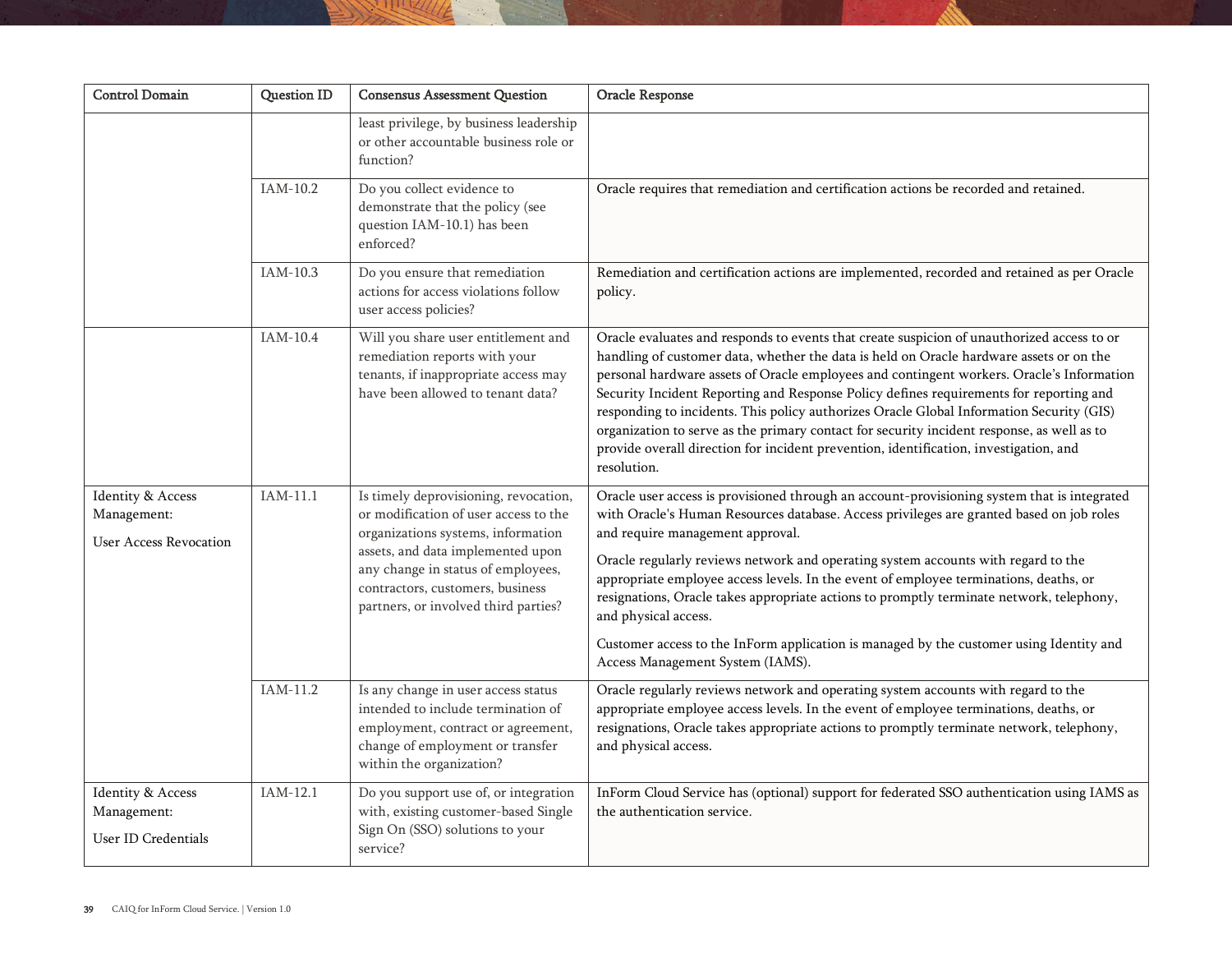| <b>Control Domain</b>                                             | Question ID | <b>Consensus Assessment Question</b>                                                                                                                                                                                                                                        | <b>Oracle Response</b>                                                                                                                                                                                                                                                                                                                                                                                                                                                                                                                                                                                                                                                         |
|-------------------------------------------------------------------|-------------|-----------------------------------------------------------------------------------------------------------------------------------------------------------------------------------------------------------------------------------------------------------------------------|--------------------------------------------------------------------------------------------------------------------------------------------------------------------------------------------------------------------------------------------------------------------------------------------------------------------------------------------------------------------------------------------------------------------------------------------------------------------------------------------------------------------------------------------------------------------------------------------------------------------------------------------------------------------------------|
|                                                                   |             | least privilege, by business leadership<br>or other accountable business role or<br>function?                                                                                                                                                                               |                                                                                                                                                                                                                                                                                                                                                                                                                                                                                                                                                                                                                                                                                |
|                                                                   | IAM-10.2    | Do you collect evidence to<br>demonstrate that the policy (see<br>question IAM-10.1) has been<br>enforced?                                                                                                                                                                  | Oracle requires that remediation and certification actions be recorded and retained.                                                                                                                                                                                                                                                                                                                                                                                                                                                                                                                                                                                           |
|                                                                   | IAM-10.3    | Do you ensure that remediation<br>actions for access violations follow<br>user access policies?                                                                                                                                                                             | Remediation and certification actions are implemented, recorded and retained as per Oracle<br>policy.                                                                                                                                                                                                                                                                                                                                                                                                                                                                                                                                                                          |
|                                                                   | IAM-10.4    | Will you share user entitlement and<br>remediation reports with your<br>tenants, if inappropriate access may<br>have been allowed to tenant data?                                                                                                                           | Oracle evaluates and responds to events that create suspicion of unauthorized access to or<br>handling of customer data, whether the data is held on Oracle hardware assets or on the<br>personal hardware assets of Oracle employees and contingent workers. Oracle's Information<br>Security Incident Reporting and Response Policy defines requirements for reporting and<br>responding to incidents. This policy authorizes Oracle Global Information Security (GIS)<br>organization to serve as the primary contact for security incident response, as well as to<br>provide overall direction for incident prevention, identification, investigation, and<br>resolution. |
| Identity & Access<br>Management:<br><b>User Access Revocation</b> | $IAM-11.1$  | Is timely deprovisioning, revocation,<br>or modification of user access to the<br>organizations systems, information<br>assets, and data implemented upon<br>any change in status of employees,<br>contractors, customers, business<br>partners, or involved third parties? | Oracle user access is provisioned through an account-provisioning system that is integrated<br>with Oracle's Human Resources database. Access privileges are granted based on job roles<br>and require management approval.<br>Oracle regularly reviews network and operating system accounts with regard to the<br>appropriate employee access levels. In the event of employee terminations, deaths, or<br>resignations, Oracle takes appropriate actions to promptly terminate network, telephony,<br>and physical access.<br>Customer access to the InForm application is managed by the customer using Identity and<br>Access Management System (IAMS).                   |
|                                                                   | IAM-11.2    | Is any change in user access status<br>intended to include termination of<br>employment, contract or agreement,<br>change of employment or transfer<br>within the organization?                                                                                             | Oracle regularly reviews network and operating system accounts with regard to the<br>appropriate employee access levels. In the event of employee terminations, deaths, or<br>resignations, Oracle takes appropriate actions to promptly terminate network, telephony,<br>and physical access.                                                                                                                                                                                                                                                                                                                                                                                 |
| Identity & Access<br>Management:<br>User ID Credentials           | IAM-12.1    | Do you support use of, or integration<br>with, existing customer-based Single<br>Sign On (SSO) solutions to your<br>service?                                                                                                                                                | InForm Cloud Service has (optional) support for federated SSO authentication using IAMS as<br>the authentication service.                                                                                                                                                                                                                                                                                                                                                                                                                                                                                                                                                      |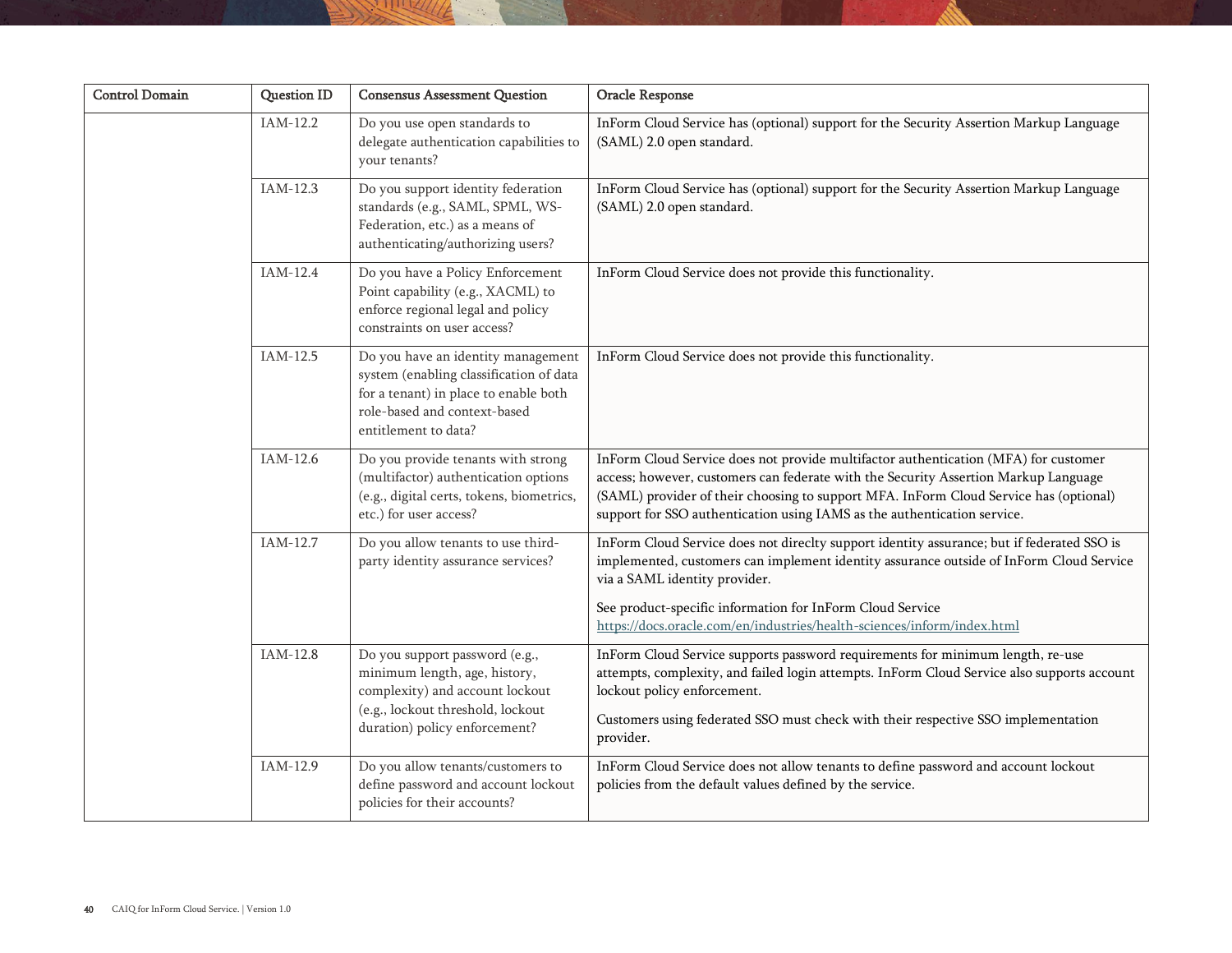| <b>Control Domain</b> | Question ID | <b>Consensus Assessment Question</b>                                                                                                                                           | Oracle Response                                                                                                                                                                                                                                                                                                                                                |
|-----------------------|-------------|--------------------------------------------------------------------------------------------------------------------------------------------------------------------------------|----------------------------------------------------------------------------------------------------------------------------------------------------------------------------------------------------------------------------------------------------------------------------------------------------------------------------------------------------------------|
|                       | IAM-12.2    | Do you use open standards to<br>delegate authentication capabilities to<br>your tenants?                                                                                       | InForm Cloud Service has (optional) support for the Security Assertion Markup Language<br>(SAML) 2.0 open standard.                                                                                                                                                                                                                                            |
|                       | IAM-12.3    | Do you support identity federation<br>standards (e.g., SAML, SPML, WS-<br>Federation, etc.) as a means of<br>authenticating/authorizing users?                                 | InForm Cloud Service has (optional) support for the Security Assertion Markup Language<br>(SAML) 2.0 open standard.                                                                                                                                                                                                                                            |
|                       | $IAM-12.4$  | Do you have a Policy Enforcement<br>Point capability (e.g., XACML) to<br>enforce regional legal and policy<br>constraints on user access?                                      | InForm Cloud Service does not provide this functionality.                                                                                                                                                                                                                                                                                                      |
|                       | IAM-12.5    | Do you have an identity management<br>system (enabling classification of data<br>for a tenant) in place to enable both<br>role-based and context-based<br>entitlement to data? | InForm Cloud Service does not provide this functionality.                                                                                                                                                                                                                                                                                                      |
|                       | IAM-12.6    | Do you provide tenants with strong<br>(multifactor) authentication options<br>(e.g., digital certs, tokens, biometrics,<br>etc.) for user access?                              | InForm Cloud Service does not provide multifactor authentication (MFA) for customer<br>access; however, customers can federate with the Security Assertion Markup Language<br>(SAML) provider of their choosing to support MFA. InForm Cloud Service has (optional)<br>support for SSO authentication using IAMS as the authentication service.                |
|                       | IAM-12.7    | Do you allow tenants to use third-<br>party identity assurance services?                                                                                                       | InForm Cloud Service does not direclty support identity assurance; but if federated SSO is<br>implemented, customers can implement identity assurance outside of InForm Cloud Service<br>via a SAML identity provider.<br>See product-specific information for InForm Cloud Service<br>https://docs.oracle.com/en/industries/health-sciences/inform/index.html |
|                       | IAM-12.8    | Do you support password (e.g.,<br>minimum length, age, history,<br>complexity) and account lockout<br>(e.g., lockout threshold, lockout<br>duration) policy enforcement?       | InForm Cloud Service supports password requirements for minimum length, re-use<br>attempts, complexity, and failed login attempts. InForm Cloud Service also supports account<br>lockout policy enforcement.<br>Customers using federated SSO must check with their respective SSO implementation<br>provider.                                                 |
|                       | IAM-12.9    | Do you allow tenants/customers to<br>define password and account lockout<br>policies for their accounts?                                                                       | InForm Cloud Service does not allow tenants to define password and account lockout<br>policies from the default values defined by the service.                                                                                                                                                                                                                 |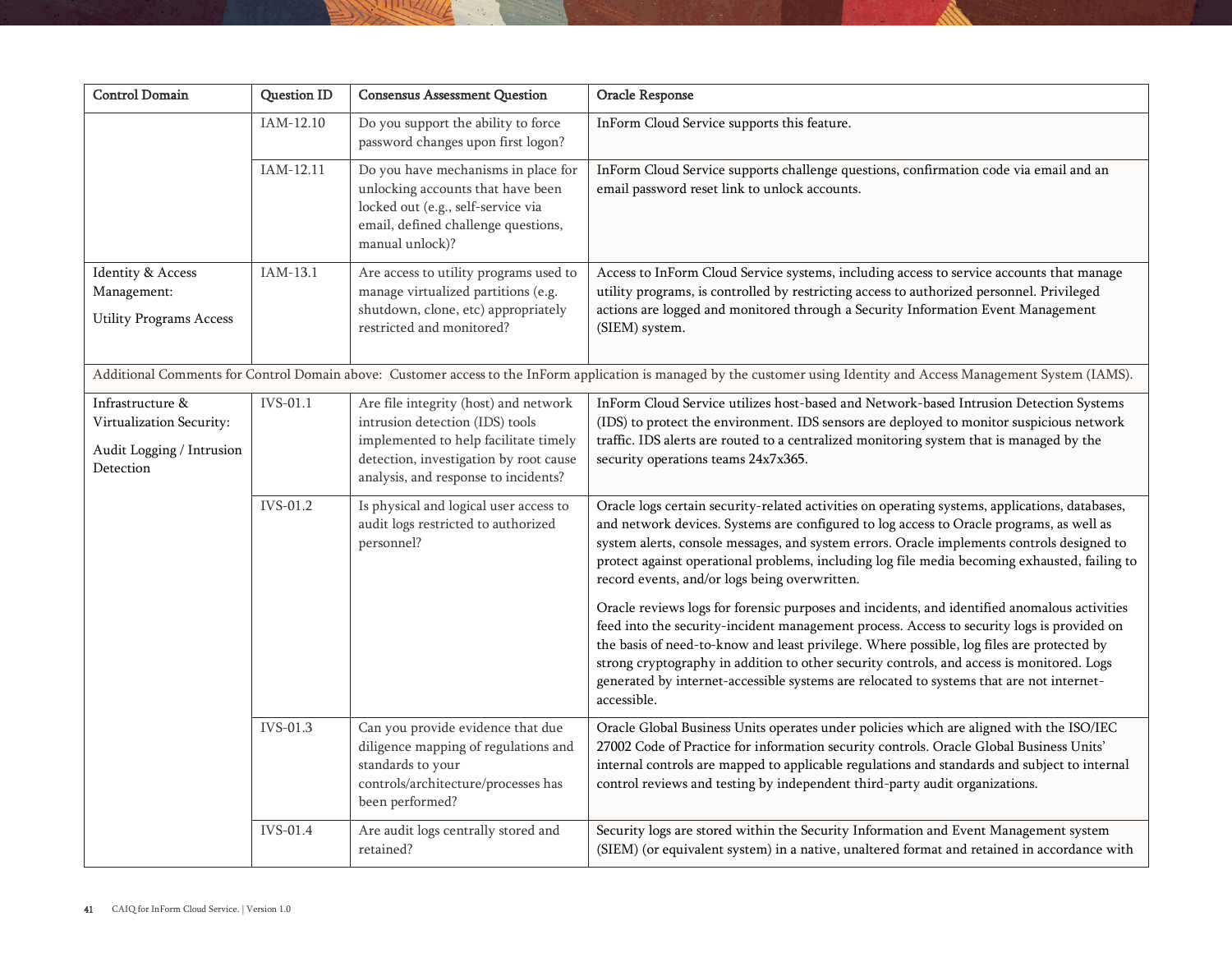| <b>Control Domain</b>                                                                  | <b>Question ID</b> | <b>Consensus Assessment Question</b>                                                                                                                                                                | Oracle Response                                                                                                                                                                                                                                                                                                                                                                                                                                                                                                                                                                                                                                                                                                                                                                                                                                                                                                                |
|----------------------------------------------------------------------------------------|--------------------|-----------------------------------------------------------------------------------------------------------------------------------------------------------------------------------------------------|--------------------------------------------------------------------------------------------------------------------------------------------------------------------------------------------------------------------------------------------------------------------------------------------------------------------------------------------------------------------------------------------------------------------------------------------------------------------------------------------------------------------------------------------------------------------------------------------------------------------------------------------------------------------------------------------------------------------------------------------------------------------------------------------------------------------------------------------------------------------------------------------------------------------------------|
|                                                                                        | IAM-12.10          | Do you support the ability to force<br>password changes upon first logon?                                                                                                                           | InForm Cloud Service supports this feature.                                                                                                                                                                                                                                                                                                                                                                                                                                                                                                                                                                                                                                                                                                                                                                                                                                                                                    |
|                                                                                        | IAM-12.11          | Do you have mechanisms in place for<br>unlocking accounts that have been<br>locked out (e.g., self-service via<br>email, defined challenge questions,<br>manual unlock)?                            | InForm Cloud Service supports challenge questions, confirmation code via email and an<br>email password reset link to unlock accounts.                                                                                                                                                                                                                                                                                                                                                                                                                                                                                                                                                                                                                                                                                                                                                                                         |
| Identity & Access<br>Management:<br><b>Utility Programs Access</b>                     | IAM-13.1           | Are access to utility programs used to<br>manage virtualized partitions (e.g.<br>shutdown, clone, etc) appropriately<br>restricted and monitored?                                                   | Access to InForm Cloud Service systems, including access to service accounts that manage<br>utility programs, is controlled by restricting access to authorized personnel. Privileged<br>actions are logged and monitored through a Security Information Event Management<br>(SIEM) system.                                                                                                                                                                                                                                                                                                                                                                                                                                                                                                                                                                                                                                    |
|                                                                                        |                    |                                                                                                                                                                                                     | Additional Comments for Control Domain above: Customer access to the InForm application is managed by the customer using Identity and Access Management System (IAMS).                                                                                                                                                                                                                                                                                                                                                                                                                                                                                                                                                                                                                                                                                                                                                         |
| Infrastructure &<br>Virtualization Security:<br>Audit Logging / Intrusion<br>Detection | IVS-01.1           | Are file integrity (host) and network<br>intrusion detection (IDS) tools<br>implemented to help facilitate timely<br>detection, investigation by root cause<br>analysis, and response to incidents? | InForm Cloud Service utilizes host-based and Network-based Intrusion Detection Systems<br>(IDS) to protect the environment. IDS sensors are deployed to monitor suspicious network<br>traffic. IDS alerts are routed to a centralized monitoring system that is managed by the<br>security operations teams 24x7x365.                                                                                                                                                                                                                                                                                                                                                                                                                                                                                                                                                                                                          |
|                                                                                        | IVS-01.2           | Is physical and logical user access to<br>audit logs restricted to authorized<br>personnel?                                                                                                         | Oracle logs certain security-related activities on operating systems, applications, databases,<br>and network devices. Systems are configured to log access to Oracle programs, as well as<br>system alerts, console messages, and system errors. Oracle implements controls designed to<br>protect against operational problems, including log file media becoming exhausted, failing to<br>record events, and/or logs being overwritten.<br>Oracle reviews logs for forensic purposes and incidents, and identified anomalous activities<br>feed into the security-incident management process. Access to security logs is provided on<br>the basis of need-to-know and least privilege. Where possible, log files are protected by<br>strong cryptography in addition to other security controls, and access is monitored. Logs<br>generated by internet-accessible systems are relocated to systems that are not internet- |
|                                                                                        |                    |                                                                                                                                                                                                     | accessible.                                                                                                                                                                                                                                                                                                                                                                                                                                                                                                                                                                                                                                                                                                                                                                                                                                                                                                                    |
|                                                                                        | IVS-01.3           | Can you provide evidence that due<br>diligence mapping of regulations and<br>standards to your<br>controls/architecture/processes has<br>been performed?                                            | Oracle Global Business Units operates under policies which are aligned with the ISO/IEC<br>27002 Code of Practice for information security controls. Oracle Global Business Units'<br>internal controls are mapped to applicable regulations and standards and subject to internal<br>control reviews and testing by independent third-party audit organizations.                                                                                                                                                                                                                                                                                                                                                                                                                                                                                                                                                              |
|                                                                                        | IVS-01.4           | Are audit logs centrally stored and<br>retained?                                                                                                                                                    | Security logs are stored within the Security Information and Event Management system<br>(SIEM) (or equivalent system) in a native, unaltered format and retained in accordance with                                                                                                                                                                                                                                                                                                                                                                                                                                                                                                                                                                                                                                                                                                                                            |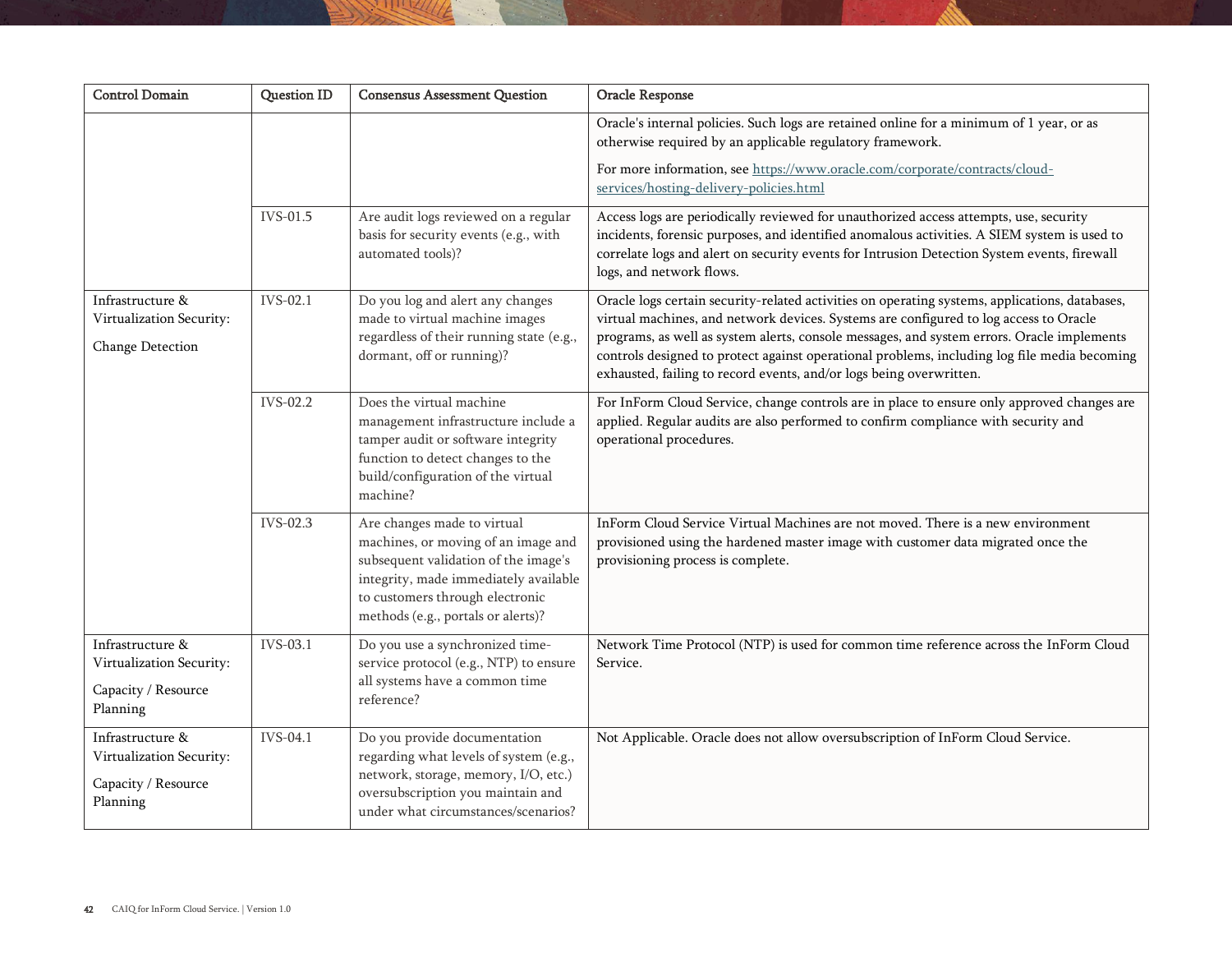| <b>Control Domain</b>                                                           | <b>Question ID</b> | <b>Consensus Assessment Question</b>                                                                                                                                                                                         | Oracle Response                                                                                                                                                                                                                                                                                                                                                                                                                                              |
|---------------------------------------------------------------------------------|--------------------|------------------------------------------------------------------------------------------------------------------------------------------------------------------------------------------------------------------------------|--------------------------------------------------------------------------------------------------------------------------------------------------------------------------------------------------------------------------------------------------------------------------------------------------------------------------------------------------------------------------------------------------------------------------------------------------------------|
|                                                                                 |                    |                                                                                                                                                                                                                              | Oracle's internal policies. Such logs are retained online for a minimum of 1 year, or as<br>otherwise required by an applicable regulatory framework.                                                                                                                                                                                                                                                                                                        |
|                                                                                 |                    |                                                                                                                                                                                                                              | For more information, see https://www.oracle.com/corporate/contracts/cloud-<br>services/hosting-delivery-policies.html                                                                                                                                                                                                                                                                                                                                       |
|                                                                                 | IVS-01.5           | Are audit logs reviewed on a regular<br>basis for security events (e.g., with<br>automated tools)?                                                                                                                           | Access logs are periodically reviewed for unauthorized access attempts, use, security<br>incidents, forensic purposes, and identified anomalous activities. A SIEM system is used to<br>correlate logs and alert on security events for Intrusion Detection System events, firewall<br>logs, and network flows.                                                                                                                                              |
| Infrastructure &<br>Virtualization Security:<br>Change Detection                | IVS-02.1           | Do you log and alert any changes<br>made to virtual machine images<br>regardless of their running state (e.g.,<br>dormant, off or running)?                                                                                  | Oracle logs certain security-related activities on operating systems, applications, databases,<br>virtual machines, and network devices. Systems are configured to log access to Oracle<br>programs, as well as system alerts, console messages, and system errors. Oracle implements<br>controls designed to protect against operational problems, including log file media becoming<br>exhausted, failing to record events, and/or logs being overwritten. |
|                                                                                 | IVS-02.2           | Does the virtual machine<br>management infrastructure include a<br>tamper audit or software integrity<br>function to detect changes to the<br>build/configuration of the virtual<br>machine?                                 | For InForm Cloud Service, change controls are in place to ensure only approved changes are<br>applied. Regular audits are also performed to confirm compliance with security and<br>operational procedures.                                                                                                                                                                                                                                                  |
|                                                                                 | IVS-02.3           | Are changes made to virtual<br>machines, or moving of an image and<br>subsequent validation of the image's<br>integrity, made immediately available<br>to customers through electronic<br>methods (e.g., portals or alerts)? | InForm Cloud Service Virtual Machines are not moved. There is a new environment<br>provisioned using the hardened master image with customer data migrated once the<br>provisioning process is complete.                                                                                                                                                                                                                                                     |
| Infrastructure &<br>Virtualization Security:<br>Capacity / Resource<br>Planning | IVS-03.1           | Do you use a synchronized time-<br>service protocol (e.g., NTP) to ensure<br>all systems have a common time<br>reference?                                                                                                    | Network Time Protocol (NTP) is used for common time reference across the InForm Cloud<br>Service.                                                                                                                                                                                                                                                                                                                                                            |
| Infrastructure &<br>Virtualization Security:<br>Capacity / Resource<br>Planning | <b>IVS-04.1</b>    | Do you provide documentation<br>regarding what levels of system (e.g.,<br>network, storage, memory, I/O, etc.)<br>oversubscription you maintain and<br>under what circumstances/scenarios?                                   | Not Applicable. Oracle does not allow oversubscription of InForm Cloud Service.                                                                                                                                                                                                                                                                                                                                                                              |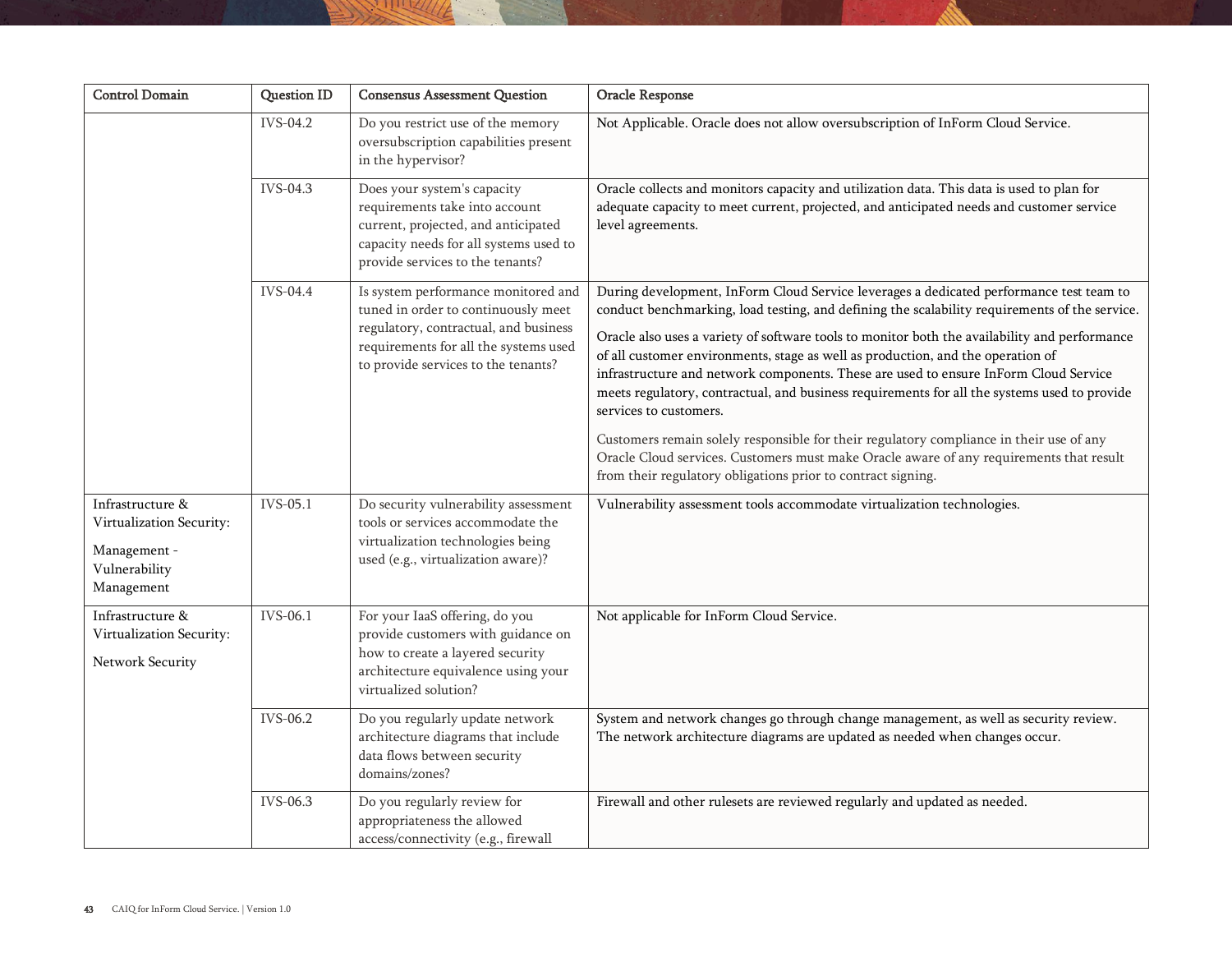| <b>Control Domain</b>                                                                       | Question ID | <b>Consensus Assessment Question</b>                                                                                                                                                                | Oracle Response                                                                                                                                                                                                                                                                                                                                                                                                                                                                                                                                                                                                                                                                                                                                                                                                                                      |
|---------------------------------------------------------------------------------------------|-------------|-----------------------------------------------------------------------------------------------------------------------------------------------------------------------------------------------------|------------------------------------------------------------------------------------------------------------------------------------------------------------------------------------------------------------------------------------------------------------------------------------------------------------------------------------------------------------------------------------------------------------------------------------------------------------------------------------------------------------------------------------------------------------------------------------------------------------------------------------------------------------------------------------------------------------------------------------------------------------------------------------------------------------------------------------------------------|
|                                                                                             | IVS-04.2    | Do you restrict use of the memory<br>oversubscription capabilities present<br>in the hypervisor?                                                                                                    | Not Applicable. Oracle does not allow oversubscription of InForm Cloud Service.                                                                                                                                                                                                                                                                                                                                                                                                                                                                                                                                                                                                                                                                                                                                                                      |
|                                                                                             | IVS-04.3    | Does your system's capacity<br>requirements take into account<br>current, projected, and anticipated<br>capacity needs for all systems used to<br>provide services to the tenants?                  | Oracle collects and monitors capacity and utilization data. This data is used to plan for<br>adequate capacity to meet current, projected, and anticipated needs and customer service<br>level agreements.                                                                                                                                                                                                                                                                                                                                                                                                                                                                                                                                                                                                                                           |
|                                                                                             | IVS-04.4    | Is system performance monitored and<br>tuned in order to continuously meet<br>regulatory, contractual, and business<br>requirements for all the systems used<br>to provide services to the tenants? | During development, InForm Cloud Service leverages a dedicated performance test team to<br>conduct benchmarking, load testing, and defining the scalability requirements of the service.<br>Oracle also uses a variety of software tools to monitor both the availability and performance<br>of all customer environments, stage as well as production, and the operation of<br>infrastructure and network components. These are used to ensure InForm Cloud Service<br>meets regulatory, contractual, and business requirements for all the systems used to provide<br>services to customers.<br>Customers remain solely responsible for their regulatory compliance in their use of any<br>Oracle Cloud services. Customers must make Oracle aware of any requirements that result<br>from their regulatory obligations prior to contract signing. |
| Infrastructure &<br>Virtualization Security:<br>Management -<br>Vulnerability<br>Management | IVS-05.1    | Do security vulnerability assessment<br>tools or services accommodate the<br>virtualization technologies being<br>used (e.g., virtualization aware)?                                                | Vulnerability assessment tools accommodate virtualization technologies.                                                                                                                                                                                                                                                                                                                                                                                                                                                                                                                                                                                                                                                                                                                                                                              |
| Infrastructure &<br>Virtualization Security:<br>Network Security                            | IVS-06.1    | For your IaaS offering, do you<br>provide customers with guidance on<br>how to create a layered security<br>architecture equivalence using your<br>virtualized solution?                            | Not applicable for InForm Cloud Service.                                                                                                                                                                                                                                                                                                                                                                                                                                                                                                                                                                                                                                                                                                                                                                                                             |
|                                                                                             | IVS-06.2    | Do you regularly update network<br>architecture diagrams that include<br>data flows between security<br>domains/zones?                                                                              | System and network changes go through change management, as well as security review.<br>The network architecture diagrams are updated as needed when changes occur.                                                                                                                                                                                                                                                                                                                                                                                                                                                                                                                                                                                                                                                                                  |
|                                                                                             | IVS-06.3    | Do you regularly review for<br>appropriateness the allowed<br>access/connectivity (e.g., firewall                                                                                                   | Firewall and other rulesets are reviewed regularly and updated as needed.                                                                                                                                                                                                                                                                                                                                                                                                                                                                                                                                                                                                                                                                                                                                                                            |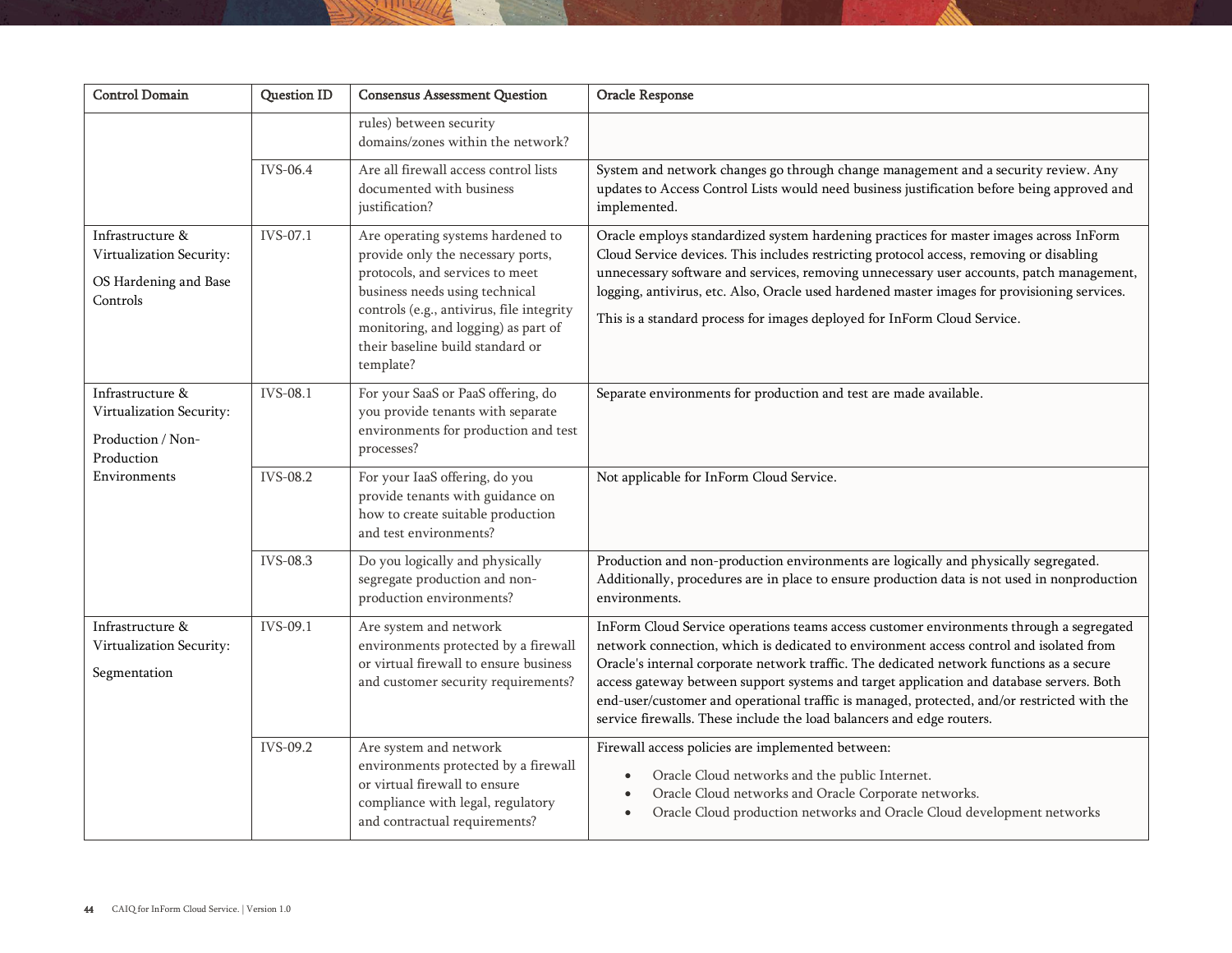| <b>Control Domain</b>                                                                           | <b>Question ID</b> | <b>Consensus Assessment Question</b>                                                                                                                                                                                                                                             | Oracle Response                                                                                                                                                                                                                                                                                                                                                                                                                                                                                                                                   |
|-------------------------------------------------------------------------------------------------|--------------------|----------------------------------------------------------------------------------------------------------------------------------------------------------------------------------------------------------------------------------------------------------------------------------|---------------------------------------------------------------------------------------------------------------------------------------------------------------------------------------------------------------------------------------------------------------------------------------------------------------------------------------------------------------------------------------------------------------------------------------------------------------------------------------------------------------------------------------------------|
|                                                                                                 |                    | rules) between security<br>domains/zones within the network?                                                                                                                                                                                                                     |                                                                                                                                                                                                                                                                                                                                                                                                                                                                                                                                                   |
|                                                                                                 | <b>IVS-06.4</b>    | Are all firewall access control lists<br>documented with business<br>justification?                                                                                                                                                                                              | System and network changes go through change management and a security review. Any<br>updates to Access Control Lists would need business justification before being approved and<br>implemented.                                                                                                                                                                                                                                                                                                                                                 |
| Infrastructure &<br>Virtualization Security:<br>OS Hardening and Base<br>Controls               | IVS-07.1           | Are operating systems hardened to<br>provide only the necessary ports,<br>protocols, and services to meet<br>business needs using technical<br>controls (e.g., antivirus, file integrity<br>monitoring, and logging) as part of<br>their baseline build standard or<br>template? | Oracle employs standardized system hardening practices for master images across InForm<br>Cloud Service devices. This includes restricting protocol access, removing or disabling<br>unnecessary software and services, removing unnecessary user accounts, patch management,<br>logging, antivirus, etc. Also, Oracle used hardened master images for provisioning services.<br>This is a standard process for images deployed for InForm Cloud Service.                                                                                         |
| Infrastructure &<br>Virtualization Security:<br>Production / Non-<br>Production<br>Environments | <b>IVS-08.1</b>    | For your SaaS or PaaS offering, do<br>you provide tenants with separate<br>environments for production and test<br>processes?                                                                                                                                                    | Separate environments for production and test are made available.                                                                                                                                                                                                                                                                                                                                                                                                                                                                                 |
|                                                                                                 | IVS-08.2           | For your IaaS offering, do you<br>provide tenants with guidance on<br>how to create suitable production<br>and test environments?                                                                                                                                                | Not applicable for InForm Cloud Service.                                                                                                                                                                                                                                                                                                                                                                                                                                                                                                          |
|                                                                                                 | <b>IVS-08.3</b>    | Do you logically and physically<br>segregate production and non-<br>production environments?                                                                                                                                                                                     | Production and non-production environments are logically and physically segregated.<br>Additionally, procedures are in place to ensure production data is not used in nonproduction<br>environments.                                                                                                                                                                                                                                                                                                                                              |
| Infrastructure &<br>Virtualization Security:<br>Segmentation                                    | IVS-09.1           | Are system and network<br>environments protected by a firewall<br>or virtual firewall to ensure business<br>and customer security requirements?                                                                                                                                  | InForm Cloud Service operations teams access customer environments through a segregated<br>network connection, which is dedicated to environment access control and isolated from<br>Oracle's internal corporate network traffic. The dedicated network functions as a secure<br>access gateway between support systems and target application and database servers. Both<br>end-user/customer and operational traffic is managed, protected, and/or restricted with the<br>service firewalls. These include the load balancers and edge routers. |
|                                                                                                 | IVS-09.2           | Are system and network<br>environments protected by a firewall<br>or virtual firewall to ensure<br>compliance with legal, regulatory<br>and contractual requirements?                                                                                                            | Firewall access policies are implemented between:<br>Oracle Cloud networks and the public Internet.<br>Oracle Cloud networks and Oracle Corporate networks.<br>Oracle Cloud production networks and Oracle Cloud development networks                                                                                                                                                                                                                                                                                                             |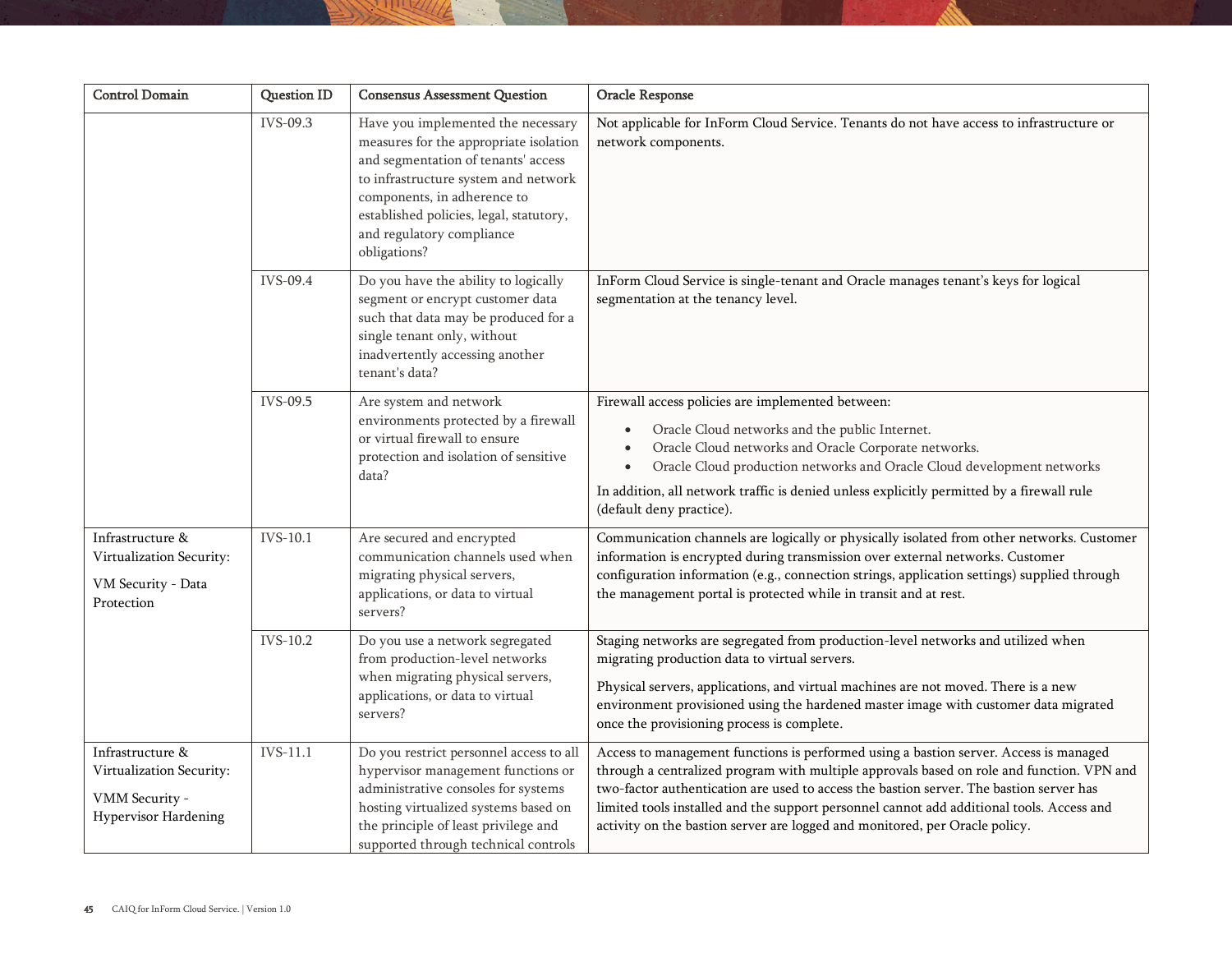| <b>Control Domain</b>                                                                  | <b>Question ID</b> | <b>Consensus Assessment Question</b>                                                                                                                                                                                                                                               | Oracle Response                                                                                                                                                                                                                                                                                                                                                                                                                                           |
|----------------------------------------------------------------------------------------|--------------------|------------------------------------------------------------------------------------------------------------------------------------------------------------------------------------------------------------------------------------------------------------------------------------|-----------------------------------------------------------------------------------------------------------------------------------------------------------------------------------------------------------------------------------------------------------------------------------------------------------------------------------------------------------------------------------------------------------------------------------------------------------|
|                                                                                        | IVS-09.3           | Have you implemented the necessary<br>measures for the appropriate isolation<br>and segmentation of tenants' access<br>to infrastructure system and network<br>components, in adherence to<br>established policies, legal, statutory,<br>and regulatory compliance<br>obligations? | Not applicable for InForm Cloud Service. Tenants do not have access to infrastructure or<br>network components.                                                                                                                                                                                                                                                                                                                                           |
|                                                                                        | IVS-09.4           | Do you have the ability to logically<br>segment or encrypt customer data<br>such that data may be produced for a<br>single tenant only, without<br>inadvertently accessing another<br>tenant's data?                                                                               | InForm Cloud Service is single-tenant and Oracle manages tenant's keys for logical<br>segmentation at the tenancy level.                                                                                                                                                                                                                                                                                                                                  |
|                                                                                        | IVS-09.5           | Are system and network<br>environments protected by a firewall<br>or virtual firewall to ensure<br>protection and isolation of sensitive<br>data?                                                                                                                                  | Firewall access policies are implemented between:<br>Oracle Cloud networks and the public Internet.<br>$\bullet$<br>Oracle Cloud networks and Oracle Corporate networks.<br>$\bullet$<br>Oracle Cloud production networks and Oracle Cloud development networks<br>$\bullet$<br>In addition, all network traffic is denied unless explicitly permitted by a firewall rule<br>(default deny practice).                                                     |
| Infrastructure &<br>Virtualization Security:<br>VM Security - Data<br>Protection       | IVS-10.1           | Are secured and encrypted<br>communication channels used when<br>migrating physical servers,<br>applications, or data to virtual<br>servers?                                                                                                                                       | Communication channels are logically or physically isolated from other networks. Customer<br>information is encrypted during transmission over external networks. Customer<br>configuration information (e.g., connection strings, application settings) supplied through<br>the management portal is protected while in transit and at rest.                                                                                                             |
|                                                                                        | IVS-10.2           | Do you use a network segregated<br>from production-level networks<br>when migrating physical servers,<br>applications, or data to virtual<br>servers?                                                                                                                              | Staging networks are segregated from production-level networks and utilized when<br>migrating production data to virtual servers.<br>Physical servers, applications, and virtual machines are not moved. There is a new<br>environment provisioned using the hardened master image with customer data migrated<br>once the provisioning process is complete.                                                                                              |
| Infrastructure &<br>Virtualization Security:<br>VMM Security -<br>Hypervisor Hardening | IVS-11.1           | Do you restrict personnel access to all<br>hypervisor management functions or<br>administrative consoles for systems<br>hosting virtualized systems based on<br>the principle of least privilege and<br>supported through technical controls                                       | Access to management functions is performed using a bastion server. Access is managed<br>through a centralized program with multiple approvals based on role and function. VPN and<br>two-factor authentication are used to access the bastion server. The bastion server has<br>limited tools installed and the support personnel cannot add additional tools. Access and<br>activity on the bastion server are logged and monitored, per Oracle policy. |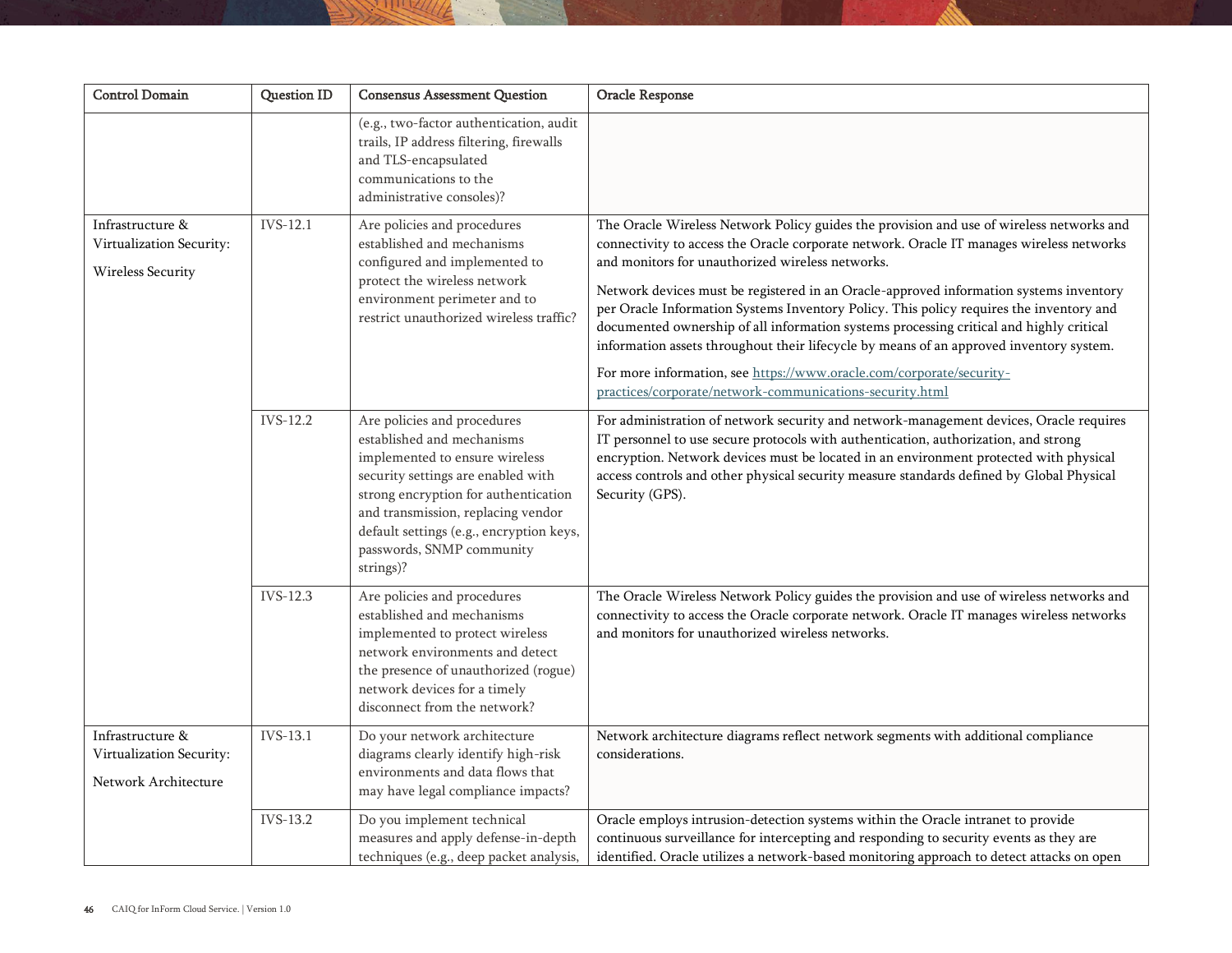| <b>Control Domain</b>                                                | Question ID | <b>Consensus Assessment Question</b>                                                                                                                                                                                                                                                                  | Oracle Response                                                                                                                                                                                                                                                                                                                                                                                                                                                                                                                                                                                                                                                                                                                                         |
|----------------------------------------------------------------------|-------------|-------------------------------------------------------------------------------------------------------------------------------------------------------------------------------------------------------------------------------------------------------------------------------------------------------|---------------------------------------------------------------------------------------------------------------------------------------------------------------------------------------------------------------------------------------------------------------------------------------------------------------------------------------------------------------------------------------------------------------------------------------------------------------------------------------------------------------------------------------------------------------------------------------------------------------------------------------------------------------------------------------------------------------------------------------------------------|
|                                                                      |             | (e.g., two-factor authentication, audit<br>trails, IP address filtering, firewalls<br>and TLS-encapsulated<br>communications to the<br>administrative consoles)?                                                                                                                                      |                                                                                                                                                                                                                                                                                                                                                                                                                                                                                                                                                                                                                                                                                                                                                         |
| Infrastructure &<br>Virtualization Security:<br>Wireless Security    | IVS-12.1    | Are policies and procedures<br>established and mechanisms<br>configured and implemented to<br>protect the wireless network<br>environment perimeter and to<br>restrict unauthorized wireless traffic?                                                                                                 | The Oracle Wireless Network Policy guides the provision and use of wireless networks and<br>connectivity to access the Oracle corporate network. Oracle IT manages wireless networks<br>and monitors for unauthorized wireless networks.<br>Network devices must be registered in an Oracle-approved information systems inventory<br>per Oracle Information Systems Inventory Policy. This policy requires the inventory and<br>documented ownership of all information systems processing critical and highly critical<br>information assets throughout their lifecycle by means of an approved inventory system.<br>For more information, see https://www.oracle.com/corporate/security-<br>practices/corporate/network-communications-security.html |
|                                                                      | IVS-12.2    | Are policies and procedures<br>established and mechanisms<br>implemented to ensure wireless<br>security settings are enabled with<br>strong encryption for authentication<br>and transmission, replacing vendor<br>default settings (e.g., encryption keys,<br>passwords, SNMP community<br>strings)? | For administration of network security and network-management devices, Oracle requires<br>IT personnel to use secure protocols with authentication, authorization, and strong<br>encryption. Network devices must be located in an environment protected with physical<br>access controls and other physical security measure standards defined by Global Physical<br>Security (GPS).                                                                                                                                                                                                                                                                                                                                                                   |
|                                                                      | IVS-12.3    | Are policies and procedures<br>established and mechanisms<br>implemented to protect wireless<br>network environments and detect<br>the presence of unauthorized (rogue)<br>network devices for a timely<br>disconnect from the network?                                                               | The Oracle Wireless Network Policy guides the provision and use of wireless networks and<br>connectivity to access the Oracle corporate network. Oracle IT manages wireless networks<br>and monitors for unauthorized wireless networks.                                                                                                                                                                                                                                                                                                                                                                                                                                                                                                                |
| Infrastructure &<br>Virtualization Security:<br>Network Architecture | IVS-13.1    | Do your network architecture<br>diagrams clearly identify high-risk<br>environments and data flows that<br>may have legal compliance impacts?                                                                                                                                                         | Network architecture diagrams reflect network segments with additional compliance<br>considerations.                                                                                                                                                                                                                                                                                                                                                                                                                                                                                                                                                                                                                                                    |
|                                                                      | IVS-13.2    | Do you implement technical<br>measures and apply defense-in-depth<br>techniques (e.g., deep packet analysis,                                                                                                                                                                                          | Oracle employs intrusion-detection systems within the Oracle intranet to provide<br>continuous surveillance for intercepting and responding to security events as they are<br>identified. Oracle utilizes a network-based monitoring approach to detect attacks on open                                                                                                                                                                                                                                                                                                                                                                                                                                                                                 |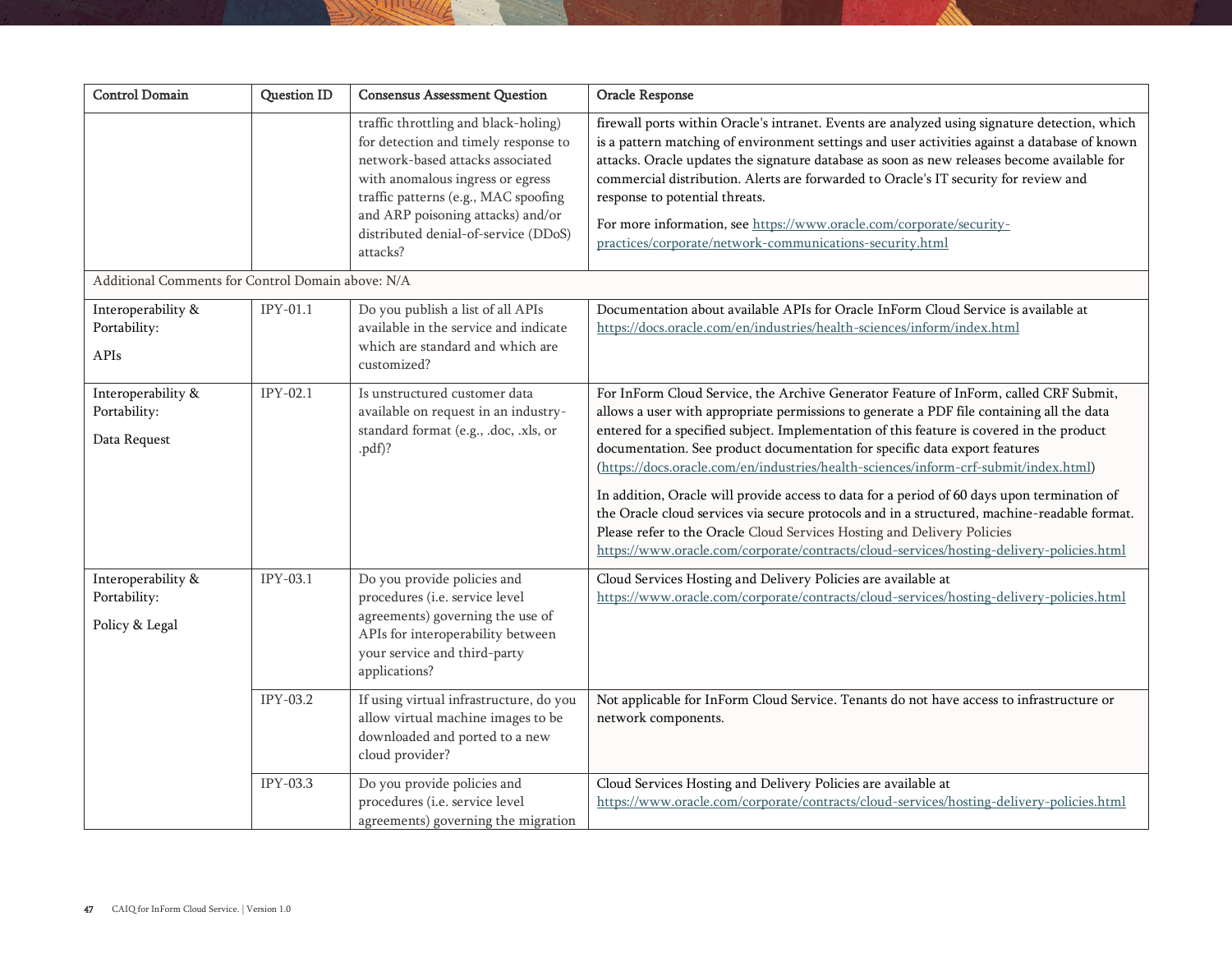| <b>Control Domain</b>                                | <b>Question ID</b> | <b>Consensus Assessment Question</b>                                                                                                                                                                                                                                                  | Oracle Response                                                                                                                                                                                                                                                                                                                                                                                                                                                                                                                                                                                                                                                                                                                                                                                                             |
|------------------------------------------------------|--------------------|---------------------------------------------------------------------------------------------------------------------------------------------------------------------------------------------------------------------------------------------------------------------------------------|-----------------------------------------------------------------------------------------------------------------------------------------------------------------------------------------------------------------------------------------------------------------------------------------------------------------------------------------------------------------------------------------------------------------------------------------------------------------------------------------------------------------------------------------------------------------------------------------------------------------------------------------------------------------------------------------------------------------------------------------------------------------------------------------------------------------------------|
|                                                      |                    | traffic throttling and black-holing)<br>for detection and timely response to<br>network-based attacks associated<br>with anomalous ingress or egress<br>traffic patterns (e.g., MAC spoofing<br>and ARP poisoning attacks) and/or<br>distributed denial-of-service (DDoS)<br>attacks? | firewall ports within Oracle's intranet. Events are analyzed using signature detection, which<br>is a pattern matching of environment settings and user activities against a database of known<br>attacks. Oracle updates the signature database as soon as new releases become available for<br>commercial distribution. Alerts are forwarded to Oracle's IT security for review and<br>response to potential threats.<br>For more information, see https://www.oracle.com/corporate/security-<br>practices/corporate/network-communications-security.html                                                                                                                                                                                                                                                                 |
| Additional Comments for Control Domain above: N/A    |                    |                                                                                                                                                                                                                                                                                       |                                                                                                                                                                                                                                                                                                                                                                                                                                                                                                                                                                                                                                                                                                                                                                                                                             |
| Interoperability &<br>Portability:<br>APIs           | $IPY-01.1$         | Do you publish a list of all APIs<br>available in the service and indicate<br>which are standard and which are<br>customized?                                                                                                                                                         | Documentation about available APIs for Oracle InForm Cloud Service is available at<br>https://docs.oracle.com/en/industries/health-sciences/inform/index.html                                                                                                                                                                                                                                                                                                                                                                                                                                                                                                                                                                                                                                                               |
| Interoperability &<br>Portability:<br>Data Request   | $IPY-02.1$         | Is unstructured customer data<br>available on request in an industry-<br>standard format (e.g., .doc, .xls, or<br>.pdf)?                                                                                                                                                              | For InForm Cloud Service, the Archive Generator Feature of InForm, called CRF Submit,<br>allows a user with appropriate permissions to generate a PDF file containing all the data<br>entered for a specified subject. Implementation of this feature is covered in the product<br>documentation. See product documentation for specific data export features<br>(https://docs.oracle.com/en/industries/health-sciences/inform-crf-submit/index.html)<br>In addition, Oracle will provide access to data for a period of 60 days upon termination of<br>the Oracle cloud services via secure protocols and in a structured, machine-readable format.<br>Please refer to the Oracle Cloud Services Hosting and Delivery Policies<br>https://www.oracle.com/corporate/contracts/cloud-services/hosting-delivery-policies.html |
| Interoperability &<br>Portability:<br>Policy & Legal | IPY-03.1           | Do you provide policies and<br>procedures (i.e. service level<br>agreements) governing the use of<br>APIs for interoperability between<br>your service and third-party<br>applications?                                                                                               | Cloud Services Hosting and Delivery Policies are available at<br>https://www.oracle.com/corporate/contracts/cloud-services/hosting-delivery-policies.html                                                                                                                                                                                                                                                                                                                                                                                                                                                                                                                                                                                                                                                                   |
|                                                      | IPY-03.2           | If using virtual infrastructure, do you<br>allow virtual machine images to be<br>downloaded and ported to a new<br>cloud provider?                                                                                                                                                    | Not applicable for InForm Cloud Service. Tenants do not have access to infrastructure or<br>network components.                                                                                                                                                                                                                                                                                                                                                                                                                                                                                                                                                                                                                                                                                                             |
|                                                      | IPY-03.3           | Do you provide policies and<br>procedures (i.e. service level<br>agreements) governing the migration                                                                                                                                                                                  | Cloud Services Hosting and Delivery Policies are available at<br>https://www.oracle.com/corporate/contracts/cloud-services/hosting-delivery-policies.html                                                                                                                                                                                                                                                                                                                                                                                                                                                                                                                                                                                                                                                                   |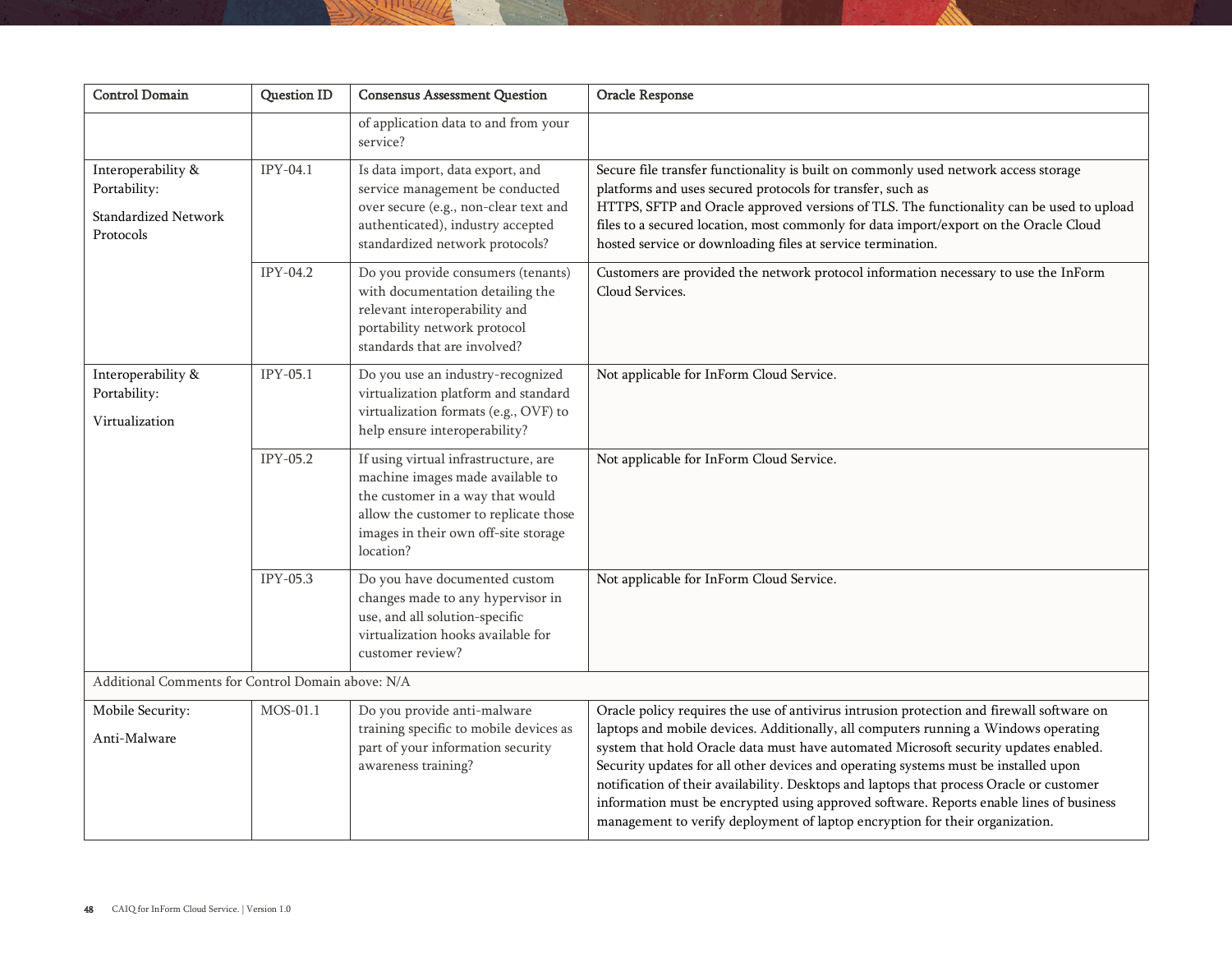| <b>Control Domain</b>                                                          | <b>Question ID</b>                                | <b>Consensus Assessment Question</b>                                                                                                                                                                       | Oracle Response                                                                                                                                                                                                                                                                                                                                                                                                                                                                                                                                                                                                                        |  |  |
|--------------------------------------------------------------------------------|---------------------------------------------------|------------------------------------------------------------------------------------------------------------------------------------------------------------------------------------------------------------|----------------------------------------------------------------------------------------------------------------------------------------------------------------------------------------------------------------------------------------------------------------------------------------------------------------------------------------------------------------------------------------------------------------------------------------------------------------------------------------------------------------------------------------------------------------------------------------------------------------------------------------|--|--|
|                                                                                |                                                   | of application data to and from your<br>service?                                                                                                                                                           |                                                                                                                                                                                                                                                                                                                                                                                                                                                                                                                                                                                                                                        |  |  |
| Interoperability &<br>Portability:<br><b>Standardized Network</b><br>Protocols | $IPY-04.1$                                        | Is data import, data export, and<br>service management be conducted<br>over secure (e.g., non-clear text and<br>authenticated), industry accepted<br>standardized network protocols?                       | Secure file transfer functionality is built on commonly used network access storage<br>platforms and uses secured protocols for transfer, such as<br>HTTPS, SFTP and Oracle approved versions of TLS. The functionality can be used to upload<br>files to a secured location, most commonly for data import/export on the Oracle Cloud<br>hosted service or downloading files at service termination.                                                                                                                                                                                                                                  |  |  |
|                                                                                | IPY-04.2                                          | Do you provide consumers (tenants)<br>with documentation detailing the<br>relevant interoperability and<br>portability network protocol<br>standards that are involved?                                    | Customers are provided the network protocol information necessary to use the InForm<br>Cloud Services.                                                                                                                                                                                                                                                                                                                                                                                                                                                                                                                                 |  |  |
| Interoperability &<br>Portability:<br>Virtualization                           | IPY-05.1                                          | Do you use an industry-recognized<br>virtualization platform and standard<br>virtualization formats (e.g., OVF) to<br>help ensure interoperability?                                                        | Not applicable for InForm Cloud Service.                                                                                                                                                                                                                                                                                                                                                                                                                                                                                                                                                                                               |  |  |
|                                                                                | IPY-05.2                                          | If using virtual infrastructure, are<br>machine images made available to<br>the customer in a way that would<br>allow the customer to replicate those<br>images in their own off-site storage<br>location? | Not applicable for InForm Cloud Service.                                                                                                                                                                                                                                                                                                                                                                                                                                                                                                                                                                                               |  |  |
|                                                                                | IPY-05.3                                          | Do you have documented custom<br>changes made to any hypervisor in<br>use, and all solution-specific<br>virtualization hooks available for<br>customer review?                                             | Not applicable for InForm Cloud Service.                                                                                                                                                                                                                                                                                                                                                                                                                                                                                                                                                                                               |  |  |
|                                                                                | Additional Comments for Control Domain above: N/A |                                                                                                                                                                                                            |                                                                                                                                                                                                                                                                                                                                                                                                                                                                                                                                                                                                                                        |  |  |
| Mobile Security:<br>Anti-Malware                                               | MOS-01.1                                          | Do you provide anti-malware<br>training specific to mobile devices as<br>part of your information security<br>awareness training?                                                                          | Oracle policy requires the use of antivirus intrusion protection and firewall software on<br>laptops and mobile devices. Additionally, all computers running a Windows operating<br>system that hold Oracle data must have automated Microsoft security updates enabled.<br>Security updates for all other devices and operating systems must be installed upon<br>notification of their availability. Desktops and laptops that process Oracle or customer<br>information must be encrypted using approved software. Reports enable lines of business<br>management to verify deployment of laptop encryption for their organization. |  |  |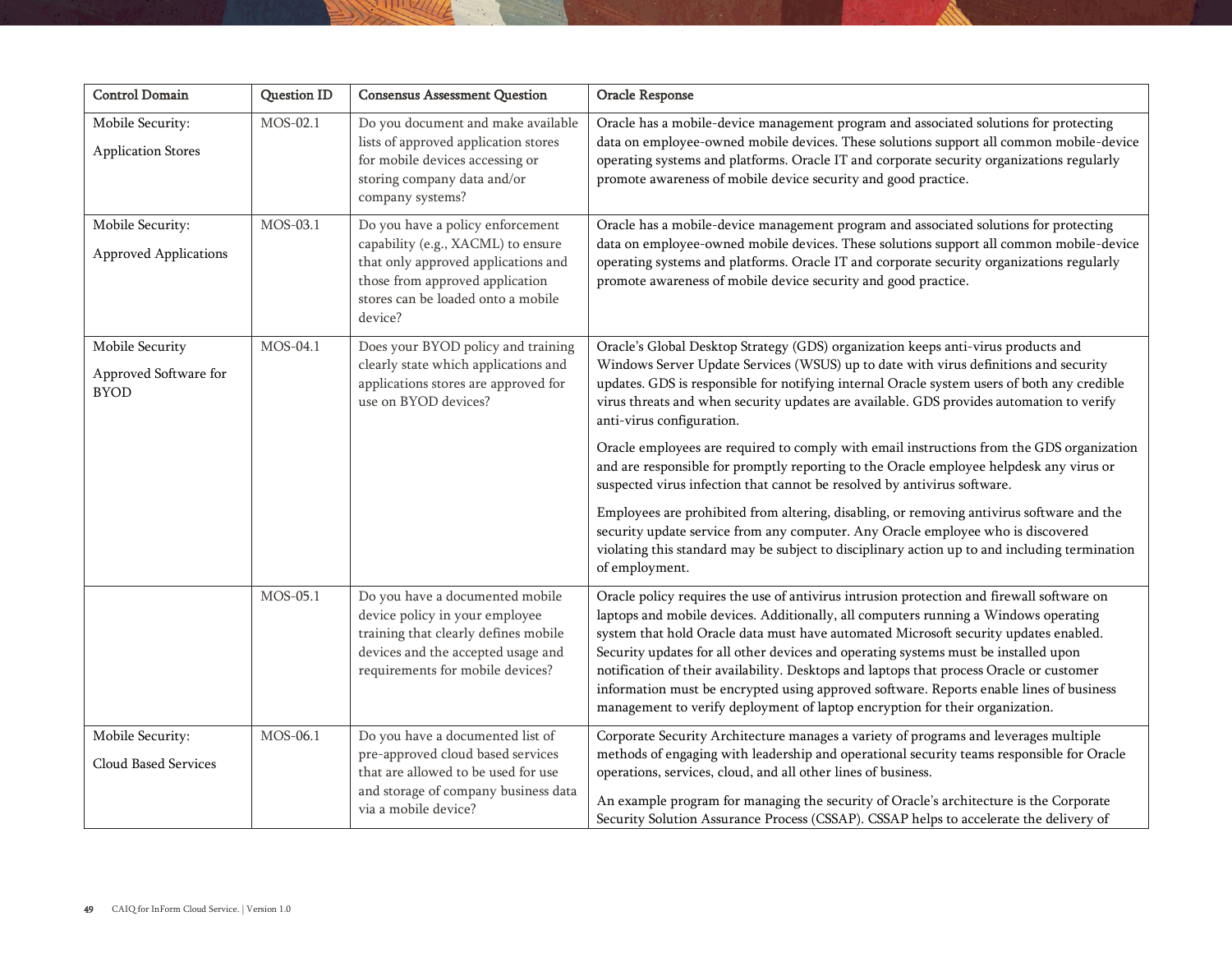| <b>Control Domain</b>                                   | <b>Question ID</b> | <b>Consensus Assessment Question</b>                                                                                                                                                              | Oracle Response                                                                                                                                                                                                                                                                                                                                                                                                                                                                                                                                                                                                                        |
|---------------------------------------------------------|--------------------|---------------------------------------------------------------------------------------------------------------------------------------------------------------------------------------------------|----------------------------------------------------------------------------------------------------------------------------------------------------------------------------------------------------------------------------------------------------------------------------------------------------------------------------------------------------------------------------------------------------------------------------------------------------------------------------------------------------------------------------------------------------------------------------------------------------------------------------------------|
| Mobile Security:<br><b>Application Stores</b>           | MOS-02.1           | Do you document and make available<br>lists of approved application stores<br>for mobile devices accessing or<br>storing company data and/or<br>company systems?                                  | Oracle has a mobile-device management program and associated solutions for protecting<br>data on employee-owned mobile devices. These solutions support all common mobile-device<br>operating systems and platforms. Oracle IT and corporate security organizations regularly<br>promote awareness of mobile device security and good practice.                                                                                                                                                                                                                                                                                        |
| Mobile Security:<br><b>Approved Applications</b>        | MOS-03.1           | Do you have a policy enforcement<br>capability (e.g., XACML) to ensure<br>that only approved applications and<br>those from approved application<br>stores can be loaded onto a mobile<br>device? | Oracle has a mobile-device management program and associated solutions for protecting<br>data on employee-owned mobile devices. These solutions support all common mobile-device<br>operating systems and platforms. Oracle IT and corporate security organizations regularly<br>promote awareness of mobile device security and good practice.                                                                                                                                                                                                                                                                                        |
| Mobile Security<br>Approved Software for<br><b>BYOD</b> | MOS-04.1           | Does your BYOD policy and training<br>clearly state which applications and<br>applications stores are approved for<br>use on BYOD devices?                                                        | Oracle's Global Desktop Strategy (GDS) organization keeps anti-virus products and<br>Windows Server Update Services (WSUS) up to date with virus definitions and security<br>updates. GDS is responsible for notifying internal Oracle system users of both any credible<br>virus threats and when security updates are available. GDS provides automation to verify<br>anti-virus configuration.<br>Oracle employees are required to comply with email instructions from the GDS organization                                                                                                                                         |
|                                                         |                    |                                                                                                                                                                                                   | and are responsible for promptly reporting to the Oracle employee helpdesk any virus or<br>suspected virus infection that cannot be resolved by antivirus software.<br>Employees are prohibited from altering, disabling, or removing antivirus software and the<br>security update service from any computer. Any Oracle employee who is discovered<br>violating this standard may be subject to disciplinary action up to and including termination<br>of employment.                                                                                                                                                                |
|                                                         | MOS-05.1           | Do you have a documented mobile<br>device policy in your employee<br>training that clearly defines mobile<br>devices and the accepted usage and<br>requirements for mobile devices?               | Oracle policy requires the use of antivirus intrusion protection and firewall software on<br>laptops and mobile devices. Additionally, all computers running a Windows operating<br>system that hold Oracle data must have automated Microsoft security updates enabled.<br>Security updates for all other devices and operating systems must be installed upon<br>notification of their availability. Desktops and laptops that process Oracle or customer<br>information must be encrypted using approved software. Reports enable lines of business<br>management to verify deployment of laptop encryption for their organization. |
| Mobile Security:<br>Cloud Based Services                | MOS-06.1           | Do you have a documented list of<br>pre-approved cloud based services<br>that are allowed to be used for use<br>and storage of company business data<br>via a mobile device?                      | Corporate Security Architecture manages a variety of programs and leverages multiple<br>methods of engaging with leadership and operational security teams responsible for Oracle<br>operations, services, cloud, and all other lines of business.<br>An example program for managing the security of Oracle's architecture is the Corporate<br>Security Solution Assurance Process (CSSAP). CSSAP helps to accelerate the delivery of                                                                                                                                                                                                 |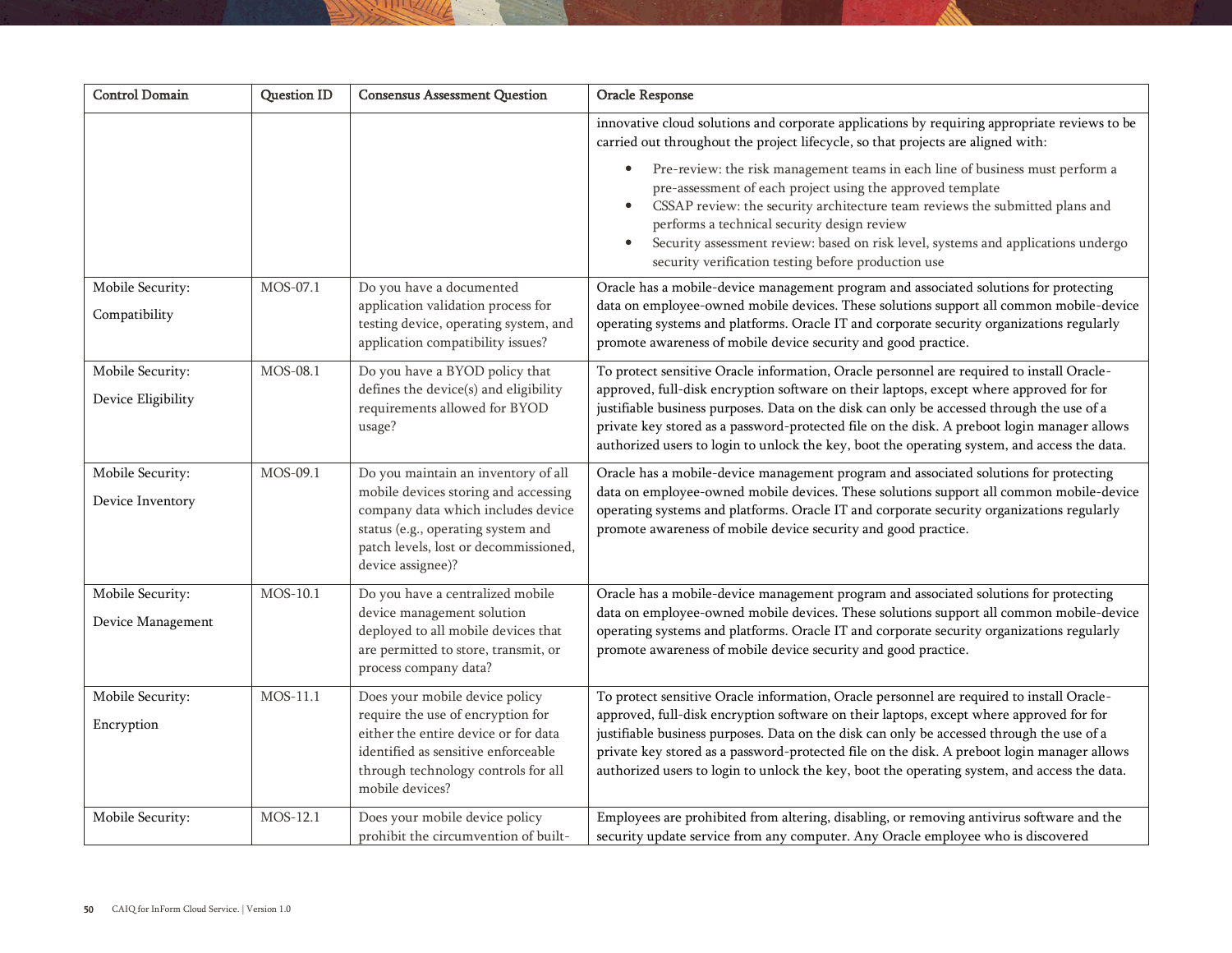| <b>Control Domain</b>                  | Question ID | <b>Consensus Assessment Question</b>                                                                                                                                                                                  | Oracle Response                                                                                                                                                                                                                                                                                                                                                                                                                                                                  |
|----------------------------------------|-------------|-----------------------------------------------------------------------------------------------------------------------------------------------------------------------------------------------------------------------|----------------------------------------------------------------------------------------------------------------------------------------------------------------------------------------------------------------------------------------------------------------------------------------------------------------------------------------------------------------------------------------------------------------------------------------------------------------------------------|
|                                        |             |                                                                                                                                                                                                                       | innovative cloud solutions and corporate applications by requiring appropriate reviews to be<br>carried out throughout the project lifecycle, so that projects are aligned with:                                                                                                                                                                                                                                                                                                 |
|                                        |             |                                                                                                                                                                                                                       | Pre-review: the risk management teams in each line of business must perform a<br>$\bullet$<br>pre-assessment of each project using the approved template<br>CSSAP review: the security architecture team reviews the submitted plans and<br>$\bullet$<br>performs a technical security design review<br>Security assessment review: based on risk level, systems and applications undergo<br>$\bullet$<br>security verification testing before production use                    |
| Mobile Security:<br>Compatibility      | MOS-07.1    | Do you have a documented<br>application validation process for<br>testing device, operating system, and<br>application compatibility issues?                                                                          | Oracle has a mobile-device management program and associated solutions for protecting<br>data on employee-owned mobile devices. These solutions support all common mobile-device<br>operating systems and platforms. Oracle IT and corporate security organizations regularly<br>promote awareness of mobile device security and good practice.                                                                                                                                  |
| Mobile Security:<br>Device Eligibility | MOS-08.1    | Do you have a BYOD policy that<br>defines the device(s) and eligibility<br>requirements allowed for BYOD<br>usage?                                                                                                    | To protect sensitive Oracle information, Oracle personnel are required to install Oracle-<br>approved, full-disk encryption software on their laptops, except where approved for for<br>justifiable business purposes. Data on the disk can only be accessed through the use of a<br>private key stored as a password-protected file on the disk. A preboot login manager allows<br>authorized users to login to unlock the key, boot the operating system, and access the data. |
| Mobile Security:<br>Device Inventory   | MOS-09.1    | Do you maintain an inventory of all<br>mobile devices storing and accessing<br>company data which includes device<br>status (e.g., operating system and<br>patch levels, lost or decommissioned,<br>device assignee)? | Oracle has a mobile-device management program and associated solutions for protecting<br>data on employee-owned mobile devices. These solutions support all common mobile-device<br>operating systems and platforms. Oracle IT and corporate security organizations regularly<br>promote awareness of mobile device security and good practice.                                                                                                                                  |
| Mobile Security:<br>Device Management  | MOS-10.1    | Do you have a centralized mobile<br>device management solution<br>deployed to all mobile devices that<br>are permitted to store, transmit, or<br>process company data?                                                | Oracle has a mobile-device management program and associated solutions for protecting<br>data on employee-owned mobile devices. These solutions support all common mobile-device<br>operating systems and platforms. Oracle IT and corporate security organizations regularly<br>promote awareness of mobile device security and good practice.                                                                                                                                  |
| Mobile Security:<br>Encryption         | MOS-11.1    | Does your mobile device policy<br>require the use of encryption for<br>either the entire device or for data<br>identified as sensitive enforceable<br>through technology controls for all<br>mobile devices?          | To protect sensitive Oracle information, Oracle personnel are required to install Oracle-<br>approved, full-disk encryption software on their laptops, except where approved for for<br>justifiable business purposes. Data on the disk can only be accessed through the use of a<br>private key stored as a password-protected file on the disk. A preboot login manager allows<br>authorized users to login to unlock the key, boot the operating system, and access the data. |
| Mobile Security:                       | MOS-12.1    | Does your mobile device policy<br>prohibit the circumvention of built-                                                                                                                                                | Employees are prohibited from altering, disabling, or removing antivirus software and the<br>security update service from any computer. Any Oracle employee who is discovered                                                                                                                                                                                                                                                                                                    |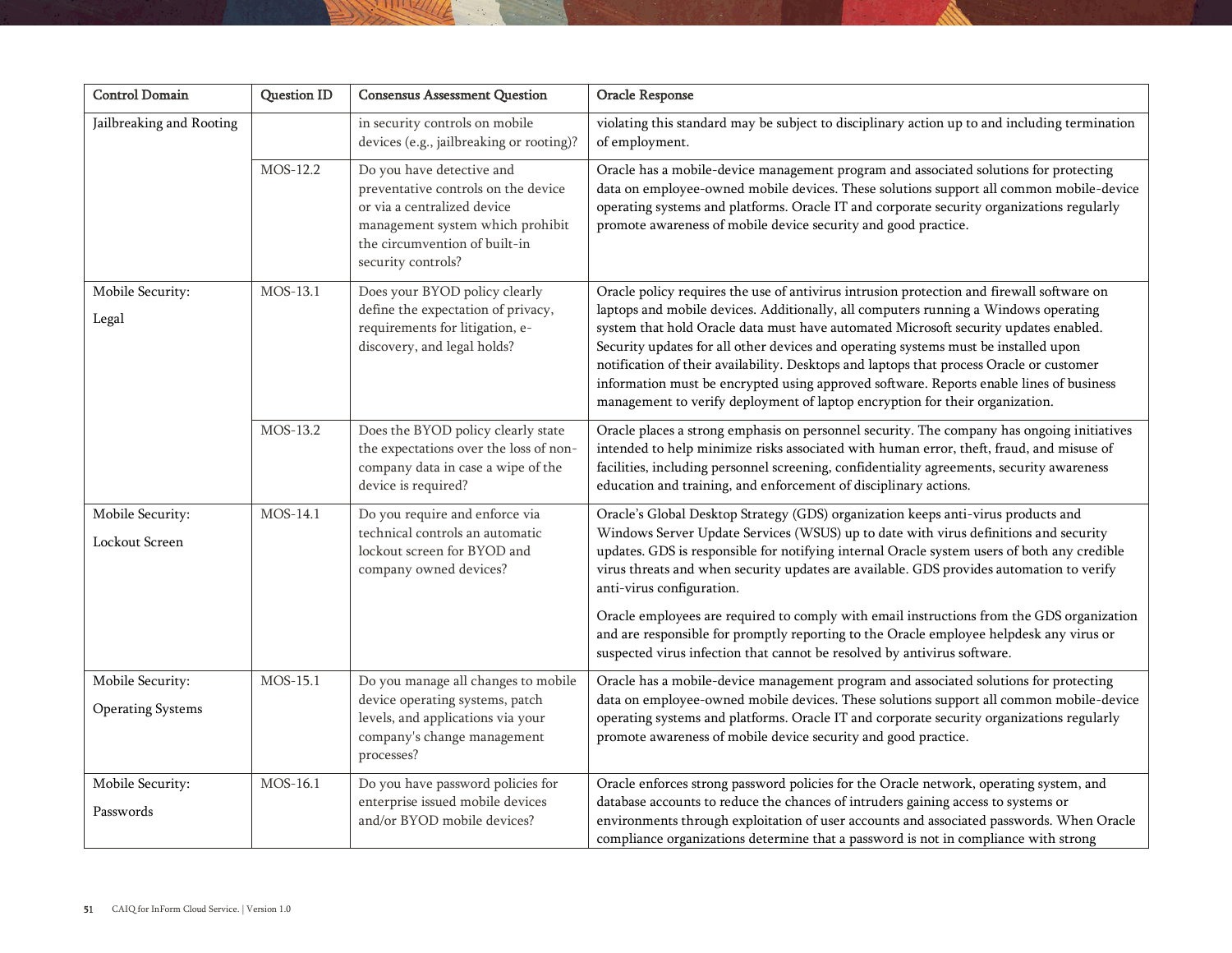| <b>Control Domain</b>                        | <b>Question ID</b> | <b>Consensus Assessment Question</b>                                                                                                                                                       | Oracle Response                                                                                                                                                                                                                                                                                                                                                                                                                                                                                                                                                                                                                                                       |
|----------------------------------------------|--------------------|--------------------------------------------------------------------------------------------------------------------------------------------------------------------------------------------|-----------------------------------------------------------------------------------------------------------------------------------------------------------------------------------------------------------------------------------------------------------------------------------------------------------------------------------------------------------------------------------------------------------------------------------------------------------------------------------------------------------------------------------------------------------------------------------------------------------------------------------------------------------------------|
| Jailbreaking and Rooting                     |                    | in security controls on mobile<br>devices (e.g., jailbreaking or rooting)?                                                                                                                 | violating this standard may be subject to disciplinary action up to and including termination<br>of employment.                                                                                                                                                                                                                                                                                                                                                                                                                                                                                                                                                       |
|                                              | MOS-12.2           | Do you have detective and<br>preventative controls on the device<br>or via a centralized device<br>management system which prohibit<br>the circumvention of built-in<br>security controls? | Oracle has a mobile-device management program and associated solutions for protecting<br>data on employee-owned mobile devices. These solutions support all common mobile-device<br>operating systems and platforms. Oracle IT and corporate security organizations regularly<br>promote awareness of mobile device security and good practice.                                                                                                                                                                                                                                                                                                                       |
| Mobile Security:<br>Legal                    | MOS-13.1           | Does your BYOD policy clearly<br>define the expectation of privacy,<br>requirements for litigation, e-<br>discovery, and legal holds?                                                      | Oracle policy requires the use of antivirus intrusion protection and firewall software on<br>laptops and mobile devices. Additionally, all computers running a Windows operating<br>system that hold Oracle data must have automated Microsoft security updates enabled.<br>Security updates for all other devices and operating systems must be installed upon<br>notification of their availability. Desktops and laptops that process Oracle or customer<br>information must be encrypted using approved software. Reports enable lines of business<br>management to verify deployment of laptop encryption for their organization.                                |
|                                              | MOS-13.2           | Does the BYOD policy clearly state<br>the expectations over the loss of non-<br>company data in case a wipe of the<br>device is required?                                                  | Oracle places a strong emphasis on personnel security. The company has ongoing initiatives<br>intended to help minimize risks associated with human error, theft, fraud, and misuse of<br>facilities, including personnel screening, confidentiality agreements, security awareness<br>education and training, and enforcement of disciplinary actions.                                                                                                                                                                                                                                                                                                               |
| Mobile Security:<br>Lockout Screen           | MOS-14.1           | Do you require and enforce via<br>technical controls an automatic<br>lockout screen for BYOD and<br>company owned devices?                                                                 | Oracle's Global Desktop Strategy (GDS) organization keeps anti-virus products and<br>Windows Server Update Services (WSUS) up to date with virus definitions and security<br>updates. GDS is responsible for notifying internal Oracle system users of both any credible<br>virus threats and when security updates are available. GDS provides automation to verify<br>anti-virus configuration.<br>Oracle employees are required to comply with email instructions from the GDS organization<br>and are responsible for promptly reporting to the Oracle employee helpdesk any virus or<br>suspected virus infection that cannot be resolved by antivirus software. |
| Mobile Security:<br><b>Operating Systems</b> | MOS-15.1           | Do you manage all changes to mobile<br>device operating systems, patch<br>levels, and applications via your<br>company's change management<br>processes?                                   | Oracle has a mobile-device management program and associated solutions for protecting<br>data on employee-owned mobile devices. These solutions support all common mobile-device<br>operating systems and platforms. Oracle IT and corporate security organizations regularly<br>promote awareness of mobile device security and good practice.                                                                                                                                                                                                                                                                                                                       |
| Mobile Security:<br>Passwords                | MOS-16.1           | Do you have password policies for<br>enterprise issued mobile devices<br>and/or BYOD mobile devices?                                                                                       | Oracle enforces strong password policies for the Oracle network, operating system, and<br>database accounts to reduce the chances of intruders gaining access to systems or<br>environments through exploitation of user accounts and associated passwords. When Oracle<br>compliance organizations determine that a password is not in compliance with strong                                                                                                                                                                                                                                                                                                        |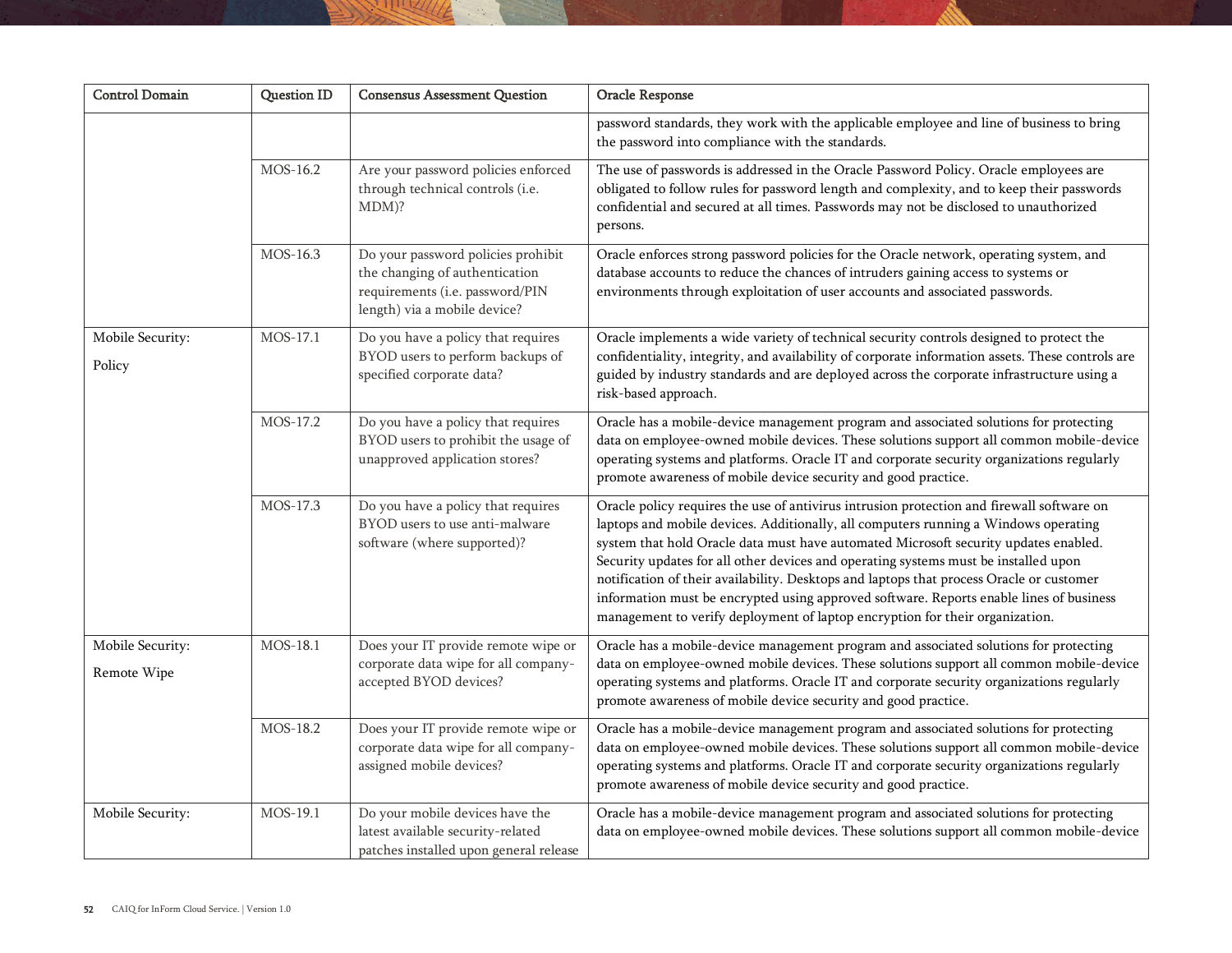| <b>Control Domain</b>           | <b>Question ID</b> | <b>Consensus Assessment Question</b>                                                                                                    | Oracle Response                                                                                                                                                                                                                                                                                                                                                                                                                                                                                                                                                                                                                        |
|---------------------------------|--------------------|-----------------------------------------------------------------------------------------------------------------------------------------|----------------------------------------------------------------------------------------------------------------------------------------------------------------------------------------------------------------------------------------------------------------------------------------------------------------------------------------------------------------------------------------------------------------------------------------------------------------------------------------------------------------------------------------------------------------------------------------------------------------------------------------|
|                                 |                    |                                                                                                                                         | password standards, they work with the applicable employee and line of business to bring<br>the password into compliance with the standards.                                                                                                                                                                                                                                                                                                                                                                                                                                                                                           |
|                                 | MOS-16.2           | Are your password policies enforced<br>through technical controls (i.e.<br>MDM)?                                                        | The use of passwords is addressed in the Oracle Password Policy. Oracle employees are<br>obligated to follow rules for password length and complexity, and to keep their passwords<br>confidential and secured at all times. Passwords may not be disclosed to unauthorized<br>persons.                                                                                                                                                                                                                                                                                                                                                |
|                                 | MOS-16.3           | Do your password policies prohibit<br>the changing of authentication<br>requirements (i.e. password/PIN<br>length) via a mobile device? | Oracle enforces strong password policies for the Oracle network, operating system, and<br>database accounts to reduce the chances of intruders gaining access to systems or<br>environments through exploitation of user accounts and associated passwords.                                                                                                                                                                                                                                                                                                                                                                            |
| Mobile Security:<br>Policy      | MOS-17.1           | Do you have a policy that requires<br>BYOD users to perform backups of<br>specified corporate data?                                     | Oracle implements a wide variety of technical security controls designed to protect the<br>confidentiality, integrity, and availability of corporate information assets. These controls are<br>guided by industry standards and are deployed across the corporate infrastructure using a<br>risk-based approach.                                                                                                                                                                                                                                                                                                                       |
|                                 | MOS-17.2           | Do you have a policy that requires<br>BYOD users to prohibit the usage of<br>unapproved application stores?                             | Oracle has a mobile-device management program and associated solutions for protecting<br>data on employee-owned mobile devices. These solutions support all common mobile-device<br>operating systems and platforms. Oracle IT and corporate security organizations regularly<br>promote awareness of mobile device security and good practice.                                                                                                                                                                                                                                                                                        |
|                                 | MOS-17.3           | Do you have a policy that requires<br>BYOD users to use anti-malware<br>software (where supported)?                                     | Oracle policy requires the use of antivirus intrusion protection and firewall software on<br>laptops and mobile devices. Additionally, all computers running a Windows operating<br>system that hold Oracle data must have automated Microsoft security updates enabled.<br>Security updates for all other devices and operating systems must be installed upon<br>notification of their availability. Desktops and laptops that process Oracle or customer<br>information must be encrypted using approved software. Reports enable lines of business<br>management to verify deployment of laptop encryption for their organization. |
| Mobile Security:<br>Remote Wipe | MOS-18.1           | Does your IT provide remote wipe or<br>corporate data wipe for all company-<br>accepted BYOD devices?                                   | Oracle has a mobile-device management program and associated solutions for protecting<br>data on employee-owned mobile devices. These solutions support all common mobile-device<br>operating systems and platforms. Oracle IT and corporate security organizations regularly<br>promote awareness of mobile device security and good practice.                                                                                                                                                                                                                                                                                        |
|                                 | MOS-18.2           | Does your IT provide remote wipe or<br>corporate data wipe for all company-<br>assigned mobile devices?                                 | Oracle has a mobile-device management program and associated solutions for protecting<br>data on employee-owned mobile devices. These solutions support all common mobile-device<br>operating systems and platforms. Oracle IT and corporate security organizations regularly<br>promote awareness of mobile device security and good practice.                                                                                                                                                                                                                                                                                        |
| Mobile Security:                | MOS-19.1           | Do your mobile devices have the<br>latest available security-related<br>patches installed upon general release                          | Oracle has a mobile-device management program and associated solutions for protecting<br>data on employee-owned mobile devices. These solutions support all common mobile-device                                                                                                                                                                                                                                                                                                                                                                                                                                                       |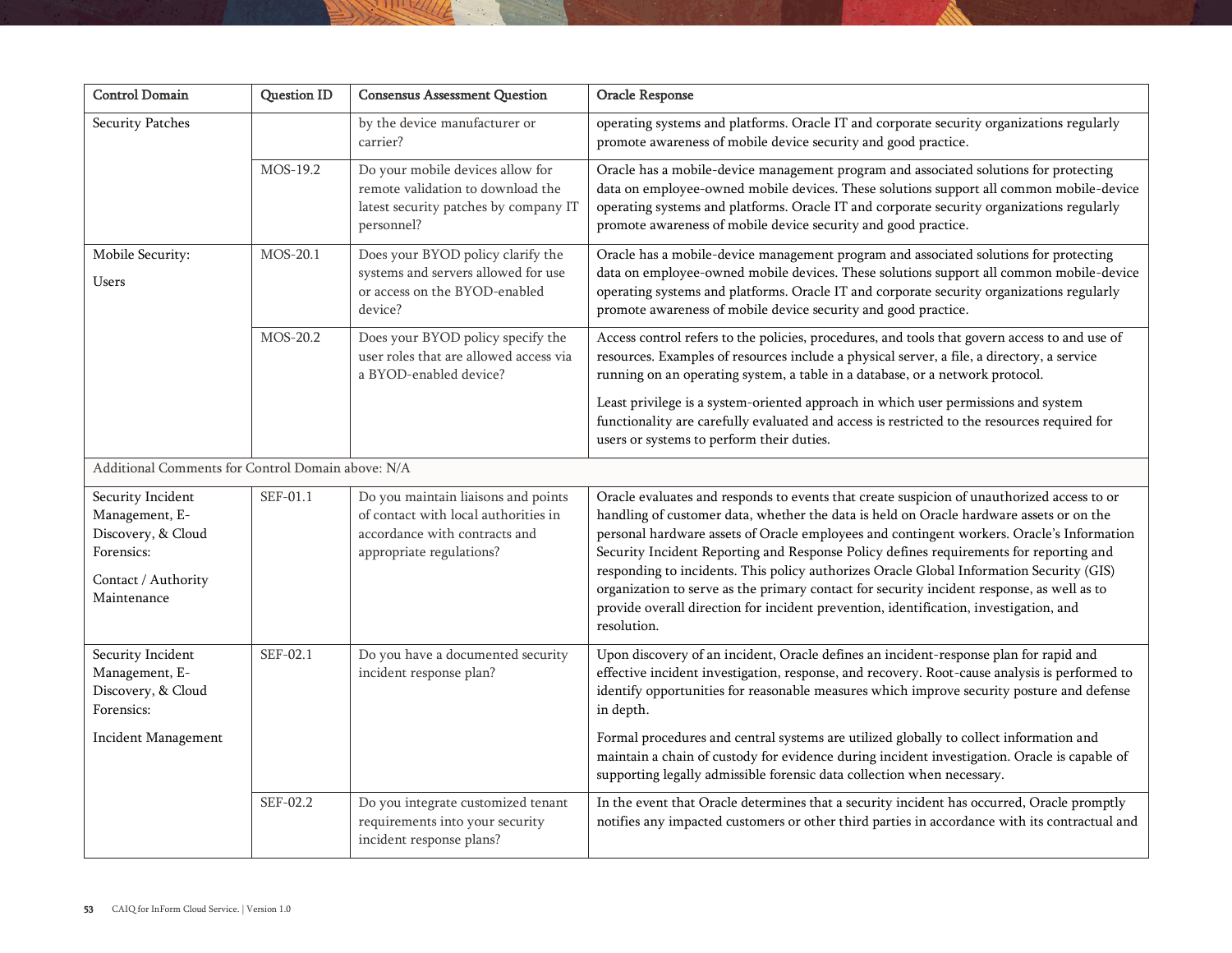| <b>Control Domain</b>                                                                                         | <b>Question ID</b> | <b>Consensus Assessment Question</b>                                                                                                     | Oracle Response                                                                                                                                                                                                                                                                                                                                                                                                                                                                                                                                                                                                                                                                |
|---------------------------------------------------------------------------------------------------------------|--------------------|------------------------------------------------------------------------------------------------------------------------------------------|--------------------------------------------------------------------------------------------------------------------------------------------------------------------------------------------------------------------------------------------------------------------------------------------------------------------------------------------------------------------------------------------------------------------------------------------------------------------------------------------------------------------------------------------------------------------------------------------------------------------------------------------------------------------------------|
| Security Patches                                                                                              |                    | by the device manufacturer or<br>carrier?                                                                                                | operating systems and platforms. Oracle IT and corporate security organizations regularly<br>promote awareness of mobile device security and good practice.                                                                                                                                                                                                                                                                                                                                                                                                                                                                                                                    |
|                                                                                                               | MOS-19.2           | Do your mobile devices allow for<br>remote validation to download the<br>latest security patches by company IT<br>personnel?             | Oracle has a mobile-device management program and associated solutions for protecting<br>data on employee-owned mobile devices. These solutions support all common mobile-device<br>operating systems and platforms. Oracle IT and corporate security organizations regularly<br>promote awareness of mobile device security and good practice.                                                                                                                                                                                                                                                                                                                                |
| Mobile Security:<br>Users                                                                                     | MOS-20.1           | Does your BYOD policy clarify the<br>systems and servers allowed for use<br>or access on the BYOD-enabled<br>device?                     | Oracle has a mobile-device management program and associated solutions for protecting<br>data on employee-owned mobile devices. These solutions support all common mobile-device<br>operating systems and platforms. Oracle IT and corporate security organizations regularly<br>promote awareness of mobile device security and good practice.                                                                                                                                                                                                                                                                                                                                |
|                                                                                                               | MOS-20.2           | Does your BYOD policy specify the<br>user roles that are allowed access via<br>a BYOD-enabled device?                                    | Access control refers to the policies, procedures, and tools that govern access to and use of<br>resources. Examples of resources include a physical server, a file, a directory, a service<br>running on an operating system, a table in a database, or a network protocol.                                                                                                                                                                                                                                                                                                                                                                                                   |
|                                                                                                               |                    |                                                                                                                                          | Least privilege is a system-oriented approach in which user permissions and system<br>functionality are carefully evaluated and access is restricted to the resources required for<br>users or systems to perform their duties.                                                                                                                                                                                                                                                                                                                                                                                                                                                |
| Additional Comments for Control Domain above: N/A                                                             |                    |                                                                                                                                          |                                                                                                                                                                                                                                                                                                                                                                                                                                                                                                                                                                                                                                                                                |
| Security Incident<br>Management, E-<br>Discovery, & Cloud<br>Forensics:<br>Contact / Authority<br>Maintenance | SEF-01.1           | Do you maintain liaisons and points<br>of contact with local authorities in<br>accordance with contracts and<br>appropriate regulations? | Oracle evaluates and responds to events that create suspicion of unauthorized access to or<br>handling of customer data, whether the data is held on Oracle hardware assets or on the<br>personal hardware assets of Oracle employees and contingent workers. Oracle's Information<br>Security Incident Reporting and Response Policy defines requirements for reporting and<br>responding to incidents. This policy authorizes Oracle Global Information Security (GIS)<br>organization to serve as the primary contact for security incident response, as well as to<br>provide overall direction for incident prevention, identification, investigation, and<br>resolution. |
| Security Incident<br>Management, E-<br>Discovery, & Cloud<br>Forensics:                                       | SEF-02.1           | Do you have a documented security<br>incident response plan?                                                                             | Upon discovery of an incident, Oracle defines an incident-response plan for rapid and<br>effective incident investigation, response, and recovery. Root-cause analysis is performed to<br>identify opportunities for reasonable measures which improve security posture and defense<br>in depth.                                                                                                                                                                                                                                                                                                                                                                               |
| <b>Incident Management</b>                                                                                    |                    |                                                                                                                                          | Formal procedures and central systems are utilized globally to collect information and<br>maintain a chain of custody for evidence during incident investigation. Oracle is capable of<br>supporting legally admissible forensic data collection when necessary.                                                                                                                                                                                                                                                                                                                                                                                                               |
|                                                                                                               | SEF-02.2           | Do you integrate customized tenant<br>requirements into your security<br>incident response plans?                                        | In the event that Oracle determines that a security incident has occurred, Oracle promptly<br>notifies any impacted customers or other third parties in accordance with its contractual and                                                                                                                                                                                                                                                                                                                                                                                                                                                                                    |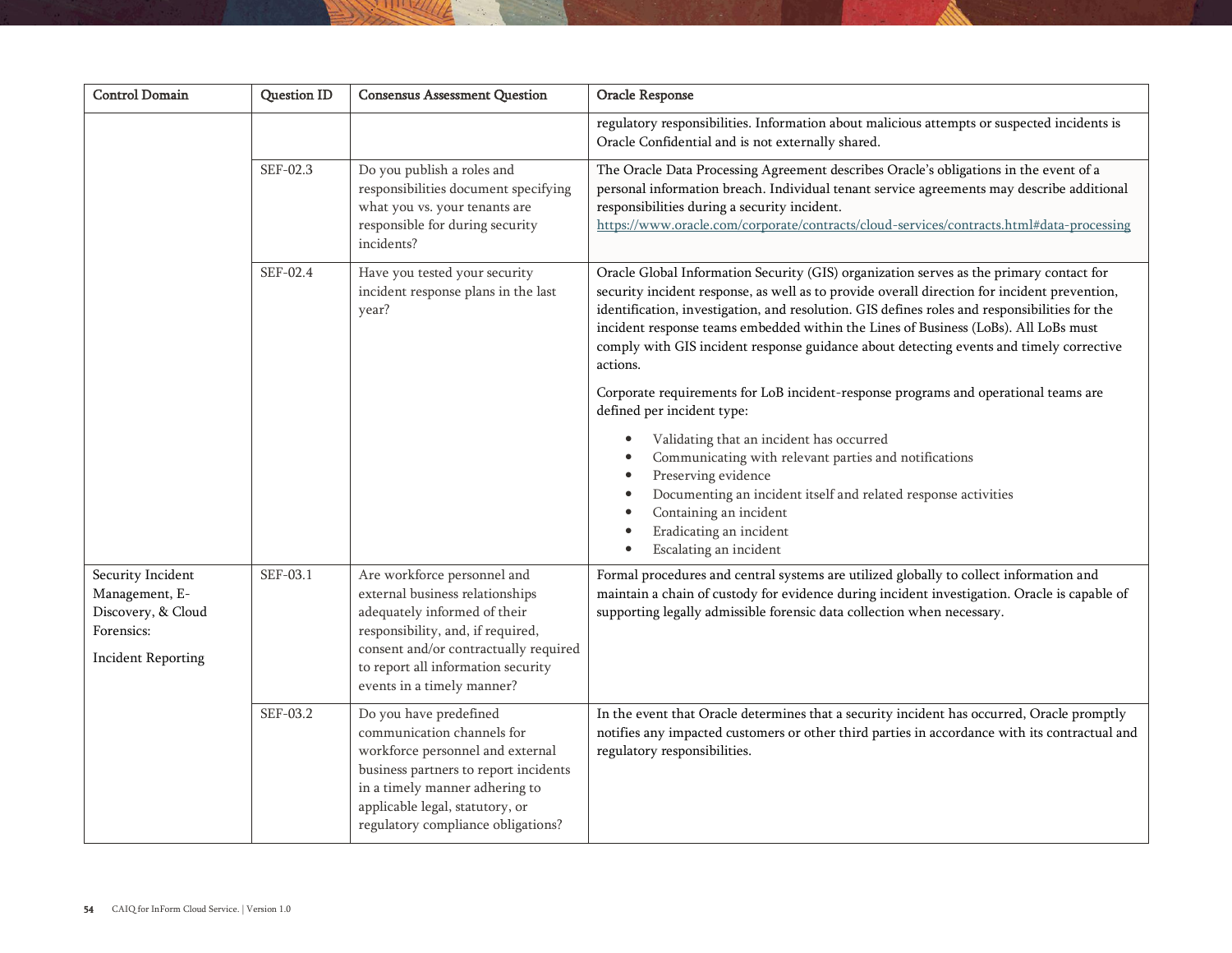| <b>Control Domain</b>                                                                                | <b>Question ID</b> | <b>Consensus Assessment Question</b>                                                                                                                                                                                                             | Oracle Response                                                                                                                                                                                                                                                                                                                                                                                                                                                                        |
|------------------------------------------------------------------------------------------------------|--------------------|--------------------------------------------------------------------------------------------------------------------------------------------------------------------------------------------------------------------------------------------------|----------------------------------------------------------------------------------------------------------------------------------------------------------------------------------------------------------------------------------------------------------------------------------------------------------------------------------------------------------------------------------------------------------------------------------------------------------------------------------------|
|                                                                                                      |                    |                                                                                                                                                                                                                                                  | regulatory responsibilities. Information about malicious attempts or suspected incidents is<br>Oracle Confidential and is not externally shared.                                                                                                                                                                                                                                                                                                                                       |
|                                                                                                      | SEF-02.3           | Do you publish a roles and<br>responsibilities document specifying<br>what you vs. your tenants are<br>responsible for during security<br>incidents?                                                                                             | The Oracle Data Processing Agreement describes Oracle's obligations in the event of a<br>personal information breach. Individual tenant service agreements may describe additional<br>responsibilities during a security incident.<br>https://www.oracle.com/corporate/contracts/cloud-services/contracts.html#data-processing                                                                                                                                                         |
|                                                                                                      | SEF-02.4           | Have you tested your security<br>incident response plans in the last<br>year?                                                                                                                                                                    | Oracle Global Information Security (GIS) organization serves as the primary contact for<br>security incident response, as well as to provide overall direction for incident prevention,<br>identification, investigation, and resolution. GIS defines roles and responsibilities for the<br>incident response teams embedded within the Lines of Business (LoBs). All LoBs must<br>comply with GIS incident response guidance about detecting events and timely corrective<br>actions. |
|                                                                                                      |                    |                                                                                                                                                                                                                                                  | Corporate requirements for LoB incident-response programs and operational teams are<br>defined per incident type:                                                                                                                                                                                                                                                                                                                                                                      |
|                                                                                                      |                    |                                                                                                                                                                                                                                                  | Validating that an incident has occurred<br>Communicating with relevant parties and notifications<br>Preserving evidence<br>Documenting an incident itself and related response activities<br>Containing an incident<br>Eradicating an incident<br>Escalating an incident                                                                                                                                                                                                              |
| Security Incident<br>Management, E-<br>Discovery, & Cloud<br>Forensics:<br><b>Incident Reporting</b> | SEF-03.1           | Are workforce personnel and<br>external business relationships<br>adequately informed of their<br>responsibility, and, if required,<br>consent and/or contractually required<br>to report all information security<br>events in a timely manner? | Formal procedures and central systems are utilized globally to collect information and<br>maintain a chain of custody for evidence during incident investigation. Oracle is capable of<br>supporting legally admissible forensic data collection when necessary.                                                                                                                                                                                                                       |
|                                                                                                      | SEF-03.2           | Do you have predefined<br>communication channels for<br>workforce personnel and external<br>business partners to report incidents<br>in a timely manner adhering to<br>applicable legal, statutory, or<br>regulatory compliance obligations?     | In the event that Oracle determines that a security incident has occurred, Oracle promptly<br>notifies any impacted customers or other third parties in accordance with its contractual and<br>regulatory responsibilities.                                                                                                                                                                                                                                                            |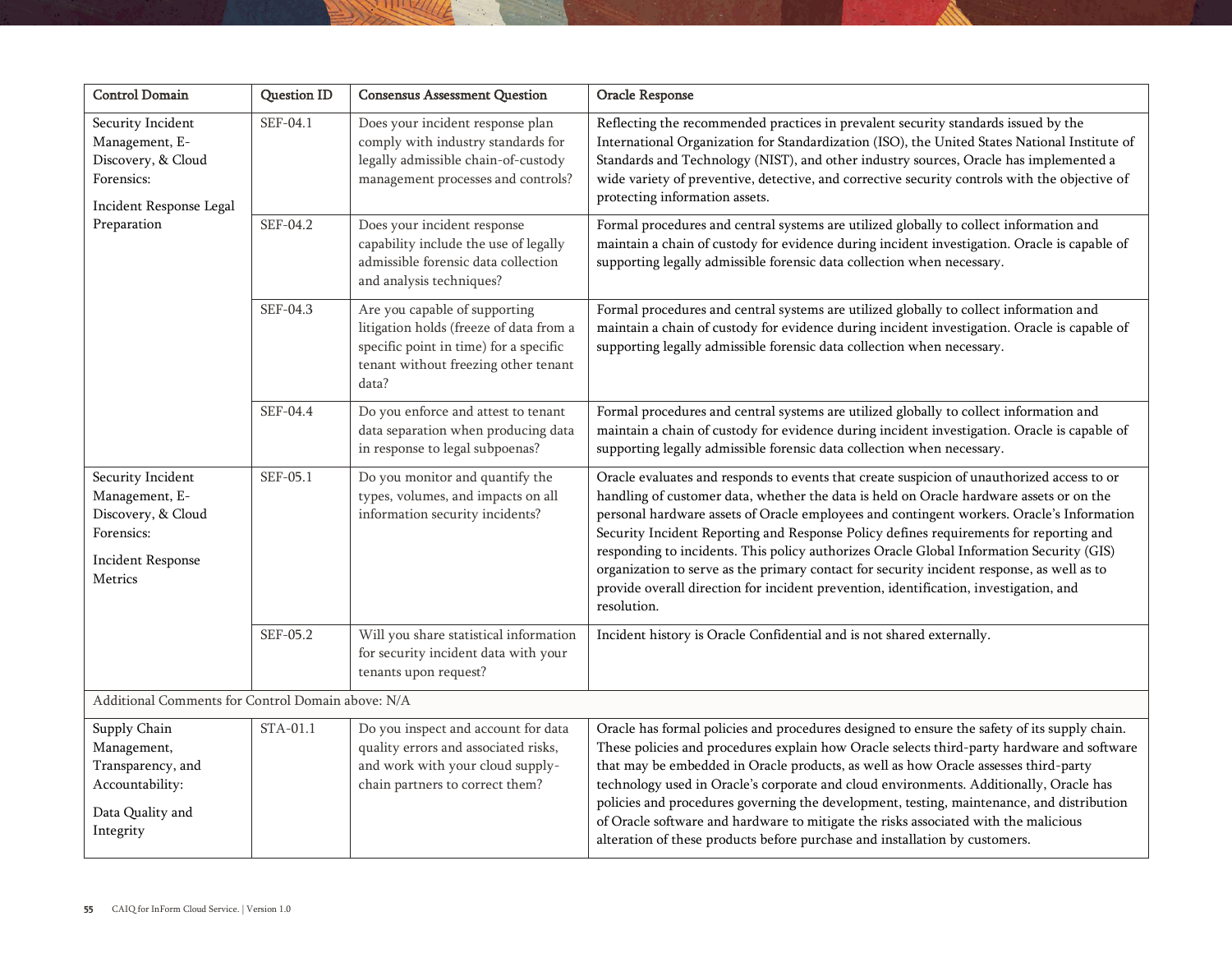| <b>Control Domain</b>                                                                                          | <b>Question ID</b> | <b>Consensus Assessment Question</b>                                                                                                                                | Oracle Response                                                                                                                                                                                                                                                                                                                                                                                                                                                                                                                                                                                                                                                                |
|----------------------------------------------------------------------------------------------------------------|--------------------|---------------------------------------------------------------------------------------------------------------------------------------------------------------------|--------------------------------------------------------------------------------------------------------------------------------------------------------------------------------------------------------------------------------------------------------------------------------------------------------------------------------------------------------------------------------------------------------------------------------------------------------------------------------------------------------------------------------------------------------------------------------------------------------------------------------------------------------------------------------|
| Security Incident<br>Management, E-<br>Discovery, & Cloud<br>Forensics:<br>Incident Response Legal             | SEF-04.1           | Does your incident response plan<br>comply with industry standards for<br>legally admissible chain-of-custody<br>management processes and controls?                 | Reflecting the recommended practices in prevalent security standards issued by the<br>International Organization for Standardization (ISO), the United States National Institute of<br>Standards and Technology (NIST), and other industry sources, Oracle has implemented a<br>wide variety of preventive, detective, and corrective security controls with the objective of<br>protecting information assets.                                                                                                                                                                                                                                                                |
| Preparation                                                                                                    | SEF-04.2           | Does your incident response<br>capability include the use of legally<br>admissible forensic data collection<br>and analysis techniques?                             | Formal procedures and central systems are utilized globally to collect information and<br>maintain a chain of custody for evidence during incident investigation. Oracle is capable of<br>supporting legally admissible forensic data collection when necessary.                                                                                                                                                                                                                                                                                                                                                                                                               |
|                                                                                                                | SEF-04.3           | Are you capable of supporting<br>litigation holds (freeze of data from a<br>specific point in time) for a specific<br>tenant without freezing other tenant<br>data? | Formal procedures and central systems are utilized globally to collect information and<br>maintain a chain of custody for evidence during incident investigation. Oracle is capable of<br>supporting legally admissible forensic data collection when necessary.                                                                                                                                                                                                                                                                                                                                                                                                               |
|                                                                                                                | SEF-04.4           | Do you enforce and attest to tenant<br>data separation when producing data<br>in response to legal subpoenas?                                                       | Formal procedures and central systems are utilized globally to collect information and<br>maintain a chain of custody for evidence during incident investigation. Oracle is capable of<br>supporting legally admissible forensic data collection when necessary.                                                                                                                                                                                                                                                                                                                                                                                                               |
| Security Incident<br>Management, E-<br>Discovery, & Cloud<br>Forensics:<br><b>Incident Response</b><br>Metrics | SEF-05.1           | Do you monitor and quantify the<br>types, volumes, and impacts on all<br>information security incidents?                                                            | Oracle evaluates and responds to events that create suspicion of unauthorized access to or<br>handling of customer data, whether the data is held on Oracle hardware assets or on the<br>personal hardware assets of Oracle employees and contingent workers. Oracle's Information<br>Security Incident Reporting and Response Policy defines requirements for reporting and<br>responding to incidents. This policy authorizes Oracle Global Information Security (GIS)<br>organization to serve as the primary contact for security incident response, as well as to<br>provide overall direction for incident prevention, identification, investigation, and<br>resolution. |
|                                                                                                                | SEF-05.2           | Will you share statistical information<br>for security incident data with your<br>tenants upon request?                                                             | Incident history is Oracle Confidential and is not shared externally.                                                                                                                                                                                                                                                                                                                                                                                                                                                                                                                                                                                                          |
| Additional Comments for Control Domain above: N/A                                                              |                    |                                                                                                                                                                     |                                                                                                                                                                                                                                                                                                                                                                                                                                                                                                                                                                                                                                                                                |
| Supply Chain<br>Management,<br>Transparency, and<br>Accountability:<br>Data Quality and<br>Integrity           | STA-01.1           | Do you inspect and account for data<br>quality errors and associated risks,<br>and work with your cloud supply-<br>chain partners to correct them?                  | Oracle has formal policies and procedures designed to ensure the safety of its supply chain.<br>These policies and procedures explain how Oracle selects third-party hardware and software<br>that may be embedded in Oracle products, as well as how Oracle assesses third-party<br>technology used in Oracle's corporate and cloud environments. Additionally, Oracle has<br>policies and procedures governing the development, testing, maintenance, and distribution<br>of Oracle software and hardware to mitigate the risks associated with the malicious<br>alteration of these products before purchase and installation by customers.                                 |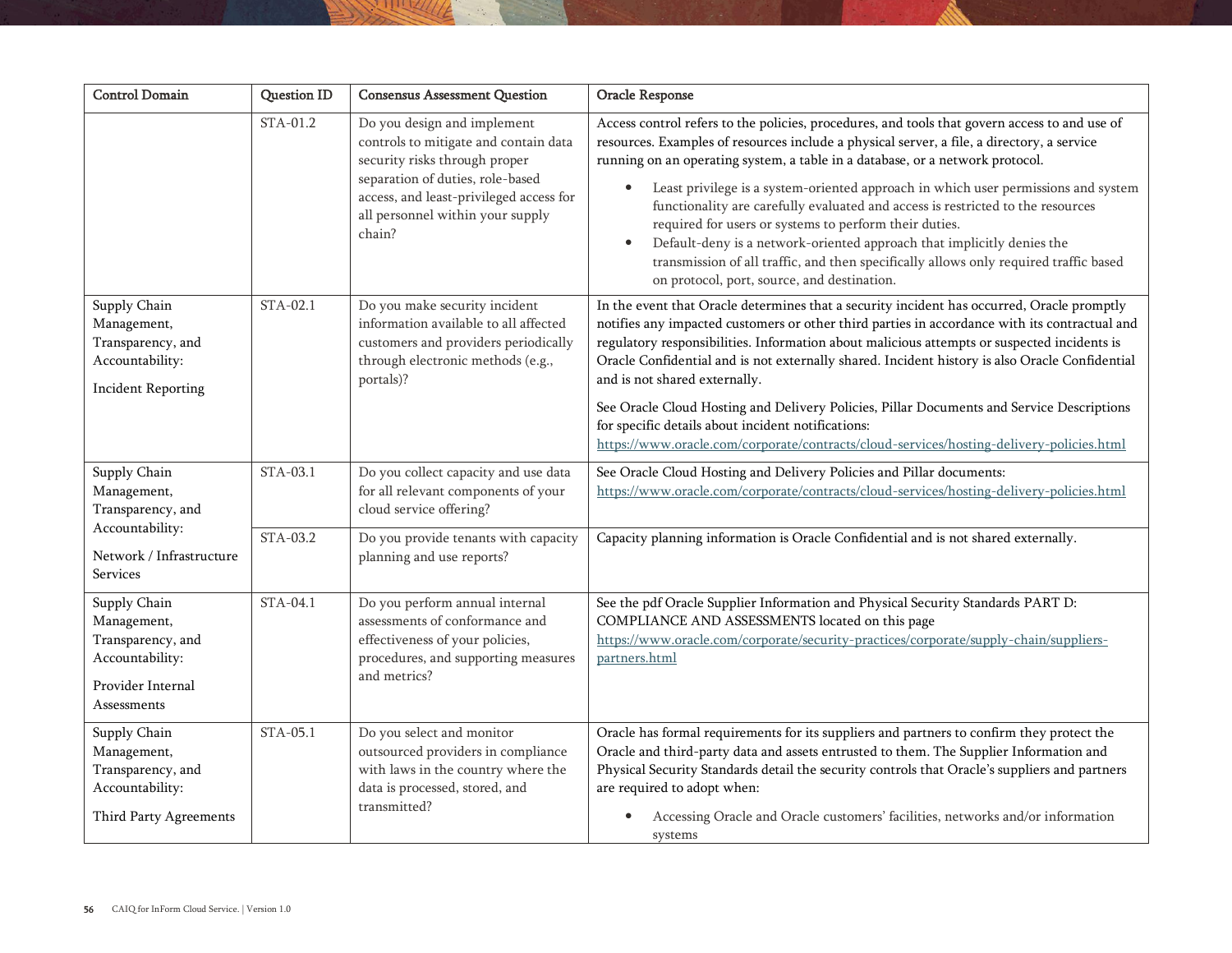| <b>Control Domain</b>                                                                                   | <b>Question ID</b> | <b>Consensus Assessment Question</b>                                                                                                                                                                                               | Oracle Response                                                                                                                                                                                                                                                                                                                                                                                                                                                                                                                                                                                                                                                                                                                                             |
|---------------------------------------------------------------------------------------------------------|--------------------|------------------------------------------------------------------------------------------------------------------------------------------------------------------------------------------------------------------------------------|-------------------------------------------------------------------------------------------------------------------------------------------------------------------------------------------------------------------------------------------------------------------------------------------------------------------------------------------------------------------------------------------------------------------------------------------------------------------------------------------------------------------------------------------------------------------------------------------------------------------------------------------------------------------------------------------------------------------------------------------------------------|
|                                                                                                         | STA-01.2           | Do you design and implement<br>controls to mitigate and contain data<br>security risks through proper<br>separation of duties, role-based<br>access, and least-privileged access for<br>all personnel within your supply<br>chain? | Access control refers to the policies, procedures, and tools that govern access to and use of<br>resources. Examples of resources include a physical server, a file, a directory, a service<br>running on an operating system, a table in a database, or a network protocol.<br>Least privilege is a system-oriented approach in which user permissions and system<br>$\bullet$<br>functionality are carefully evaluated and access is restricted to the resources<br>required for users or systems to perform their duties.<br>Default-deny is a network-oriented approach that implicitly denies the<br>$\bullet$<br>transmission of all traffic, and then specifically allows only required traffic based<br>on protocol, port, source, and destination. |
| Supply Chain<br>Management,<br>Transparency, and<br>Accountability:<br><b>Incident Reporting</b>        | STA-02.1           | Do you make security incident<br>information available to all affected<br>customers and providers periodically<br>through electronic methods (e.g.,<br>portals)?                                                                   | In the event that Oracle determines that a security incident has occurred, Oracle promptly<br>notifies any impacted customers or other third parties in accordance with its contractual and<br>regulatory responsibilities. Information about malicious attempts or suspected incidents is<br>Oracle Confidential and is not externally shared. Incident history is also Oracle Confidential<br>and is not shared externally.<br>See Oracle Cloud Hosting and Delivery Policies, Pillar Documents and Service Descriptions<br>for specific details about incident notifications:<br>https://www.oracle.com/corporate/contracts/cloud-services/hosting-delivery-policies.html                                                                                |
| Supply Chain<br>Management,<br>Transparency, and                                                        | STA-03.1           | Do you collect capacity and use data<br>for all relevant components of your<br>cloud service offering?                                                                                                                             | See Oracle Cloud Hosting and Delivery Policies and Pillar documents:<br>https://www.oracle.com/corporate/contracts/cloud-services/hosting-delivery-policies.html                                                                                                                                                                                                                                                                                                                                                                                                                                                                                                                                                                                            |
| Accountability:<br>Network / Infrastructure<br>Services                                                 | STA-03.2           | Do you provide tenants with capacity<br>planning and use reports?                                                                                                                                                                  | Capacity planning information is Oracle Confidential and is not shared externally.                                                                                                                                                                                                                                                                                                                                                                                                                                                                                                                                                                                                                                                                          |
| Supply Chain<br>Management,<br>Transparency, and<br>Accountability:<br>Provider Internal<br>Assessments | STA-04.1           | Do you perform annual internal<br>assessments of conformance and<br>effectiveness of your policies,<br>procedures, and supporting measures<br>and metrics?                                                                         | See the pdf Oracle Supplier Information and Physical Security Standards PART D:<br>COMPLIANCE AND ASSESSMENTS located on this page<br>https://www.oracle.com/corporate/security-practices/corporate/supply-chain/suppliers-<br>partners.html                                                                                                                                                                                                                                                                                                                                                                                                                                                                                                                |
| Supply Chain<br>Management,<br>Transparency, and<br>Accountability:<br>Third Party Agreements           | STA-05.1           | Do you select and monitor<br>outsourced providers in compliance<br>with laws in the country where the<br>data is processed, stored, and<br>transmitted?                                                                            | Oracle has formal requirements for its suppliers and partners to confirm they protect the<br>Oracle and third-party data and assets entrusted to them. The Supplier Information and<br>Physical Security Standards detail the security controls that Oracle's suppliers and partners<br>are required to adopt when:<br>Accessing Oracle and Oracle customers' facilities, networks and/or information<br>systems                                                                                                                                                                                                                                                                                                                                            |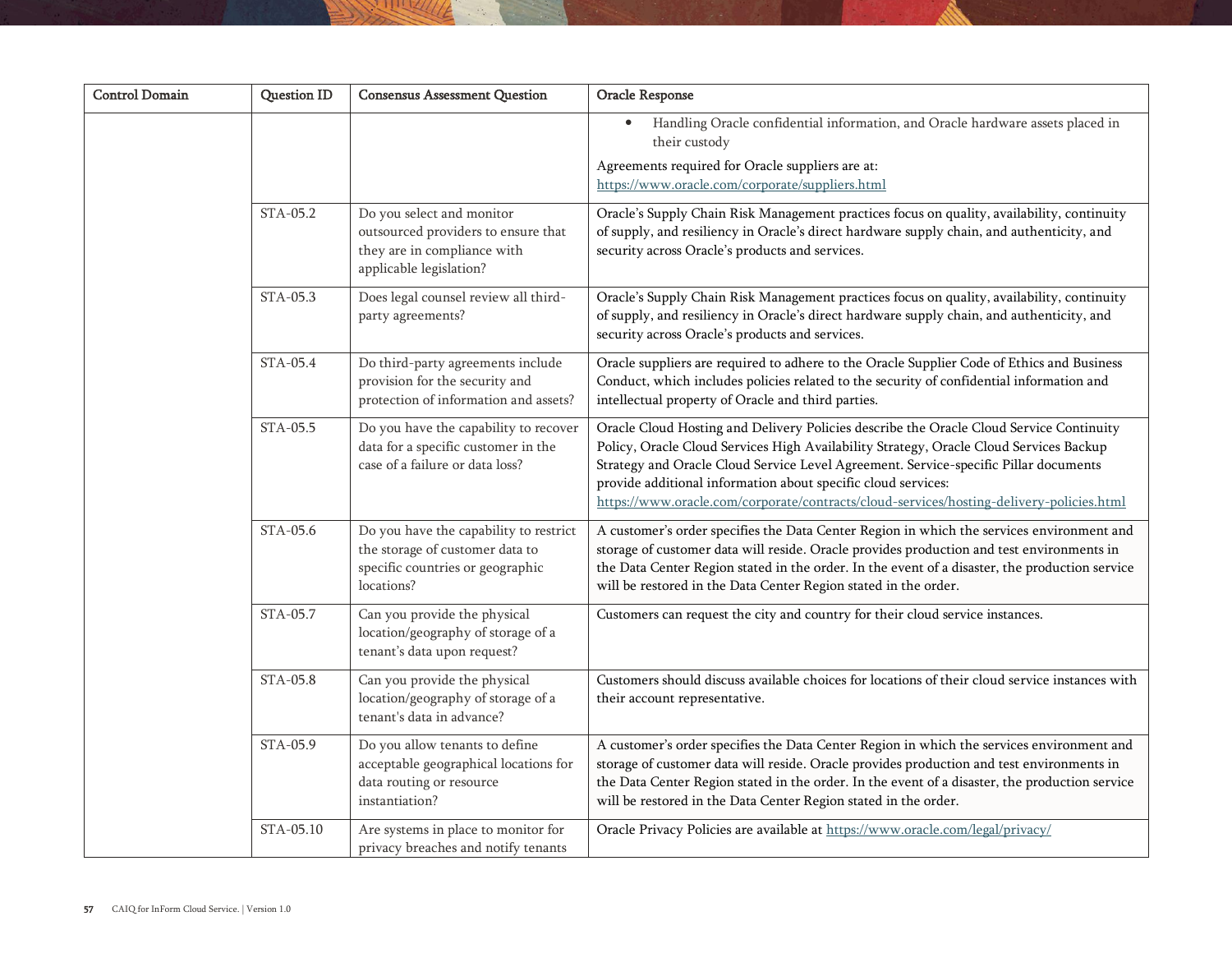| <b>Control Domain</b> | <b>Question ID</b> | <b>Consensus Assessment Question</b>                                                                                        | Oracle Response                                                                                                                                                                                                                                                                                                                                                                                                                        |
|-----------------------|--------------------|-----------------------------------------------------------------------------------------------------------------------------|----------------------------------------------------------------------------------------------------------------------------------------------------------------------------------------------------------------------------------------------------------------------------------------------------------------------------------------------------------------------------------------------------------------------------------------|
|                       |                    |                                                                                                                             | Handling Oracle confidential information, and Oracle hardware assets placed in<br>their custody                                                                                                                                                                                                                                                                                                                                        |
|                       |                    |                                                                                                                             | Agreements required for Oracle suppliers are at:<br>https://www.oracle.com/corporate/suppliers.html                                                                                                                                                                                                                                                                                                                                    |
|                       | STA-05.2           | Do you select and monitor<br>outsourced providers to ensure that<br>they are in compliance with<br>applicable legislation?  | Oracle's Supply Chain Risk Management practices focus on quality, availability, continuity<br>of supply, and resiliency in Oracle's direct hardware supply chain, and authenticity, and<br>security across Oracle's products and services.                                                                                                                                                                                             |
|                       | STA-05.3           | Does legal counsel review all third-<br>party agreements?                                                                   | Oracle's Supply Chain Risk Management practices focus on quality, availability, continuity<br>of supply, and resiliency in Oracle's direct hardware supply chain, and authenticity, and<br>security across Oracle's products and services.                                                                                                                                                                                             |
|                       | STA-05.4           | Do third-party agreements include<br>provision for the security and<br>protection of information and assets?                | Oracle suppliers are required to adhere to the Oracle Supplier Code of Ethics and Business<br>Conduct, which includes policies related to the security of confidential information and<br>intellectual property of Oracle and third parties.                                                                                                                                                                                           |
|                       | STA-05.5           | Do you have the capability to recover<br>data for a specific customer in the<br>case of a failure or data loss?             | Oracle Cloud Hosting and Delivery Policies describe the Oracle Cloud Service Continuity<br>Policy, Oracle Cloud Services High Availability Strategy, Oracle Cloud Services Backup<br>Strategy and Oracle Cloud Service Level Agreement. Service-specific Pillar documents<br>provide additional information about specific cloud services:<br>https://www.oracle.com/corporate/contracts/cloud-services/hosting-delivery-policies.html |
|                       | STA-05.6           | Do you have the capability to restrict<br>the storage of customer data to<br>specific countries or geographic<br>locations? | A customer's order specifies the Data Center Region in which the services environment and<br>storage of customer data will reside. Oracle provides production and test environments in<br>the Data Center Region stated in the order. In the event of a disaster, the production service<br>will be restored in the Data Center Region stated in the order.                                                                            |
|                       | STA-05.7           | Can you provide the physical<br>location/geography of storage of a<br>tenant's data upon request?                           | Customers can request the city and country for their cloud service instances.                                                                                                                                                                                                                                                                                                                                                          |
|                       | STA-05.8           | Can you provide the physical<br>location/geography of storage of a<br>tenant's data in advance?                             | Customers should discuss available choices for locations of their cloud service instances with<br>their account representative.                                                                                                                                                                                                                                                                                                        |
|                       | STA-05.9           | Do you allow tenants to define<br>acceptable geographical locations for<br>data routing or resource<br>instantiation?       | A customer's order specifies the Data Center Region in which the services environment and<br>storage of customer data will reside. Oracle provides production and test environments in<br>the Data Center Region stated in the order. In the event of a disaster, the production service<br>will be restored in the Data Center Region stated in the order.                                                                            |
|                       | STA-05.10          | Are systems in place to monitor for<br>privacy breaches and notify tenants                                                  | Oracle Privacy Policies are available at https://www.oracle.com/legal/privacy/                                                                                                                                                                                                                                                                                                                                                         |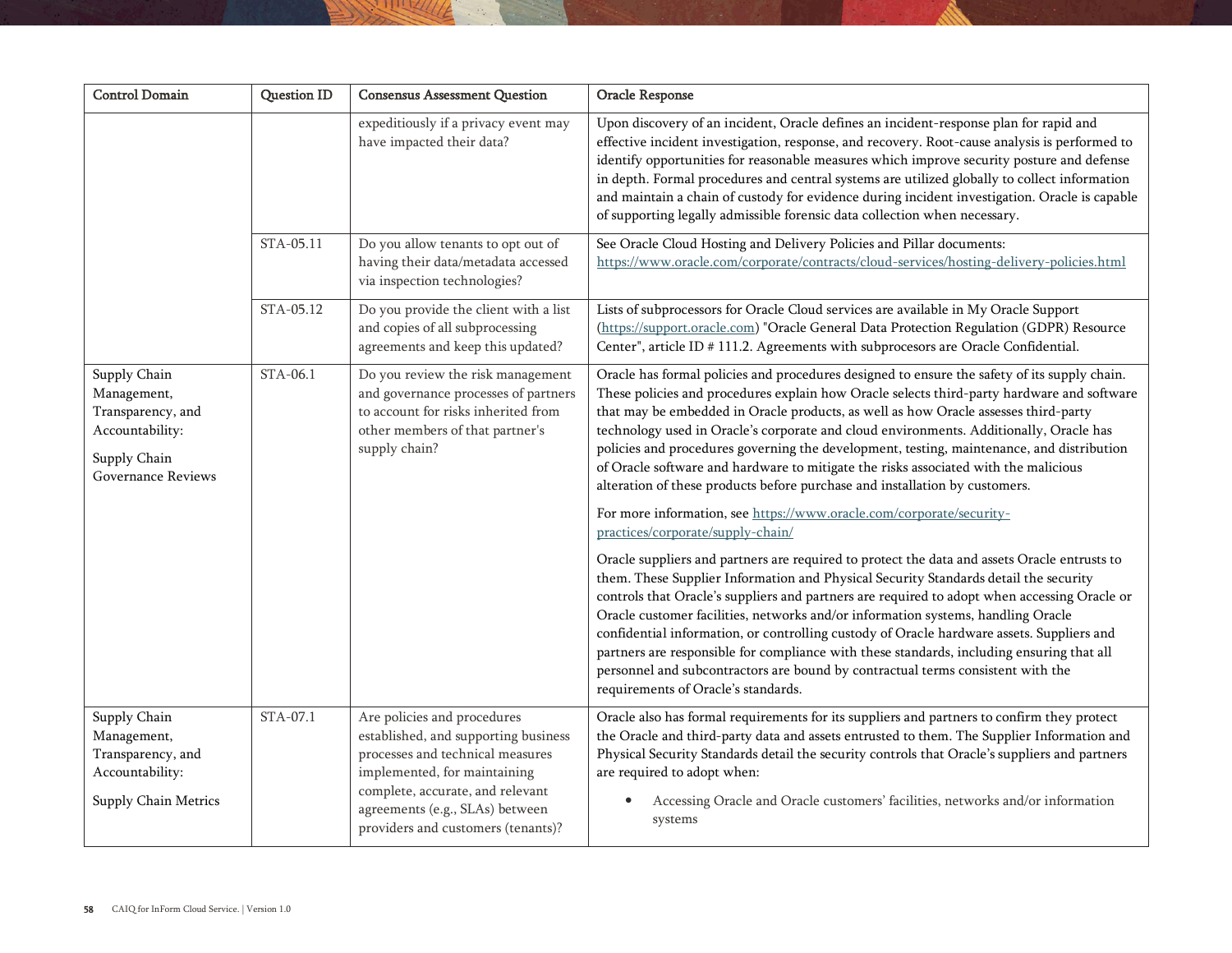| <b>Control Domain</b>                                                                                     | Question ID | <b>Consensus Assessment Question</b>                                                                                                                                                                                                                 | Oracle Response                                                                                                                                                                                                                                                                                                                                                                                                                                                                                                                                                                                                                                                                                                                   |
|-----------------------------------------------------------------------------------------------------------|-------------|------------------------------------------------------------------------------------------------------------------------------------------------------------------------------------------------------------------------------------------------------|-----------------------------------------------------------------------------------------------------------------------------------------------------------------------------------------------------------------------------------------------------------------------------------------------------------------------------------------------------------------------------------------------------------------------------------------------------------------------------------------------------------------------------------------------------------------------------------------------------------------------------------------------------------------------------------------------------------------------------------|
|                                                                                                           |             | expeditiously if a privacy event may<br>have impacted their data?                                                                                                                                                                                    | Upon discovery of an incident, Oracle defines an incident-response plan for rapid and<br>effective incident investigation, response, and recovery. Root-cause analysis is performed to<br>identify opportunities for reasonable measures which improve security posture and defense<br>in depth. Formal procedures and central systems are utilized globally to collect information<br>and maintain a chain of custody for evidence during incident investigation. Oracle is capable<br>of supporting legally admissible forensic data collection when necessary.                                                                                                                                                                 |
|                                                                                                           | STA-05.11   | Do you allow tenants to opt out of<br>having their data/metadata accessed<br>via inspection technologies?                                                                                                                                            | See Oracle Cloud Hosting and Delivery Policies and Pillar documents:<br>https://www.oracle.com/corporate/contracts/cloud-services/hosting-delivery-policies.html                                                                                                                                                                                                                                                                                                                                                                                                                                                                                                                                                                  |
|                                                                                                           | STA-05.12   | Do you provide the client with a list<br>and copies of all subprocessing<br>agreements and keep this updated?                                                                                                                                        | Lists of subprocessors for Oracle Cloud services are available in My Oracle Support<br>(https://support.oracle.com) "Oracle General Data Protection Regulation (GDPR) Resource<br>Center", article ID # 111.2. Agreements with subprocesors are Oracle Confidential.                                                                                                                                                                                                                                                                                                                                                                                                                                                              |
| Supply Chain<br>Management,<br>Transparency, and<br>Accountability:<br>Supply Chain<br>Governance Reviews | STA-06.1    | Do you review the risk management<br>and governance processes of partners<br>to account for risks inherited from<br>other members of that partner's<br>supply chain?                                                                                 | Oracle has formal policies and procedures designed to ensure the safety of its supply chain.<br>These policies and procedures explain how Oracle selects third-party hardware and software<br>that may be embedded in Oracle products, as well as how Oracle assesses third-party<br>technology used in Oracle's corporate and cloud environments. Additionally, Oracle has<br>policies and procedures governing the development, testing, maintenance, and distribution<br>of Oracle software and hardware to mitigate the risks associated with the malicious<br>alteration of these products before purchase and installation by customers.<br>For more information, see https://www.oracle.com/corporate/security-            |
|                                                                                                           |             |                                                                                                                                                                                                                                                      | practices/corporate/supply-chain/<br>Oracle suppliers and partners are required to protect the data and assets Oracle entrusts to<br>them. These Supplier Information and Physical Security Standards detail the security<br>controls that Oracle's suppliers and partners are required to adopt when accessing Oracle or<br>Oracle customer facilities, networks and/or information systems, handling Oracle<br>confidential information, or controlling custody of Oracle hardware assets. Suppliers and<br>partners are responsible for compliance with these standards, including ensuring that all<br>personnel and subcontractors are bound by contractual terms consistent with the<br>requirements of Oracle's standards. |
| Supply Chain<br>Management,<br>Transparency, and<br>Accountability:<br>Supply Chain Metrics               | STA-07.1    | Are policies and procedures<br>established, and supporting business<br>processes and technical measures<br>implemented, for maintaining<br>complete, accurate, and relevant<br>agreements (e.g., SLAs) between<br>providers and customers (tenants)? | Oracle also has formal requirements for its suppliers and partners to confirm they protect<br>the Oracle and third-party data and assets entrusted to them. The Supplier Information and<br>Physical Security Standards detail the security controls that Oracle's suppliers and partners<br>are required to adopt when:<br>Accessing Oracle and Oracle customers' facilities, networks and/or information<br>systems                                                                                                                                                                                                                                                                                                             |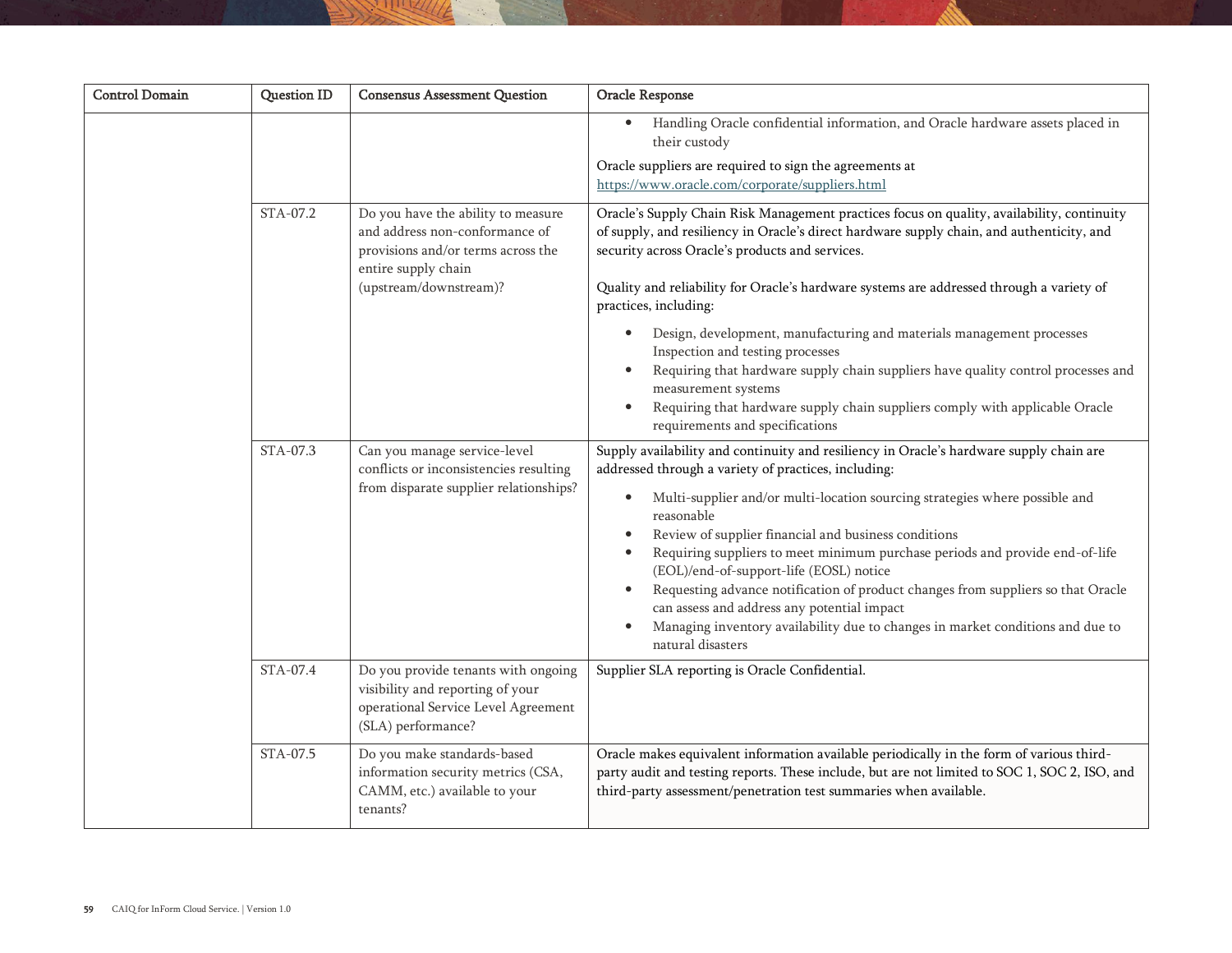| <b>Control Domain</b> | <b>Question ID</b> | <b>Consensus Assessment Question</b>                                                                                                                        | Oracle Response                                                                                                                                                                                                                                                                                                                                                                                                                                                                                                                                                                                                                                                                                                               |
|-----------------------|--------------------|-------------------------------------------------------------------------------------------------------------------------------------------------------------|-------------------------------------------------------------------------------------------------------------------------------------------------------------------------------------------------------------------------------------------------------------------------------------------------------------------------------------------------------------------------------------------------------------------------------------------------------------------------------------------------------------------------------------------------------------------------------------------------------------------------------------------------------------------------------------------------------------------------------|
|                       |                    |                                                                                                                                                             | Handling Oracle confidential information, and Oracle hardware assets placed in<br>$\bullet$<br>their custody<br>Oracle suppliers are required to sign the agreements at                                                                                                                                                                                                                                                                                                                                                                                                                                                                                                                                                       |
|                       |                    |                                                                                                                                                             | https://www.oracle.com/corporate/suppliers.html                                                                                                                                                                                                                                                                                                                                                                                                                                                                                                                                                                                                                                                                               |
|                       | STA-07.2           | Do you have the ability to measure<br>and address non-conformance of<br>provisions and/or terms across the<br>entire supply chain<br>(upstream/downstream)? | Oracle's Supply Chain Risk Management practices focus on quality, availability, continuity<br>of supply, and resiliency in Oracle's direct hardware supply chain, and authenticity, and<br>security across Oracle's products and services.<br>Quality and reliability for Oracle's hardware systems are addressed through a variety of                                                                                                                                                                                                                                                                                                                                                                                        |
|                       |                    |                                                                                                                                                             | practices, including:<br>Design, development, manufacturing and materials management processes<br>Inspection and testing processes<br>Requiring that hardware supply chain suppliers have quality control processes and<br>measurement systems<br>Requiring that hardware supply chain suppliers comply with applicable Oracle<br>$\bullet$<br>requirements and specifications                                                                                                                                                                                                                                                                                                                                                |
|                       | STA-07.3           | Can you manage service-level<br>conflicts or inconsistencies resulting<br>from disparate supplier relationships?                                            | Supply availability and continuity and resiliency in Oracle's hardware supply chain are<br>addressed through a variety of practices, including:<br>Multi-supplier and/or multi-location sourcing strategies where possible and<br>$\bullet$<br>reasonable<br>Review of supplier financial and business conditions<br>$\bullet$<br>Requiring suppliers to meet minimum purchase periods and provide end-of-life<br>(EOL)/end-of-support-life (EOSL) notice<br>Requesting advance notification of product changes from suppliers so that Oracle<br>$\bullet$<br>can assess and address any potential impact<br>Managing inventory availability due to changes in market conditions and due to<br>$\bullet$<br>natural disasters |
|                       | STA-07.4           | Do you provide tenants with ongoing<br>visibility and reporting of your<br>operational Service Level Agreement<br>(SLA) performance?                        | Supplier SLA reporting is Oracle Confidential.                                                                                                                                                                                                                                                                                                                                                                                                                                                                                                                                                                                                                                                                                |
|                       | STA-07.5           | Do you make standards-based<br>information security metrics (CSA,<br>CAMM, etc.) available to your<br>tenants?                                              | Oracle makes equivalent information available periodically in the form of various third-<br>party audit and testing reports. These include, but are not limited to SOC 1, SOC 2, ISO, and<br>third-party assessment/penetration test summaries when available.                                                                                                                                                                                                                                                                                                                                                                                                                                                                |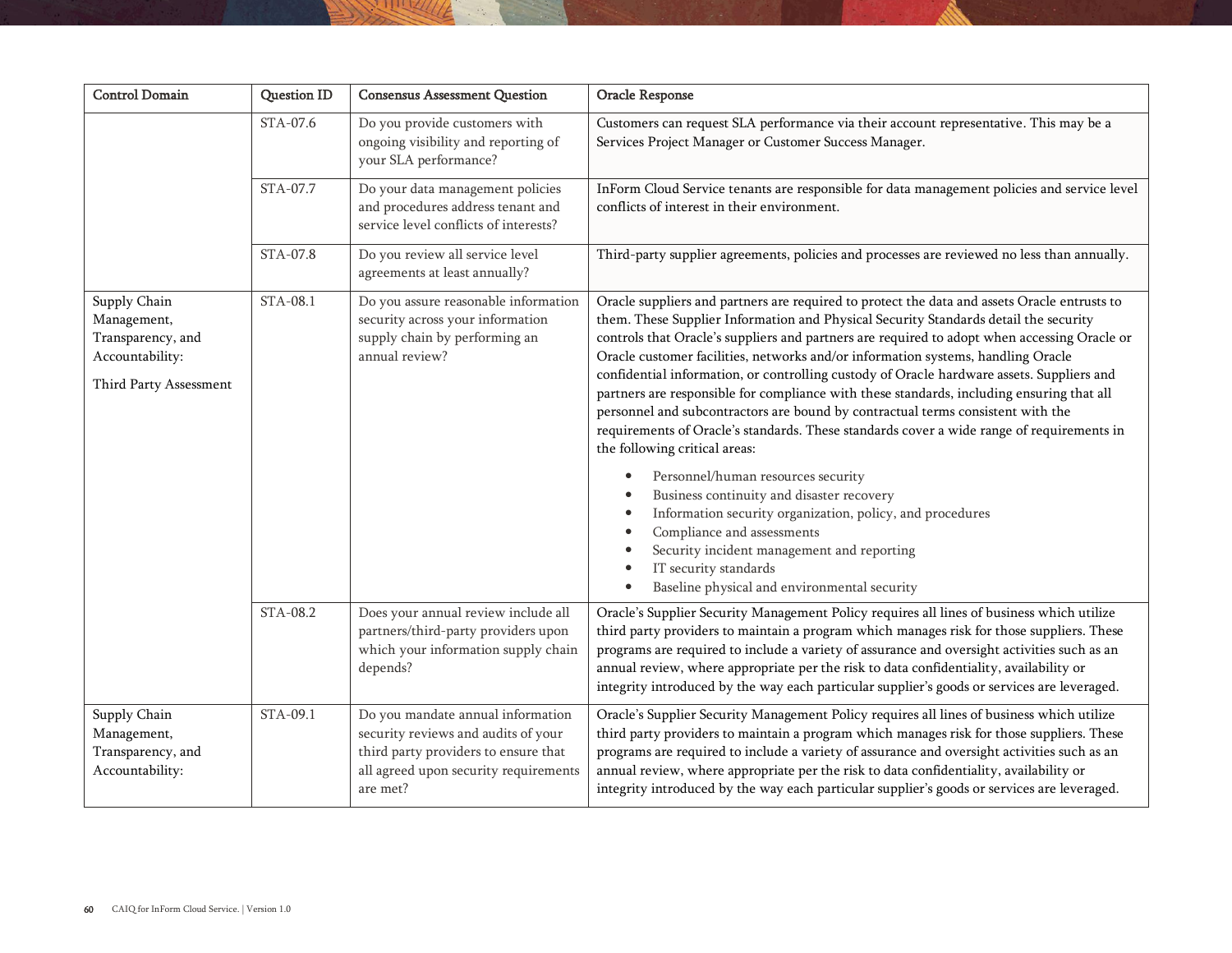| <b>Control Domain</b>                                                                         | <b>Question ID</b> | <b>Consensus Assessment Question</b>                                                                                                                                  | Oracle Response                                                                                                                                                                                                                                                                                                                                                                                                                                                                                                                                                                                                                                                                                                                                                                                                                                                                                                                                                                                                                                                                               |
|-----------------------------------------------------------------------------------------------|--------------------|-----------------------------------------------------------------------------------------------------------------------------------------------------------------------|-----------------------------------------------------------------------------------------------------------------------------------------------------------------------------------------------------------------------------------------------------------------------------------------------------------------------------------------------------------------------------------------------------------------------------------------------------------------------------------------------------------------------------------------------------------------------------------------------------------------------------------------------------------------------------------------------------------------------------------------------------------------------------------------------------------------------------------------------------------------------------------------------------------------------------------------------------------------------------------------------------------------------------------------------------------------------------------------------|
|                                                                                               | STA-07.6           | Do you provide customers with<br>ongoing visibility and reporting of<br>your SLA performance?                                                                         | Customers can request SLA performance via their account representative. This may be a<br>Services Project Manager or Customer Success Manager.                                                                                                                                                                                                                                                                                                                                                                                                                                                                                                                                                                                                                                                                                                                                                                                                                                                                                                                                                |
|                                                                                               | STA-07.7           | Do your data management policies<br>and procedures address tenant and<br>service level conflicts of interests?                                                        | InForm Cloud Service tenants are responsible for data management policies and service level<br>conflicts of interest in their environment.                                                                                                                                                                                                                                                                                                                                                                                                                                                                                                                                                                                                                                                                                                                                                                                                                                                                                                                                                    |
|                                                                                               | STA-07.8           | Do you review all service level<br>agreements at least annually?                                                                                                      | Third-party supplier agreements, policies and processes are reviewed no less than annually.                                                                                                                                                                                                                                                                                                                                                                                                                                                                                                                                                                                                                                                                                                                                                                                                                                                                                                                                                                                                   |
| Supply Chain<br>Management,<br>Transparency, and<br>Accountability:<br>Third Party Assessment | STA-08.1           | Do you assure reasonable information<br>security across your information<br>supply chain by performing an<br>annual review?                                           | Oracle suppliers and partners are required to protect the data and assets Oracle entrusts to<br>them. These Supplier Information and Physical Security Standards detail the security<br>controls that Oracle's suppliers and partners are required to adopt when accessing Oracle or<br>Oracle customer facilities, networks and/or information systems, handling Oracle<br>confidential information, or controlling custody of Oracle hardware assets. Suppliers and<br>partners are responsible for compliance with these standards, including ensuring that all<br>personnel and subcontractors are bound by contractual terms consistent with the<br>requirements of Oracle's standards. These standards cover a wide range of requirements in<br>the following critical areas:<br>Personnel/human resources security<br>٠<br>Business continuity and disaster recovery<br>Information security organization, policy, and procedures<br>Compliance and assessments<br>Security incident management and reporting<br>IT security standards<br>Baseline physical and environmental security |
|                                                                                               | STA-08.2           | Does your annual review include all<br>partners/third-party providers upon<br>which your information supply chain<br>depends?                                         | Oracle's Supplier Security Management Policy requires all lines of business which utilize<br>third party providers to maintain a program which manages risk for those suppliers. These<br>programs are required to include a variety of assurance and oversight activities such as an<br>annual review, where appropriate per the risk to data confidentiality, availability or<br>integrity introduced by the way each particular supplier's goods or services are leveraged.                                                                                                                                                                                                                                                                                                                                                                                                                                                                                                                                                                                                                |
| Supply Chain<br>Management,<br>Transparency, and<br>Accountability:                           | STA-09.1           | Do you mandate annual information<br>security reviews and audits of your<br>third party providers to ensure that<br>all agreed upon security requirements<br>are met? | Oracle's Supplier Security Management Policy requires all lines of business which utilize<br>third party providers to maintain a program which manages risk for those suppliers. These<br>programs are required to include a variety of assurance and oversight activities such as an<br>annual review, where appropriate per the risk to data confidentiality, availability or<br>integrity introduced by the way each particular supplier's goods or services are leveraged.                                                                                                                                                                                                                                                                                                                                                                                                                                                                                                                                                                                                                |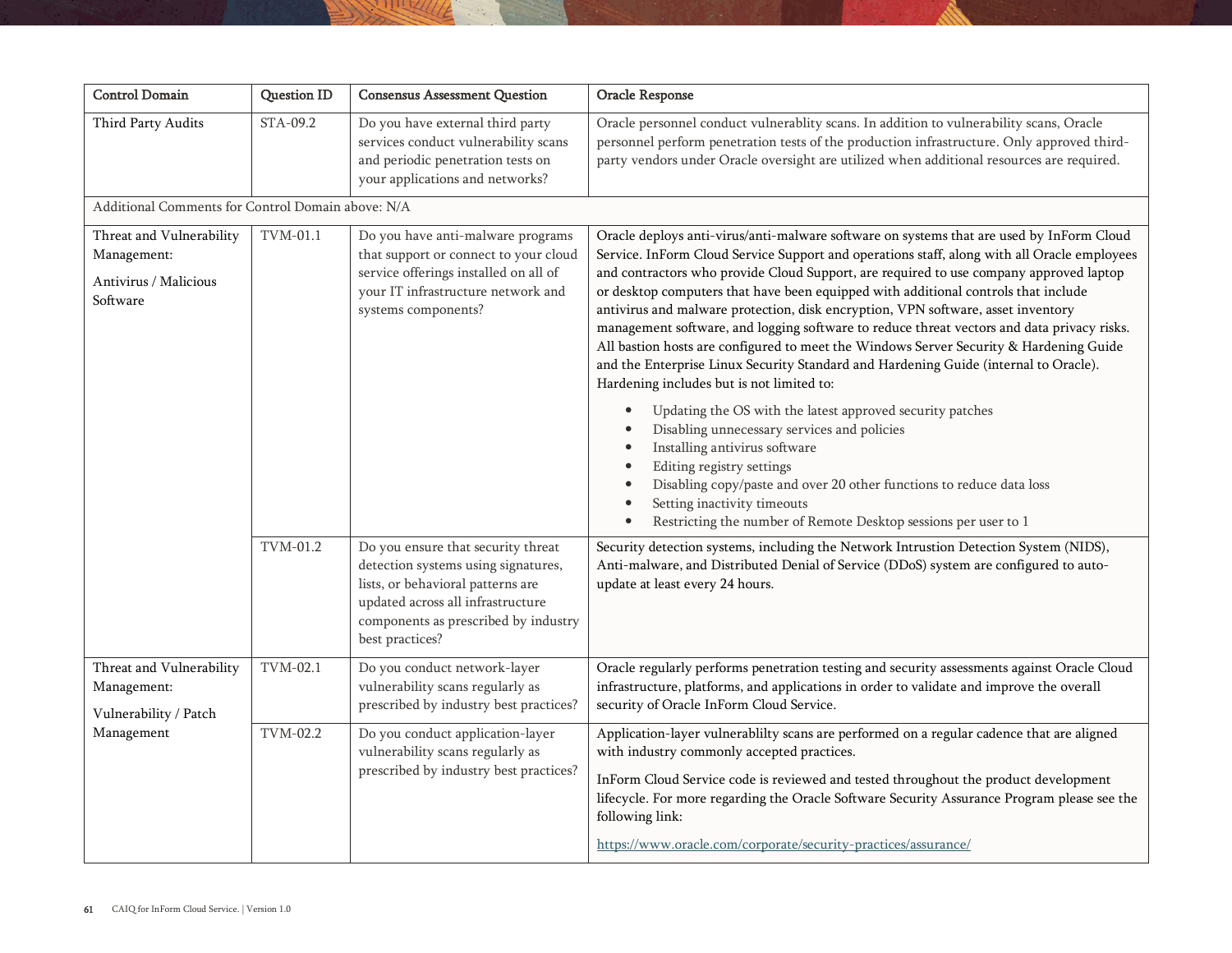| Control Domain                                                               | Question ID | <b>Consensus Assessment Question</b>                                                                                                                                                                           | Oracle Response                                                                                                                                                                                                                                                                                                                                                                                                                                                                                                                                                                                                                                                                                                                                                                          |
|------------------------------------------------------------------------------|-------------|----------------------------------------------------------------------------------------------------------------------------------------------------------------------------------------------------------------|------------------------------------------------------------------------------------------------------------------------------------------------------------------------------------------------------------------------------------------------------------------------------------------------------------------------------------------------------------------------------------------------------------------------------------------------------------------------------------------------------------------------------------------------------------------------------------------------------------------------------------------------------------------------------------------------------------------------------------------------------------------------------------------|
| Third Party Audits                                                           | STA-09.2    | Do you have external third party<br>services conduct vulnerability scans<br>and periodic penetration tests on<br>your applications and networks?                                                               | Oracle personnel conduct vulnerablity scans. In addition to vulnerability scans, Oracle<br>personnel perform penetration tests of the production infrastructure. Only approved third-<br>party vendors under Oracle oversight are utilized when additional resources are required.                                                                                                                                                                                                                                                                                                                                                                                                                                                                                                       |
| Additional Comments for Control Domain above: N/A                            |             |                                                                                                                                                                                                                |                                                                                                                                                                                                                                                                                                                                                                                                                                                                                                                                                                                                                                                                                                                                                                                          |
| Threat and Vulnerability<br>Management:<br>Antivirus / Malicious<br>Software | $TVM-01.1$  | Do you have anti-malware programs<br>that support or connect to your cloud<br>service offerings installed on all of<br>your IT infrastructure network and<br>systems components?                               | Oracle deploys anti-virus/anti-malware software on systems that are used by InForm Cloud<br>Service. InForm Cloud Service Support and operations staff, along with all Oracle employees<br>and contractors who provide Cloud Support, are required to use company approved laptop<br>or desktop computers that have been equipped with additional controls that include<br>antivirus and malware protection, disk encryption, VPN software, asset inventory<br>management software, and logging software to reduce threat vectors and data privacy risks.<br>All bastion hosts are configured to meet the Windows Server Security & Hardening Guide<br>and the Enterprise Linux Security Standard and Hardening Guide (internal to Oracle).<br>Hardening includes but is not limited to: |
|                                                                              |             |                                                                                                                                                                                                                | Updating the OS with the latest approved security patches<br>Disabling unnecessary services and policies<br>Installing antivirus software<br>Editing registry settings<br>Disabling copy/paste and over 20 other functions to reduce data loss<br>Setting inactivity timeouts<br>Restricting the number of Remote Desktop sessions per user to 1                                                                                                                                                                                                                                                                                                                                                                                                                                         |
|                                                                              | TVM-01.2    | Do you ensure that security threat<br>detection systems using signatures,<br>lists, or behavioral patterns are<br>updated across all infrastructure<br>components as prescribed by industry<br>best practices? | Security detection systems, including the Network Intrustion Detection System (NIDS),<br>Anti-malware, and Distributed Denial of Service (DDoS) system are configured to auto-<br>update at least every 24 hours.                                                                                                                                                                                                                                                                                                                                                                                                                                                                                                                                                                        |
| Threat and Vulnerability<br>Management:<br>Vulnerability / Patch             | TVM-02.1    | Do you conduct network-layer<br>vulnerability scans regularly as<br>prescribed by industry best practices?                                                                                                     | Oracle regularly performs penetration testing and security assessments against Oracle Cloud<br>infrastructure, platforms, and applications in order to validate and improve the overall<br>security of Oracle InForm Cloud Service.                                                                                                                                                                                                                                                                                                                                                                                                                                                                                                                                                      |
| Management                                                                   | TVM-02.2    | Do you conduct application-layer<br>vulnerability scans regularly as<br>prescribed by industry best practices?                                                                                                 | Application-layer vulnerablilty scans are performed on a regular cadence that are aligned<br>with industry commonly accepted practices.<br>InForm Cloud Service code is reviewed and tested throughout the product development<br>lifecycle. For more regarding the Oracle Software Security Assurance Program please see the<br>following link:<br>https://www.oracle.com/corporate/security-practices/assurance/                                                                                                                                                                                                                                                                                                                                                                       |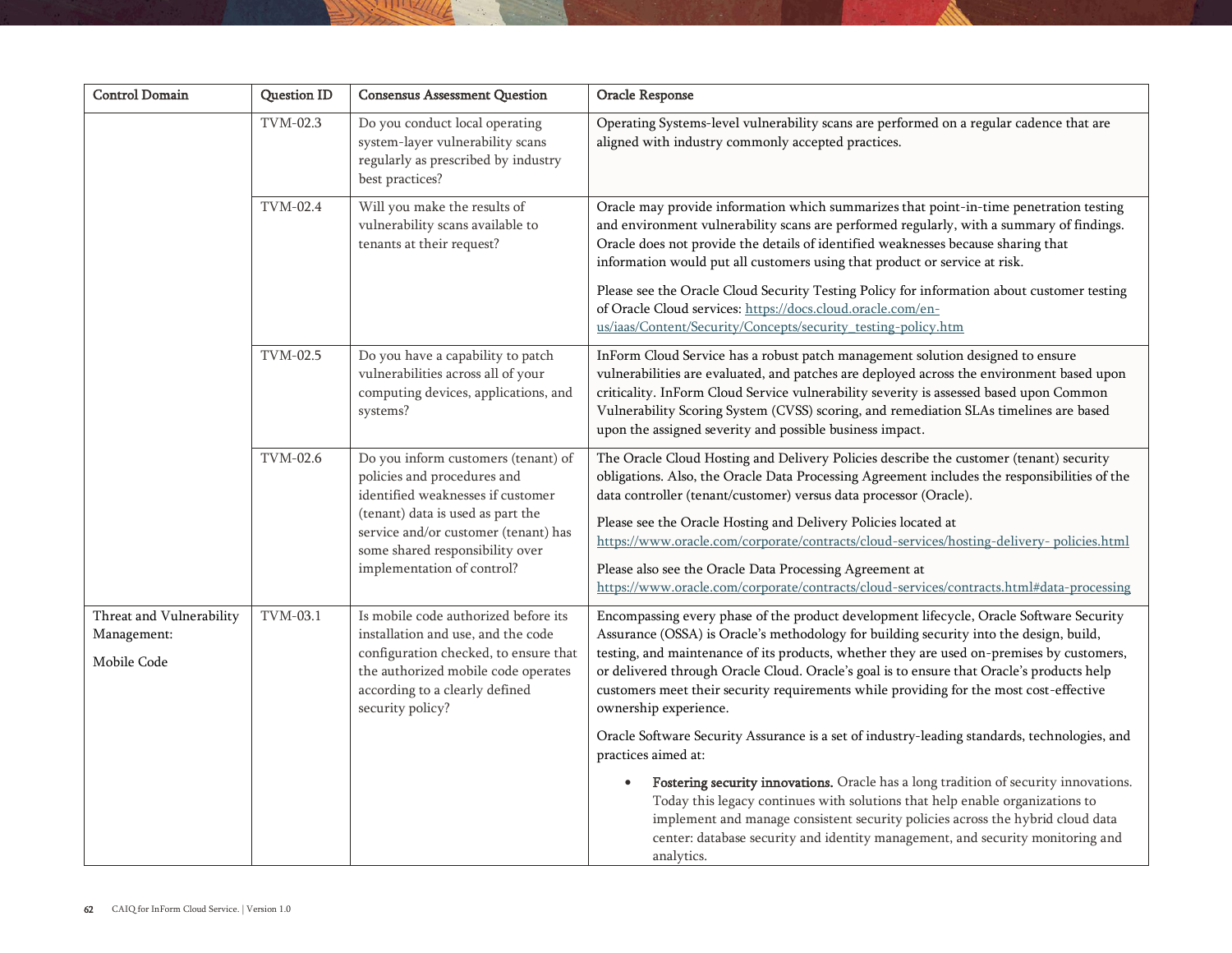| <b>Control Domain</b>                                  | <b>Question ID</b> | <b>Consensus Assessment Question</b>                                                                                                                                                                                                                  | Oracle Response                                                                                                                                                                                                                                                                                                                                                                                                                                                                                                                                                                                                                                                                                                                                                                                                                                                                                                                                                                              |
|--------------------------------------------------------|--------------------|-------------------------------------------------------------------------------------------------------------------------------------------------------------------------------------------------------------------------------------------------------|----------------------------------------------------------------------------------------------------------------------------------------------------------------------------------------------------------------------------------------------------------------------------------------------------------------------------------------------------------------------------------------------------------------------------------------------------------------------------------------------------------------------------------------------------------------------------------------------------------------------------------------------------------------------------------------------------------------------------------------------------------------------------------------------------------------------------------------------------------------------------------------------------------------------------------------------------------------------------------------------|
|                                                        | TVM-02.3           | Do you conduct local operating<br>system-layer vulnerability scans<br>regularly as prescribed by industry<br>best practices?                                                                                                                          | Operating Systems-level vulnerability scans are performed on a regular cadence that are<br>aligned with industry commonly accepted practices.                                                                                                                                                                                                                                                                                                                                                                                                                                                                                                                                                                                                                                                                                                                                                                                                                                                |
|                                                        | TVM-02.4           | Will you make the results of<br>vulnerability scans available to<br>tenants at their request?                                                                                                                                                         | Oracle may provide information which summarizes that point-in-time penetration testing<br>and environment vulnerability scans are performed regularly, with a summary of findings.<br>Oracle does not provide the details of identified weaknesses because sharing that<br>information would put all customers using that product or service at risk.<br>Please see the Oracle Cloud Security Testing Policy for information about customer testing<br>of Oracle Cloud services: https://docs.cloud.oracle.com/en-<br>us/iaas/Content/Security/Concepts/security_testing-policy.htm                                                                                                                                                                                                                                                                                                                                                                                                          |
|                                                        | TVM-02.5           | Do you have a capability to patch<br>vulnerabilities across all of your<br>computing devices, applications, and<br>systems?                                                                                                                           | InForm Cloud Service has a robust patch management solution designed to ensure<br>vulnerabilities are evaluated, and patches are deployed across the environment based upon<br>criticality. InForm Cloud Service vulnerability severity is assessed based upon Common<br>Vulnerability Scoring System (CVSS) scoring, and remediation SLAs timelines are based<br>upon the assigned severity and possible business impact.                                                                                                                                                                                                                                                                                                                                                                                                                                                                                                                                                                   |
|                                                        | TVM-02.6           | Do you inform customers (tenant) of<br>policies and procedures and<br>identified weaknesses if customer<br>(tenant) data is used as part the<br>service and/or customer (tenant) has<br>some shared responsibility over<br>implementation of control? | The Oracle Cloud Hosting and Delivery Policies describe the customer (tenant) security<br>obligations. Also, the Oracle Data Processing Agreement includes the responsibilities of the<br>data controller (tenant/customer) versus data processor (Oracle).<br>Please see the Oracle Hosting and Delivery Policies located at<br>https://www.oracle.com/corporate/contracts/cloud-services/hosting-delivery-policies.html<br>Please also see the Oracle Data Processing Agreement at<br>https://www.oracle.com/corporate/contracts/cloud-services/contracts.html#data-processing                                                                                                                                                                                                                                                                                                                                                                                                             |
| Threat and Vulnerability<br>Management:<br>Mobile Code | TVM-03.1           | Is mobile code authorized before its<br>installation and use, and the code<br>configuration checked, to ensure that<br>the authorized mobile code operates<br>according to a clearly defined<br>security policy?                                      | Encompassing every phase of the product development lifecycle, Oracle Software Security<br>Assurance (OSSA) is Oracle's methodology for building security into the design, build,<br>testing, and maintenance of its products, whether they are used on-premises by customers,<br>or delivered through Oracle Cloud. Oracle's goal is to ensure that Oracle's products help<br>customers meet their security requirements while providing for the most cost-effective<br>ownership experience.<br>Oracle Software Security Assurance is a set of industry-leading standards, technologies, and<br>practices aimed at:<br>Fostering security innovations. Oracle has a long tradition of security innovations.<br>$\bullet$<br>Today this legacy continues with solutions that help enable organizations to<br>implement and manage consistent security policies across the hybrid cloud data<br>center: database security and identity management, and security monitoring and<br>analytics. |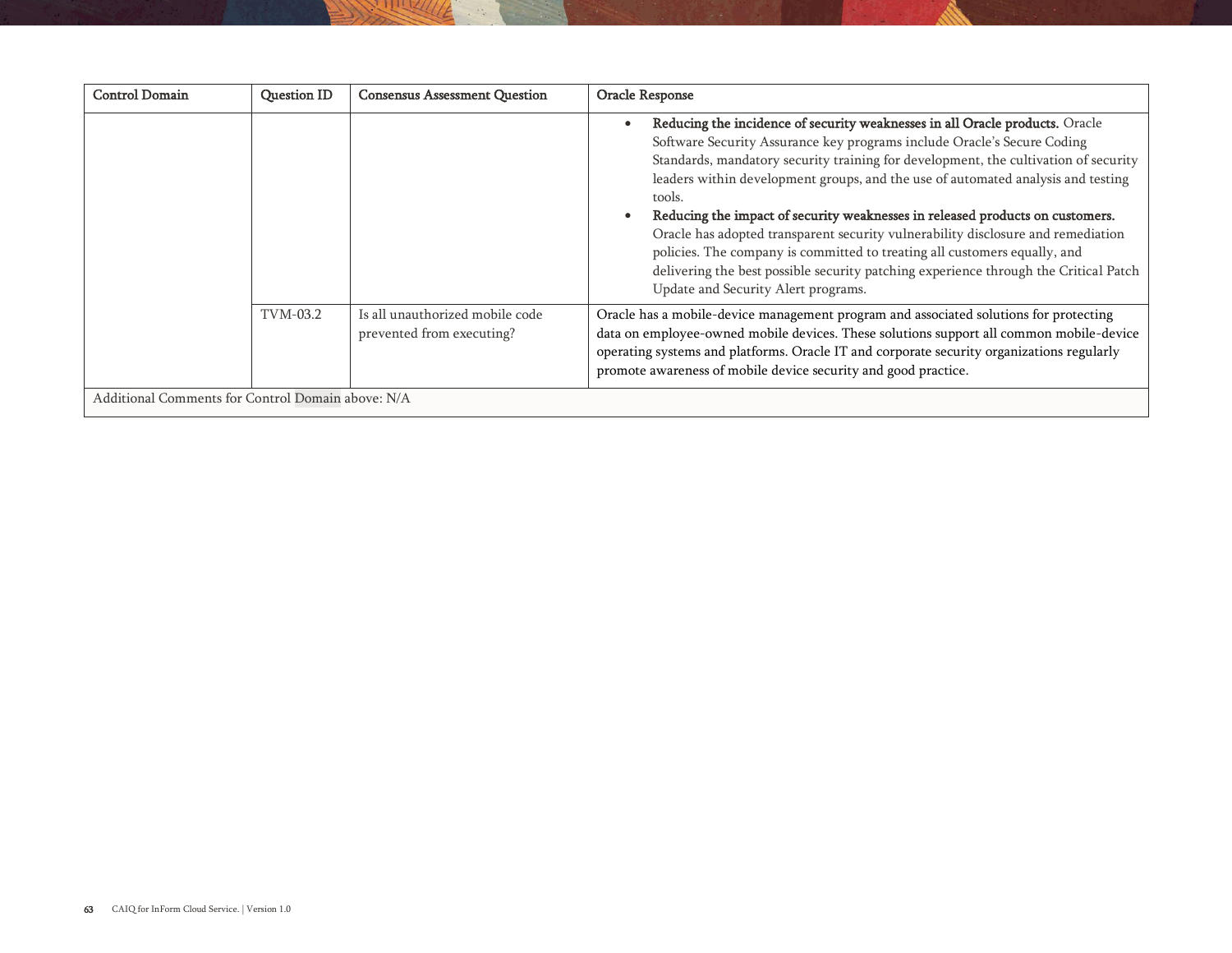| <b>Control Domain</b>                             | <b>Question ID</b> | <b>Consensus Assessment Question</b>                         | Oracle Response                                                                                                                                                                                                                                                                                                                                                                                                                                                                                                                                                                                                                                                                                                               |  |  |
|---------------------------------------------------|--------------------|--------------------------------------------------------------|-------------------------------------------------------------------------------------------------------------------------------------------------------------------------------------------------------------------------------------------------------------------------------------------------------------------------------------------------------------------------------------------------------------------------------------------------------------------------------------------------------------------------------------------------------------------------------------------------------------------------------------------------------------------------------------------------------------------------------|--|--|
|                                                   |                    |                                                              | Reducing the incidence of security weaknesses in all Oracle products. Oracle<br>Software Security Assurance key programs include Oracle's Secure Coding<br>Standards, mandatory security training for development, the cultivation of security<br>leaders within development groups, and the use of automated analysis and testing<br>tools.<br>Reducing the impact of security weaknesses in released products on customers.<br>Oracle has adopted transparent security vulnerability disclosure and remediation<br>policies. The company is committed to treating all customers equally, and<br>delivering the best possible security patching experience through the Critical Patch<br>Update and Security Alert programs. |  |  |
|                                                   | TVM-03.2           | Is all unauthorized mobile code<br>prevented from executing? | Oracle has a mobile-device management program and associated solutions for protecting<br>data on employee-owned mobile devices. These solutions support all common mobile-device<br>operating systems and platforms. Oracle IT and corporate security organizations regularly<br>promote awareness of mobile device security and good practice.                                                                                                                                                                                                                                                                                                                                                                               |  |  |
| Additional Comments for Control Domain above: N/A |                    |                                                              |                                                                                                                                                                                                                                                                                                                                                                                                                                                                                                                                                                                                                                                                                                                               |  |  |